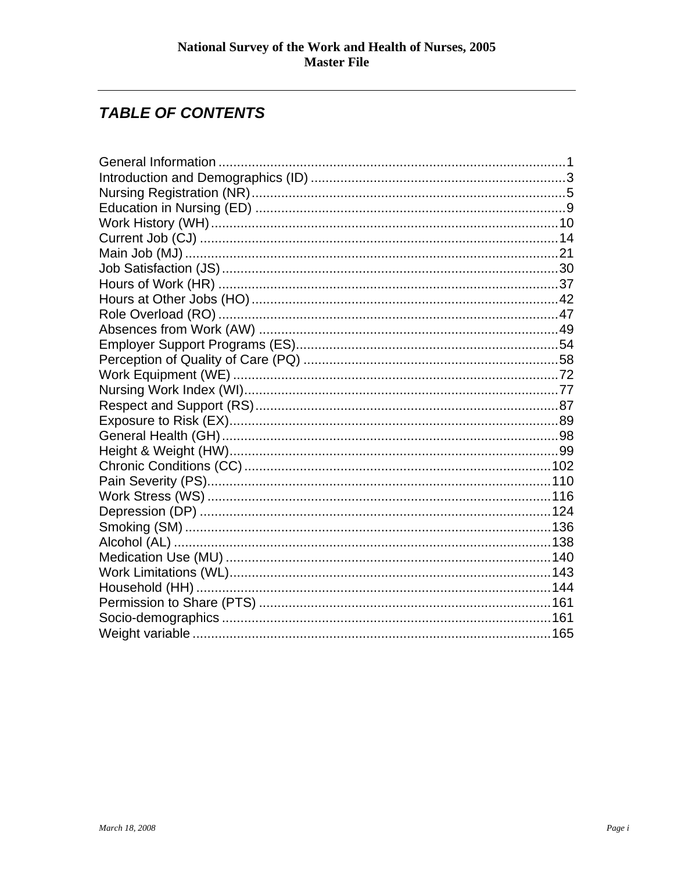# **TABLE OF CONTENTS**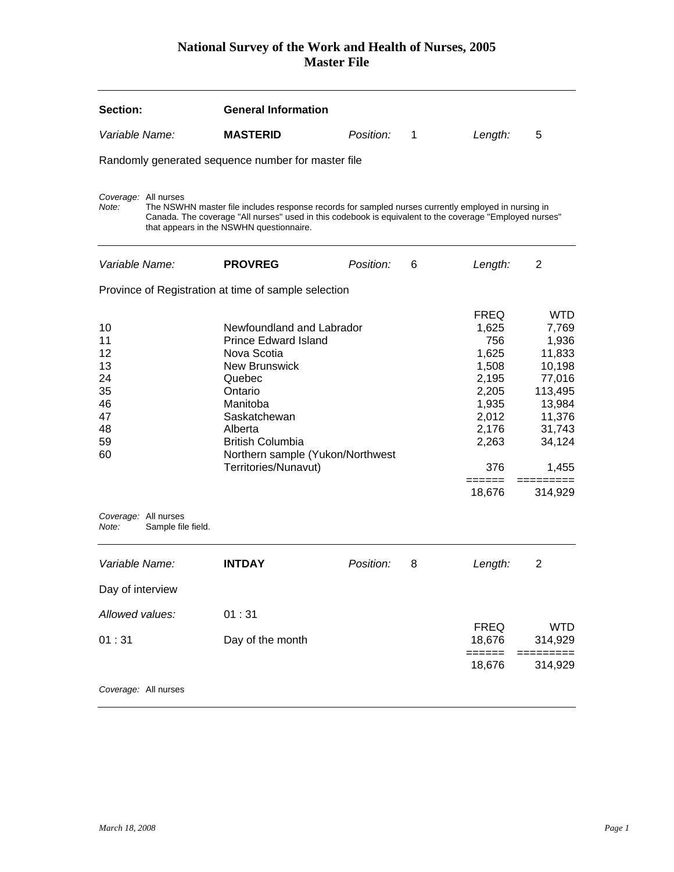<span id="page-1-0"></span>

| Section:                                                                                        |                    | <b>General Information</b>                                                                                                                                                                                                                                 |           |              |                                                                                                                                |                                                                                                                                   |
|-------------------------------------------------------------------------------------------------|--------------------|------------------------------------------------------------------------------------------------------------------------------------------------------------------------------------------------------------------------------------------------------------|-----------|--------------|--------------------------------------------------------------------------------------------------------------------------------|-----------------------------------------------------------------------------------------------------------------------------------|
| Variable Name:                                                                                  |                    | <b>MASTERID</b>                                                                                                                                                                                                                                            | Position: | $\mathbf{1}$ | Length:                                                                                                                        | 5                                                                                                                                 |
|                                                                                                 |                    | Randomly generated sequence number for master file                                                                                                                                                                                                         |           |              |                                                                                                                                |                                                                                                                                   |
| Coverage: All nurses<br>Note:                                                                   |                    | The NSWHN master file includes response records for sampled nurses currently employed in nursing in<br>Canada. The coverage "All nurses" used in this codebook is equivalent to the coverage "Employed nurses"<br>that appears in the NSWHN questionnaire. |           |              |                                                                                                                                |                                                                                                                                   |
| <i>Variable Name:</i>                                                                           |                    | <b>PROVREG</b>                                                                                                                                                                                                                                             | Position: | 6            | Length:                                                                                                                        | 2                                                                                                                                 |
|                                                                                                 |                    | Province of Registration at time of sample selection                                                                                                                                                                                                       |           |              |                                                                                                                                |                                                                                                                                   |
| 10<br>11<br>12<br>13<br>24<br>35<br>46<br>47<br>48<br>59<br>60<br>Coverage: All nurses<br>Note: | Sample file field. | Newfoundland and Labrador<br><b>Prince Edward Island</b><br>Nova Scotia<br><b>New Brunswick</b><br>Quebec<br>Ontario<br>Manitoba<br>Saskatchewan<br>Alberta<br><b>British Columbia</b><br>Northern sample (Yukon/Northwest<br>Territories/Nunavut)         |           |              | <b>FREQ</b><br>1,625<br>756<br>1,625<br>1,508<br>2,195<br>2,205<br>1,935<br>2,012<br>2,176<br>2,263<br>376<br>======<br>18,676 | <b>WTD</b><br>7,769<br>1,936<br>11,833<br>10,198<br>77,016<br>113,495<br>13,984<br>11,376<br>31,743<br>34,124<br>1,455<br>314,929 |
| Variable Name:                                                                                  |                    | INTDAY                                                                                                                                                                                                                                                     | Position: | 8            | Length:                                                                                                                        | 2                                                                                                                                 |
| Day of interview                                                                                |                    |                                                                                                                                                                                                                                                            |           |              |                                                                                                                                |                                                                                                                                   |
| Allowed values:                                                                                 |                    | 01:31                                                                                                                                                                                                                                                      |           |              | <b>FREQ</b>                                                                                                                    | <b>WTD</b>                                                                                                                        |
| 01:31                                                                                           |                    | Day of the month                                                                                                                                                                                                                                           |           |              | 18,676<br>======                                                                                                               | 314,929                                                                                                                           |
|                                                                                                 |                    |                                                                                                                                                                                                                                                            |           |              | 18,676                                                                                                                         | 314,929                                                                                                                           |
| Coverage: All nurses                                                                            |                    |                                                                                                                                                                                                                                                            |           |              |                                                                                                                                |                                                                                                                                   |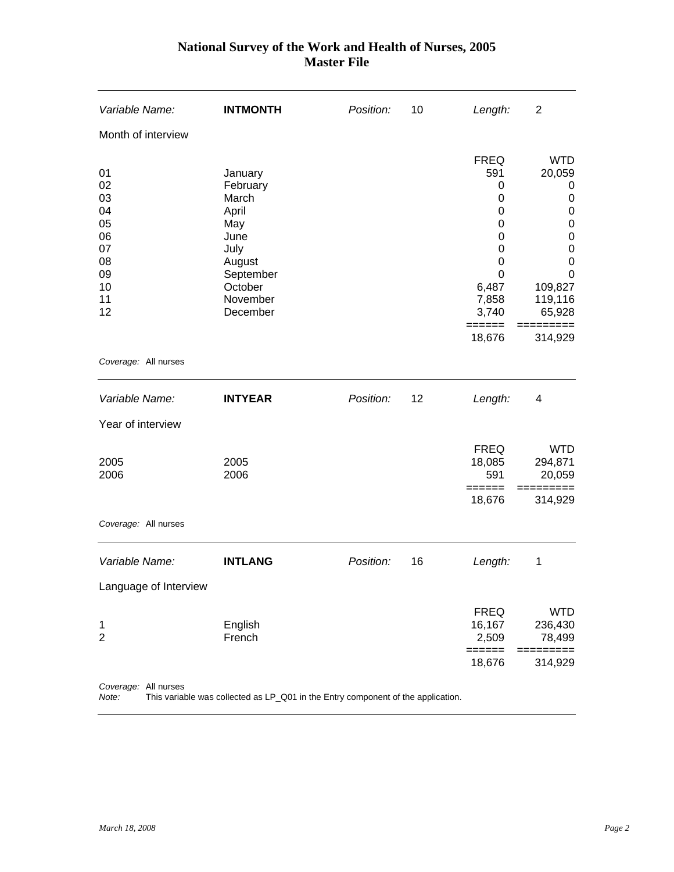| Variable Name:                                                       | <b>INTMONTH</b>                                                                                                        | Position: | 10 | Length:                                                                                                                     | 2                                                                                                                                                                   |
|----------------------------------------------------------------------|------------------------------------------------------------------------------------------------------------------------|-----------|----|-----------------------------------------------------------------------------------------------------------------------------|---------------------------------------------------------------------------------------------------------------------------------------------------------------------|
| Month of interview                                                   |                                                                                                                        |           |    |                                                                                                                             |                                                                                                                                                                     |
| 01<br>02<br>03<br>04<br>05<br>06<br>07<br>08<br>09<br>10<br>11<br>12 | January<br>February<br>March<br>April<br>May<br>June<br>July<br>August<br>September<br>October<br>November<br>December |           |    | <b>FREQ</b><br>591<br>0<br>$\mathbf 0$<br>0<br>0<br>0<br>0<br>$\pmb{0}$<br>0<br>6,487<br>7,858<br>3,740<br>======<br>18,676 | <b>WTD</b><br>20,059<br>0<br>$\mathbf 0$<br>$\mathbf 0$<br>$\mathbf 0$<br>$\mathbf 0$<br>$\mathbf 0$<br>$\mathbf 0$<br>0<br>109,827<br>119,116<br>65,928<br>314,929 |
| Coverage: All nurses                                                 |                                                                                                                        |           |    |                                                                                                                             |                                                                                                                                                                     |
| Variable Name:                                                       | <b>INTYEAR</b>                                                                                                         | Position: | 12 | Length:                                                                                                                     | 4                                                                                                                                                                   |
| Year of interview                                                    |                                                                                                                        |           |    |                                                                                                                             |                                                                                                                                                                     |
| 2005<br>2006                                                         | 2005<br>2006                                                                                                           |           |    | <b>FREQ</b><br>18,085<br>591<br>======<br>18,676                                                                            | <b>WTD</b><br>294,871<br>20,059<br>314,929                                                                                                                          |
| Coverage: All nurses                                                 |                                                                                                                        |           |    |                                                                                                                             |                                                                                                                                                                     |
| Variable Name:                                                       | <b>INTLANG</b>                                                                                                         | Position: | 16 | Length:                                                                                                                     | 1                                                                                                                                                                   |
| Language of Interview                                                |                                                                                                                        |           |    |                                                                                                                             |                                                                                                                                                                     |
| 1<br>$\overline{2}$                                                  | English<br>French                                                                                                      |           |    | <b>FREQ</b><br>16,167<br>2,509<br>$=$ $=$ $=$ $=$ $=$                                                                       | <b>WTD</b><br>236,430<br>78,499<br>======<br>$==$                                                                                                                   |
|                                                                      |                                                                                                                        |           |    | 18,676                                                                                                                      | 314,929                                                                                                                                                             |
| Coverage: All nurses<br>Note:                                        | This variable was collected as LP_Q01 in the Entry component of the application.                                       |           |    |                                                                                                                             |                                                                                                                                                                     |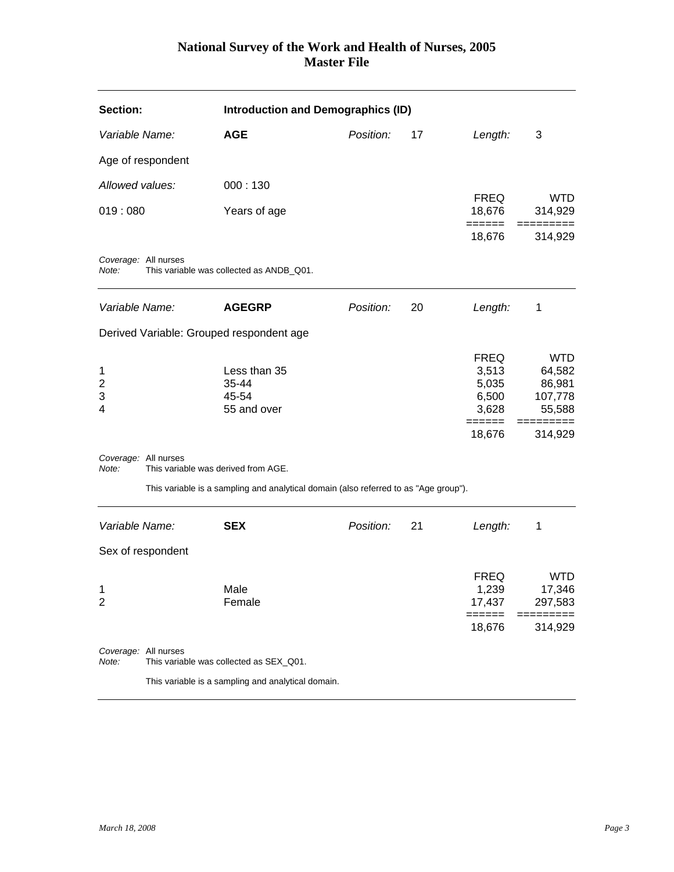<span id="page-3-0"></span>

| Section:                               |                      | <b>Introduction and Demographics (ID)</b>                                            |           |    |                                                                     |                                                                             |
|----------------------------------------|----------------------|--------------------------------------------------------------------------------------|-----------|----|---------------------------------------------------------------------|-----------------------------------------------------------------------------|
| Variable Name:                         |                      | <b>AGE</b>                                                                           | Position: | 17 | Length:                                                             | 3                                                                           |
|                                        | Age of respondent    |                                                                                      |           |    |                                                                     |                                                                             |
| Allowed values:                        |                      | 000:130                                                                              |           |    |                                                                     |                                                                             |
| 019:080                                |                      | Years of age                                                                         |           |    | <b>FREQ</b><br>18,676                                               | <b>WTD</b><br>314,929                                                       |
|                                        |                      |                                                                                      |           |    | ======<br>18,676                                                    | 314,929                                                                     |
| Note:                                  | Coverage: All nurses | This variable was collected as ANDB_Q01.                                             |           |    |                                                                     |                                                                             |
| Variable Name:                         |                      | <b>AGEGRP</b>                                                                        | Position: | 20 | Length:                                                             | 1                                                                           |
|                                        |                      | Derived Variable: Grouped respondent age                                             |           |    |                                                                     |                                                                             |
| 1<br>$\overline{\mathbf{c}}$<br>3<br>4 | Coverage: All nurses | Less than 35<br>35-44<br>45-54<br>55 and over                                        |           |    | <b>FREQ</b><br>3,513<br>5,035<br>6,500<br>3,628<br>======<br>18,676 | <b>WTD</b><br>64,582<br>86,981<br>107,778<br>55,588<br>:========<br>314,929 |
| Note:                                  |                      | This variable was derived from AGE.                                                  |           |    |                                                                     |                                                                             |
|                                        |                      | This variable is a sampling and analytical domain (also referred to as "Age group"). |           |    |                                                                     |                                                                             |
| Variable Name:                         |                      | <b>SEX</b>                                                                           | Position: | 21 | Length:                                                             | 1                                                                           |
|                                        | Sex of respondent    |                                                                                      |           |    |                                                                     |                                                                             |
| $\mathbf{1}$<br>2                      |                      | Male<br>Female                                                                       |           |    | <b>FREQ</b><br>1,239<br>17,437<br>======                            | <b>WTD</b><br>17,346<br>297,583                                             |
|                                        |                      |                                                                                      |           |    | 18,676                                                              | 314,929                                                                     |
| Note:                                  | Coverage: All nurses | This variable was collected as SEX_Q01.                                              |           |    |                                                                     |                                                                             |
|                                        |                      | This variable is a sampling and analytical domain.                                   |           |    |                                                                     |                                                                             |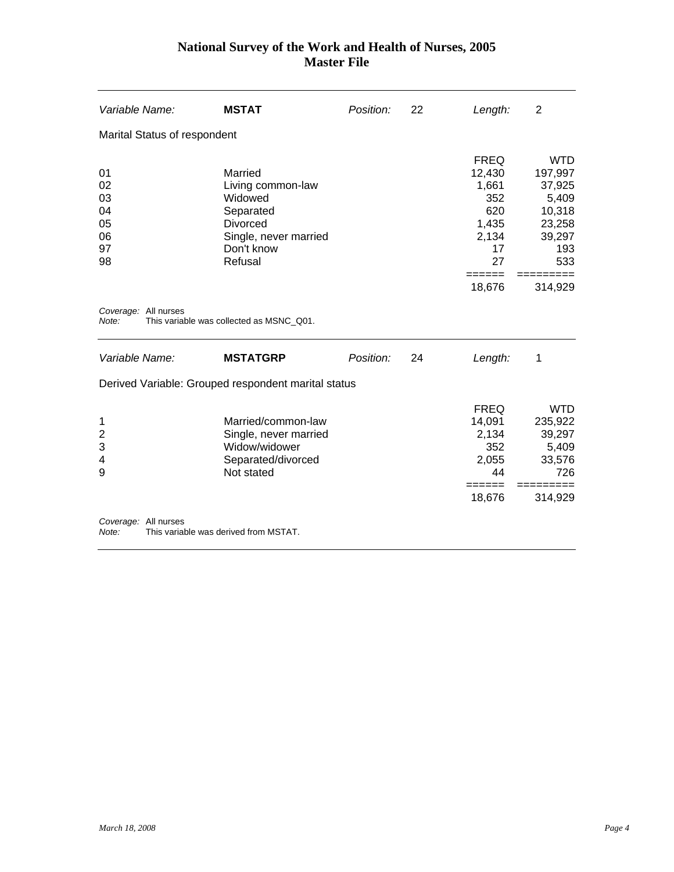| Variable Name:                               | <b>MSTAT</b>                                                                                                              | Position: | 22 | Length:                                                                    | $\overline{2}$                                                                       |
|----------------------------------------------|---------------------------------------------------------------------------------------------------------------------------|-----------|----|----------------------------------------------------------------------------|--------------------------------------------------------------------------------------|
| Marital Status of respondent                 |                                                                                                                           |           |    |                                                                            |                                                                                      |
| 01<br>02<br>03<br>04<br>05<br>06<br>97<br>98 | Married<br>Living common-law<br>Widowed<br>Separated<br><b>Divorced</b><br>Single, never married<br>Don't know<br>Refusal |           |    | <b>FREQ</b><br>12,430<br>1,661<br>352<br>620<br>1,435<br>2,134<br>17<br>27 | <b>WTD</b><br>197,997<br>37,925<br>5,409<br>10,318<br>23,258<br>39,297<br>193<br>533 |
|                                              |                                                                                                                           |           |    | 18,676                                                                     | 314,929                                                                              |
| Coverage: All nurses<br>Note:                | This variable was collected as MSNC_Q01.                                                                                  |           |    |                                                                            |                                                                                      |
| Variable Name:                               | <b>MSTATGRP</b>                                                                                                           | Position: | 24 | Length:                                                                    | 1                                                                                    |
|                                              | Derived Variable: Grouped respondent marital status                                                                       |           |    |                                                                            |                                                                                      |
| 1<br>$\overline{c}$<br>3<br>4<br>9           | Married/common-law<br>Single, never married<br>Widow/widower<br>Separated/divorced<br>Not stated                          |           |    | <b>FREQ</b><br>14,091<br>2,134<br>352<br>2,055<br>44<br>======<br>18,676   | <b>WTD</b><br>235,922<br>39,297<br>5,409<br>33,576<br>726<br>314,929                 |
|                                              |                                                                                                                           |           |    |                                                                            |                                                                                      |
| Coverage: All nurses<br>Note:                | This variable was derived from MSTAT.                                                                                     |           |    |                                                                            |                                                                                      |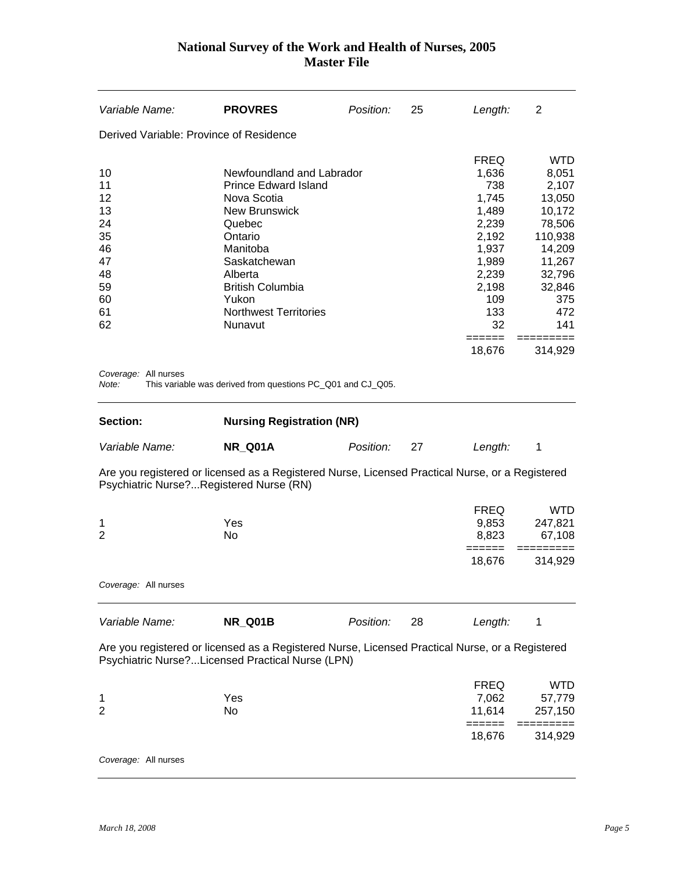<span id="page-5-0"></span>

| Variable Name:                                                             | <b>PROVRES</b>                                                                                                                                                                                                                             | Position: | 25 | Length:                                                                                                                           | 2                                                                                                                                               |
|----------------------------------------------------------------------------|--------------------------------------------------------------------------------------------------------------------------------------------------------------------------------------------------------------------------------------------|-----------|----|-----------------------------------------------------------------------------------------------------------------------------------|-------------------------------------------------------------------------------------------------------------------------------------------------|
| Derived Variable: Province of Residence                                    |                                                                                                                                                                                                                                            |           |    |                                                                                                                                   |                                                                                                                                                 |
| 10<br>11<br>12<br>13<br>24<br>35<br>46<br>47<br>48<br>59<br>60<br>61<br>62 | Newfoundland and Labrador<br><b>Prince Edward Island</b><br>Nova Scotia<br><b>New Brunswick</b><br>Quebec<br>Ontario<br>Manitoba<br>Saskatchewan<br>Alberta<br><b>British Columbia</b><br>Yukon<br><b>Northwest Territories</b><br>Nunavut |           |    | <b>FREQ</b><br>1,636<br>738<br>1,745<br>1,489<br>2,239<br>2,192<br>1,937<br>1,989<br>2,239<br>2,198<br>109<br>133<br>32<br>====== | <b>WTD</b><br>8,051<br>2,107<br>13,050<br>10,172<br>78,506<br>110,938<br>14,209<br>11,267<br>32,796<br>32,846<br>375<br>472<br>141<br>========= |
|                                                                            |                                                                                                                                                                                                                                            |           |    | 18,676                                                                                                                            | 314,929                                                                                                                                         |
| Coverage: All nurses<br>Note:                                              | This variable was derived from questions PC_Q01 and CJ_Q05.                                                                                                                                                                                |           |    |                                                                                                                                   |                                                                                                                                                 |
| Section:                                                                   | <b>Nursing Registration (NR)</b>                                                                                                                                                                                                           |           |    |                                                                                                                                   |                                                                                                                                                 |
| Variable Name:                                                             | <b>NR_Q01A</b>                                                                                                                                                                                                                             | Position: | 27 | Length:                                                                                                                           | 1                                                                                                                                               |
|                                                                            | Are you registered or licensed as a Registered Nurse, Licensed Practical Nurse, or a Registered<br>Psychiatric Nurse?Registered Nurse (RN)                                                                                                 |           |    |                                                                                                                                   |                                                                                                                                                 |
| 1<br>$\overline{2}$                                                        | Yes<br>No                                                                                                                                                                                                                                  |           |    | <b>FREQ</b><br>9,853<br>8,823                                                                                                     | <b>WTD</b><br>247,821<br>67,108                                                                                                                 |
|                                                                            |                                                                                                                                                                                                                                            |           |    | ======<br>18,676                                                                                                                  | ======<br>314,929                                                                                                                               |
| Coverage: All nurses                                                       |                                                                                                                                                                                                                                            |           |    |                                                                                                                                   |                                                                                                                                                 |
| Variable Name:                                                             | <b>NR_Q01B</b>                                                                                                                                                                                                                             | Position: | 28 | Length:                                                                                                                           | 1                                                                                                                                               |
|                                                                            | Are you registered or licensed as a Registered Nurse, Licensed Practical Nurse, or a Registered<br>Psychiatric Nurse?Licensed Practical Nurse (LPN)                                                                                        |           |    |                                                                                                                                   |                                                                                                                                                 |
| 1<br>$\overline{2}$                                                        | Yes<br>No                                                                                                                                                                                                                                  |           |    | <b>FREQ</b><br>7,062<br>11,614                                                                                                    | <b>WTD</b><br>57,779<br>257,150                                                                                                                 |
|                                                                            |                                                                                                                                                                                                                                            |           |    | ======<br>18,676                                                                                                                  | 314,929                                                                                                                                         |
| Coverage: All nurses                                                       |                                                                                                                                                                                                                                            |           |    |                                                                                                                                   |                                                                                                                                                 |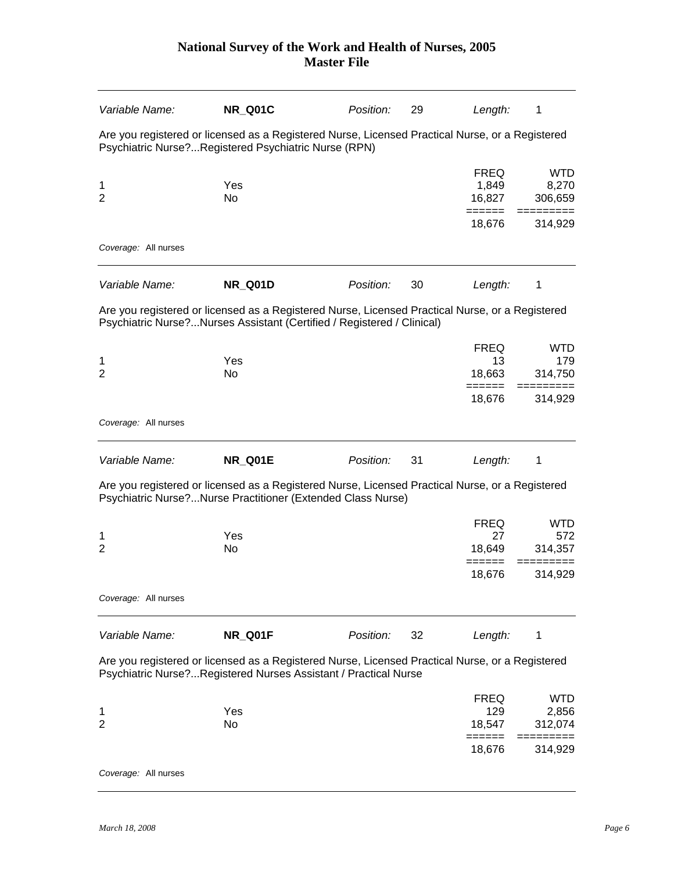| Variable Name:                                                                                                                                          | <b>NR Q01C</b>                                                                                                                                                            | Position: | 29 | Length:                        | 1                              |  |  |
|---------------------------------------------------------------------------------------------------------------------------------------------------------|---------------------------------------------------------------------------------------------------------------------------------------------------------------------------|-----------|----|--------------------------------|--------------------------------|--|--|
| Are you registered or licensed as a Registered Nurse, Licensed Practical Nurse, or a Registered<br>Psychiatric Nurse?Registered Psychiatric Nurse (RPN) |                                                                                                                                                                           |           |    |                                |                                |  |  |
| 1<br>$\overline{2}$                                                                                                                                     | Yes<br>No                                                                                                                                                                 |           |    | <b>FREQ</b><br>1,849<br>16,827 | <b>WTD</b><br>8,270<br>306,659 |  |  |
|                                                                                                                                                         |                                                                                                                                                                           |           |    | ======<br>18,676               | =====<br>314,929               |  |  |
| Coverage: All nurses                                                                                                                                    |                                                                                                                                                                           |           |    |                                |                                |  |  |
| Variable Name:                                                                                                                                          | <b>NR_Q01D</b>                                                                                                                                                            | Position: | 30 | Length:                        | 1                              |  |  |
|                                                                                                                                                         | Are you registered or licensed as a Registered Nurse, Licensed Practical Nurse, or a Registered<br>Psychiatric Nurse?Nurses Assistant (Certified / Registered / Clinical) |           |    |                                |                                |  |  |
|                                                                                                                                                         |                                                                                                                                                                           |           |    | <b>FREQ</b>                    | <b>WTD</b>                     |  |  |
| 1<br>$\overline{2}$                                                                                                                                     | Yes<br>No                                                                                                                                                                 |           |    | 13<br>18,663                   | 179<br>314,750                 |  |  |
|                                                                                                                                                         |                                                                                                                                                                           |           |    | ======<br>18,676               | 314,929                        |  |  |
| Coverage: All nurses                                                                                                                                    |                                                                                                                                                                           |           |    |                                |                                |  |  |
| Variable Name:                                                                                                                                          | <b>NR_Q01E</b>                                                                                                                                                            | Position: | 31 | Length:                        | 1                              |  |  |
|                                                                                                                                                         | Are you registered or licensed as a Registered Nurse, Licensed Practical Nurse, or a Registered<br>Psychiatric Nurse?Nurse Practitioner (Extended Class Nurse)            |           |    |                                |                                |  |  |
|                                                                                                                                                         |                                                                                                                                                                           |           |    | <b>FREQ</b>                    | <b>WTD</b>                     |  |  |
| 1<br>$\overline{2}$                                                                                                                                     | Yes<br>No                                                                                                                                                                 |           |    | 27<br>18,649                   | 572<br>314,357                 |  |  |
|                                                                                                                                                         |                                                                                                                                                                           |           |    | ======<br>18,676               | 314,929                        |  |  |
| Coverage: All nurses                                                                                                                                    |                                                                                                                                                                           |           |    |                                |                                |  |  |
| Variable Name:                                                                                                                                          | NR_Q01F                                                                                                                                                                   | Position: | 32 | Length:                        | 1                              |  |  |
|                                                                                                                                                         | Are you registered or licensed as a Registered Nurse, Licensed Practical Nurse, or a Registered<br>Psychiatric Nurse?Registered Nurses Assistant / Practical Nurse        |           |    |                                |                                |  |  |
|                                                                                                                                                         |                                                                                                                                                                           |           |    | <b>FREQ</b>                    | <b>WTD</b>                     |  |  |
| 1                                                                                                                                                       | Yes                                                                                                                                                                       |           |    | 129                            | 2,856                          |  |  |
| $\overline{2}$                                                                                                                                          | No                                                                                                                                                                        |           |    | 18,547                         | 312,074                        |  |  |
|                                                                                                                                                         |                                                                                                                                                                           |           |    | 18,676                         | 314,929                        |  |  |
| Coverage: All nurses                                                                                                                                    |                                                                                                                                                                           |           |    |                                |                                |  |  |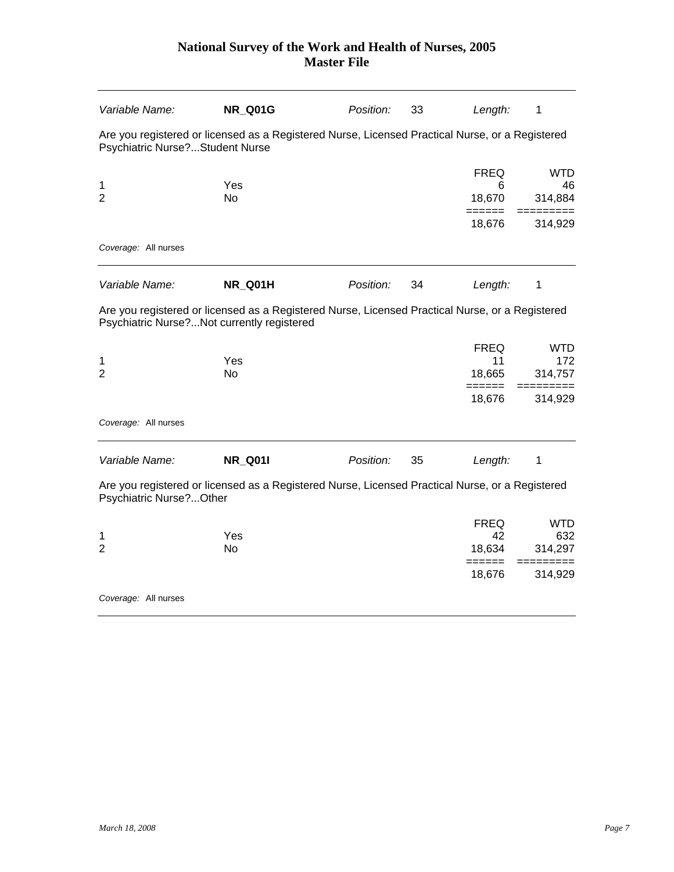| Variable Name:                             | <b>NR_Q01G</b>                                                                                  | Position: | 33 | Length:               | 1              |
|--------------------------------------------|-------------------------------------------------------------------------------------------------|-----------|----|-----------------------|----------------|
| Psychiatric Nurse?Student Nurse            | Are you registered or licensed as a Registered Nurse, Licensed Practical Nurse, or a Registered |           |    |                       |                |
|                                            |                                                                                                 |           |    | <b>FREQ</b>           | <b>WTD</b>     |
| 1<br>$\overline{2}$                        | Yes<br><b>No</b>                                                                                |           |    | 6<br>18,670<br>====== | 46<br>314,884  |
|                                            |                                                                                                 |           |    | 18,676                | 314,929        |
| Coverage: All nurses                       |                                                                                                 |           |    |                       |                |
| Variable Name:                             | NR_Q01H                                                                                         | Position: | 34 | Length:               | 1              |
| Psychiatric Nurse?Not currently registered | Are you registered or licensed as a Registered Nurse, Licensed Practical Nurse, or a Registered |           |    |                       |                |
|                                            |                                                                                                 |           |    | <b>FREQ</b>           | <b>WTD</b>     |
| 1<br>$\overline{2}$                        | Yes<br><b>No</b>                                                                                |           |    | 11<br>18,665          | 172<br>314,757 |
|                                            |                                                                                                 |           |    | ======<br>18,676      | 314,929        |
| Coverage: All nurses                       |                                                                                                 |           |    |                       |                |
| Variable Name:                             | <b>NR_Q01I</b>                                                                                  | Position: | 35 | Length:               | 1              |
| Psychiatric Nurse?Other                    | Are you registered or licensed as a Registered Nurse, Licensed Practical Nurse, or a Registered |           |    |                       |                |
|                                            |                                                                                                 |           |    | <b>FREQ</b>           | <b>WTD</b>     |
| 1<br>$\overline{2}$                        | Yes<br>No                                                                                       |           |    | 42<br>18,634          | 632<br>314,297 |
|                                            |                                                                                                 |           |    | =====<br>18,676       | 314,929        |
| Coverage: All nurses                       |                                                                                                 |           |    |                       |                |
|                                            |                                                                                                 |           |    |                       |                |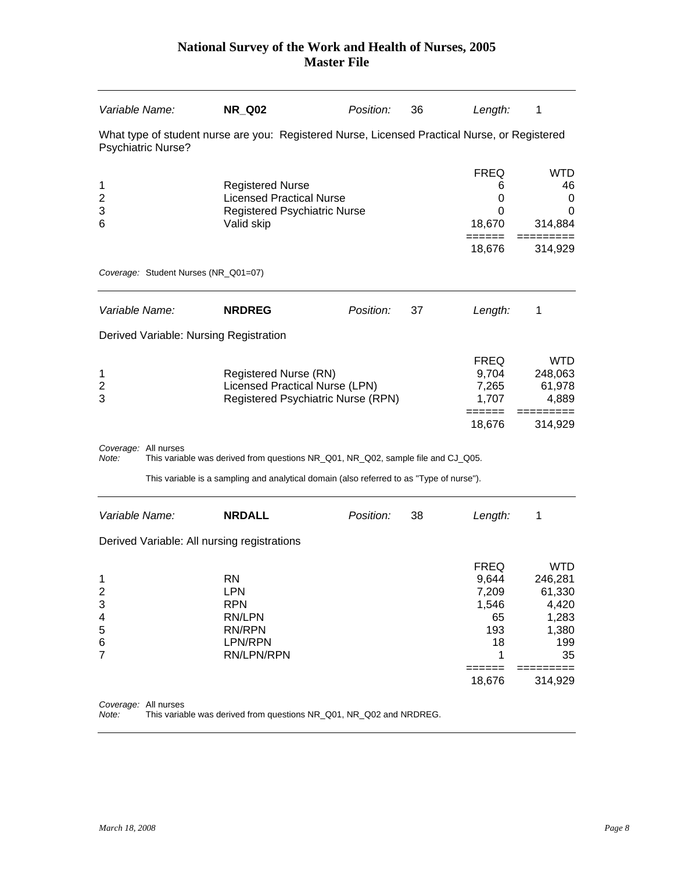| Variable Name:            | <b>NR_Q02</b>                                                                             | Position:                                                                                                                     | 36                                                                                                                                                                                          | Length:                                                                  | 1                                                                                                                                                                                                                                                                                       |
|---------------------------|-------------------------------------------------------------------------------------------|-------------------------------------------------------------------------------------------------------------------------------|---------------------------------------------------------------------------------------------------------------------------------------------------------------------------------------------|--------------------------------------------------------------------------|-----------------------------------------------------------------------------------------------------------------------------------------------------------------------------------------------------------------------------------------------------------------------------------------|
| <b>Psychiatric Nurse?</b> |                                                                                           |                                                                                                                               |                                                                                                                                                                                             |                                                                          |                                                                                                                                                                                                                                                                                         |
|                           | Valid skip                                                                                |                                                                                                                               |                                                                                                                                                                                             | <b>FREQ</b><br>6<br>0<br>$\Omega$<br>18,670<br>$==$<br>18,676            | <b>WTD</b><br>46<br>0<br>0<br>314,884<br>314,929                                                                                                                                                                                                                                        |
|                           |                                                                                           |                                                                                                                               |                                                                                                                                                                                             |                                                                          |                                                                                                                                                                                                                                                                                         |
| Variable Name:            | <b>NRDREG</b>                                                                             | Position:                                                                                                                     | 37                                                                                                                                                                                          | Length:                                                                  | 1                                                                                                                                                                                                                                                                                       |
|                           |                                                                                           |                                                                                                                               |                                                                                                                                                                                             |                                                                          |                                                                                                                                                                                                                                                                                         |
|                           |                                                                                           |                                                                                                                               |                                                                                                                                                                                             | <b>FREQ</b><br>9,704<br>7,265<br>1,707<br>======                         | <b>WTD</b><br>248,063<br>61,978<br>4,889<br>314,929                                                                                                                                                                                                                                     |
| Coverage: All nurses      |                                                                                           |                                                                                                                               |                                                                                                                                                                                             |                                                                          |                                                                                                                                                                                                                                                                                         |
|                           |                                                                                           |                                                                                                                               |                                                                                                                                                                                             |                                                                          |                                                                                                                                                                                                                                                                                         |
| Variable Name:            | <b>NRDALL</b>                                                                             | Position:                                                                                                                     | 38                                                                                                                                                                                          | Length:                                                                  | 1                                                                                                                                                                                                                                                                                       |
|                           |                                                                                           |                                                                                                                               |                                                                                                                                                                                             |                                                                          |                                                                                                                                                                                                                                                                                         |
|                           | <b>RN</b><br><b>LPN</b><br><b>RPN</b><br>RN/LPN<br><b>RN/RPN</b><br>LPN/RPN<br>RN/LPN/RPN |                                                                                                                               |                                                                                                                                                                                             | <b>FREQ</b><br>9,644<br>7,209<br>1,546<br>65<br>193<br>18<br>1<br>18,676 | <b>WTD</b><br>246,281<br>61,330<br>4,420<br>1,283<br>1,380<br>199<br>35<br>314,929                                                                                                                                                                                                      |
|                           |                                                                                           | Coverage: Student Nurses (NR_Q01=07)<br>Derived Variable: Nursing Registration<br>Derived Variable: All nursing registrations | <b>Registered Nurse</b><br><b>Licensed Practical Nurse</b><br>Registered Psychiatric Nurse<br>Registered Nurse (RN)<br>Licensed Practical Nurse (LPN)<br>Registered Psychiatric Nurse (RPN) |                                                                          | What type of student nurse are you: Registered Nurse, Licensed Practical Nurse, or Registered<br>18,676<br>This variable was derived from questions NR_Q01, NR_Q02, sample file and CJ_Q05.<br>This variable is a sampling and analytical domain (also referred to as "Type of nurse"). |

*Coverage:* All nurses

*Note:* This variable was derived from questions NR\_Q01, NR\_Q02 and NRDREG.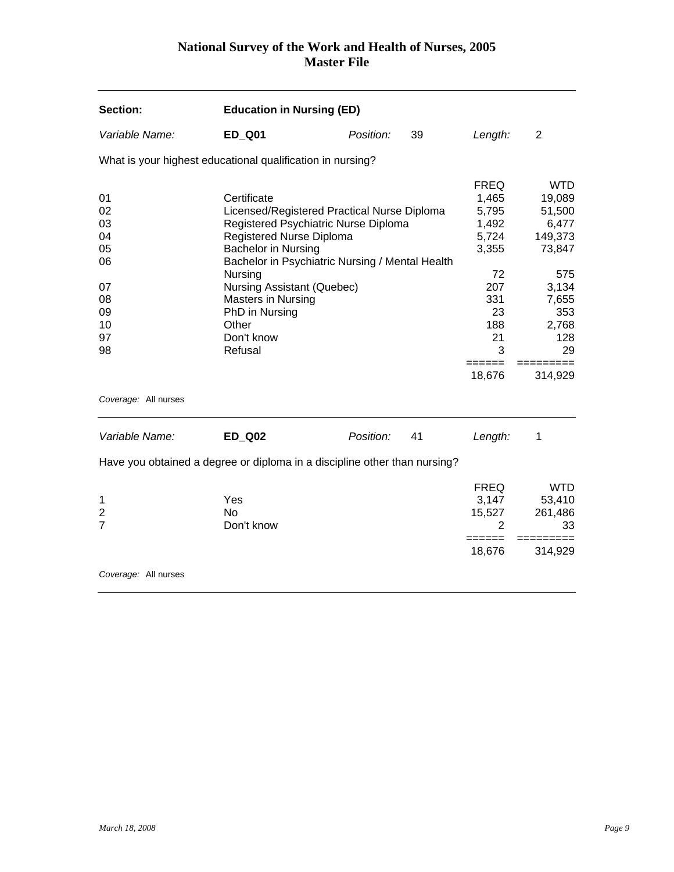<span id="page-9-0"></span>

| Section:                         | <b>Education in Nursing (ED)</b>                                                                                                                                                                                |           |    |                                                          |                                                              |
|----------------------------------|-----------------------------------------------------------------------------------------------------------------------------------------------------------------------------------------------------------------|-----------|----|----------------------------------------------------------|--------------------------------------------------------------|
| Variable Name:                   | <b>ED_Q01</b>                                                                                                                                                                                                   | Position: | 39 | Length:                                                  | $\overline{2}$                                               |
|                                  | What is your highest educational qualification in nursing?                                                                                                                                                      |           |    |                                                          |                                                              |
| 01<br>02<br>03<br>04<br>05<br>06 | Certificate<br>Licensed/Registered Practical Nurse Diploma<br>Registered Psychiatric Nurse Diploma<br>Registered Nurse Diploma<br><b>Bachelor in Nursing</b><br>Bachelor in Psychiatric Nursing / Mental Health |           |    | <b>FREQ</b><br>1,465<br>5,795<br>1,492<br>5,724<br>3,355 | <b>WTD</b><br>19,089<br>51,500<br>6,477<br>149,373<br>73,847 |
| 07<br>08<br>09<br>10<br>97<br>98 | Nursing<br><b>Nursing Assistant (Quebec)</b><br>Masters in Nursing<br>PhD in Nursing<br>Other<br>Don't know<br>Refusal                                                                                          |           |    | 72<br>207<br>331<br>23<br>188<br>21<br>3<br>=====        | 575<br>3,134<br>7,655<br>353<br>2,768<br>128<br>29           |
|                                  |                                                                                                                                                                                                                 |           |    | 18,676                                                   | 314,929                                                      |
| Coverage: All nurses             |                                                                                                                                                                                                                 |           |    |                                                          |                                                              |
| Variable Name:                   | <b>ED_Q02</b>                                                                                                                                                                                                   | Position: | 41 | Length:                                                  | 1                                                            |
|                                  | Have you obtained a degree or diploma in a discipline other than nursing?                                                                                                                                       |           |    |                                                          |                                                              |
| 1<br>2<br>$\overline{7}$         | Yes<br><b>No</b><br>Don't know                                                                                                                                                                                  |           |    | <b>FREQ</b><br>3,147<br>15,527<br>2                      | <b>WTD</b><br>53,410<br>261,486<br>33                        |
|                                  |                                                                                                                                                                                                                 |           |    | 18,676                                                   | 314,929                                                      |
| Coverage: All nurses             |                                                                                                                                                                                                                 |           |    |                                                          |                                                              |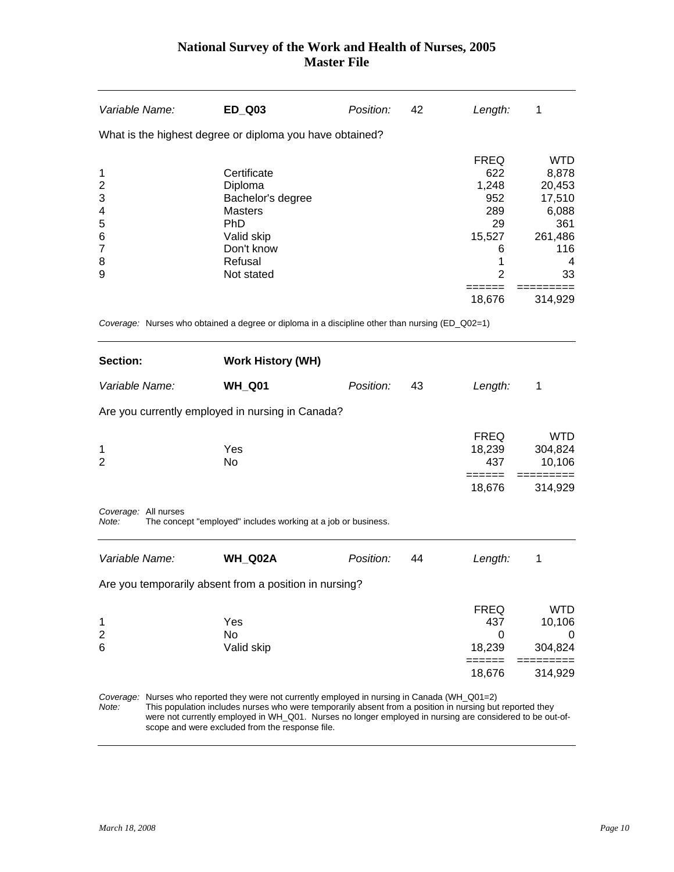<span id="page-10-0"></span>

| Variable Name:                                                      | <b>ED Q03</b>                                                                                                                                                                                                                                                                                                                                                             | Position: | 42 | Length:                                                                               | 1                                                                                    |
|---------------------------------------------------------------------|---------------------------------------------------------------------------------------------------------------------------------------------------------------------------------------------------------------------------------------------------------------------------------------------------------------------------------------------------------------------------|-----------|----|---------------------------------------------------------------------------------------|--------------------------------------------------------------------------------------|
|                                                                     | What is the highest degree or diploma you have obtained?                                                                                                                                                                                                                                                                                                                  |           |    |                                                                                       |                                                                                      |
| 1<br>$\overline{2}$<br>3<br>4<br>5<br>6<br>$\overline{7}$<br>8<br>9 | Certificate<br>Diploma<br>Bachelor's degree<br><b>Masters</b><br><b>PhD</b><br>Valid skip<br>Don't know<br>Refusal<br>Not stated                                                                                                                                                                                                                                          |           |    | <b>FREQ</b><br>622<br>1,248<br>952<br>289<br>29<br>15,527<br>6<br>1<br>$\overline{2}$ | <b>WTD</b><br>8,878<br>20,453<br>17,510<br>6,088<br>361<br>261,486<br>116<br>4<br>33 |
|                                                                     |                                                                                                                                                                                                                                                                                                                                                                           |           |    | 18,676                                                                                | 314,929                                                                              |
|                                                                     | Coverage: Nurses who obtained a degree or diploma in a discipline other than nursing (ED_Q02=1)                                                                                                                                                                                                                                                                           |           |    |                                                                                       |                                                                                      |
| Section:                                                            | <b>Work History (WH)</b>                                                                                                                                                                                                                                                                                                                                                  |           |    |                                                                                       |                                                                                      |
| Variable Name:                                                      | <b>WH_Q01</b>                                                                                                                                                                                                                                                                                                                                                             | Position: | 43 | Length:                                                                               | 1                                                                                    |
|                                                                     | Are you currently employed in nursing in Canada?                                                                                                                                                                                                                                                                                                                          |           |    |                                                                                       |                                                                                      |
| 1<br>$\overline{2}$                                                 | Yes<br>No                                                                                                                                                                                                                                                                                                                                                                 |           |    | <b>FREQ</b><br>18,239<br>437                                                          | <b>WTD</b><br>304,824<br>10,106                                                      |
|                                                                     |                                                                                                                                                                                                                                                                                                                                                                           |           |    | ======<br>18,676                                                                      | =========<br>314,929                                                                 |
| Coverage: All nurses<br>Note:                                       | The concept "employed" includes working at a job or business.                                                                                                                                                                                                                                                                                                             |           |    |                                                                                       |                                                                                      |
| Variable Name:                                                      | WH_Q02A                                                                                                                                                                                                                                                                                                                                                                   | Position: | 44 | Length:                                                                               | 1                                                                                    |
|                                                                     | Are you temporarily absent from a position in nursing?                                                                                                                                                                                                                                                                                                                    |           |    |                                                                                       |                                                                                      |
| 1<br>$\overline{2}$<br>6                                            | Yes<br><b>No</b><br>Valid skip                                                                                                                                                                                                                                                                                                                                            |           |    | <b>FREQ</b><br>437<br>0<br>18,239                                                     | WTD<br>10,106<br>0<br>304,824                                                        |
|                                                                     |                                                                                                                                                                                                                                                                                                                                                                           |           |    | ----<br>18,676                                                                        | 314,929                                                                              |
| Note:                                                               | Coverage: Nurses who reported they were not currently employed in nursing in Canada (WH_Q01=2)<br>This population includes nurses who were temporarily absent from a position in nursing but reported they<br>were not currently employed in WH_Q01. Nurses no longer employed in nursing are considered to be out-of-<br>scope and were excluded from the response file. |           |    |                                                                                       |                                                                                      |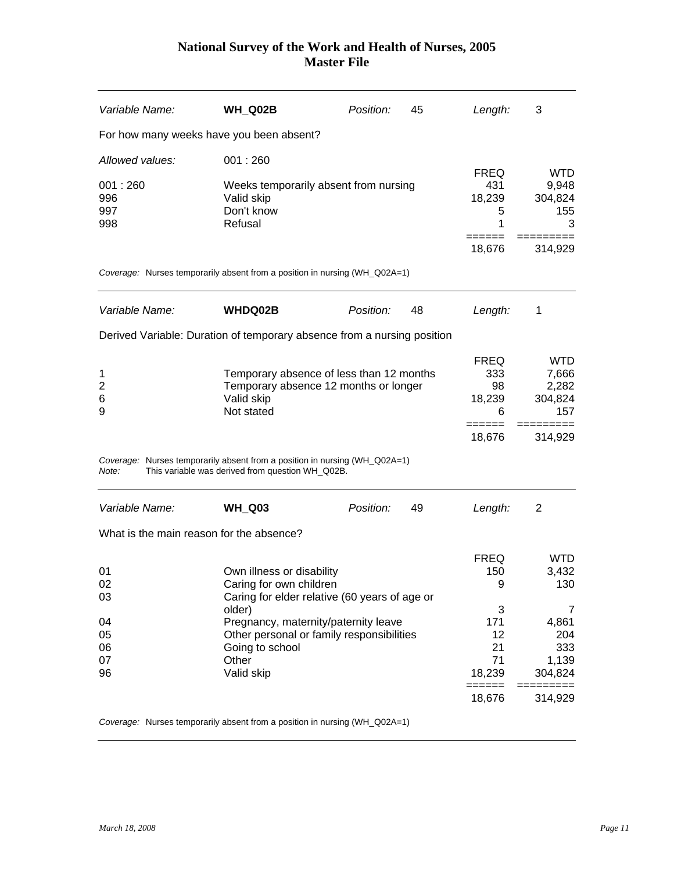| Variable Name:  | <b>WH_Q02B</b>                                                                                                                 | Position:   | 45  | Length:            | 3                    |
|-----------------|--------------------------------------------------------------------------------------------------------------------------------|-------------|-----|--------------------|----------------------|
|                 | For how many weeks have you been absent?                                                                                       |             |     |                    |                      |
| Allowed values: | 001:260                                                                                                                        |             |     |                    |                      |
| 001:260         | Weeks temporarily absent from nursing                                                                                          |             |     | <b>FREQ</b><br>431 | <b>WTD</b><br>9,948  |
| 996             | Valid skip                                                                                                                     |             |     | 18,239             | 304,824              |
| 997             | Don't know                                                                                                                     |             |     | 5                  | 155                  |
| 998             | Refusal                                                                                                                        |             |     | 1                  | 3                    |
|                 |                                                                                                                                |             |     | 18,676             | 314,929              |
|                 | Coverage: Nurses temporarily absent from a position in nursing (WH_Q02A=1)                                                     |             |     |                    |                      |
| Variable Name:  | <b>WHDQ02B</b>                                                                                                                 | Position:   | 48  | Length:            | 1                    |
|                 | Derived Variable: Duration of temporary absence from a nursing position                                                        |             |     |                    |                      |
|                 |                                                                                                                                |             |     | <b>FREQ</b>        | <b>WTD</b>           |
| 1               | Temporary absence of less than 12 months                                                                                       |             |     | 333                | 7,666                |
| $\overline{2}$  | Temporary absence 12 months or longer                                                                                          |             |     | 98                 | 2,282                |
| 6               | Valid skip                                                                                                                     |             |     | 18,239             | 304,824              |
| 9               | Not stated                                                                                                                     | 6<br>------ | 157 |                    |                      |
|                 |                                                                                                                                |             |     | 18,676             | 314,929              |
| Note:           | Coverage: Nurses temporarily absent from a position in nursing (WH_Q02A=1)<br>This variable was derived from question WH_Q02B. |             |     |                    |                      |
| Variable Name:  | <b>WH_Q03</b>                                                                                                                  | Position:   | 49  | Length:            | 2                    |
|                 | What is the main reason for the absence?                                                                                       |             |     |                    |                      |
|                 |                                                                                                                                |             |     | <b>FREQ</b>        | WTD.                 |
| 01              | Own illness or disability                                                                                                      |             |     | 150                | 3,432                |
| 02              | Caring for own children                                                                                                        |             |     | 9                  | 130                  |
| 03              | Caring for elder relative (60 years of age or                                                                                  |             |     |                    |                      |
|                 | older)                                                                                                                         |             |     | 3<br>171           | 7<br>4,861           |
| 04<br>05        | Pregnancy, maternity/paternity leave<br>Other personal or family responsibilities                                              |             |     | 12                 | 204                  |
| 06              | Going to school                                                                                                                |             |     | 21                 | 333                  |
| 07              | Other                                                                                                                          |             |     | 71                 | 1,139                |
| 96              | Valid skip                                                                                                                     |             |     | 18,239<br>======   | 304,824<br>========= |
|                 |                                                                                                                                |             |     | 18,676             | 314,929              |
|                 |                                                                                                                                |             |     |                    |                      |

*Coverage:* Nurses temporarily absent from a position in nursing (WH\_Q02A=1)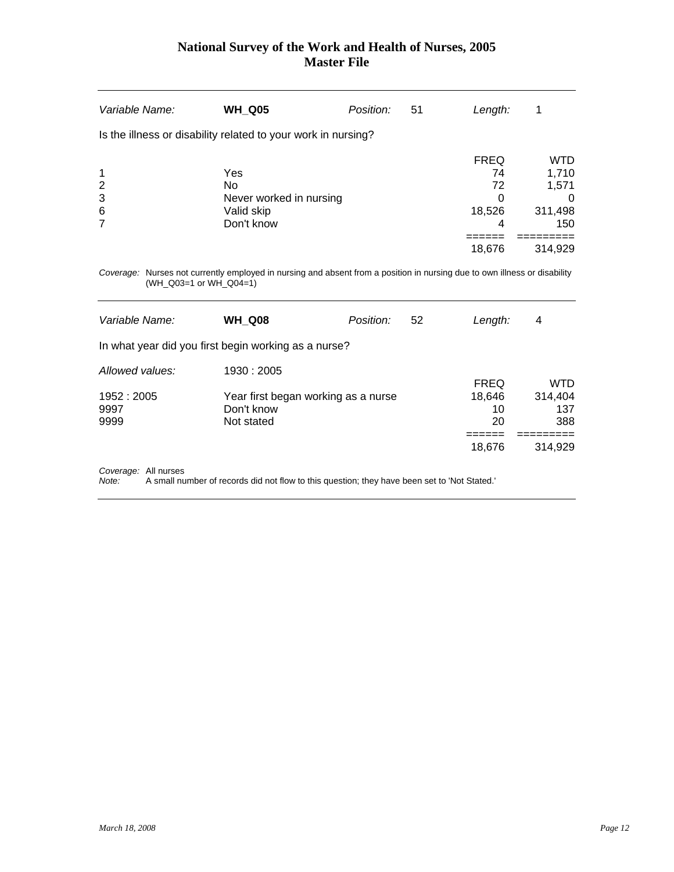| Variable Name: | <b>WH_Q05</b>                                                 | Position: | 51 | Length:     |            |
|----------------|---------------------------------------------------------------|-----------|----|-------------|------------|
|                | Is the illness or disability related to your work in nursing? |           |    |             |            |
|                |                                                               |           |    | <b>FREQ</b> | <b>WTD</b> |
| $\mathbf 1$    | Yes                                                           |           |    | 74          | 1,710      |
| $\overline{2}$ | <b>No</b>                                                     |           |    | 72          | 1,571      |
| 3              | Never worked in nursing                                       |           |    | 0           | $\Omega$   |
| 6              | Valid skip                                                    |           |    | 18,526      | 311,498    |
| $\overline{7}$ | Don't know                                                    |           |    | 4           | 150        |
|                |                                                               |           |    |             |            |
|                |                                                               |           |    | 18,676      | 314,929    |
|                |                                                               |           |    |             |            |

*Coverage:* Nurses not currently employed in nursing and absent from a position in nursing due to own illness or disability (WH\_Q03=1 or WH\_Q04=1)

| Variable Name:  | <b>WH Q08</b>                                        | Position: | 52 | Length:      | 4                     |
|-----------------|------------------------------------------------------|-----------|----|--------------|-----------------------|
|                 | In what year did you first begin working as a nurse? |           |    |              |                       |
| Allowed values: | 1930 : 2005                                          |           |    |              |                       |
| 1952 : 2005     |                                                      |           |    | <b>FREQ</b>  | <b>WTD</b><br>314,404 |
| 9997            | Year first began working as a nurse<br>Don't know    |           |    | 18,646<br>10 | 137                   |
| 9999            | Not stated                                           |           |    | 20           | 388                   |
|                 |                                                      |           |    |              |                       |
|                 |                                                      |           |    | 18,676       | 314,929               |
|                 |                                                      |           |    |              |                       |

**Coverage: All nurses**<br>*Note:* A small nu

*Note:* A small number of records did not flow to this question; they have been set to 'Not Stated.'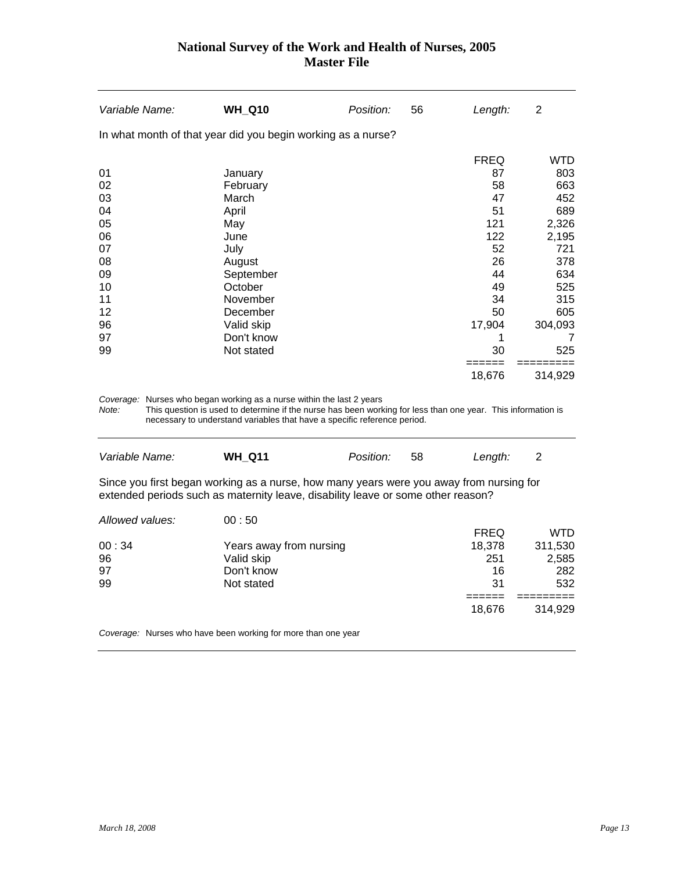| Variable Name: | <b>WH Q10</b>                                                                                                                                                                         | Position: | 56 | Length:     | 2          |
|----------------|---------------------------------------------------------------------------------------------------------------------------------------------------------------------------------------|-----------|----|-------------|------------|
|                | In what month of that year did you begin working as a nurse?                                                                                                                          |           |    |             |            |
|                |                                                                                                                                                                                       |           |    | <b>FREQ</b> | <b>WTD</b> |
| 01             | January                                                                                                                                                                               |           |    | 87          | 803        |
| 02             | February                                                                                                                                                                              |           |    | 58          | 663        |
| 03             | March                                                                                                                                                                                 |           |    | 47          | 452        |
| 04             | April                                                                                                                                                                                 |           |    | 51          | 689        |
| 05             | May                                                                                                                                                                                   |           |    | 121         | 2,326      |
| 06             | June                                                                                                                                                                                  |           |    | 122         | 2,195      |
| 07             | July                                                                                                                                                                                  |           |    | 52          | 721        |
| 08             | August                                                                                                                                                                                |           |    | 26          | 378        |
| 09             | September                                                                                                                                                                             |           |    | 44          | 634        |
| 10             | October                                                                                                                                                                               |           |    | 49          | 525        |
| 11             | November                                                                                                                                                                              |           |    | 34          | 315        |
| 12             | December                                                                                                                                                                              |           |    | 50          | 605        |
| 96             | Valid skip                                                                                                                                                                            |           |    | 17,904      | 304,093    |
| 97             | Don't know                                                                                                                                                                            |           |    |             | 7          |
| 99             | Not stated                                                                                                                                                                            |           |    | 30          | 525        |
|                |                                                                                                                                                                                       |           |    | 18,676      | 314,929    |
| Note:          | Coverage: Nurses who began working as a nurse within the last 2 years<br>This question is used to determine if the nurse has been working for less than one year. This information is |           |    |             |            |

necessary to understand variables that have a specific reference period.

| Variable Name:  | <b>WH Q11</b>                                                                                                                                                               | Position: | 58 | Length:     | 2       |
|-----------------|-----------------------------------------------------------------------------------------------------------------------------------------------------------------------------|-----------|----|-------------|---------|
|                 | Since you first began working as a nurse, how many years were you away from nursing for<br>extended periods such as maternity leave, disability leave or some other reason? |           |    |             |         |
| Allowed values: | 00:50                                                                                                                                                                       |           |    |             |         |
|                 |                                                                                                                                                                             |           |    | <b>FREQ</b> | WTD     |
| 00:34           | Years away from nursing                                                                                                                                                     |           |    | 18.378      | 311,530 |
| 96              | Valid skip                                                                                                                                                                  |           |    | 251         | 2,585   |
| 97              | Don't know                                                                                                                                                                  |           |    | 16          | 282     |
| 99              | Not stated                                                                                                                                                                  |           |    | 31          | 532     |
|                 |                                                                                                                                                                             |           |    |             |         |
|                 |                                                                                                                                                                             |           |    | 18.676      | 314,929 |
|                 |                                                                                                                                                                             |           |    |             |         |

*Coverage:* Nurses who have been working for more than one year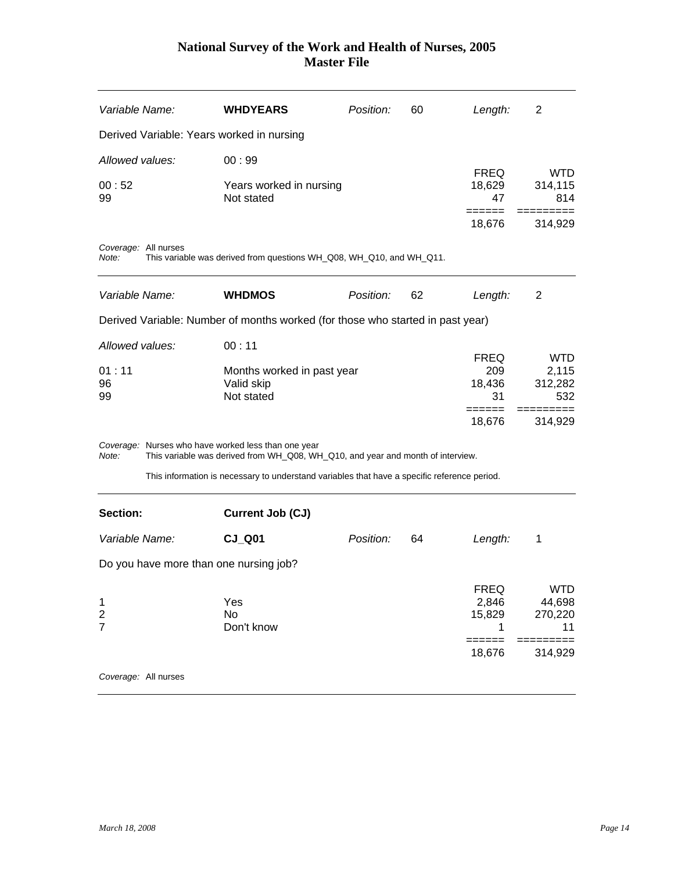<span id="page-14-0"></span>

| Variable Name:                                 |                      | <b>WHDYEARS</b>                                                                                                                        | Position: | 60 | Length:                                  | 2                                                |
|------------------------------------------------|----------------------|----------------------------------------------------------------------------------------------------------------------------------------|-----------|----|------------------------------------------|--------------------------------------------------|
|                                                |                      | Derived Variable: Years worked in nursing                                                                                              |           |    |                                          |                                                  |
| Allowed values:                                |                      | 00:99                                                                                                                                  |           |    |                                          |                                                  |
| 00:52<br>99                                    |                      | Years worked in nursing<br>Not stated                                                                                                  |           |    | <b>FREQ</b><br>18,629<br>47              | WTD<br>314,115<br>814                            |
|                                                |                      |                                                                                                                                        |           |    | 18,676                                   | 314,929                                          |
| Note:                                          | Coverage: All nurses | This variable was derived from questions WH_Q08, WH_Q10, and WH_Q11.                                                                   |           |    |                                          |                                                  |
| Variable Name:                                 |                      | <b>WHDMOS</b>                                                                                                                          | Position: | 62 | Length:                                  | 2                                                |
|                                                |                      | Derived Variable: Number of months worked (for those who started in past year)                                                         |           |    |                                          |                                                  |
| Allowed values:                                |                      | 00:11                                                                                                                                  |           |    |                                          |                                                  |
| 01:11<br>96<br>99                              |                      | Months worked in past year<br>Valid skip<br>Not stated                                                                                 |           |    | <b>FREQ</b><br>209<br>18,436<br>31       | <b>WTD</b><br>2,115<br>312,282<br>532            |
|                                                |                      |                                                                                                                                        |           |    | 18,676                                   | 314,929                                          |
| Note:                                          |                      | Coverage: Nurses who have worked less than one year<br>This variable was derived from WH_Q08, WH_Q10, and year and month of interview. |           |    |                                          |                                                  |
|                                                |                      | This information is necessary to understand variables that have a specific reference period.                                           |           |    |                                          |                                                  |
| Section:                                       |                      | Current Job (CJ)                                                                                                                       |           |    |                                          |                                                  |
| Variable Name:                                 |                      | $CJ_$ Q01                                                                                                                              | Position: | 64 | Length:                                  | 1                                                |
|                                                |                      | Do you have more than one nursing job?                                                                                                 |           |    |                                          |                                                  |
| 1<br>$\overline{\mathbf{c}}$<br>$\overline{7}$ |                      | Yes<br>No<br>Don't know                                                                                                                |           |    | <b>FREQ</b><br>2,846<br>15,829<br>18,676 | <b>WTD</b><br>44,698<br>270,220<br>11<br>314,929 |
|                                                | Coverage: All nurses |                                                                                                                                        |           |    |                                          |                                                  |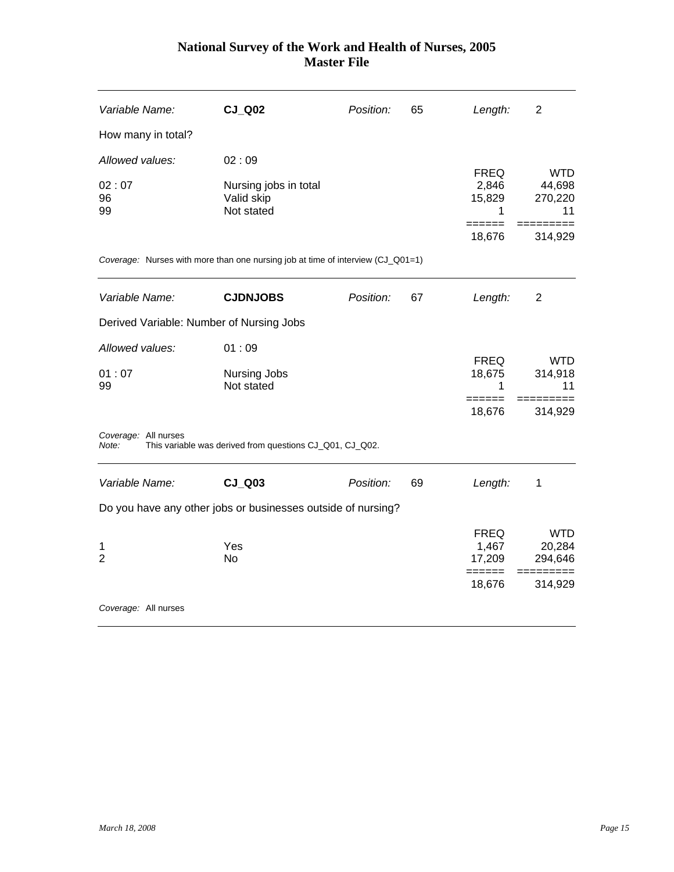| Variable Name:                           | <b>CJ Q02</b>                                                                   | Position: | 65 | Length:                             | $\overline{2}$                        |
|------------------------------------------|---------------------------------------------------------------------------------|-----------|----|-------------------------------------|---------------------------------------|
| How many in total?                       |                                                                                 |           |    |                                     |                                       |
| Allowed values:                          | 02:09                                                                           |           |    |                                     |                                       |
| 02:07<br>96<br>99                        | Nursing jobs in total<br>Valid skip<br>Not stated                               |           |    | <b>FREQ</b><br>2,846<br>15,829<br>1 | <b>WTD</b><br>44,698<br>270,220<br>11 |
|                                          |                                                                                 |           |    | ======<br>18,676                    | 314,929                               |
|                                          | Coverage: Nurses with more than one nursing job at time of interview (CJ_Q01=1) |           |    |                                     |                                       |
| Variable Name:                           | <b>CJDNJOBS</b>                                                                 | Position: | 67 | Length:                             | $\overline{2}$                        |
| Derived Variable: Number of Nursing Jobs |                                                                                 |           |    |                                     |                                       |
| Allowed values:                          | 01:09                                                                           |           |    |                                     |                                       |
| 01:07<br>99                              | <b>Nursing Jobs</b><br>Not stated                                               |           |    | <b>FREQ</b><br>18,675<br>1          | <b>WTD</b><br>314,918<br>11           |
|                                          |                                                                                 |           |    | ======<br>18,676                    | 314,929                               |
| Coverage: All nurses<br>Note:            | This variable was derived from questions CJ_Q01, CJ_Q02.                        |           |    |                                     |                                       |
| Variable Name:                           | $CJ$ Q03                                                                        | Position: | 69 | Length:                             | 1                                     |
|                                          | Do you have any other jobs or businesses outside of nursing?                    |           |    |                                     |                                       |
| 1<br>$\overline{2}$                      | Yes<br><b>No</b>                                                                |           |    | <b>FREQ</b><br>1,467<br>17,209      | <b>WTD</b><br>20,284<br>294,646       |
|                                          |                                                                                 |           |    | $=$ $=$ $=$ $=$ $=$<br>18,676       | 314,929                               |
| Coverage: All nurses                     |                                                                                 |           |    |                                     |                                       |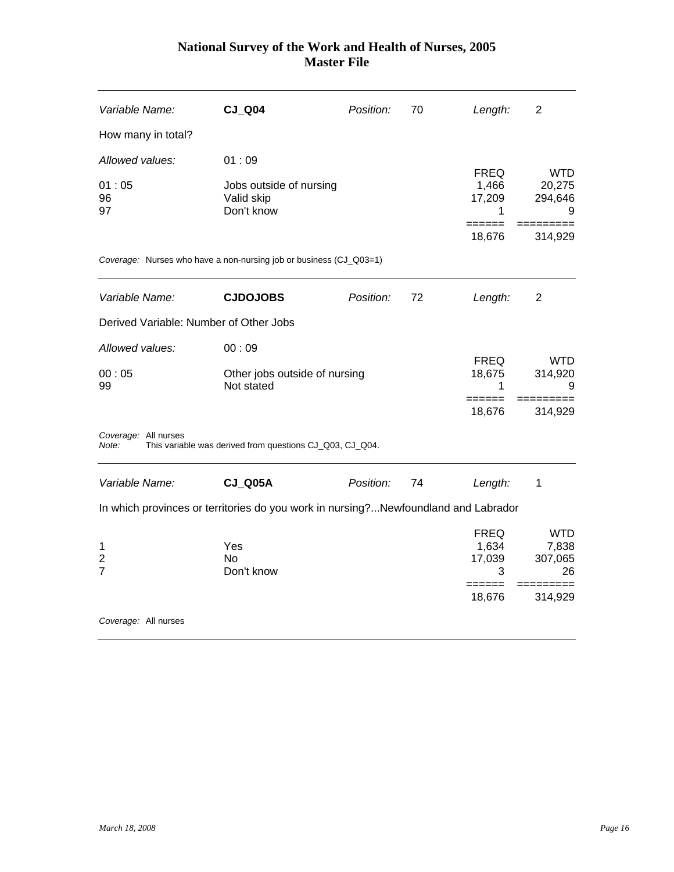| Variable Name:                         | <b>CJ Q04</b>                                                                      | Position: | 70 | Length:                                       | 2                                    |
|----------------------------------------|------------------------------------------------------------------------------------|-----------|----|-----------------------------------------------|--------------------------------------|
| How many in total?                     |                                                                                    |           |    |                                               |                                      |
| Allowed values:                        | 01:09                                                                              |           |    |                                               |                                      |
| 01:05<br>96<br>97                      | Jobs outside of nursing<br>Valid skip<br>Don't know                                |           |    | <b>FREQ</b><br>1,466<br>17,209<br>1<br>====== | <b>WTD</b><br>20,275<br>294,646<br>9 |
|                                        |                                                                                    |           |    | 18,676                                        | 314,929                              |
|                                        | Coverage: Nurses who have a non-nursing job or business (CJ_Q03=1)                 |           |    |                                               |                                      |
| Variable Name:                         | <b>CJDOJOBS</b>                                                                    | Position: | 72 | Length:                                       | 2                                    |
| Derived Variable: Number of Other Jobs |                                                                                    |           |    |                                               |                                      |
| Allowed values:                        | 00:09                                                                              |           |    |                                               |                                      |
| 00:05<br>99                            | Other jobs outside of nursing<br>Not stated                                        |           |    | <b>FREQ</b><br>18,675<br>1                    | <b>WTD</b><br>314,920<br>9           |
|                                        |                                                                                    |           |    | 18,676                                        | 314,929                              |
| Coverage: All nurses<br>Note:          | This variable was derived from questions CJ_Q03, CJ_Q04.                           |           |    |                                               |                                      |
| Variable Name:                         | <b>CJ_Q05A</b>                                                                     | Position: | 74 | Length:                                       | 1                                    |
|                                        | In which provinces or territories do you work in nursing?Newfoundland and Labrador |           |    |                                               |                                      |
|                                        |                                                                                    |           |    | <b>FREQ</b>                                   | <b>WTD</b>                           |
| 1                                      | Yes                                                                                |           |    | 1,634                                         | 7,838                                |
| $\overline{2}$<br>$\overline{7}$       | No.<br>Don't know                                                                  |           |    | 17,039<br>3                                   | 307,065<br>26                        |
|                                        |                                                                                    |           |    | $=$ $=$ $=$ $=$<br>18,676                     | 314,929                              |
| Coverage: All nurses                   |                                                                                    |           |    |                                               |                                      |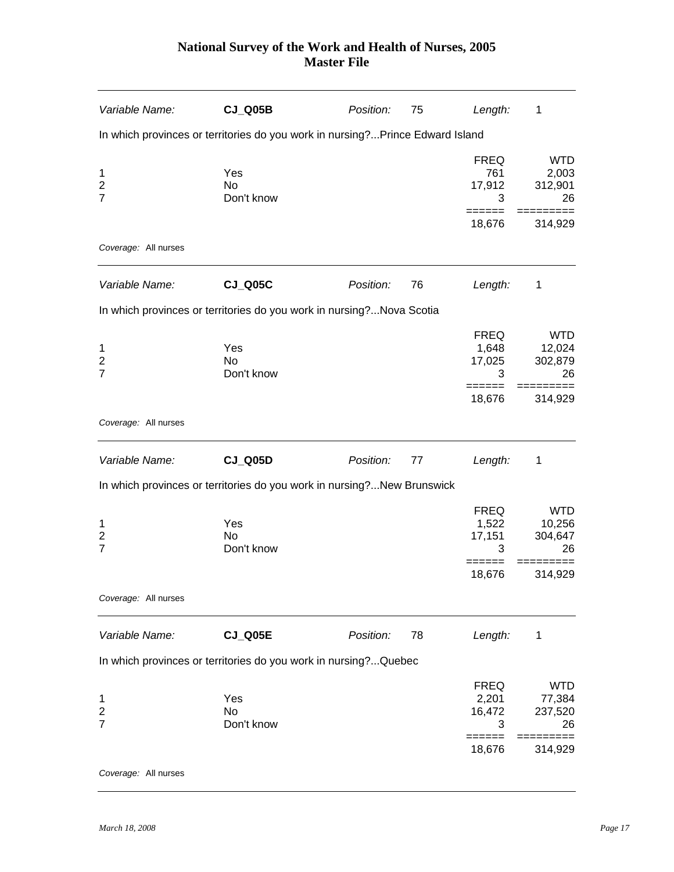| Variable Name:                        | <b>CJ_Q05B</b>                                                                | Position: | 75 | Length:                             | 1                                     |
|---------------------------------------|-------------------------------------------------------------------------------|-----------|----|-------------------------------------|---------------------------------------|
|                                       | In which provinces or territories do you work in nursing?Prince Edward Island |           |    |                                     |                                       |
| 1<br>$\overline{2}$<br>$\overline{7}$ | Yes<br>No<br>Don't know                                                       |           |    | <b>FREQ</b><br>761<br>17,912<br>3   | <b>WTD</b><br>2,003<br>312,901<br>26  |
|                                       |                                                                               |           |    | 18,676                              | 314,929                               |
| Coverage: All nurses                  |                                                                               |           |    |                                     |                                       |
| Variable Name:                        | <b>CJ_Q05C</b>                                                                | Position: | 76 | Length:                             | 1                                     |
|                                       | In which provinces or territories do you work in nursing?Nova Scotia          |           |    |                                     |                                       |
| 1<br>$\overline{2}$<br>$\overline{7}$ | Yes<br>No<br>Don't know                                                       |           |    | <b>FREQ</b><br>1,648<br>17,025<br>3 | <b>WTD</b><br>12,024<br>302,879<br>26 |
|                                       |                                                                               |           |    | ======<br>18,676                    | $==$<br>314,929                       |
| Coverage: All nurses                  |                                                                               |           |    |                                     |                                       |
| Variable Name:                        | <b>CJ_Q05D</b>                                                                | Position: | 77 | Length:                             | 1                                     |
|                                       | In which provinces or territories do you work in nursing?New Brunswick        |           |    |                                     |                                       |
| 1<br>2<br>$\overline{7}$              | Yes<br>No<br>Don't know                                                       |           |    | <b>FREQ</b><br>1,522<br>17,151<br>3 | <b>WTD</b><br>10,256<br>304,647<br>26 |
|                                       |                                                                               |           |    | =====<br>18,676                     | =========<br>314,929                  |
| Coverage: All nurses                  |                                                                               |           |    |                                     |                                       |
| Variable Name:                        | <b>CJ_Q05E</b>                                                                | Position: | 78 | Length:                             | 1                                     |
|                                       | In which provinces or territories do you work in nursing?Quebec               |           |    |                                     |                                       |
| 1<br>2<br>$\overline{7}$              | Yes<br>No<br>Don't know                                                       |           |    | <b>FREQ</b><br>2,201<br>16,472<br>3 | <b>WTD</b><br>77,384<br>237,520<br>26 |
|                                       |                                                                               |           |    | 18,676                              | 314,929                               |
| Coverage: All nurses                  |                                                                               |           |    |                                     |                                       |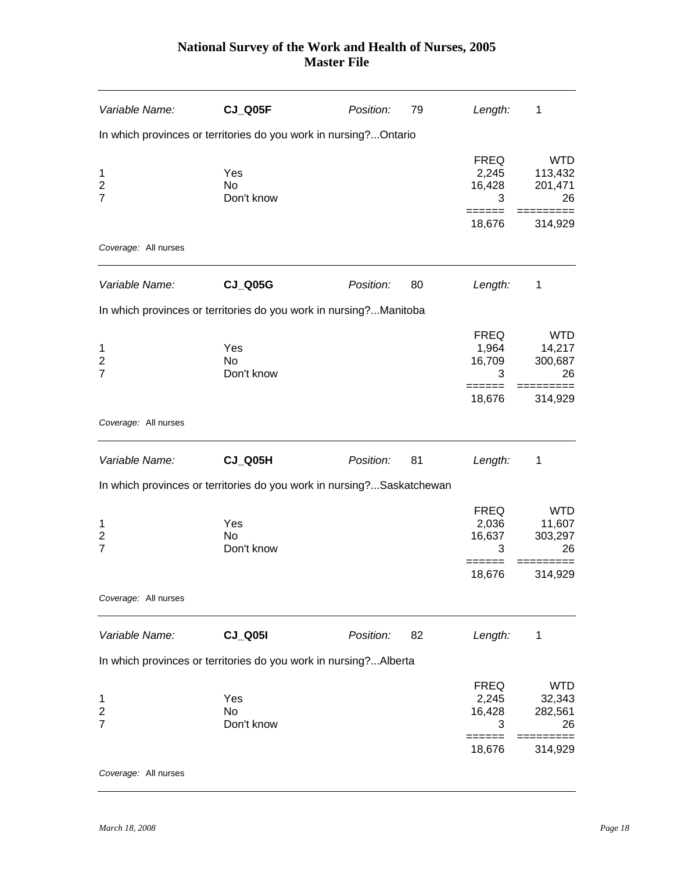| Variable Name:                        | CJ_Q05F                                                               | Position: | 79 | Length:                             | 1                                      |
|---------------------------------------|-----------------------------------------------------------------------|-----------|----|-------------------------------------|----------------------------------------|
|                                       | In which provinces or territories do you work in nursing?Ontario      |           |    |                                     |                                        |
| 1<br>$\overline{2}$<br>$\overline{7}$ | Yes<br>No<br>Don't know                                               |           |    | <b>FREQ</b><br>2,245<br>16,428<br>3 | <b>WTD</b><br>113,432<br>201,471<br>26 |
|                                       |                                                                       |           |    | 18,676                              | 314,929                                |
| Coverage: All nurses                  |                                                                       |           |    |                                     |                                        |
| Variable Name:                        | <b>CJ_Q05G</b>                                                        | Position: | 80 | Length:                             | 1                                      |
|                                       | In which provinces or territories do you work in nursing?Manitoba     |           |    |                                     |                                        |
| 1<br>$\overline{2}$<br>$\overline{7}$ | Yes<br><b>No</b><br>Don't know                                        |           |    | <b>FREQ</b><br>1,964<br>16,709<br>3 | <b>WTD</b><br>14,217<br>300,687<br>26  |
|                                       |                                                                       |           |    | ======<br>18,676                    | $==$<br>314,929                        |
| Coverage: All nurses                  |                                                                       |           |    |                                     |                                        |
| Variable Name:                        | CJ_Q05H                                                               | Position: | 81 | Length:                             | 1                                      |
|                                       | In which provinces or territories do you work in nursing?Saskatchewan |           |    |                                     |                                        |
| 1<br>2<br>$\overline{7}$              | Yes<br>No<br>Don't know                                               |           |    | <b>FREQ</b><br>2,036<br>16,637<br>3 | <b>WTD</b><br>11,607<br>303,297<br>26  |
|                                       |                                                                       |           |    | ======<br>18,676                    | =========<br>314,929                   |
| Coverage: All nurses                  |                                                                       |           |    |                                     |                                        |
| Variable Name:                        | <b>CJ_Q05I</b>                                                        | Position: | 82 | Length:                             | 1                                      |
|                                       | In which provinces or territories do you work in nursing?Alberta      |           |    |                                     |                                        |
| 1<br>2<br>$\overline{7}$              | Yes<br>No<br>Don't know                                               |           |    | <b>FREQ</b><br>2,245<br>16,428<br>3 | <b>WTD</b><br>32,343<br>282,561<br>26  |
|                                       |                                                                       |           |    | ------<br>18,676                    | 314,929                                |
| Coverage: All nurses                  |                                                                       |           |    |                                     |                                        |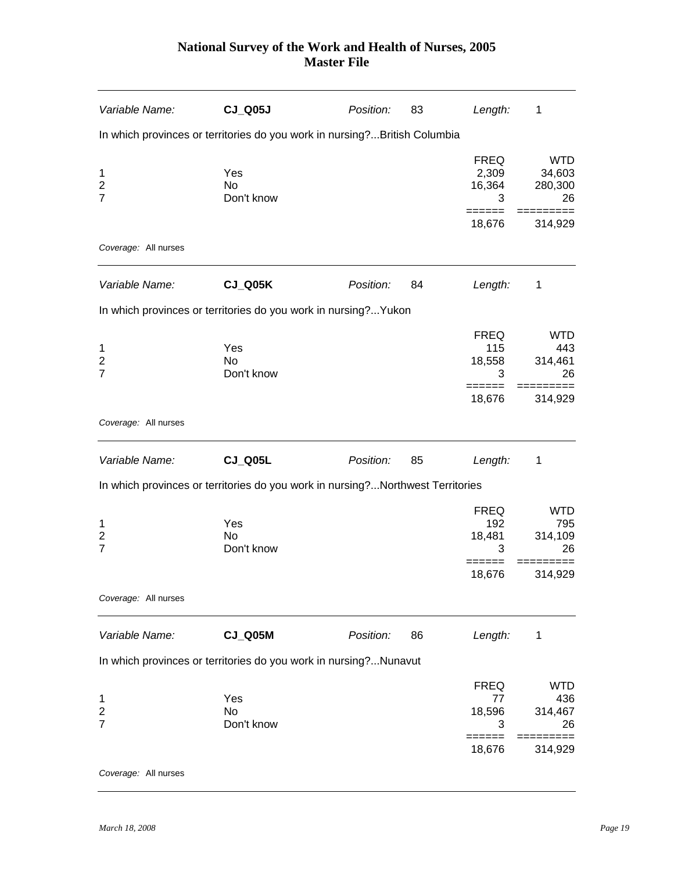| Variable Name:                                    | <b>CJ_Q05J</b>                                                                 | Position: | 83 | Length:                             | 1                                     |
|---------------------------------------------------|--------------------------------------------------------------------------------|-----------|----|-------------------------------------|---------------------------------------|
|                                                   | In which provinces or territories do you work in nursing?British Columbia      |           |    |                                     |                                       |
| $\mathbf{1}$<br>2<br>$\overline{7}$               | Yes<br>No<br>Don't know                                                        |           |    | <b>FREQ</b><br>2,309<br>16,364<br>3 | <b>WTD</b><br>34,603<br>280,300<br>26 |
|                                                   |                                                                                |           |    | 18,676                              | 314,929                               |
| Coverage: All nurses                              |                                                                                |           |    |                                     |                                       |
| Variable Name:                                    | CJ_Q05K                                                                        | Position: | 84 | Length:                             | 1                                     |
|                                                   | In which provinces or territories do you work in nursing? Yukon                |           |    |                                     |                                       |
| 1<br>$\overline{2}$<br>$\overline{7}$             | Yes<br>No<br>Don't know                                                        |           |    | <b>FREQ</b><br>115<br>18,558<br>3   | <b>WTD</b><br>443<br>314,461<br>26    |
|                                                   |                                                                                |           |    | ======<br>18,676                    | $==$<br>314,929                       |
| Coverage: All nurses                              |                                                                                |           |    |                                     |                                       |
| Variable Name:                                    | <b>CJ_Q05L</b>                                                                 | Position: | 85 | Length:                             | 1                                     |
|                                                   | In which provinces or territories do you work in nursing?Northwest Territories |           |    |                                     |                                       |
| $\mathbf 1$<br>$\boldsymbol{2}$<br>$\overline{7}$ | Yes<br>No<br>Don't know                                                        |           |    | <b>FREQ</b><br>192<br>18,481<br>3   | <b>WTD</b><br>795<br>314,109<br>26    |
|                                                   |                                                                                |           |    | ------<br>18,676                    | $==$<br>=====<br>314,929              |
| Coverage: All nurses                              |                                                                                |           |    |                                     |                                       |
| Variable Name:                                    | <b>CJ_Q05M</b>                                                                 | Position: | 86 | Length:                             | 1                                     |
|                                                   | In which provinces or territories do you work in nursing?Nunavut               |           |    |                                     |                                       |
| 1<br>$\overline{2}$                               | Yes<br>No                                                                      |           |    | <b>FREQ</b><br>77<br>18,596         | <b>WTD</b><br>436<br>314,467          |
| $\overline{7}$                                    | Don't know                                                                     |           |    | 3<br>======                         | 26                                    |
|                                                   |                                                                                |           |    | 18,676                              | 314,929                               |
| Coverage: All nurses                              |                                                                                |           |    |                                     |                                       |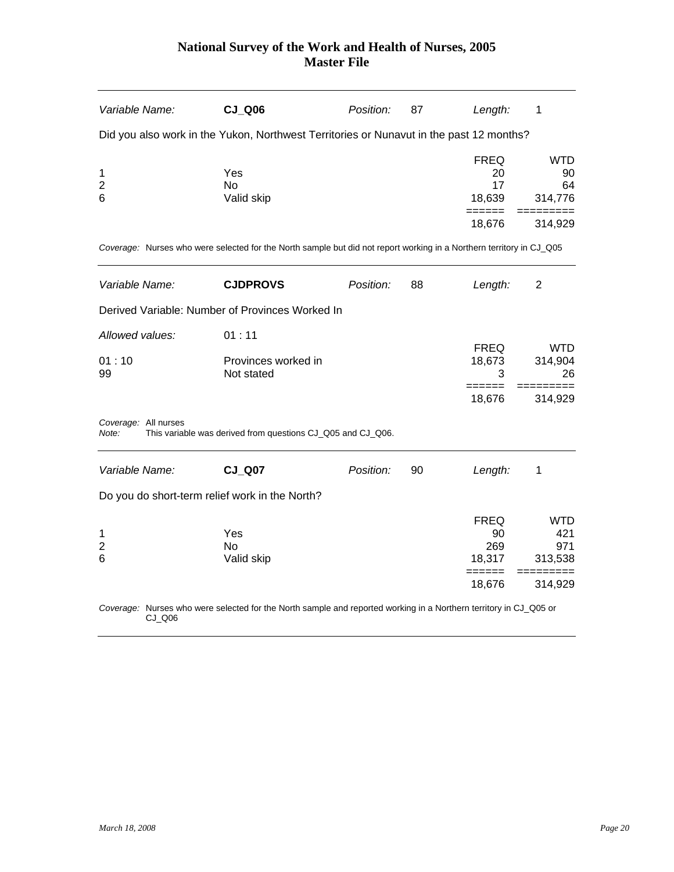| Variable Name:                 |           | $CJ_$ Q06                                                                                                            | Position: | 87 | Length:                                                | 1                                             |
|--------------------------------|-----------|----------------------------------------------------------------------------------------------------------------------|-----------|----|--------------------------------------------------------|-----------------------------------------------|
|                                |           | Did you also work in the Yukon, Northwest Territories or Nunavut in the past 12 months?                              |           |    |                                                        |                                               |
| 1<br>$\overline{2}$<br>6       |           | Yes<br>No<br>Valid skip                                                                                              |           |    | <b>FREQ</b><br>20<br>17<br>18,639<br>======<br>18,676  | WTD<br>90<br>64<br>314,776<br>$==$<br>314,929 |
|                                |           | Coverage: Nurses who were selected for the North sample but did not report working in a Northern territory in CJ_Q05 |           |    |                                                        |                                               |
| Variable Name:                 |           | <b>CJDPROVS</b>                                                                                                      | Position: | 88 | Length:                                                | 2                                             |
|                                |           | Derived Variable: Number of Provinces Worked In                                                                      |           |    |                                                        |                                               |
| Allowed values:<br>01:10<br>99 |           | 01:11<br>Provinces worked in<br>Not stated                                                                           |           |    | <b>FREQ</b><br>18,673<br>3                             | <b>WTD</b><br>314,904<br>26                   |
|                                |           |                                                                                                                      |           |    | ======<br>18,676                                       | 314,929                                       |
| Coverage: All nurses<br>Note:  |           | This variable was derived from questions CJ_Q05 and CJ_Q06.                                                          |           |    |                                                        |                                               |
| Variable Name:                 |           | <b>CJ Q07</b>                                                                                                        | Position: | 90 | Length:                                                | 1                                             |
|                                |           | Do you do short-term relief work in the North?                                                                       |           |    |                                                        |                                               |
| 1<br>$\overline{2}$<br>6       |           | Yes<br><b>No</b><br>Valid skip                                                                                       |           |    | <b>FREQ</b><br>90<br>269<br>18,317<br>------<br>18,676 | WTD<br>421<br>971<br>313,538<br>314,929       |
|                                | $CJ_$ Q06 | Coverage: Nurses who were selected for the North sample and reported working in a Northern territory in CJ_Q05 or    |           |    |                                                        |                                               |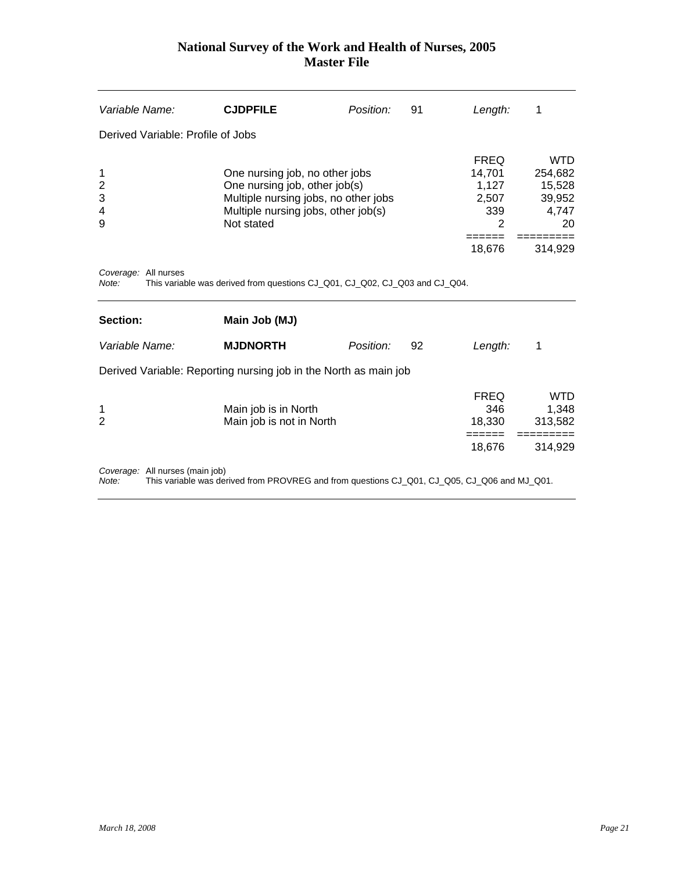<span id="page-21-0"></span>

| Variable Name:                     | <b>CJDPFILE</b>                                                             | Position:                                                                                                                                      | 91 | Length:                      | 1                       |
|------------------------------------|-----------------------------------------------------------------------------|------------------------------------------------------------------------------------------------------------------------------------------------|----|------------------------------|-------------------------|
| Derived Variable: Profile of Jobs  |                                                                             |                                                                                                                                                |    |                              |                         |
| 1<br>$\overline{2}$<br>3<br>4<br>9 | Not stated                                                                  | One nursing job, no other jobs<br>One nursing job, other job(s)<br>Multiple nursing jobs, no other jobs<br>Multiple nursing jobs, other job(s) |    |                              |                         |
| Coverage: All nurses<br>Note:      | This variable was derived from questions CJ_Q01, CJ_Q02, CJ_Q03 and CJ_Q04. |                                                                                                                                                |    | 18,676                       | 314,929                 |
| Section:                           | Main Job (MJ)                                                               |                                                                                                                                                |    |                              |                         |
| Variable Name:                     | <b>MJDNORTH</b>                                                             | Position:                                                                                                                                      | 92 | Length:                      | 1                       |
|                                    | Derived Variable: Reporting nursing job in the North as main job            |                                                                                                                                                |    |                              |                         |
| 1<br>$\overline{2}$                | Main job is in North<br>Main job is not in North                            |                                                                                                                                                |    | <b>FREQ</b><br>346<br>18,330 | WTD<br>1,348<br>313,582 |

*Coverage:* All nurses (main job)

*Note:* This variable was derived from PROVREG and from questions CJ\_Q01, CJ\_Q05, CJ\_Q06 and MJ\_Q01.

 ====== =========  $18,676$   $314,929$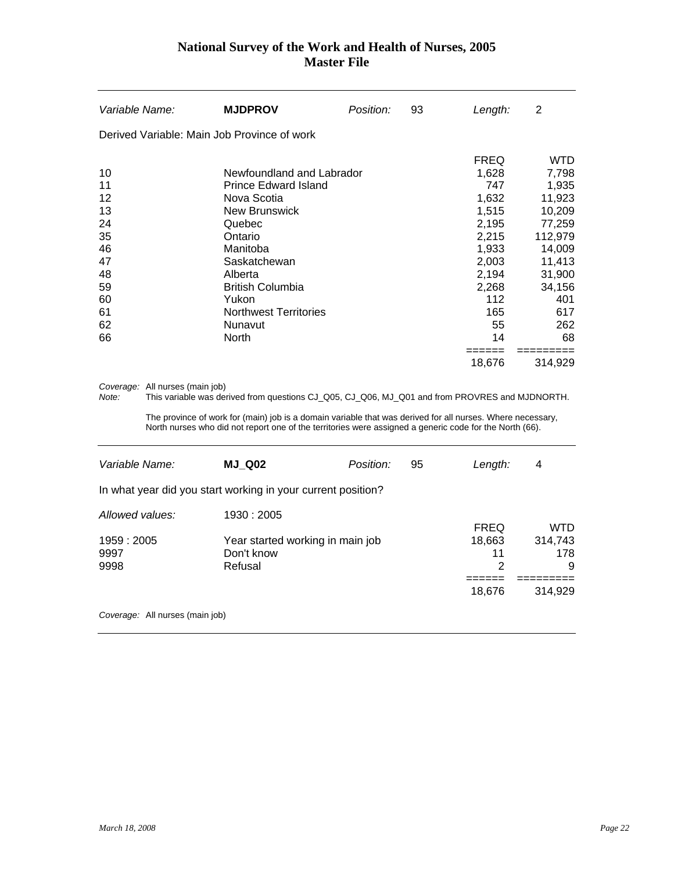| Variable Name:                                                             | <b>MJDPROV</b>                                                                                                                                                                                                                                    | Position: | 93 | Length:                                                                                                                 | 2                                                                                                                                  |
|----------------------------------------------------------------------------|---------------------------------------------------------------------------------------------------------------------------------------------------------------------------------------------------------------------------------------------------|-----------|----|-------------------------------------------------------------------------------------------------------------------------|------------------------------------------------------------------------------------------------------------------------------------|
|                                                                            | Derived Variable: Main Job Province of work                                                                                                                                                                                                       |           |    |                                                                                                                         |                                                                                                                                    |
| 10<br>11<br>12<br>13<br>24<br>35<br>46<br>47<br>48<br>59<br>60<br>61<br>62 | Newfoundland and Labrador<br><b>Prince Edward Island</b><br>Nova Scotia<br><b>New Brunswick</b><br>Quebec<br>Ontario<br>Manitoba<br>Saskatchewan<br>Alberta<br><b>British Columbia</b><br>Yukon<br><b>Northwest Territories</b><br><b>Nunavut</b> |           |    | <b>FREQ</b><br>1,628<br>747<br>1,632<br>1,515<br>2,195<br>2,215<br>1,933<br>2,003<br>2,194<br>2,268<br>112<br>165<br>55 | <b>WTD</b><br>7,798<br>1,935<br>11,923<br>10,209<br>77,259<br>112,979<br>14,009<br>11,413<br>31,900<br>34,156<br>401<br>617<br>262 |
| 66                                                                         | <b>North</b>                                                                                                                                                                                                                                      |           |    | 14<br>18,676                                                                                                            | 68<br>314,929                                                                                                                      |

*Coverage:* All nurses (main job)

*Note:* This variable was derived from questions CJ\_Q05, CJ\_Q06, MJ\_Q01 and from PROVRES and MJDNORTH.

 The province of work for (main) job is a domain variable that was derived for all nurses. Where necessary, North nurses who did not report one of the territories were assigned a generic code for the North (66).

| Variable Name:  | <b>MJ Q02</b>                                                | Position: | 95 | Length:     | 4          |
|-----------------|--------------------------------------------------------------|-----------|----|-------------|------------|
|                 | In what year did you start working in your current position? |           |    |             |            |
| Allowed values: | 1930 : 2005                                                  |           |    | <b>FREQ</b> | <b>WTD</b> |
| 1959 : 2005     | Year started working in main job                             |           |    | 18,663      | 314,743    |
| 9997            | Don't know                                                   |           |    | 11          | 178        |
| 9998            | Refusal                                                      |           |    | 2           | 9          |
|                 |                                                              |           |    |             |            |
|                 |                                                              |           |    | 18,676      | 314,929    |
|                 |                                                              |           |    |             |            |

*Coverage:* All nurses (main job)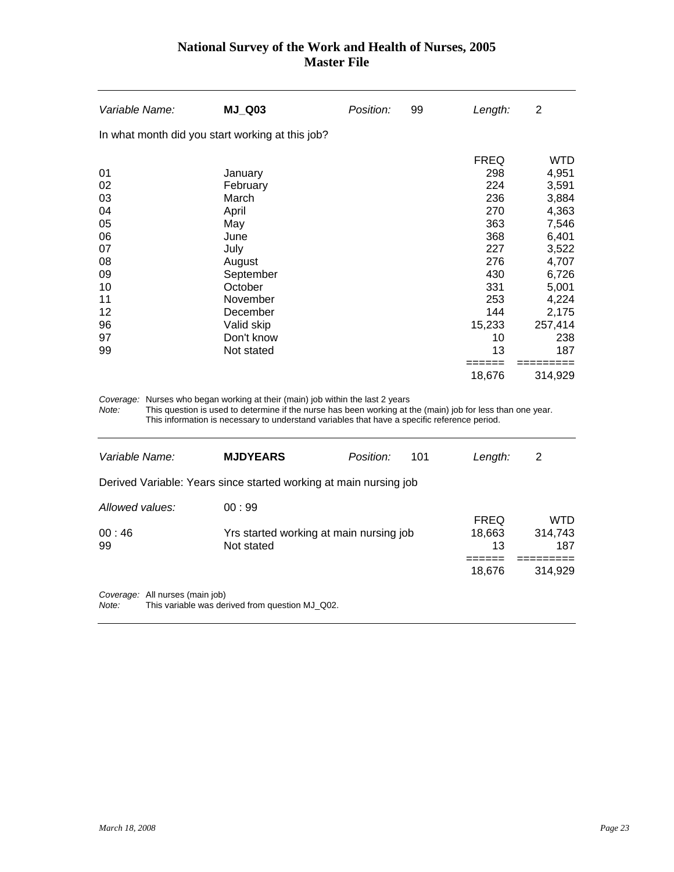| Variable Name:                                   | <b>MJ_Q03</b>                                                                                    | Position: | 99 | Length:                                                      | 2                                                                         |
|--------------------------------------------------|--------------------------------------------------------------------------------------------------|-----------|----|--------------------------------------------------------------|---------------------------------------------------------------------------|
| In what month did you start working at this job? |                                                                                                  |           |    |                                                              |                                                                           |
| 01<br>02<br>03<br>04<br>05<br>06<br>07           | January<br>February<br>March<br>April<br>May<br>June<br>July                                     |           |    | <b>FREQ</b><br>298<br>224<br>236<br>270<br>363<br>368<br>227 | <b>WTD</b><br>4,951<br>3,591<br>3,884<br>4,363<br>7,546<br>6,401<br>3,522 |
| 08<br>09<br>10<br>11<br>12<br>96<br>97<br>99     | August<br>September<br>October<br>November<br>December<br>Valid skip<br>Don't know<br>Not stated |           |    | 276<br>430<br>331<br>253<br>144<br>15,233<br>10<br>13        | 4,707<br>6,726<br>5,001<br>4,224<br>2,175<br>257,414<br>238<br>187        |
|                                                  |                                                                                                  |           |    | =====<br>18,676                                              | 314,929                                                                   |

*Coverage:* Nurses who began working at their (main) job within the last 2 years

*Note:* This question is used to determine if the nurse has been working at the (main) job for less than one year. This information is necessary to understand variables that have a specific reference period.

| Variable Name:                                                                              | <b>MJDYEARS</b>                                                   | Position: | 101 | Length:      | 2              |  |  |
|---------------------------------------------------------------------------------------------|-------------------------------------------------------------------|-----------|-----|--------------|----------------|--|--|
|                                                                                             | Derived Variable: Years since started working at main nursing job |           |     |              |                |  |  |
| Allowed values:                                                                             | 00:99                                                             |           |     | <b>FREQ</b>  | WTD            |  |  |
| 00:46<br>99                                                                                 | Yrs started working at main nursing job<br>Not stated             |           |     | 18,663<br>13 | 314,743<br>187 |  |  |
|                                                                                             |                                                                   |           |     | 18,676       | 314,929        |  |  |
| Coverage: All nurses (main job)<br>This variable was derived from question MJ Q02.<br>Note: |                                                                   |           |     |              |                |  |  |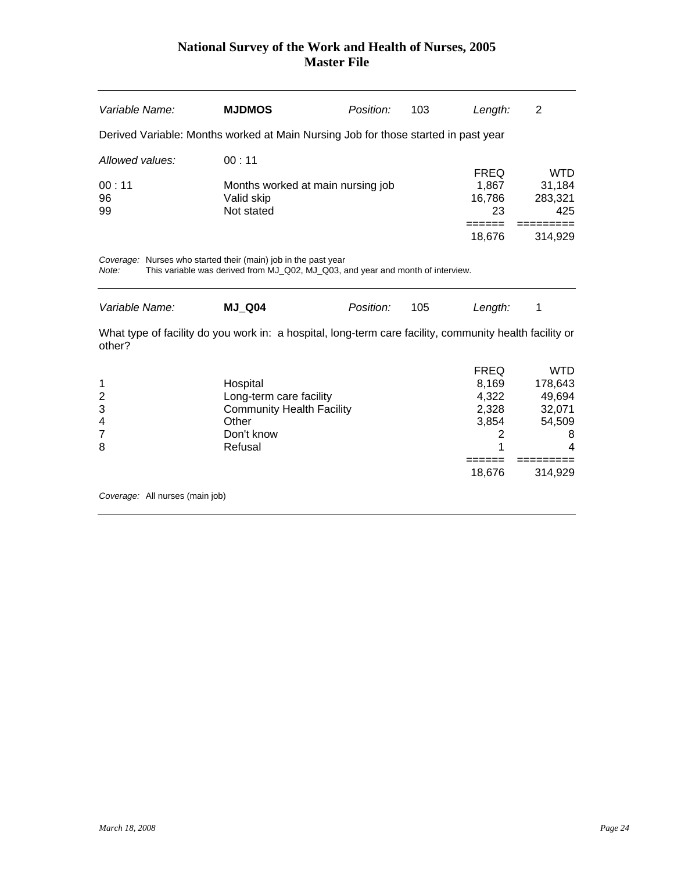| Variable Name:  | <b>MJDMOS</b>                                                                      | Position: | 103 | Length:     | 2          |
|-----------------|------------------------------------------------------------------------------------|-----------|-----|-------------|------------|
|                 | Derived Variable: Months worked at Main Nursing Job for those started in past year |           |     |             |            |
| Allowed values: | 00:11                                                                              |           |     |             |            |
|                 |                                                                                    |           |     | <b>FREQ</b> | <b>WTD</b> |
| 00:11           | Months worked at main nursing job                                                  |           |     | 1,867       | 31,184     |
| 96              | Valid skip                                                                         |           |     | 16,786      | 283,321    |
| 99              | Not stated                                                                         |           |     | 23          | 425        |
|                 |                                                                                    |           |     |             |            |
|                 |                                                                                    |           |     | 18,676      | 314,929    |
|                 |                                                                                    |           |     |             |            |

*Coverage:* Nurses who started their (main) job in the past year

*Note:* This variable was derived from MJ\_Q02, MJ\_Q03, and year and month of interview.

| Variable Name:                                                                                                    | <b>MJ Q04</b>                    | Position: | 105 | Length:     | 1       |
|-------------------------------------------------------------------------------------------------------------------|----------------------------------|-----------|-----|-------------|---------|
| What type of facility do you work in: a hospital, long-term care facility, community health facility or<br>other? |                                  |           |     |             |         |
|                                                                                                                   |                                  |           |     | <b>FREQ</b> | WTD     |
| 1                                                                                                                 | Hospital                         |           |     | 8.169       | 178,643 |
| $\overline{2}$                                                                                                    | Long-term care facility          |           |     | 4.322       | 49,694  |
| 3                                                                                                                 | <b>Community Health Facility</b> |           |     | 2.328       | 32,071  |
| 4                                                                                                                 | Other                            |           |     | 3,854       | 54,509  |
| $\overline{7}$                                                                                                    | Don't know                       |           |     | 2           | 8       |
| 8                                                                                                                 | Refusal                          |           |     | 1           | 4       |
|                                                                                                                   |                                  |           |     |             |         |
|                                                                                                                   |                                  |           |     | 18.676      | 314.929 |

*Coverage:* All nurses (main job)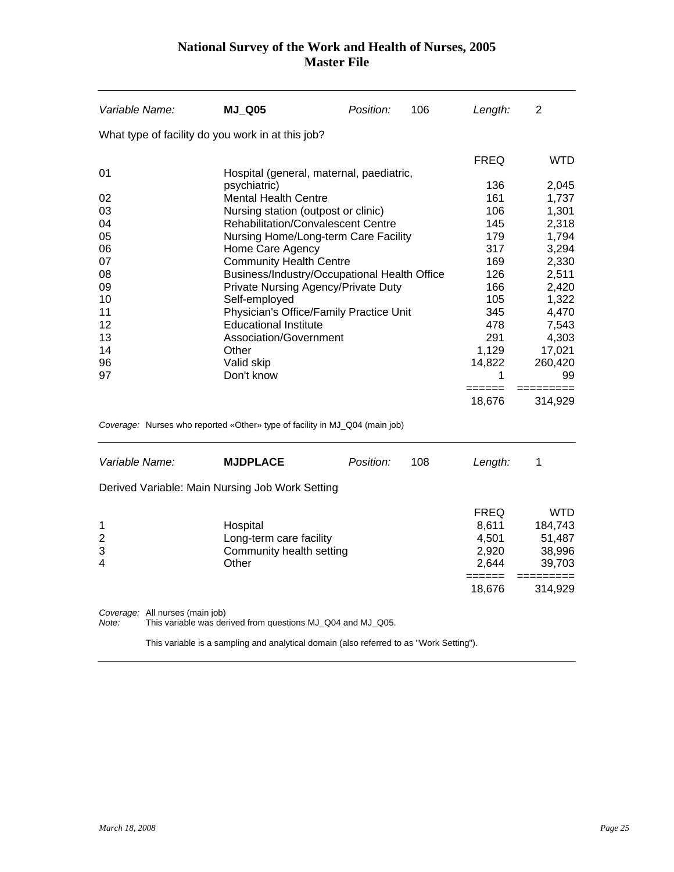| Variable Name: | <b>MJ_Q05</b>                                     | Position: | 106 | Length:     | 2          |  |
|----------------|---------------------------------------------------|-----------|-----|-------------|------------|--|
|                | What type of facility do you work in at this job? |           |     |             |            |  |
|                |                                                   |           |     | <b>FREQ</b> | <b>WTD</b> |  |
| 01             | Hospital (general, maternal, paediatric,          |           |     |             |            |  |
|                | psychiatric)                                      |           |     | 136         | 2,045      |  |
| 02             | <b>Mental Health Centre</b>                       |           |     | 161         | 1,737      |  |
| 03             | Nursing station (outpost or clinic)               |           |     | 106         | 1,301      |  |
| 04             | <b>Rehabilitation/Convalescent Centre</b>         |           |     | 145         | 2,318      |  |
| 05             | Nursing Home/Long-term Care Facility              |           |     | 179         | 1,794      |  |
| 06             | Home Care Agency                                  |           |     | 317         | 3,294      |  |
| 07             | <b>Community Health Centre</b>                    |           |     | 169         | 2,330      |  |
| 08             | Business/Industry/Occupational Health Office      |           |     | 126         | 2,511      |  |
| 09             | Private Nursing Agency/Private Duty               |           |     | 166         | 2,420      |  |
| 10             | Self-employed                                     |           |     | 105         | 1,322      |  |
| 11             | Physician's Office/Family Practice Unit           |           |     | 345         | 4,470      |  |
| 12             | <b>Educational Institute</b>                      |           |     | 478         | 7,543      |  |
| 13             | Association/Government                            |           |     | 291         | 4,303      |  |
| 14             | Other                                             |           |     | 1,129       | 17,021     |  |
| 96             | Valid skip                                        |           |     | 14,822      | 260,420    |  |
| 97             | Don't know                                        |           |     |             | 99         |  |
|                |                                                   |           |     |             |            |  |
|                |                                                   |           |     | 18,676      | 314,929    |  |

*Coverage:* Nurses who reported «Other» type of facility in MJ\_Q04 (main job)

| Variable Name:                |                                 | <b>MJDPLACE</b>                                                          | Position: | 108 | Length:                                         | 1                                            |
|-------------------------------|---------------------------------|--------------------------------------------------------------------------|-----------|-----|-------------------------------------------------|----------------------------------------------|
|                               |                                 | Derived Variable: Main Nursing Job Work Setting                          |           |     |                                                 |                                              |
| 1<br>$\overline{2}$<br>3<br>4 |                                 | Hospital<br>Long-term care facility<br>Community health setting<br>Other |           |     | <b>FREQ</b><br>8.611<br>4.501<br>2.920<br>2.644 | WTD<br>184,743<br>51,487<br>38,996<br>39,703 |
|                               |                                 |                                                                          |           |     | 18,676                                          | 314,929                                      |
| $N = 1$                       | Coverage: All nurses (main job) | This variable was derived from questions ML 004 and ML 005               |           |     |                                                 |                                              |

*Note:* This variable was derived from questions MJ\_Q04 and MJ\_Q05.

This variable is a sampling and analytical domain (also referred to as "Work Setting").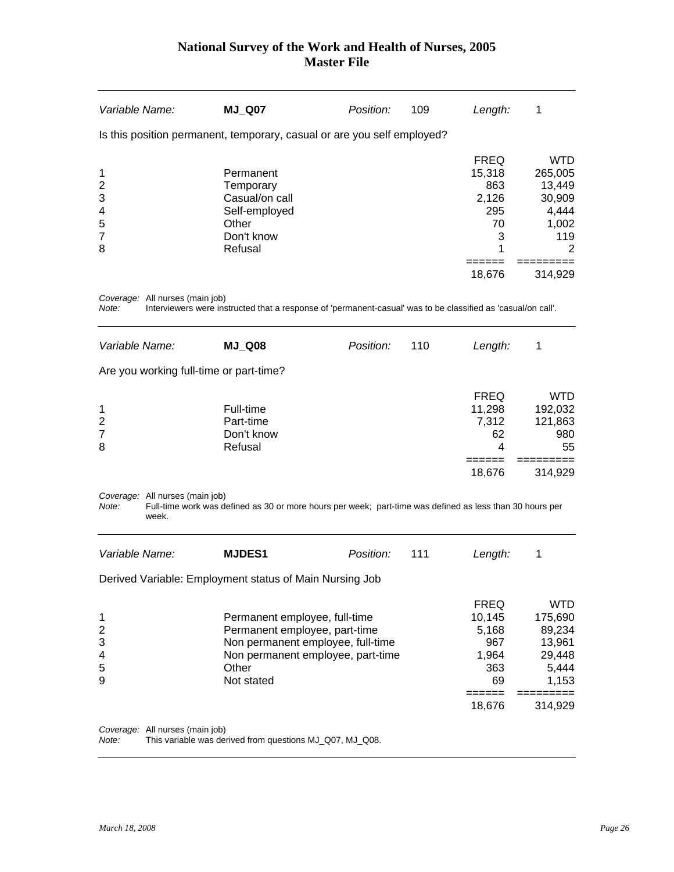| Variable Name:                                             | <b>MJ_Q07</b>                                                                                                                                                   | Position: | 109 | Length:                                                     | 1                                                                     |
|------------------------------------------------------------|-----------------------------------------------------------------------------------------------------------------------------------------------------------------|-----------|-----|-------------------------------------------------------------|-----------------------------------------------------------------------|
|                                                            | Is this position permanent, temporary, casual or are you self employed?                                                                                         |           |     |                                                             |                                                                       |
| 1<br>$\overline{2}$<br>3                                   | Permanent<br>Temporary<br>Casual/on call                                                                                                                        |           |     | <b>FREQ</b><br>15,318<br>863<br>2,126                       | <b>WTD</b><br>265,005<br>13,449<br>30,909                             |
| 4<br>5<br>$\overline{7}$<br>8                              | Self-employed<br>Other<br>Don't know<br>Refusal                                                                                                                 |           |     | 295<br>70<br>3<br>1                                         | 4,444<br>1,002<br>119<br>2                                            |
|                                                            |                                                                                                                                                                 |           |     | 18,676                                                      | 314,929                                                               |
| Coverage: All nurses (main job)<br>Note:<br>Variable Name: | Interviewers were instructed that a response of 'permanent-casual' was to be classified as 'casual/on call'.<br><b>MJ_Q08</b>                                   | Position: | 110 | Length:                                                     | 1                                                                     |
| Are you working full-time or part-time?                    |                                                                                                                                                                 |           |     |                                                             |                                                                       |
| 1<br>$\overline{2}$<br>7<br>8                              | Full-time<br>Part-time<br>Don't know<br>Refusal                                                                                                                 |           |     | <b>FREQ</b><br>11,298<br>7,312<br>62<br>4                   | <b>WTD</b><br>192,032<br>121,863<br>980<br>55                         |
|                                                            |                                                                                                                                                                 |           |     | ======<br>18,676                                            | 314,929                                                               |
| Coverage: All nurses (main job)<br>Note:<br>week.          | Full-time work was defined as 30 or more hours per week; part-time was defined as less than 30 hours per                                                        |           |     |                                                             |                                                                       |
| Variable Name:                                             | <b>MJDES1</b>                                                                                                                                                   | Position: | 111 | Length:                                                     | 1                                                                     |
|                                                            | Derived Variable: Employment status of Main Nursing Job                                                                                                         |           |     |                                                             |                                                                       |
| 1<br>$\overline{c}$<br>3<br>4<br>5<br>9                    | Permanent employee, full-time<br>Permanent employee, part-time<br>Non permanent employee, full-time<br>Non permanent employee, part-time<br>Other<br>Not stated |           |     | <b>FREQ</b><br>10,145<br>5,168<br>967<br>1,964<br>363<br>69 | <b>WTD</b><br>175,690<br>89,234<br>13,961<br>29,448<br>5,444<br>1,153 |
|                                                            |                                                                                                                                                                 |           |     | $======$<br>18,676                                          | $==$<br>====<br>314,929                                               |

*Coverage:* All nurses (main job)

*Note:* This variable was derived from questions MJ\_Q07, MJ\_Q08.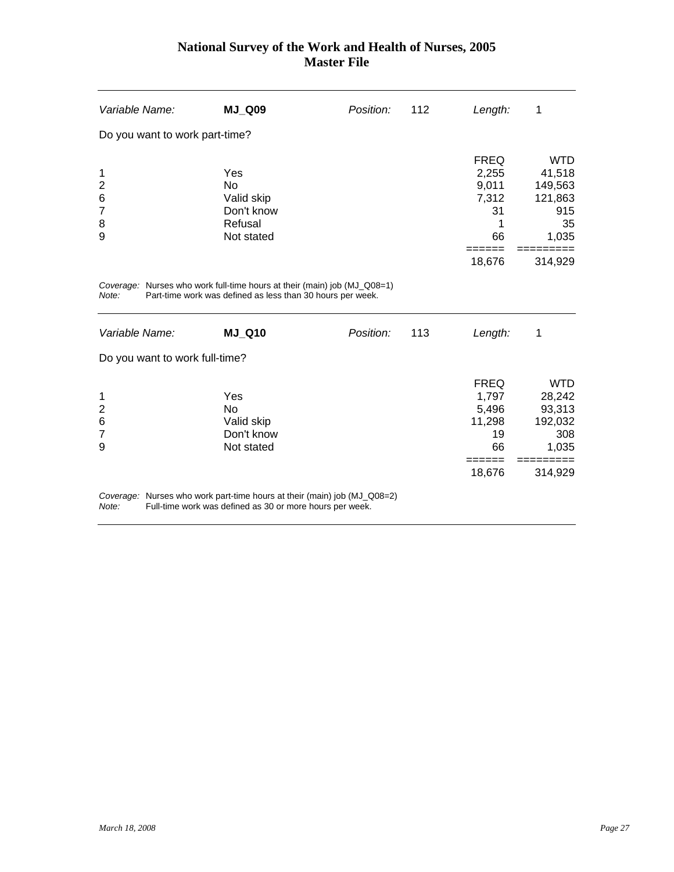| Variable Name:                 | <b>MJ_Q09</b> | Position: | 112 | Length:     | 1          |
|--------------------------------|---------------|-----------|-----|-------------|------------|
| Do you want to work part-time? |               |           |     |             |            |
|                                |               |           |     | <b>FREQ</b> | <b>WTD</b> |
| 1                              | Yes           |           |     | 2,255       | 41,518     |
| $\overline{2}$                 | No            |           |     | 9,011       | 149,563    |
| 6                              | Valid skip    |           |     | 7,312       | 121,863    |
| $\overline{7}$                 | Don't know    |           |     | 31          | 915        |
| 8                              | Refusal       |           |     |             | 35         |
| 9                              | Not stated    |           |     | 66          | 1,035      |
|                                |               |           |     |             |            |
|                                |               |           |     | 18,676      | 314,929    |
|                                |               |           |     |             |            |

*Coverage:* Nurses who work full-time hours at their (main) job (MJ\_Q08=1) *Note:* Part-time work was defined as less than 30 hours per week.

| Variable Name:                                            | <b>MJ Q10</b>                                                            | Position: | 113 | Length:                                             | 1                                                         |
|-----------------------------------------------------------|--------------------------------------------------------------------------|-----------|-----|-----------------------------------------------------|-----------------------------------------------------------|
| Do you want to work full-time?                            |                                                                          |           |     |                                                     |                                                           |
| $\mathbf 1$<br>$\overline{2}$<br>6<br>$\overline{7}$<br>9 | Yes<br>No.<br>Valid skip<br>Don't know<br>Not stated                     |           |     | <b>FREQ</b><br>1.797<br>5,496<br>11,298<br>19<br>66 | <b>WTD</b><br>28,242<br>93,313<br>192,032<br>308<br>1,035 |
|                                                           | Coverage: Nurses who work part-time hours at their (main) job (MJ_Q08=2) |           |     | 18,676                                              | 314,929                                                   |

*Note:* Full-time work was defined as 30 or more hours per week.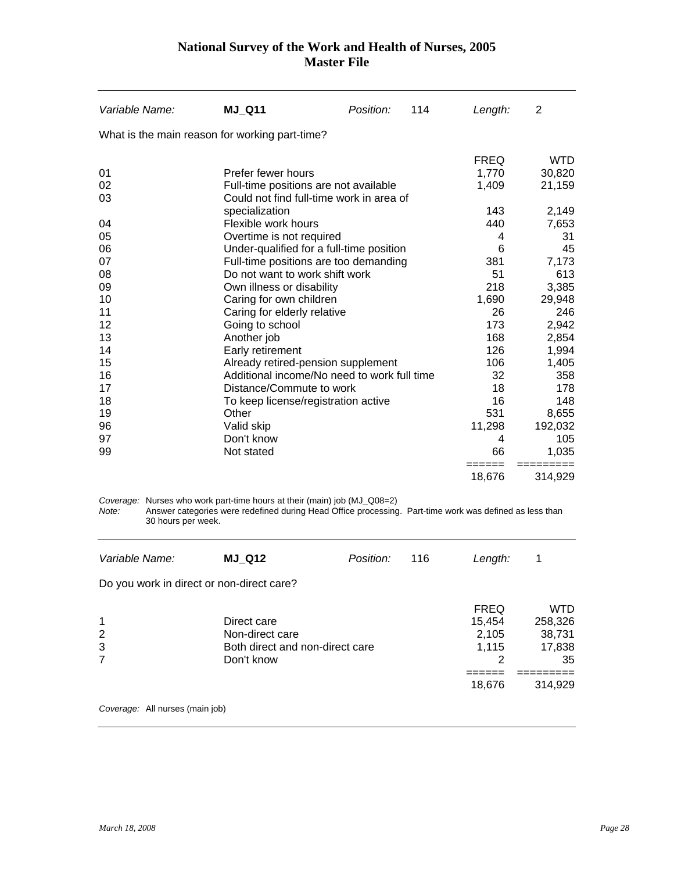| Variable Name:                                 | <b>MJ_Q11</b>                                                                                                                                                                       | Position: | 114 | Length:          | 2                    |
|------------------------------------------------|-------------------------------------------------------------------------------------------------------------------------------------------------------------------------------------|-----------|-----|------------------|----------------------|
| What is the main reason for working part-time? |                                                                                                                                                                                     |           |     |                  |                      |
|                                                |                                                                                                                                                                                     |           |     | <b>FREQ</b>      | <b>WTD</b>           |
| 01                                             | Prefer fewer hours                                                                                                                                                                  |           |     | 1,770            | 30,820               |
| 02                                             | Full-time positions are not available                                                                                                                                               |           |     | 1,409            | 21,159               |
| 03                                             | Could not find full-time work in area of                                                                                                                                            |           |     |                  |                      |
|                                                | specialization                                                                                                                                                                      |           |     | 143              | 2,149                |
| 04                                             | Flexible work hours                                                                                                                                                                 |           |     | 440              | 7,653                |
| 05                                             | Overtime is not required                                                                                                                                                            |           |     | 4                | 31                   |
| 06                                             | Under-qualified for a full-time position                                                                                                                                            |           |     | 6                | 45                   |
| 07                                             | Full-time positions are too demanding                                                                                                                                               |           |     | 381              | 7,173                |
| 08                                             | Do not want to work shift work                                                                                                                                                      |           |     | 51               | 613                  |
| 09                                             | Own illness or disability                                                                                                                                                           |           |     | 218              | 3,385                |
| 10                                             | Caring for own children                                                                                                                                                             |           |     | 1,690            | 29,948               |
| 11                                             | Caring for elderly relative                                                                                                                                                         |           |     | 26               | 246                  |
| 12                                             | Going to school                                                                                                                                                                     |           |     | 173              | 2,942                |
| 13                                             | Another job                                                                                                                                                                         |           |     | 168              | 2,854                |
| 14                                             | Early retirement                                                                                                                                                                    |           |     | 126              | 1,994                |
| 15                                             | Already retired-pension supplement                                                                                                                                                  |           |     | 106              | 1,405                |
| 16                                             | Additional income/No need to work full time                                                                                                                                         |           |     | 32               | 358                  |
| 17                                             | Distance/Commute to work                                                                                                                                                            |           |     | 18               | 178                  |
| 18                                             | To keep license/registration active                                                                                                                                                 |           |     | 16               | 148                  |
| 19                                             | Other                                                                                                                                                                               |           |     | 531              | 8,655                |
| 96                                             | Valid skip                                                                                                                                                                          |           |     | 11,298           | 192,032              |
| 97                                             | Don't know                                                                                                                                                                          |           |     | 4                | 105                  |
| 99                                             | Not stated                                                                                                                                                                          |           |     | 66               | 1,035                |
|                                                |                                                                                                                                                                                     |           |     | ======<br>18,676 | =========<br>314,929 |
| Note: .                                        | Coverage: Nurses who work part-time hours at their (main) job (MJ_Q08=2)<br>Answer categories were redefined during Head Office processing. Part-time work was defined as less than |           |     |                  |                      |

*Note:* Answer categories were redefined during Head Office processing. Part-time work was defined as less than 30 hours per week.

| Variable Name:                            | <b>MJ Q12</b>                                                                   | Position: | 116 | Length:                                      | 1                                        |
|-------------------------------------------|---------------------------------------------------------------------------------|-----------|-----|----------------------------------------------|------------------------------------------|
| Do you work in direct or non-direct care? |                                                                                 |           |     |                                              |                                          |
| $\mathbf 1$<br>2<br>3<br>$\overline{7}$   | Direct care<br>Non-direct care<br>Both direct and non-direct care<br>Don't know |           |     | <b>FREQ</b><br>15,454<br>2,105<br>1,115<br>2 | WTD<br>258,326<br>38,731<br>17,838<br>35 |
|                                           |                                                                                 |           |     | 18,676                                       | 314,929                                  |
| Coverage: All nurses (main job)           |                                                                                 |           |     |                                              |                                          |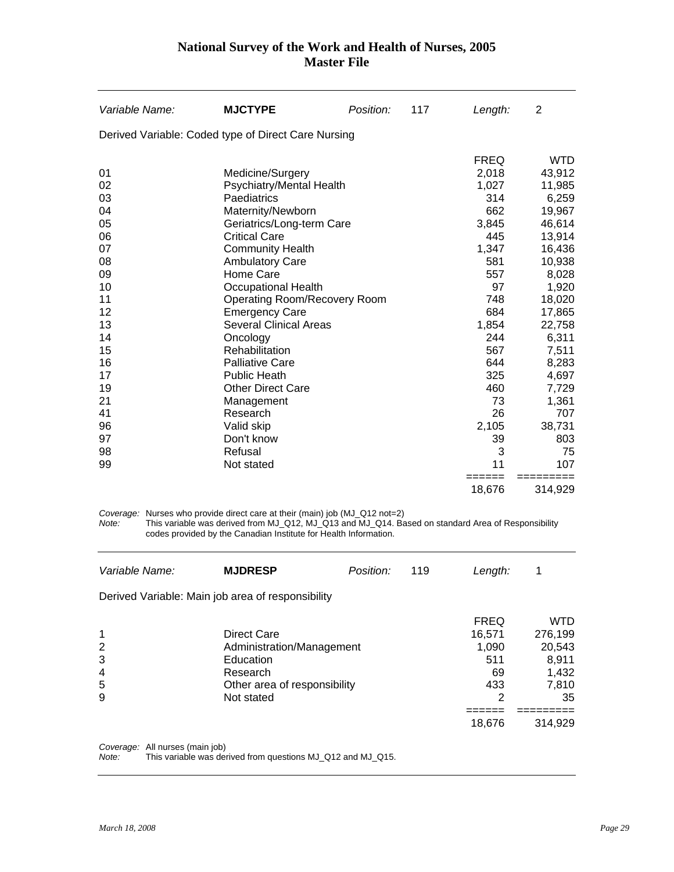| Derived Variable: Coded type of Direct Care Nursing<br><b>FREQ</b><br>01<br>Medicine/Surgery<br>2,018<br>1,027<br>02<br>Psychiatry/Mental Health<br>Paediatrics<br>03<br>314<br>04<br>Maternity/Newborn<br>662<br>05<br>Geriatrics/Long-term Care<br>3,845<br>06<br><b>Critical Care</b><br>445<br>07<br><b>Community Health</b><br>1,347<br>08<br><b>Ambulatory Care</b><br>581<br>Home Care<br>09<br>557<br>97<br>10<br><b>Occupational Health</b><br>11<br><b>Operating Room/Recovery Room</b><br>748<br>684<br>12<br><b>Emergency Care</b><br>13<br><b>Several Clinical Areas</b><br>1,854<br>244<br>14<br>Oncology<br>15<br>Rehabilitation<br>567<br>16<br>644<br><b>Palliative Care</b><br>17<br>325<br><b>Public Heath</b><br>19<br><b>Other Direct Care</b><br>460<br>73<br>21<br>Management<br>41<br>26<br>Research<br>96<br>2,105<br>Valid skip<br>Don't know<br>39<br>97<br>3<br>98<br>Refusal<br>99<br>11<br>107<br>Not stated<br>======<br>18,676 | Variable Name: | <b>MJCTYPE</b> | Position: | 117 | Length: | 2                                                                                                                                                                                                                       |
|----------------------------------------------------------------------------------------------------------------------------------------------------------------------------------------------------------------------------------------------------------------------------------------------------------------------------------------------------------------------------------------------------------------------------------------------------------------------------------------------------------------------------------------------------------------------------------------------------------------------------------------------------------------------------------------------------------------------------------------------------------------------------------------------------------------------------------------------------------------------------------------------------------------------------------------------------------------|----------------|----------------|-----------|-----|---------|-------------------------------------------------------------------------------------------------------------------------------------------------------------------------------------------------------------------------|
|                                                                                                                                                                                                                                                                                                                                                                                                                                                                                                                                                                                                                                                                                                                                                                                                                                                                                                                                                                |                |                |           |     |         |                                                                                                                                                                                                                         |
|                                                                                                                                                                                                                                                                                                                                                                                                                                                                                                                                                                                                                                                                                                                                                                                                                                                                                                                                                                |                |                |           |     |         | <b>WTD</b><br>43,912<br>11,985<br>6,259<br>19,967<br>46,614<br>13,914<br>16,436<br>10,938<br>8,028<br>1,920<br>18,020<br>17,865<br>22,758<br>6,311<br>7,511<br>8,283<br>4,697<br>7,729<br>1,361<br>707<br>38,731<br>803 |
|                                                                                                                                                                                                                                                                                                                                                                                                                                                                                                                                                                                                                                                                                                                                                                                                                                                                                                                                                                |                |                |           |     |         | 75                                                                                                                                                                                                                      |
|                                                                                                                                                                                                                                                                                                                                                                                                                                                                                                                                                                                                                                                                                                                                                                                                                                                                                                                                                                |                |                |           |     |         | 314,929                                                                                                                                                                                                                 |

*Coverage:* Nurses who provide direct care at their (main) job (MJ\_Q12 not=2)

*Note:* This variable was derived from MJ\_Q12, MJ\_Q13 and MJ\_Q14. Based on standard Area of Responsibility codes provided by the Canadian Institute for Health Information.

| Variable Name:                                    | <b>MJDRESP</b>                                                                                                  | Position: | 119 | Length:                                                 | 1                                                                |
|---------------------------------------------------|-----------------------------------------------------------------------------------------------------------------|-----------|-----|---------------------------------------------------------|------------------------------------------------------------------|
| Derived Variable: Main job area of responsibility |                                                                                                                 |           |     |                                                         |                                                                  |
| $\mathbf 1$<br>2<br>3<br>4<br>5<br>9              | Direct Care<br>Administration/Management<br>Education<br>Research<br>Other area of responsibility<br>Not stated |           |     | <b>FREQ</b><br>16,571<br>1.090<br>511<br>69<br>433<br>2 | <b>WTD</b><br>276,199<br>20,543<br>8,911<br>1,432<br>7,810<br>35 |
|                                                   |                                                                                                                 |           |     | 18,676                                                  | 314.929                                                          |

*Coverage:* All nurses (main job) *Note:* This variable was derived from questions MJ\_Q12 and MJ\_Q15.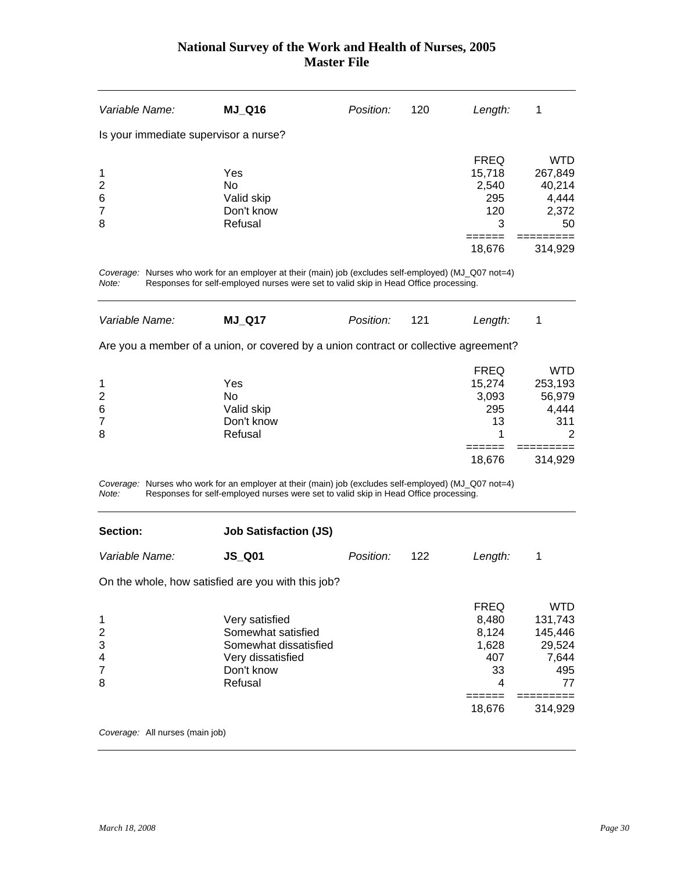<span id="page-30-0"></span>

| Variable Name:                                           | <b>MJ_Q16</b>                                                                                                                                                                                 | Position: | 120 | Length:                                                     | 1                                                                |
|----------------------------------------------------------|-----------------------------------------------------------------------------------------------------------------------------------------------------------------------------------------------|-----------|-----|-------------------------------------------------------------|------------------------------------------------------------------|
| Is your immediate supervisor a nurse?                    |                                                                                                                                                                                               |           |     |                                                             |                                                                  |
| 1<br>$\overline{\mathbf{c}}$<br>6<br>$\overline{7}$<br>8 | Yes<br><b>No</b><br>Valid skip<br>Don't know<br>Refusal                                                                                                                                       |           |     | <b>FREQ</b><br>15,718<br>2,540<br>295<br>120<br>3<br>====== | <b>WTD</b><br>267,849<br>40,214<br>4,444<br>2,372<br>50          |
|                                                          |                                                                                                                                                                                               |           |     | 18,676                                                      | 314,929                                                          |
| Note:                                                    | Coverage: Nurses who work for an employer at their (main) job (excludes self-employed) (MJ_Q07 not=4)<br>Responses for self-employed nurses were set to valid skip in Head Office processing. |           |     |                                                             |                                                                  |
| Variable Name:                                           | <b>MJ_Q17</b>                                                                                                                                                                                 | Position: | 121 | Length:                                                     | 1                                                                |
|                                                          | Are you a member of a union, or covered by a union contract or collective agreement?                                                                                                          |           |     |                                                             |                                                                  |
| 1<br>$\overline{\mathbf{c}}$<br>6<br>$\overline{7}$<br>8 | Yes<br><b>No</b><br>Valid skip<br>Don't know<br>Refusal                                                                                                                                       |           |     | <b>FREQ</b><br>15,274<br>3,093<br>295<br>13<br>1            | <b>WTD</b><br>253,193<br>56,979<br>4,444<br>311                  |
|                                                          |                                                                                                                                                                                               |           |     | 18,676                                                      | 314,929                                                          |
| Note:                                                    | Coverage: Nurses who work for an employer at their (main) job (excludes self-employed) (MJ_Q07 not=4)<br>Responses for self-employed nurses were set to valid skip in Head Office processing. |           |     |                                                             |                                                                  |
| Section:                                                 | <b>Job Satisfaction (JS)</b>                                                                                                                                                                  |           |     |                                                             |                                                                  |
| Variable Name:                                           | <b>JS_Q01</b>                                                                                                                                                                                 | Position: | 122 | Length:                                                     | 1                                                                |
|                                                          | On the whole, how satisfied are you with this job?                                                                                                                                            |           |     |                                                             |                                                                  |
| 1<br>$\overline{\mathbf{c}}$<br>3<br>4<br>7<br>8         | Very satisfied<br>Somewhat satisfied<br>Somewhat dissatisfied<br>Very dissatisfied<br>Don't know<br>Refusal                                                                                   |           |     | <b>FREQ</b><br>8,480<br>8,124<br>1,628<br>407<br>33<br>4    | <b>WTD</b><br>131,743<br>145,446<br>29,524<br>7,644<br>495<br>77 |
|                                                          |                                                                                                                                                                                               |           |     | $======$<br>18,676                                          | =========<br>314,929                                             |
| Coverage: All nurses (main job)                          |                                                                                                                                                                                               |           |     |                                                             |                                                                  |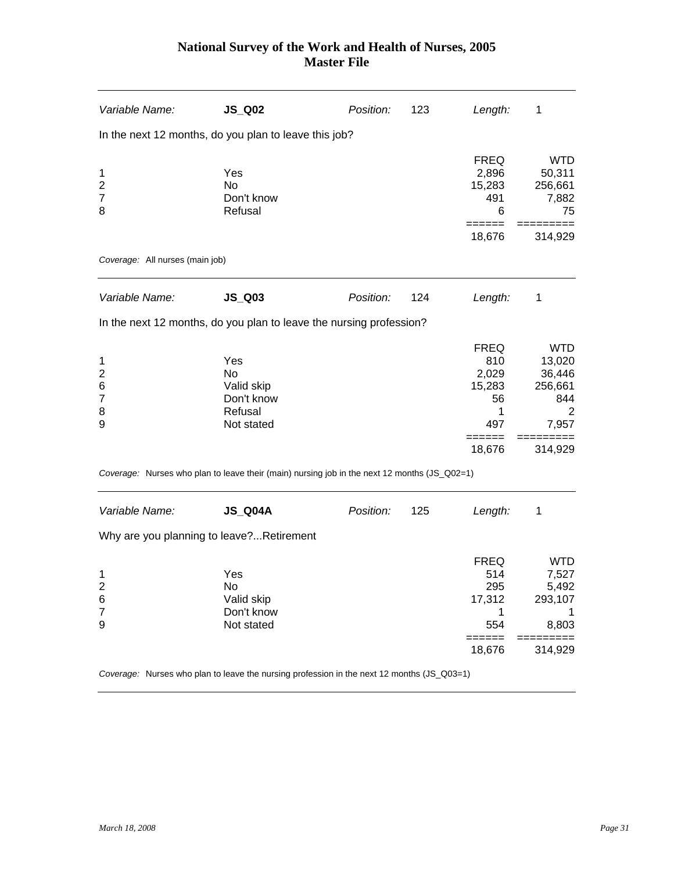| Variable Name:                                       | $JS_Q02$                                                                                     | Position: | 123 | Length:                                                           | 1                                                                         |
|------------------------------------------------------|----------------------------------------------------------------------------------------------|-----------|-----|-------------------------------------------------------------------|---------------------------------------------------------------------------|
|                                                      | In the next 12 months, do you plan to leave this job?                                        |           |     |                                                                   |                                                                           |
| 1<br>$\overline{\mathbf{c}}$<br>$\overline{7}$<br>8  | Yes<br><b>No</b><br>Don't know<br>Refusal                                                    |           |     | <b>FREQ</b><br>2,896<br>15,283<br>491<br>6                        | <b>WTD</b><br>50,311<br>256,661<br>7,882<br>75                            |
|                                                      |                                                                                              |           |     | 18,676                                                            | 314,929                                                                   |
| Coverage: All nurses (main job)                      |                                                                                              |           |     |                                                                   |                                                                           |
| Variable Name:                                       | $JS_$ Q03                                                                                    | Position: | 124 | Length:                                                           | 1                                                                         |
|                                                      | In the next 12 months, do you plan to leave the nursing profession?                          |           |     |                                                                   |                                                                           |
| 1<br>$\overline{2}$<br>6<br>$\overline{7}$<br>8<br>9 | Yes<br><b>No</b><br>Valid skip<br>Don't know<br>Refusal<br>Not stated                        |           |     | <b>FREQ</b><br>810<br>2,029<br>15,283<br>56<br>1<br>497<br>18,676 | <b>WTD</b><br>13,020<br>36,446<br>256,661<br>844<br>2<br>7,957<br>314,929 |
|                                                      | Coverage: Nurses who plan to leave their (main) nursing job in the next 12 months (JS_Q02=1) |           |     |                                                                   |                                                                           |
| Variable Name:                                       | <b>JS_Q04A</b>                                                                               | Position: | 125 | Length:                                                           | 1                                                                         |
|                                                      | Why are you planning to leave?Retirement                                                     |           |     |                                                                   |                                                                           |
| 1<br>2<br>6<br>$\overline{7}$<br>9                   | Yes<br>No<br>Valid skip<br>Don't know<br>Not stated                                          |           |     | <b>FREQ</b><br>514<br>295<br>17,312<br>1<br>554<br>=====          | <b>WTD</b><br>7,527<br>5,492<br>293,107<br>1<br>8,803                     |
|                                                      |                                                                                              |           |     | 18,676                                                            | 314,929                                                                   |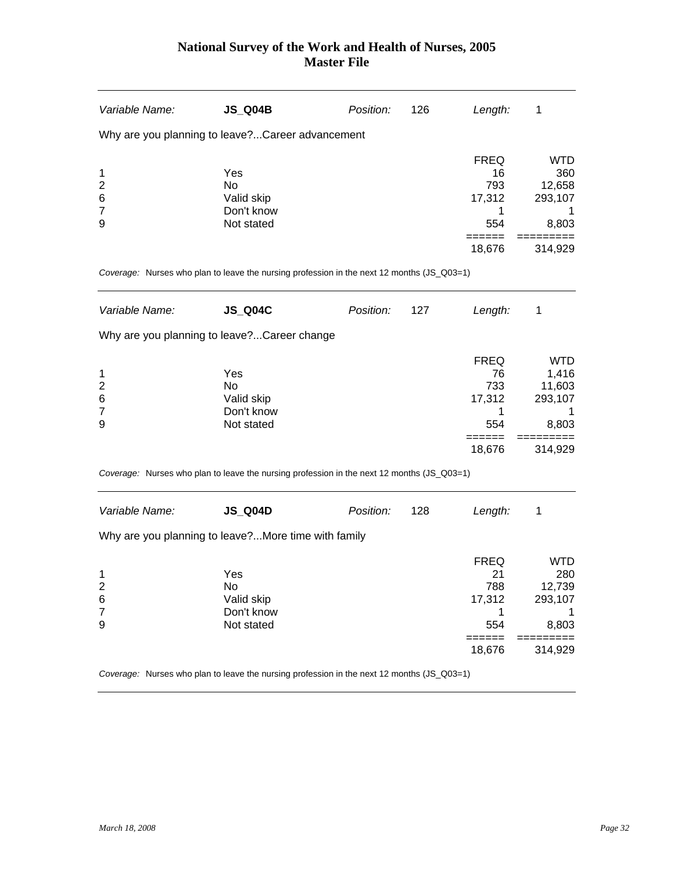| Variable Name:                                                                             | <b>JS_Q04B</b>                                      | Position: | 126 | Length:                                                            | 1                                                      |
|--------------------------------------------------------------------------------------------|-----------------------------------------------------|-----------|-----|--------------------------------------------------------------------|--------------------------------------------------------|
| Why are you planning to leave? Career advancement                                          |                                                     |           |     |                                                                    |                                                        |
| 1<br>$\overline{\mathbf{c}}$<br>6<br>$\overline{7}$<br>9                                   | Yes<br>No<br>Valid skip<br>Don't know<br>Not stated |           |     | <b>FREQ</b><br>16<br>793<br>17,312<br>1.<br>554                    | <b>WTD</b><br>360<br>12,658<br>293,107<br>1<br>8,803   |
| Coverage: Nurses who plan to leave the nursing profession in the next 12 months (JS_Q03=1) |                                                     |           |     | 18,676                                                             | 314,929                                                |
|                                                                                            |                                                     |           |     |                                                                    |                                                        |
| Variable Name:                                                                             | <b>JS_Q04C</b>                                      | Position: | 127 | Length:                                                            | 1                                                      |
| Why are you planning to leave? Career change                                               |                                                     |           |     |                                                                    |                                                        |
| 1<br>$\overline{\mathbf{c}}$<br>6<br>7<br>9                                                | Yes<br>No<br>Valid skip<br>Don't know<br>Not stated |           |     | <b>FREQ</b><br>76<br>733<br>17,312<br>1<br>554                     | <b>WTD</b><br>1,416<br>11,603<br>293,107<br>1<br>8,803 |
|                                                                                            |                                                     |           |     | 18,676                                                             | 314,929                                                |
| Coverage: Nurses who plan to leave the nursing profession in the next 12 months (JS_Q03=1) |                                                     |           |     |                                                                    |                                                        |
| Variable Name:                                                                             | <b>JS_Q04D</b>                                      | Position: | 128 | Length:                                                            | 1                                                      |
| Why are you planning to leave?More time with family                                        |                                                     |           |     |                                                                    |                                                        |
| 1<br>$\overline{\mathbf{c}}$<br>6<br>$\overline{7}$<br>9                                   | Yes<br>No<br>Valid skip<br>Don't know<br>Not stated |           |     | <b>FREQ</b><br>21<br>788<br>17,312<br>1<br>554<br>======<br>18,676 | WTD<br>280<br>12,739<br>293,107<br>1<br>8,803          |
|                                                                                            |                                                     |           |     |                                                                    | 314,929                                                |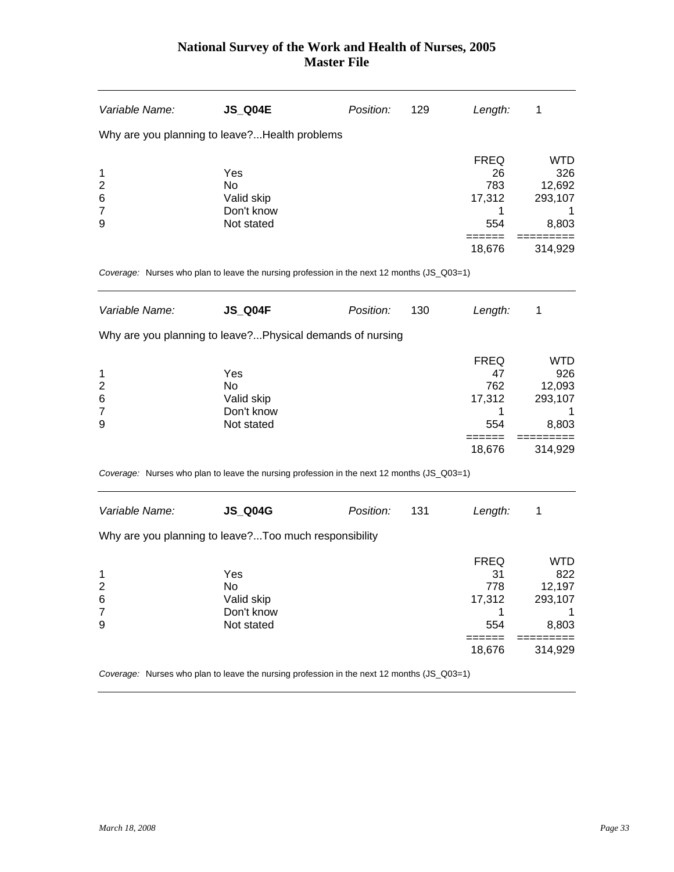| Variable Name:                                           | <b>JS_Q04E</b>                                                                             | Position: | 129 | Length:                                                            | 1                                                               |
|----------------------------------------------------------|--------------------------------------------------------------------------------------------|-----------|-----|--------------------------------------------------------------------|-----------------------------------------------------------------|
|                                                          | Why are you planning to leave? Health problems                                             |           |     |                                                                    |                                                                 |
| 1<br>$\overline{\mathbf{c}}$<br>6<br>$\overline{7}$<br>9 | Yes<br>No<br>Valid skip<br>Don't know<br>Not stated                                        |           |     | <b>FREQ</b><br>26<br>783<br>17,312<br>1.<br>554                    | <b>WTD</b><br>326<br>12,692<br>293,107<br>1<br>8,803            |
|                                                          | Coverage: Nurses who plan to leave the nursing profession in the next 12 months (JS_Q03=1) |           |     | 18,676                                                             | 314,929                                                         |
| Variable Name:                                           | <b>JS_Q04F</b>                                                                             | Position: | 130 | Length:                                                            | 1                                                               |
|                                                          | Why are you planning to leave?Physical demands of nursing                                  |           |     |                                                                    |                                                                 |
| 1<br>$\overline{\mathbf{c}}$<br>6<br>7<br>9              | Yes<br>No<br>Valid skip<br>Don't know<br>Not stated                                        |           |     | <b>FREQ</b><br>47<br>762<br>17,312<br>1<br>554<br>======<br>18,676 | <b>WTD</b><br>926<br>12,093<br>293,107<br>1<br>8,803<br>314,929 |
|                                                          | Coverage: Nurses who plan to leave the nursing profession in the next 12 months (JS_Q03=1) |           |     |                                                                    |                                                                 |
| Variable Name:                                           | <b>JS_Q04G</b><br>Why are you planning to leave? Too much responsibility                   | Position: | 131 | Length:                                                            | 1                                                               |
| 1<br>$\overline{\mathbf{c}}$<br>6<br>$\overline{7}$<br>9 | Yes<br>No<br>Valid skip<br>Don't know<br>Not stated                                        |           |     | <b>FREQ</b><br>31<br>778<br>17,312<br>1<br>554<br>======<br>18,676 | WTD<br>822<br>12,197<br>293,107<br>1<br>8,803<br>===<br>314,929 |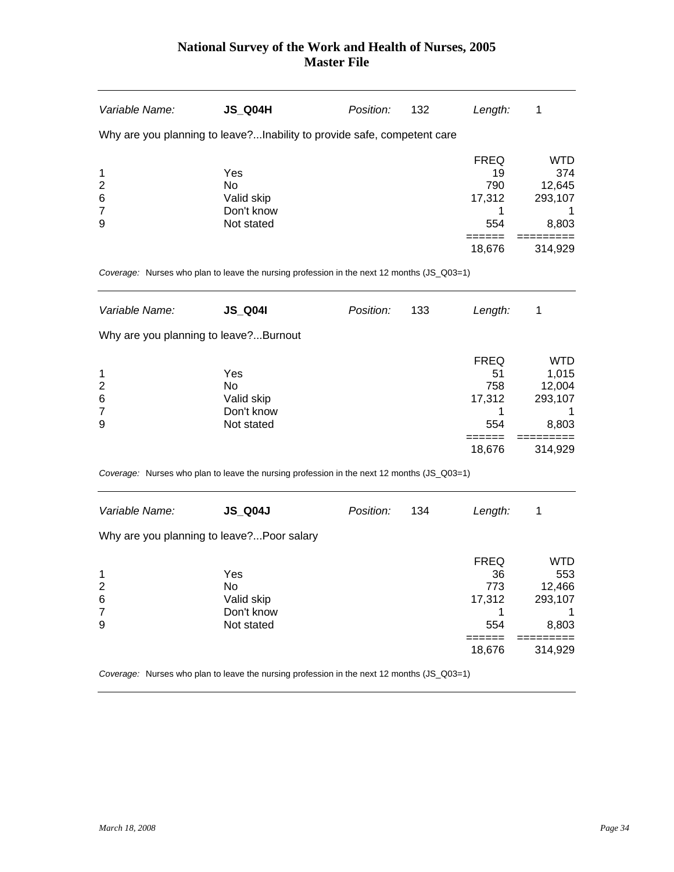| Variable Name:                                           | JS_Q04H                                                                                    | Position: | 132 | Length:                                                     | 1                                                               |
|----------------------------------------------------------|--------------------------------------------------------------------------------------------|-----------|-----|-------------------------------------------------------------|-----------------------------------------------------------------|
|                                                          | Why are you planning to leave?Inability to provide safe, competent care                    |           |     |                                                             |                                                                 |
| 1<br>$\overline{c}$<br>6<br>$\overline{7}$<br>9          | Yes<br>No.<br>Valid skip<br>Don't know<br>Not stated                                       |           |     | FREQ<br>19<br>790<br>17,312<br>1<br>554<br>======<br>18,676 | <b>WTD</b><br>374<br>12,645<br>293,107<br>1<br>8,803<br>314,929 |
|                                                          | Coverage: Nurses who plan to leave the nursing profession in the next 12 months (JS_Q03=1) |           |     |                                                             |                                                                 |
| Variable Name:                                           | <b>JS_Q04I</b>                                                                             | Position: | 133 | Length:                                                     | 1                                                               |
| Why are you planning to leave?Burnout                    |                                                                                            |           |     |                                                             |                                                                 |
| 1<br>$\overline{\mathbf{c}}$<br>6<br>$\overline{7}$<br>9 | Yes<br>No.<br>Valid skip<br>Don't know<br>Not stated                                       |           |     | FREQ<br>51<br>758<br>17,312<br>1<br>554<br>======           | <b>WTD</b><br>1,015<br>12,004<br>293,107<br>1<br>8,803          |
|                                                          |                                                                                            |           |     | 18,676                                                      | 314,929                                                         |
|                                                          | Coverage: Nurses who plan to leave the nursing profession in the next 12 months (JS_Q03=1) |           |     |                                                             |                                                                 |
| Variable Name:                                           | <b>JS_Q04J</b>                                                                             | Position: | 134 | Length:                                                     | 1                                                               |
| Why are you planning to leave? Poor salary               |                                                                                            |           |     |                                                             |                                                                 |
| 1<br>2<br>6<br>7<br>9                                    | Yes<br>No.<br>Valid skip<br>Don't know<br>Not stated                                       |           |     | FREQ<br>36<br>773<br>17,312<br>1<br>554<br>======<br>18,676 | <b>WTD</b><br>553<br>12,466<br>293,107<br>1<br>8,803<br>314,929 |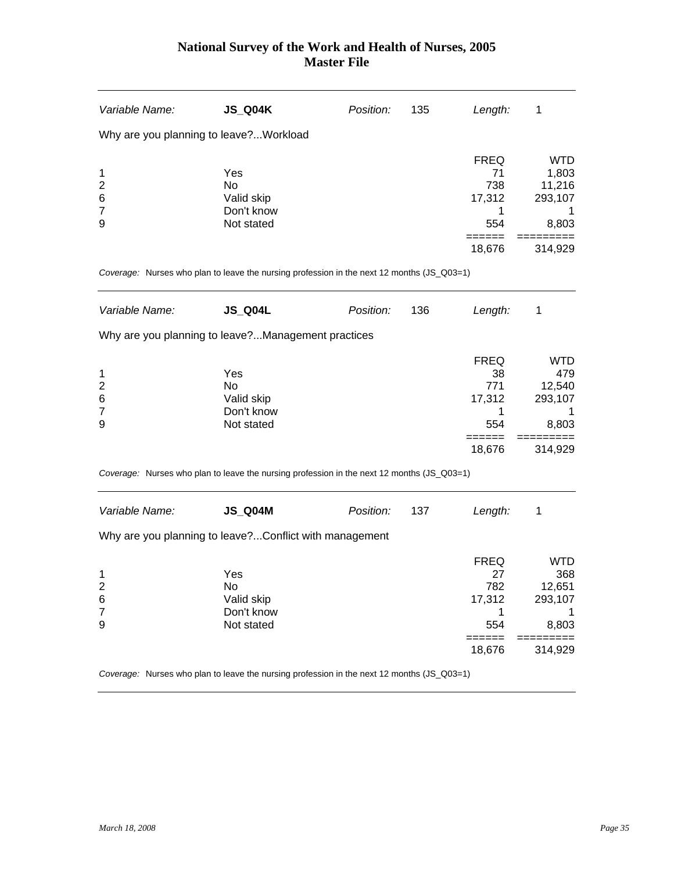| Variable Name:                                           | <b>JS_Q04K</b>                                                                             | Position: | 135 | Length:                                                            | 1                                                                  |
|----------------------------------------------------------|--------------------------------------------------------------------------------------------|-----------|-----|--------------------------------------------------------------------|--------------------------------------------------------------------|
| Why are you planning to leave?Workload                   |                                                                                            |           |     |                                                                    |                                                                    |
| 1<br>$\overline{\mathbf{c}}$<br>6<br>$\overline{7}$<br>9 | Yes<br><b>No</b><br>Valid skip<br>Don't know<br>Not stated                                 |           |     | <b>FREQ</b><br>71<br>738<br>17,312<br>1<br>554                     | <b>WTD</b><br>1,803<br>11,216<br>293,107<br>1<br>8,803             |
|                                                          | Coverage: Nurses who plan to leave the nursing profession in the next 12 months (JS_Q03=1) |           |     | 18,676                                                             | 314,929                                                            |
| Variable Name:                                           | <b>JS_Q04L</b>                                                                             | Position: | 136 | Length:                                                            | 1                                                                  |
|                                                          | Why are you planning to leave?Management practices                                         |           |     |                                                                    |                                                                    |
| 1<br>$\overline{\mathbf{c}}$<br>6<br>$\overline{7}$<br>9 | Yes<br>No<br>Valid skip<br>Don't know<br>Not stated                                        |           |     | <b>FREQ</b><br>38<br>771<br>17,312<br>1<br>554                     | <b>WTD</b><br>479<br>12,540<br>293,107<br>1<br>8,803               |
|                                                          | Coverage: Nurses who plan to leave the nursing profession in the next 12 months (JS_Q03=1) |           |     | 18,676                                                             | 314,929                                                            |
| Variable Name:                                           | <b>JS_Q04M</b>                                                                             | Position: | 137 | Length:                                                            | 1                                                                  |
|                                                          | Why are you planning to leave?Conflict with management                                     |           |     |                                                                    |                                                                    |
| 1<br>$\mathbf{z}$<br>6<br>7<br>9                         | Yes<br>Νo<br>Valid skip<br>Don't know<br>Not stated                                        |           |     | <b>FREQ</b><br>27<br>782<br>17,312<br>1<br>554<br>======<br>18,676 | <b>WTD</b><br>368<br>12,651<br>293,107<br>8,803<br>===:<br>314,929 |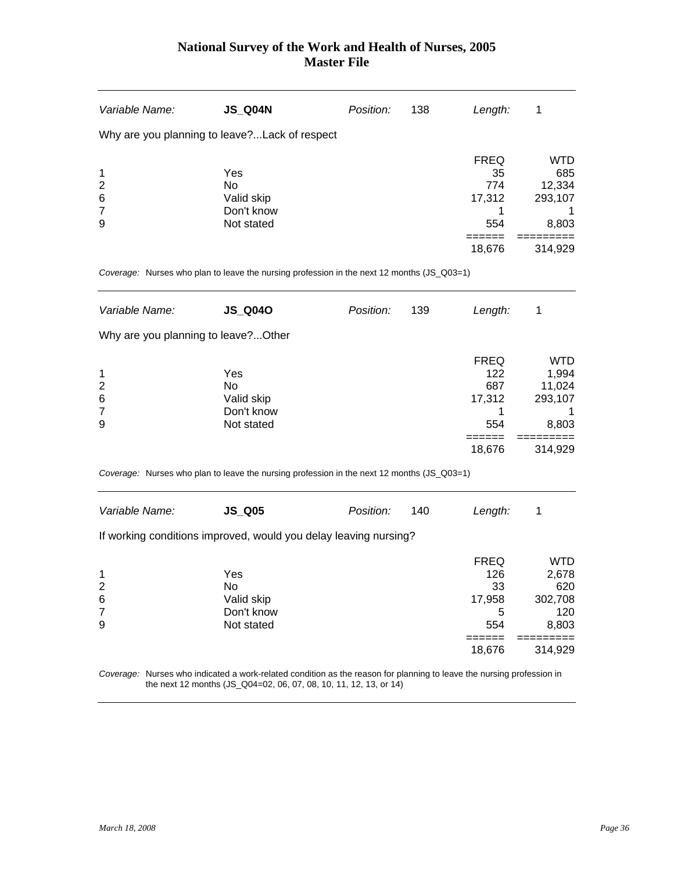| Variable Name:                              | <b>JS_Q04N</b>                                                                             | Position: | 138 | Length:                                                            | 1                                                                          |
|---------------------------------------------|--------------------------------------------------------------------------------------------|-----------|-----|--------------------------------------------------------------------|----------------------------------------------------------------------------|
|                                             | Why are you planning to leave? Lack of respect                                             |           |     |                                                                    |                                                                            |
| 1<br>2<br>6<br>7<br>9                       | Yes<br>No<br>Valid skip<br>Don't know<br>Not stated                                        |           |     | <b>FREQ</b><br>35<br>774<br>17,312<br>1<br>554                     | <b>WTD</b><br>685<br>12,334<br>293,107<br>1<br>8,803                       |
|                                             |                                                                                            |           |     | 18,676                                                             | 314,929                                                                    |
|                                             | Coverage: Nurses who plan to leave the nursing profession in the next 12 months (JS_Q03=1) |           |     |                                                                    |                                                                            |
| Variable Name:                              | <b>JS_Q04O</b>                                                                             | Position: | 139 | Length:                                                            | 1                                                                          |
| Why are you planning to leave? Other        |                                                                                            |           |     |                                                                    |                                                                            |
| 1<br>$\overline{c}$<br>6<br>7<br>9          | Yes<br>No<br>Valid skip<br>Don't know<br>Not stated                                        |           |     | <b>FREQ</b><br>122<br>687<br>17,312<br>1<br>554<br>======          | <b>WTD</b><br>1,994<br>11,024<br>293,107<br>1<br>8,803                     |
|                                             |                                                                                            |           |     | 18,676                                                             | 314,929                                                                    |
|                                             | Coverage: Nurses who plan to leave the nursing profession in the next 12 months (JS_Q03=1) |           |     |                                                                    |                                                                            |
| Variable Name:                              | $JS_Q05$                                                                                   | Position: | 140 | Length:                                                            | 1                                                                          |
|                                             | If working conditions improved, would you delay leaving nursing?                           |           |     |                                                                    |                                                                            |
| 1<br>$\overline{\mathbf{c}}$<br>6<br>7<br>9 | Yes<br>No<br>Valid skip<br>Don't know<br>Not stated                                        |           |     | <b>FREQ</b><br>126<br>33<br>17,958<br>5<br>554<br>======<br>18,676 | <b>WTD</b><br>2,678<br>620<br>302,708<br>120<br>8,803<br>======<br>314,929 |
|                                             |                                                                                            |           |     |                                                                    |                                                                            |

*Coverage:* Nurses who indicated a work-related condition as the reason for planning to leave the nursing profession in the next 12 months (JS\_Q04=02, 06, 07, 08, 10, 11, 12, 13, or 14)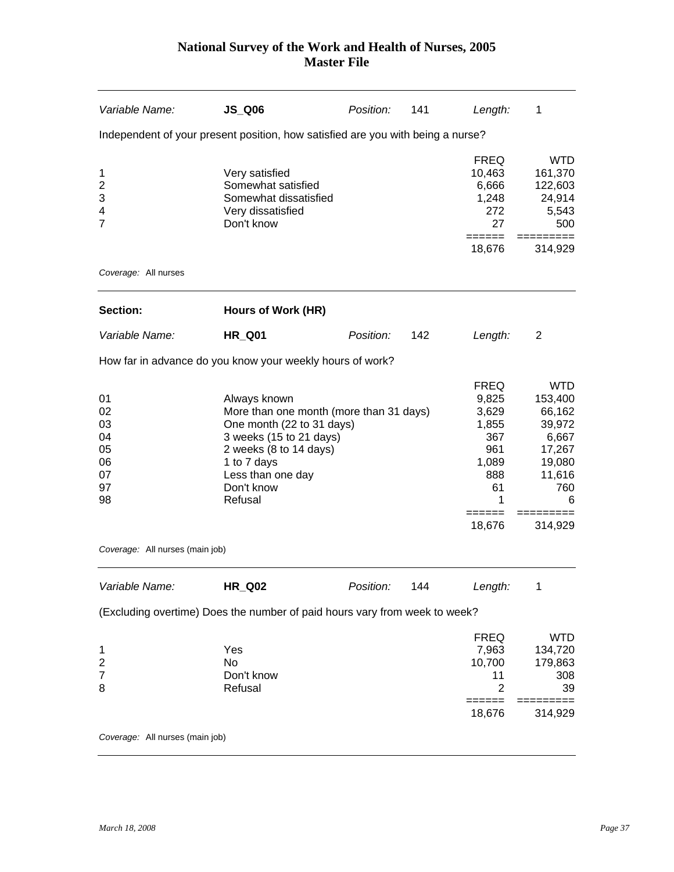| Variable Name:                                      | <b>JS_Q06</b>                                                                                                                                                                                          | Position: | 141 | Length:                                                                                  | 1                                                                                            |
|-----------------------------------------------------|--------------------------------------------------------------------------------------------------------------------------------------------------------------------------------------------------------|-----------|-----|------------------------------------------------------------------------------------------|----------------------------------------------------------------------------------------------|
|                                                     | Independent of your present position, how satisfied are you with being a nurse?                                                                                                                        |           |     |                                                                                          |                                                                                              |
| 1<br>$\overline{c}$<br>3<br>4<br>7                  | Very satisfied<br>Somewhat satisfied<br>Somewhat dissatisfied<br>Very dissatisfied<br>Don't know                                                                                                       |           |     | <b>FREQ</b><br>10,463<br>6,666<br>1,248<br>272<br>27<br>======                           | <b>WTD</b><br>161,370<br>122,603<br>24,914<br>5,543<br>500                                   |
| Coverage: All nurses                                |                                                                                                                                                                                                        |           |     | 18,676                                                                                   | 314,929                                                                                      |
|                                                     |                                                                                                                                                                                                        |           |     |                                                                                          |                                                                                              |
| Section:                                            | Hours of Work (HR)                                                                                                                                                                                     |           |     |                                                                                          |                                                                                              |
| Variable Name:                                      | <b>HR_Q01</b>                                                                                                                                                                                          | Position: | 142 | Length:                                                                                  | 2                                                                                            |
|                                                     | How far in advance do you know your weekly hours of work?                                                                                                                                              |           |     |                                                                                          |                                                                                              |
| 01<br>02<br>03<br>04<br>05<br>06<br>07<br>97<br>98  | Always known<br>More than one month (more than 31 days)<br>One month (22 to 31 days)<br>3 weeks (15 to 21 days)<br>2 weeks (8 to 14 days)<br>1 to 7 days<br>Less than one day<br>Don't know<br>Refusal |           |     | <b>FREQ</b><br>9,825<br>3,629<br>1,855<br>367<br>961<br>1,089<br>888<br>61<br>1<br>===== | <b>WTD</b><br>153,400<br>66,162<br>39,972<br>6,667<br>17,267<br>19,080<br>11,616<br>760<br>6 |
|                                                     |                                                                                                                                                                                                        |           |     | 18,676                                                                                   | 314,929                                                                                      |
| Coverage: All nurses (main job)                     |                                                                                                                                                                                                        |           |     |                                                                                          |                                                                                              |
| Variable Name:                                      | <b>HR_Q02</b>                                                                                                                                                                                          | Position: | 144 | Length:                                                                                  | 1                                                                                            |
|                                                     | (Excluding overtime) Does the number of paid hours vary from week to week?                                                                                                                             |           |     |                                                                                          |                                                                                              |
| 1<br>$\overline{\mathbf{c}}$<br>$\overline{7}$<br>8 | Yes<br>No<br>Don't know<br>Refusal                                                                                                                                                                     |           |     | <b>FREQ</b><br>7,963<br>10,700<br>11<br>$\overline{2}$<br>======<br>18,676               | <b>WTD</b><br>134,720<br>179,863<br>308<br>39<br>314,929                                     |
| Coverage: All nurses (main job)                     |                                                                                                                                                                                                        |           |     |                                                                                          |                                                                                              |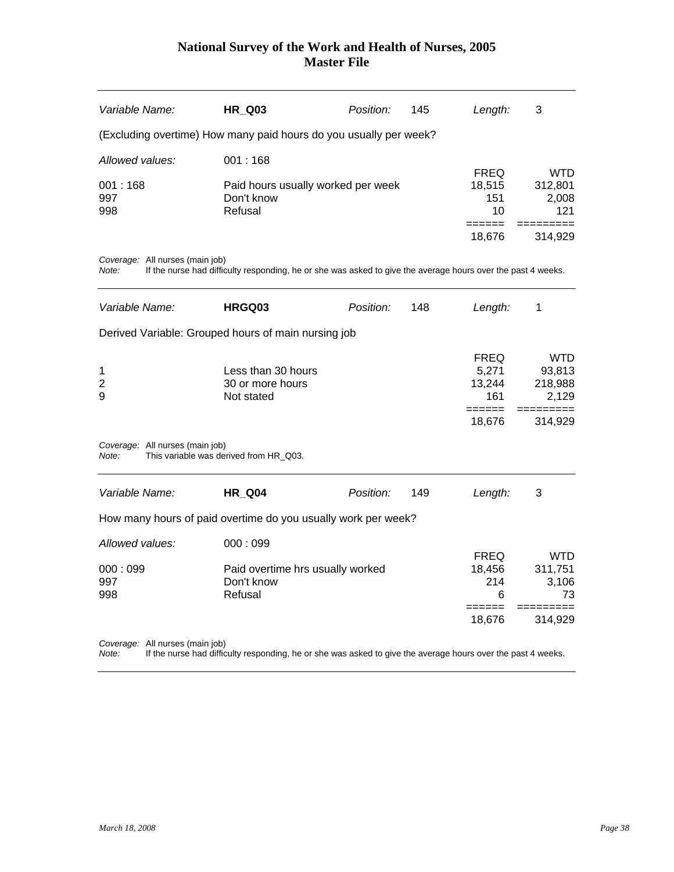| Variable Name:                           | <b>HR_Q03</b>                                                                                                | Position: | 145 | Length:                                                   | 3                                                       |
|------------------------------------------|--------------------------------------------------------------------------------------------------------------|-----------|-----|-----------------------------------------------------------|---------------------------------------------------------|
|                                          | (Excluding overtime) How many paid hours do you usually per week?                                            |           |     |                                                           |                                                         |
| Allowed values:                          | 001:168                                                                                                      |           |     |                                                           |                                                         |
| 001:168<br>997<br>998                    | Paid hours usually worked per week<br>Don't know<br>Refusal                                                  |           |     | <b>FREQ</b><br>18,515<br>151<br>10<br>======<br>18,676    | WTD.<br>312,801<br>2,008<br>121<br>=========<br>314,929 |
| Coverage: All nurses (main job)<br>Note: | If the nurse had difficulty responding, he or she was asked to give the average hours over the past 4 weeks. |           |     |                                                           |                                                         |
| Variable Name:                           | HRGQ03                                                                                                       | Position: | 148 | Length:                                                   | 1                                                       |
|                                          | Derived Variable: Grouped hours of main nursing job                                                          |           |     |                                                           |                                                         |
| 1<br>$\overline{2}$<br>9                 | Less than 30 hours<br>30 or more hours<br>Not stated                                                         |           |     | <b>FREQ</b><br>5,271<br>13,244<br>161<br>======<br>18,676 | <b>WTD</b><br>93,813<br>218,988<br>2,129<br>314,929     |
| Coverage: All nurses (main job)<br>Note: | This variable was derived from HR_Q03.                                                                       |           |     |                                                           |                                                         |
| Variable Name:                           | <b>HR_Q04</b>                                                                                                | Position: | 149 | Length:                                                   | 3                                                       |
|                                          | How many hours of paid overtime do you usually work per week?                                                |           |     |                                                           |                                                         |
| Allowed values:<br>000:099<br>997<br>998 | 000:099<br>Paid overtime hrs usually worked<br>Don't know<br>Refusal                                         |           |     | <b>FREQ</b><br>18,456<br>214<br>6                         | <b>WTD</b><br>311,751<br>3,106<br>73                    |
|                                          |                                                                                                              |           |     | ------<br>18,676                                          | 314,929                                                 |
|                                          |                                                                                                              |           |     |                                                           |                                                         |

*Coverage:* All nurses (main job)

*Note:* If the nurse had difficulty responding, he or she was asked to give the average hours over the past 4 weeks.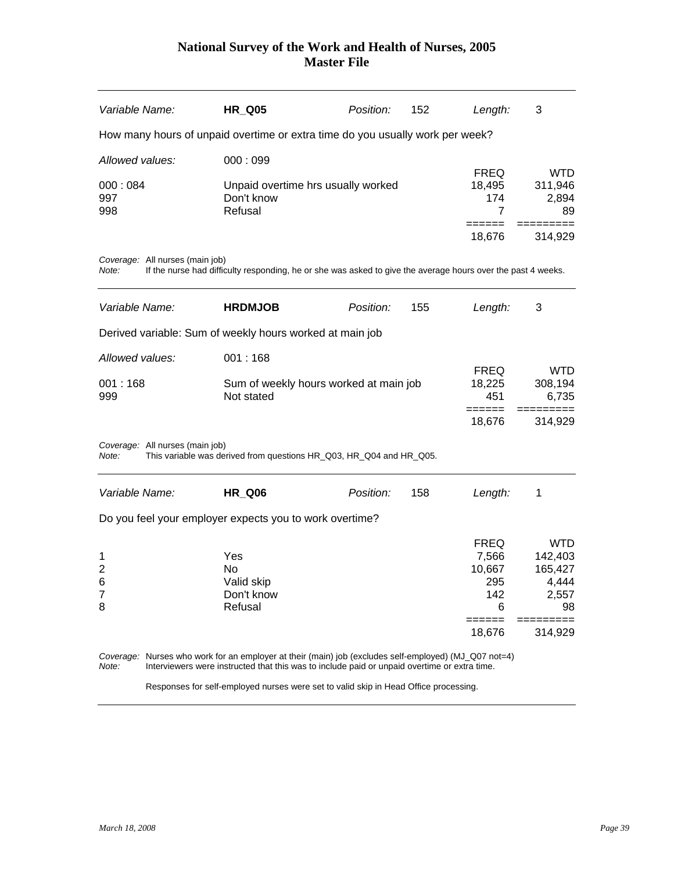| Variable Name:                                           | <b>HR_Q05</b>                                                                                                | Position: | 152 | Length:                                                              | 3                                                                   |
|----------------------------------------------------------|--------------------------------------------------------------------------------------------------------------|-----------|-----|----------------------------------------------------------------------|---------------------------------------------------------------------|
|                                                          | How many hours of unpaid overtime or extra time do you usually work per week?                                |           |     |                                                                      |                                                                     |
| Allowed values:                                          | 000:099                                                                                                      |           |     |                                                                      |                                                                     |
| 000:084<br>997<br>998                                    | Unpaid overtime hrs usually worked<br>Don't know<br>Refusal                                                  |           |     | <b>FREQ</b><br>18,495<br>174<br>7<br>======                          | <b>WTD</b><br>311,946<br>2,894<br>89<br>:========                   |
| Coverage: All nurses (main job)<br>Note:                 | If the nurse had difficulty responding, he or she was asked to give the average hours over the past 4 weeks. |           |     | 18,676                                                               | 314,929                                                             |
| Variable Name:                                           | <b>HRDMJOB</b>                                                                                               | Position: | 155 | Length:                                                              | 3                                                                   |
|                                                          | Derived variable: Sum of weekly hours worked at main job                                                     |           |     |                                                                      |                                                                     |
| Allowed values:                                          | 001:168                                                                                                      |           |     |                                                                      |                                                                     |
| 001:168<br>999                                           | Sum of weekly hours worked at main job<br>Not stated                                                         |           |     | <b>FREQ</b><br>18,225<br>451<br>$=$ $=$ $=$ $=$ $=$                  | <b>WTD</b><br>308,194<br>6,735                                      |
|                                                          |                                                                                                              |           |     | 18,676                                                               | 314,929                                                             |
| Coverage: All nurses (main job)<br>Note:                 | This variable was derived from questions HR_Q03, HR_Q04 and HR_Q05.                                          |           |     |                                                                      |                                                                     |
| Variable Name:                                           | <b>HR_Q06</b>                                                                                                | Position: | 158 | Length:                                                              | 1                                                                   |
|                                                          | Do you feel your employer expects you to work overtime?                                                      |           |     |                                                                      |                                                                     |
| 1<br>$\overline{\mathbf{c}}$<br>6<br>$\overline{7}$<br>8 | Yes<br>No<br>Valid skip<br>Don't know<br>Refusal                                                             |           |     | <b>FREQ</b><br>7,566<br>10,667<br>295<br>142<br>6<br>=====<br>18,676 | <b>WTD</b><br>142,403<br>165,427<br>4,444<br>2,557<br>98<br>314,929 |

*Coverage:* Nurses who work for an employer at their (main) job (excludes self-employed) (MJ\_Q07 not=4) *Note:* Interviewers were instructed that this was to include paid or unpaid overtime or extra time.

Responses for self-employed nurses were set to valid skip in Head Office processing.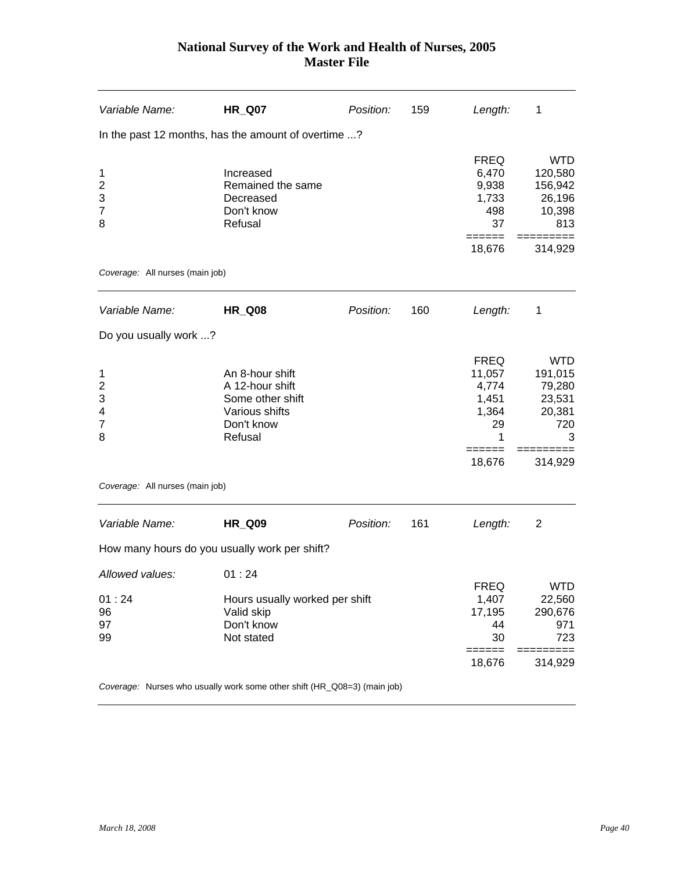| Variable Name:                                       | <b>HR_Q07</b>                                                                                     | Position: | 159 | Length:                                                               | 1                                                                          |
|------------------------------------------------------|---------------------------------------------------------------------------------------------------|-----------|-----|-----------------------------------------------------------------------|----------------------------------------------------------------------------|
|                                                      | In the past 12 months, has the amount of overtime ?                                               |           |     |                                                                       |                                                                            |
| 1<br>$\overline{c}$<br>3<br>7<br>8                   | Increased<br>Remained the same<br>Decreased<br>Don't know<br>Refusal                              |           |     | <b>FREQ</b><br>6,470<br>9,938<br>1,733<br>498<br>37                   | <b>WTD</b><br>120,580<br>156,942<br>26,196<br>10,398<br>813                |
| Coverage: All nurses (main job)                      |                                                                                                   |           |     | 18,676                                                                | 314,929                                                                    |
| Variable Name:                                       | <b>HR_Q08</b>                                                                                     | Position: | 160 | Length:                                                               | 1                                                                          |
| Do you usually work ?                                |                                                                                                   |           |     |                                                                       |                                                                            |
| 1<br>$\overline{c}$<br>3<br>4<br>$\overline{7}$<br>8 | An 8-hour shift<br>A 12-hour shift<br>Some other shift<br>Various shifts<br>Don't know<br>Refusal |           |     | <b>FREQ</b><br>11,057<br>4,774<br>1,451<br>1,364<br>29<br>1<br>18,676 | <b>WTD</b><br>191,015<br>79,280<br>23,531<br>20,381<br>720<br>3<br>314,929 |
| Coverage: All nurses (main job)                      |                                                                                                   |           |     |                                                                       |                                                                            |
| Variable Name:                                       | <b>HR_Q09</b>                                                                                     | Position: | 161 | Length:                                                               | $\overline{2}$                                                             |
|                                                      | How many hours do you usually work per shift?                                                     |           |     |                                                                       |                                                                            |
| Allowed values:<br>01:24<br>96<br>97<br>99           | 01:24<br>Hours usually worked per shift<br>Valid skip<br>Don't know<br>Not stated                 |           |     | <b>FREQ</b><br>1,407<br>17,195<br>44<br>30<br>======                  | WTD<br>22,560<br>290,676<br>971<br>723                                     |
|                                                      |                                                                                                   |           |     | 18,676                                                                | 314,929                                                                    |
|                                                      | Coverage: Nurses who usually work some other shift (HR_Q08=3) (main job)                          |           |     |                                                                       |                                                                            |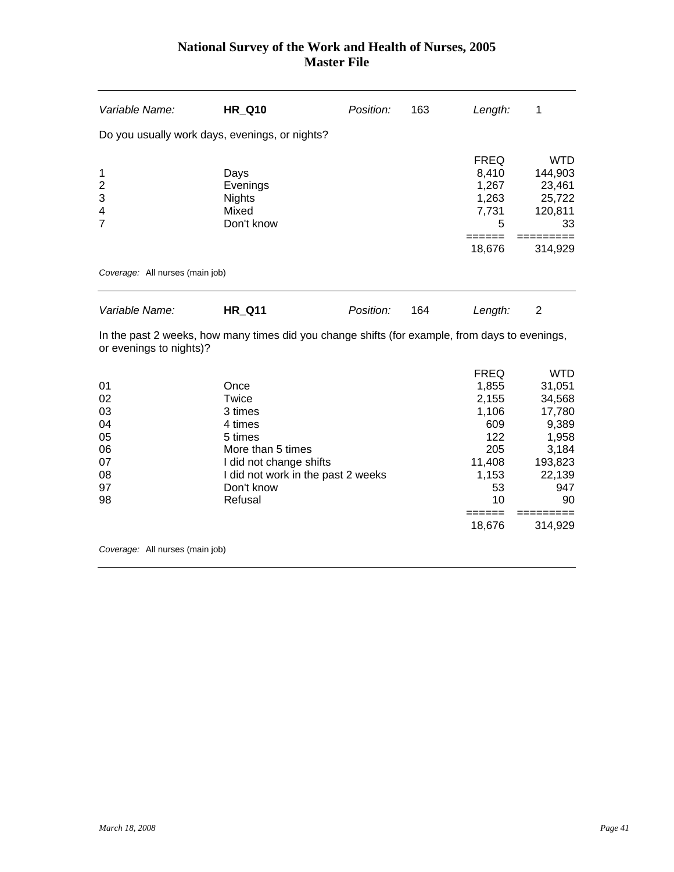| Variable Name:                                                                 | <b>HR Q10</b>                                                                                                                                                 | Position: | 163 | Length:                                                                                             | 1                                                                                                     |
|--------------------------------------------------------------------------------|---------------------------------------------------------------------------------------------------------------------------------------------------------------|-----------|-----|-----------------------------------------------------------------------------------------------------|-------------------------------------------------------------------------------------------------------|
| Do you usually work days, evenings, or nights?                                 |                                                                                                                                                               |           |     |                                                                                                     |                                                                                                       |
| 1<br>$\overline{\mathbf{c}}$<br>3<br>$\overline{\mathbf{4}}$<br>$\overline{7}$ | Days<br>Evenings<br><b>Nights</b><br>Mixed<br>Don't know                                                                                                      |           |     | <b>FREQ</b><br>8,410<br>1,267<br>1,263<br>7,731<br>5<br>=====<br>18,676                             | <b>WTD</b><br>144,903<br>23,461<br>25,722<br>120,811<br>33<br>314,929                                 |
| Coverage: All nurses (main job)                                                |                                                                                                                                                               |           |     |                                                                                                     |                                                                                                       |
| Variable Name:                                                                 | <b>HR Q11</b>                                                                                                                                                 | Position: | 164 | Length:                                                                                             | $\overline{2}$                                                                                        |
| or evenings to nights)?                                                        | In the past 2 weeks, how many times did you change shifts (for example, from days to evenings,                                                                |           |     |                                                                                                     |                                                                                                       |
| 01<br>02<br>03<br>04<br>05<br>06<br>07<br>08<br>97<br>98                       | Once<br>Twice<br>3 times<br>4 times<br>5 times<br>More than 5 times<br>I did not change shifts<br>I did not work in the past 2 weeks<br>Don't know<br>Refusal |           |     | <b>FREQ</b><br>1,855<br>2,155<br>1,106<br>609<br>122<br>205<br>11,408<br>1,153<br>53<br>10<br>===== | <b>WTD</b><br>31,051<br>34,568<br>17,780<br>9,389<br>1,958<br>3,184<br>193,823<br>22,139<br>947<br>90 |
|                                                                                |                                                                                                                                                               |           |     | 18,676                                                                                              | 314,929                                                                                               |

*Coverage:* All nurses (main job)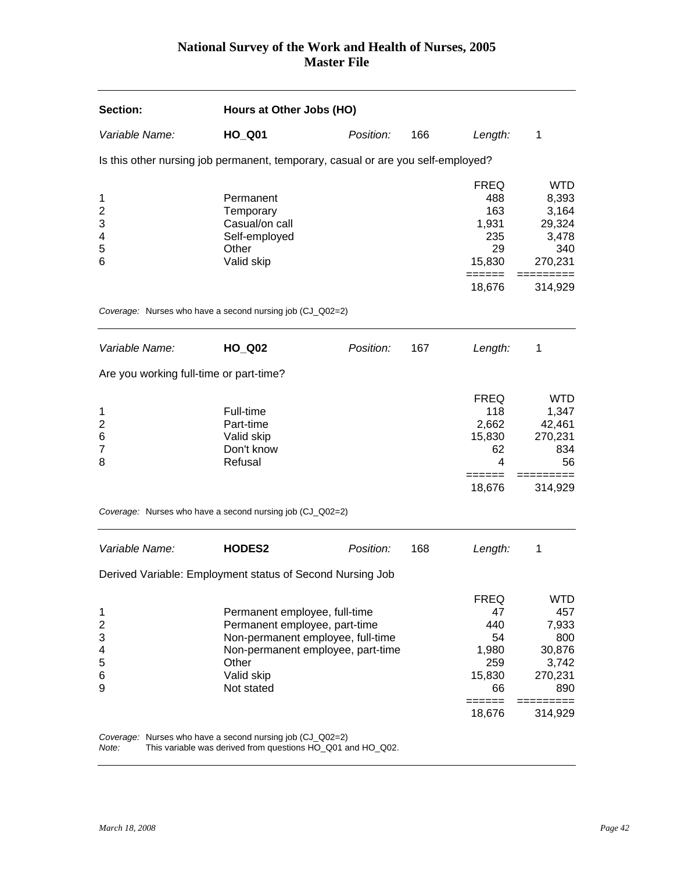| Section:                                                  | Hours at Other Jobs (HO)                                                                                                                                                      |           |     |                                                                               |                                                                                           |
|-----------------------------------------------------------|-------------------------------------------------------------------------------------------------------------------------------------------------------------------------------|-----------|-----|-------------------------------------------------------------------------------|-------------------------------------------------------------------------------------------|
| Variable Name:                                            | <b>HO_Q01</b>                                                                                                                                                                 | Position: | 166 | Length:                                                                       | 1                                                                                         |
|                                                           | Is this other nursing job permanent, temporary, casual or are you self-employed?                                                                                              |           |     |                                                                               |                                                                                           |
| 1<br>$\overline{c}$<br>3<br>4<br>5<br>6                   | Permanent<br>Temporary<br>Casual/on call<br>Self-employed<br>Other<br>Valid skip                                                                                              |           |     | <b>FREQ</b><br>488<br>163<br>1,931<br>235<br>29<br>15,830<br>======<br>18,676 | <b>WTD</b><br>8,393<br>3,164<br>29,324<br>3,478<br>340<br>270,231<br>=========<br>314,929 |
|                                                           | Coverage: Nurses who have a second nursing job (CJ_Q02=2)                                                                                                                     |           |     |                                                                               |                                                                                           |
| Variable Name:<br>Are you working full-time or part-time? | <b>HO_Q02</b>                                                                                                                                                                 | Position: | 167 | Length:                                                                       | 1                                                                                         |
| 1<br>$\overline{\mathbf{c}}$<br>6<br>$\overline{7}$<br>8  | Full-time<br>Part-time<br>Valid skip<br>Don't know<br>Refusal<br>Coverage: Nurses who have a second nursing job (CJ_Q02=2)                                                    |           |     | <b>FREQ</b><br>118<br>2,662<br>15,830<br>62<br>4<br>------<br>18,676          | <b>WTD</b><br>1,347<br>42,461<br>270,231<br>834<br>56<br>314,929                          |
| Variable Name:                                            | <b>HODES2</b>                                                                                                                                                                 | Position: | 168 | Length:                                                                       | 1                                                                                         |
|                                                           | Derived Variable: Employment status of Second Nursing Job                                                                                                                     |           |     |                                                                               |                                                                                           |
| 1<br>$\overline{2}$<br>3<br>4<br>5<br>6<br>9              | Permanent employee, full-time<br>Permanent employee, part-time<br>Non-permanent employee, full-time<br>Non-permanent employee, part-time<br>Other<br>Valid skip<br>Not stated |           |     | <b>FREQ</b><br>47<br>440<br>54<br>1,980<br>259<br>15,830<br>66<br>18,676      | <b>WTD</b><br>457<br>7,933<br>800<br>30,876<br>3,742<br>270,231<br>890<br>314,929         |
|                                                           | Coverage: Nurses who have a second nursing job (CJ_Q02=2)                                                                                                                     |           |     |                                                                               |                                                                                           |

*Note:* This variable was derived from questions HO\_Q01 and HO\_Q02.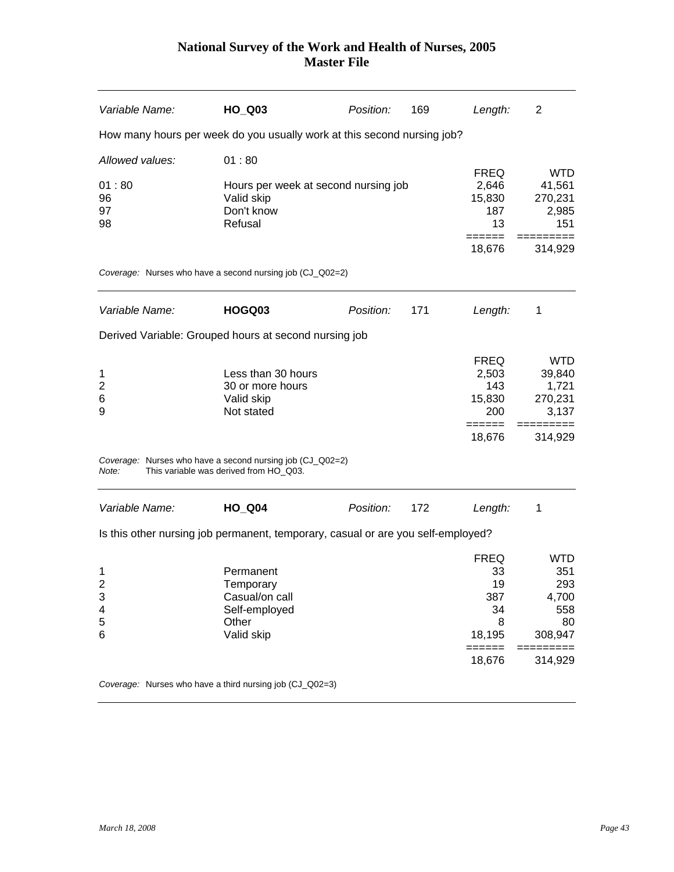| Variable Name:                                   | HO_Q03                                                                                              | Position: | 169 | Length:                                                                    | $\overline{2}$                                                         |
|--------------------------------------------------|-----------------------------------------------------------------------------------------------------|-----------|-----|----------------------------------------------------------------------------|------------------------------------------------------------------------|
|                                                  | How many hours per week do you usually work at this second nursing job?                             |           |     |                                                                            |                                                                        |
| Allowed values:                                  | 01:80                                                                                               |           |     |                                                                            |                                                                        |
| 01:80<br>96<br>97<br>98                          | Hours per week at second nursing job<br>Valid skip<br>Don't know<br>Refusal                         |           |     | <b>FREQ</b><br>2,646<br>15,830<br>187<br>13<br>======                      | <b>WTD</b><br>41,561<br>270,231<br>2,985<br>151                        |
|                                                  |                                                                                                     |           |     | 18,676                                                                     | 314,929                                                                |
|                                                  | Coverage: Nurses who have a second nursing job (CJ_Q02=2)                                           |           |     |                                                                            |                                                                        |
| Variable Name:                                   | HOGQ03                                                                                              | Position: | 171 | Length:                                                                    | 1                                                                      |
|                                                  | Derived Variable: Grouped hours at second nursing job                                               |           |     |                                                                            |                                                                        |
| 1<br>$\overline{c}$<br>6<br>9                    | Less than 30 hours<br>30 or more hours<br>Valid skip<br>Not stated                                  |           |     | <b>FREQ</b><br>2,503<br>143<br>15,830<br>200                               | <b>WTD</b><br>39,840<br>1,721<br>270,231<br>3,137                      |
|                                                  |                                                                                                     |           |     | ======<br>18,676                                                           | 314,929                                                                |
| Note:                                            | Coverage: Nurses who have a second nursing job (CJ_Q02=2)<br>This variable was derived from HO_Q03. |           |     |                                                                            |                                                                        |
| Variable Name:                                   | <b>HO_Q04</b>                                                                                       | Position: | 172 | Length:                                                                    | 1                                                                      |
|                                                  | Is this other nursing job permanent, temporary, casual or are you self-employed?                    |           |     |                                                                            |                                                                        |
| 1<br>$\overline{\mathbf{c}}$<br>3<br>4<br>5<br>6 | Permanent<br>Temporary<br>Casual/on call<br>Self-employed<br>Other<br>Valid skip                    |           |     | <b>FREQ</b><br>33<br>19<br>387<br>34<br>8<br>18,195<br>$=$ $=$ $=$ $=$ $=$ | <b>WTD</b><br>351<br>293<br>4,700<br>558<br>80<br>308,947<br>========= |
|                                                  |                                                                                                     |           |     | 18,676                                                                     | 314,929                                                                |
|                                                  | Coverage: Nurses who have a third nursing job (CJ_Q02=3)                                            |           |     |                                                                            |                                                                        |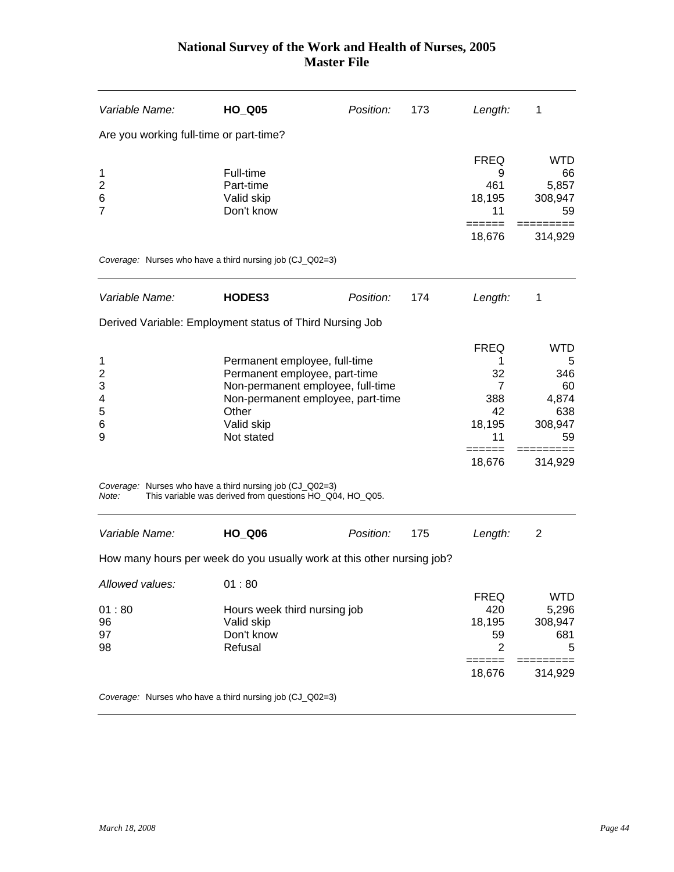| Variable Name:                               | <b>HO_Q05</b>                                                                                                        | Position:                                                                                                                                | 173 | Length:                                                                  | 1                                                             |
|----------------------------------------------|----------------------------------------------------------------------------------------------------------------------|------------------------------------------------------------------------------------------------------------------------------------------|-----|--------------------------------------------------------------------------|---------------------------------------------------------------|
|                                              | Are you working full-time or part-time?                                                                              |                                                                                                                                          |     |                                                                          |                                                               |
| 1<br>$\overline{2}$<br>6<br>$\overline{7}$   | Full-time<br>Part-time<br>Valid skip<br>Don't know                                                                   |                                                                                                                                          |     | <b>FREQ</b><br>9<br>461<br>18,195<br>11                                  | <b>WTD</b><br>66<br>5,857<br>308,947<br>59                    |
|                                              |                                                                                                                      |                                                                                                                                          |     | ======<br>18,676                                                         | 314,929                                                       |
|                                              | Coverage: Nurses who have a third nursing job (CJ_Q02=3)                                                             |                                                                                                                                          |     |                                                                          |                                                               |
| Variable Name:                               | HODES3                                                                                                               | Position:                                                                                                                                | 174 | Length:                                                                  | 1                                                             |
|                                              | Derived Variable: Employment status of Third Nursing Job                                                             |                                                                                                                                          |     |                                                                          |                                                               |
| 1<br>$\overline{2}$<br>3<br>4<br>5<br>6<br>9 | Other<br>Valid skip<br>Not stated                                                                                    | Permanent employee, full-time<br>Permanent employee, part-time<br>Non-permanent employee, full-time<br>Non-permanent employee, part-time |     |                                                                          | <b>WTD</b><br>5<br>346<br>60<br>4,874<br>638<br>308,947<br>59 |
| Note:                                        | Coverage: Nurses who have a third nursing job (CJ_Q02=3)<br>This variable was derived from questions HO_Q04, HO_Q05. |                                                                                                                                          |     | 18,676                                                                   | 314,929                                                       |
| Variable Name:                               | <b>HO_Q06</b>                                                                                                        | Position:                                                                                                                                | 175 | Length:                                                                  | 2                                                             |
|                                              | How many hours per week do you usually work at this other nursing job?                                               |                                                                                                                                          |     |                                                                          |                                                               |
| Allowed values:<br>01:80<br>96<br>97<br>98   | 01:80<br>Hours week third nursing job<br>Valid skip<br>Don't know<br>Refusal                                         |                                                                                                                                          |     | <b>FREQ</b><br>420<br>18,195<br>59<br>$\overline{2}$<br>======<br>18,676 | <b>WTD</b><br>5,296<br>308,947<br>681<br>5<br>314,929         |
|                                              | Coverage: Nurses who have a third nursing job (CJ_Q02=3)                                                             |                                                                                                                                          |     |                                                                          |                                                               |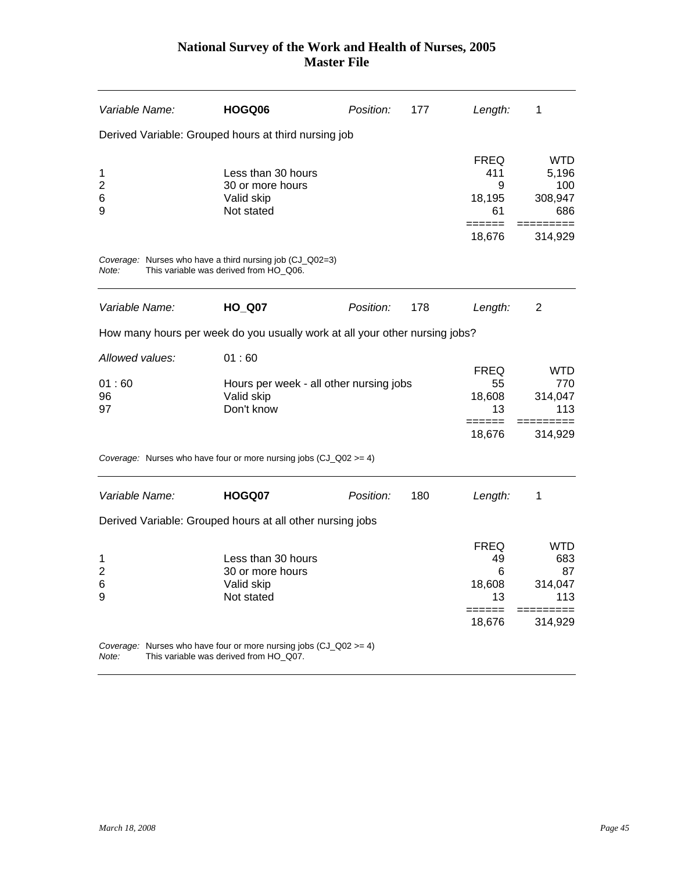| Variable Name:      | HOGQ06                                                                                                         | Position: | 177 | Length:                       | 1                          |
|---------------------|----------------------------------------------------------------------------------------------------------------|-----------|-----|-------------------------------|----------------------------|
|                     | Derived Variable: Grouped hours at third nursing job                                                           |           |     |                               |                            |
| 1<br>$\overline{c}$ | Less than 30 hours<br>30 or more hours                                                                         |           |     | <b>FREQ</b><br>411<br>9       | <b>WTD</b><br>5.196<br>100 |
| 6<br>9              | Valid skip<br>Not stated                                                                                       |           |     | 18,195<br>61                  | 308,947<br>686             |
|                     |                                                                                                                |           |     | ======<br>18,676              | 314,929                    |
| Note:               | Coverage: Nurses who have a third nursing job (CJ_Q02=3)<br>This variable was derived from HO_Q06.             |           |     |                               |                            |
| Variable Name:      | <b>HO_Q07</b>                                                                                                  | Position: | 178 | Length:                       | 2                          |
|                     | How many hours per week do you usually work at all your other nursing jobs?                                    |           |     |                               |                            |
| Allowed values:     | 01:60                                                                                                          |           |     |                               |                            |
| 01:60               | Hours per week - all other nursing jobs                                                                        |           |     | <b>FREQ</b><br>55             | WTD.<br>770.               |
| 96                  | Valid skip                                                                                                     |           |     | 18,608                        | 314,047                    |
| 97                  | Don't know                                                                                                     |           |     | 13                            | 113                        |
|                     |                                                                                                                |           |     | $=$ $=$ $=$ $=$ $=$<br>18,676 | 314,929                    |
|                     | Coverage: Nurses who have four or more nursing jobs $(CJ_QQ2) = 4$ )                                           |           |     |                               |                            |
| Variable Name:      | HOGQ07                                                                                                         | Position: | 180 | Length:                       | 1                          |
|                     | Derived Variable: Grouped hours at all other nursing jobs                                                      |           |     |                               |                            |
|                     |                                                                                                                |           |     | <b>FREQ</b>                   | WTD.                       |
| 1                   | Less than 30 hours                                                                                             |           |     | 49                            | 683                        |
| $\overline{2}$<br>6 | 30 or more hours<br>Valid skip                                                                                 |           |     | 6<br>18,608                   | 87<br>314,047              |
| 9                   | Not stated                                                                                                     |           |     | 13                            | 113                        |
|                     |                                                                                                                |           |     | 18,676                        | 314,929                    |
| Note:               | Coverage: Nurses who have four or more nursing jobs $(CJ_QQ2) = 4$ )<br>This variable was derived from HO_Q07. |           |     |                               |                            |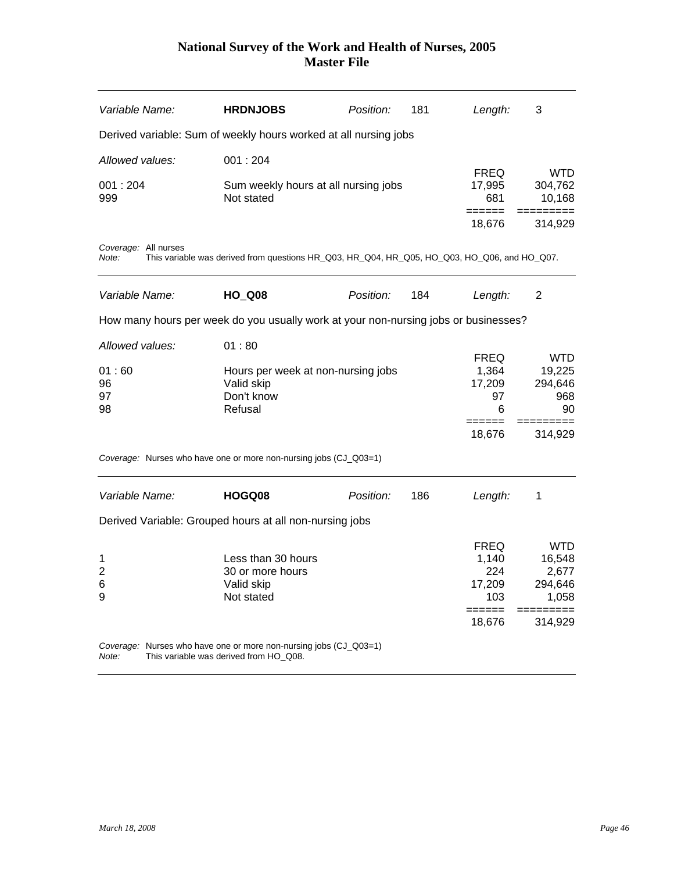| Variable Name:                | <b>HRDNJOBS</b>                                                                                             | Position: | 181 | Length:                                | 3                                            |
|-------------------------------|-------------------------------------------------------------------------------------------------------------|-----------|-----|----------------------------------------|----------------------------------------------|
|                               | Derived variable: Sum of weekly hours worked at all nursing jobs                                            |           |     |                                        |                                              |
| Allowed values:               | 001:204                                                                                                     |           |     |                                        |                                              |
| 001:204<br>999                | Sum weekly hours at all nursing jobs<br>Not stated                                                          |           |     | <b>FREQ</b><br>17,995<br>681<br>====== | <b>WTD</b><br>304,762<br>10,168<br>========= |
|                               |                                                                                                             |           |     | 18,676                                 | 314,929                                      |
| Coverage: All nurses<br>Note: | This variable was derived from questions HR_Q03, HR_Q04, HR_Q05, HO_Q03, HO_Q06, and HO_Q07.                |           |     |                                        |                                              |
| Variable Name:                | <b>HO_Q08</b>                                                                                               | Position: | 184 | Length:                                | 2                                            |
|                               | How many hours per week do you usually work at your non-nursing jobs or businesses?                         |           |     |                                        |                                              |
| Allowed values:               | 01:80                                                                                                       |           |     |                                        |                                              |
|                               |                                                                                                             |           |     | <b>FREQ</b>                            | WTD.                                         |
| 01:60                         | Hours per week at non-nursing jobs                                                                          |           |     | 1,364                                  | 19,225                                       |
| 96                            | Valid skip                                                                                                  |           |     | 17,209                                 | 294,646                                      |
| 97                            | Don't know                                                                                                  |           |     | 97                                     | 968                                          |
| 98                            | Refusal                                                                                                     |           |     | 6<br>======                            | 90                                           |
|                               |                                                                                                             |           |     | 18,676                                 | 314,929                                      |
|                               | Coverage: Nurses who have one or more non-nursing jobs (CJ_Q03=1)                                           |           |     |                                        |                                              |
| Variable Name:                | HOGQ08                                                                                                      | Position: | 186 | Length:                                | 1                                            |
|                               | Derived Variable: Grouped hours at all non-nursing jobs                                                     |           |     |                                        |                                              |
|                               |                                                                                                             |           |     | <b>FREQ</b>                            | <b>WTD</b>                                   |
| 1                             | Less than 30 hours                                                                                          |           |     | 1,140                                  | 16,548                                       |
| 2                             | 30 or more hours                                                                                            |           |     | 224                                    | 2,677                                        |
| 6                             | Valid skip                                                                                                  |           |     | 17,209                                 | 294,646                                      |
| 9                             | Not stated                                                                                                  |           |     | 103<br>======                          | 1,058                                        |
|                               |                                                                                                             |           |     | 18,676                                 | 314,929                                      |
| Note:                         | Coverage: Nurses who have one or more non-nursing jobs (CJ_Q03=1)<br>This variable was derived from HO_Q08. |           |     |                                        |                                              |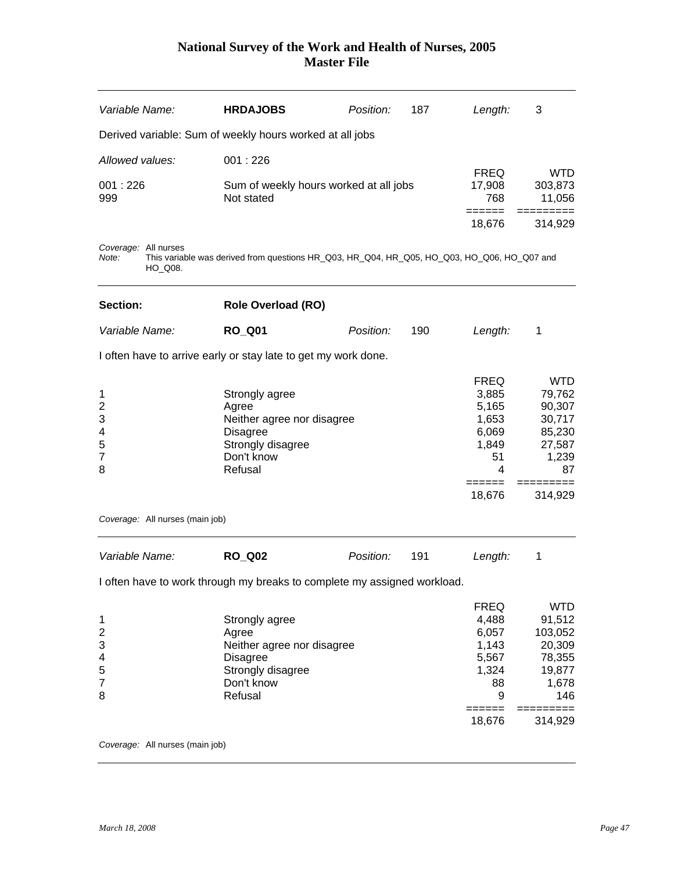| Variable Name:                               |                                 | <b>HRDAJOBS</b>                                                                                                        | Position: | 187 | Length:                                                                       | 3                                                                                     |
|----------------------------------------------|---------------------------------|------------------------------------------------------------------------------------------------------------------------|-----------|-----|-------------------------------------------------------------------------------|---------------------------------------------------------------------------------------|
|                                              |                                 | Derived variable: Sum of weekly hours worked at all jobs                                                               |           |     |                                                                               |                                                                                       |
| Allowed values:                              |                                 | 001:226                                                                                                                |           |     |                                                                               |                                                                                       |
| 001:226<br>999                               |                                 | Sum of weekly hours worked at all jobs<br>Not stated                                                                   |           |     | <b>FREQ</b><br>17,908<br>768                                                  | <b>WTD</b><br>303,873<br>11,056                                                       |
|                                              |                                 |                                                                                                                        |           |     | ======<br>18,676                                                              | 314,929                                                                               |
| Coverage: All nurses<br>Note:                | HO_Q08.                         | This variable was derived from questions HR_Q03, HR_Q04, HR_Q05, HO_Q03, HO_Q06, HO_Q07 and                            |           |     |                                                                               |                                                                                       |
| Section:                                     |                                 | <b>Role Overload (RO)</b>                                                                                              |           |     |                                                                               |                                                                                       |
| Variable Name:                               |                                 | <b>RO_Q01</b>                                                                                                          | Position: | 190 | Length:                                                                       | 1                                                                                     |
|                                              |                                 | I often have to arrive early or stay late to get my work done.                                                         |           |     |                                                                               |                                                                                       |
| 1<br>2<br>3<br>4<br>5<br>7<br>8              |                                 | Strongly agree<br>Agree<br>Neither agree nor disagree<br><b>Disagree</b><br>Strongly disagree<br>Don't know<br>Refusal |           |     | <b>FREQ</b><br>3,885<br>5,165<br>1,653<br>6,069<br>1,849<br>51<br>4           | <b>WTD</b><br>79,762<br>90,307<br>30,717<br>85,230<br>27,587<br>1,239<br>87           |
|                                              | Coverage: All nurses (main job) |                                                                                                                        |           |     | 18,676                                                                        | 314,929                                                                               |
| Variable Name:                               |                                 | <b>RO Q02</b>                                                                                                          | Position: | 191 | Length:                                                                       | 1                                                                                     |
|                                              |                                 | I often have to work through my breaks to complete my assigned workload.                                               |           |     |                                                                               |                                                                                       |
| 1<br>$\overline{2}$<br>3<br>4<br>5<br>7<br>8 |                                 | Strongly agree<br>Agree<br>Neither agree nor disagree<br><b>Disagree</b><br>Strongly disagree<br>Don't know<br>Refusal |           |     | <b>FREQ</b><br>4,488<br>6,057<br>1,143<br>5,567<br>1,324<br>88<br>9<br>====== | <b>WTD</b><br>91,512<br>103,052<br>20,309<br>78,355<br>19,877<br>1,678<br>146<br>$==$ |
|                                              |                                 |                                                                                                                        |           |     | 18,676                                                                        | 314,929                                                                               |

*Coverage:* All nurses (main job)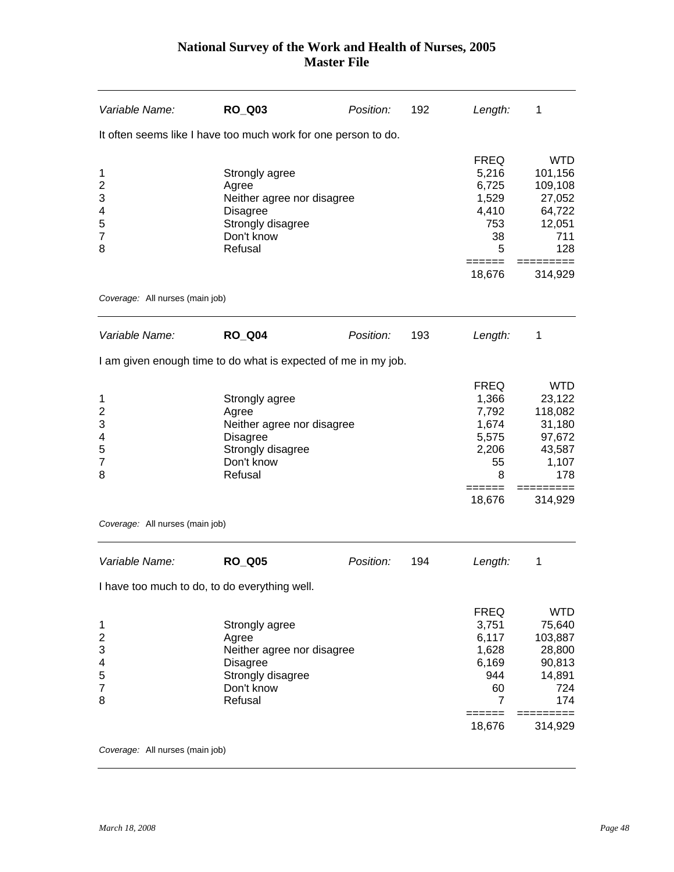| Variable Name:                                                                | <b>RO_Q03</b>                                                                                                          | Position: | 192 | Length:                                                                                            | 1                                                                                                        |
|-------------------------------------------------------------------------------|------------------------------------------------------------------------------------------------------------------------|-----------|-----|----------------------------------------------------------------------------------------------------|----------------------------------------------------------------------------------------------------------|
|                                                                               | It often seems like I have too much work for one person to do.                                                         |           |     |                                                                                                    |                                                                                                          |
| 1<br>$\overline{2}$<br>3<br>4<br>5<br>$\overline{7}$<br>8                     | Strongly agree<br>Agree<br>Neither agree nor disagree<br><b>Disagree</b><br>Strongly disagree<br>Don't know<br>Refusal |           |     | <b>FREQ</b><br>5,216<br>6,725<br>1,529<br>4,410<br>753<br>38<br>5<br>======                        | <b>WTD</b><br>101,156<br>109,108<br>27,052<br>64,722<br>12,051<br>711<br>128<br>=========                |
|                                                                               |                                                                                                                        |           |     | 18,676                                                                                             | 314,929                                                                                                  |
| Coverage: All nurses (main job)                                               |                                                                                                                        |           |     |                                                                                                    |                                                                                                          |
| Variable Name:                                                                | <b>RO Q04</b>                                                                                                          | Position: | 193 | Length:                                                                                            | 1                                                                                                        |
|                                                                               | I am given enough time to do what is expected of me in my job.                                                         |           |     |                                                                                                    |                                                                                                          |
| 1<br>$\overline{\mathbf{c}}$<br>3<br>4<br>5<br>$\overline{7}$<br>8            | Strongly agree<br>Agree<br>Neither agree nor disagree<br><b>Disagree</b><br>Strongly disagree<br>Don't know<br>Refusal |           |     | <b>FREQ</b><br>1,366<br>7,792<br>1,674<br>5,575<br>2,206<br>55<br>8<br>18,676                      | <b>WTD</b><br>23,122<br>118,082<br>31,180<br>97,672<br>43,587<br>1,107<br>178<br>314,929                 |
| Coverage: All nurses (main job)                                               |                                                                                                                        |           |     |                                                                                                    |                                                                                                          |
| Variable Name:                                                                | <b>RO_Q05</b>                                                                                                          | Position: | 194 | Length:                                                                                            | 1                                                                                                        |
| I have too much to do, to do everything well.                                 |                                                                                                                        |           |     |                                                                                                    |                                                                                                          |
| $\mathbf{1}$<br>$\overline{\mathbf{c}}$<br>3<br>4<br>5<br>$\overline{7}$<br>8 | Strongly agree<br>Agree<br>Neither agree nor disagree<br><b>Disagree</b><br>Strongly disagree<br>Don't know<br>Refusal |           |     | <b>FREQ</b><br>3,751<br>6,117<br>1,628<br>6,169<br>944<br>60<br>$\overline{7}$<br>======<br>18,676 | <b>WTD</b><br>75,640<br>103,887<br>28,800<br>90,813<br>14,891<br>724<br>174<br>$==$<br>======<br>314,929 |

*Coverage:* All nurses (main job)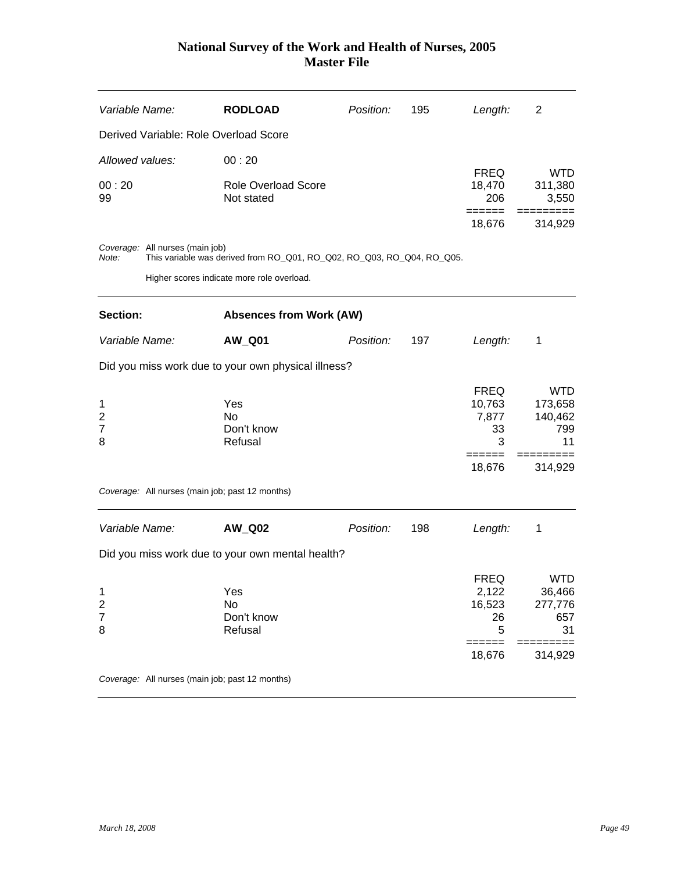| Variable Name:                             |                                 | <b>RODLOAD</b>                                                         | Position: | 195 | Length:                                   | 2                                             |
|--------------------------------------------|---------------------------------|------------------------------------------------------------------------|-----------|-----|-------------------------------------------|-----------------------------------------------|
|                                            |                                 | Derived Variable: Role Overload Score                                  |           |     |                                           |                                               |
| Allowed values:                            |                                 | 00:20                                                                  |           |     |                                           |                                               |
| 00:20<br>99                                |                                 | <b>Role Overload Score</b><br>Not stated                               |           |     | <b>FREQ</b><br>18,470<br>206              | <b>WTD</b><br>311,380<br>3,550                |
|                                            |                                 |                                                                        |           |     | 18,676                                    | 314,929                                       |
| Note:                                      | Coverage: All nurses (main job) | This variable was derived from RO_Q01, RO_Q02, RO_Q03, RO_Q04, RO_Q05. |           |     |                                           |                                               |
|                                            |                                 | Higher scores indicate more role overload.                             |           |     |                                           |                                               |
| Section:                                   |                                 | <b>Absences from Work (AW)</b>                                         |           |     |                                           |                                               |
| Variable Name:                             |                                 | <b>AW_Q01</b>                                                          | Position: | 197 | Length:                                   | 1                                             |
|                                            |                                 | Did you miss work due to your own physical illness?                    |           |     |                                           |                                               |
| 1<br>$\overline{\mathbf{c}}$<br>7<br>8     |                                 | Yes<br>No<br>Don't know<br>Refusal                                     |           |     | <b>FREQ</b><br>10,763<br>7,877<br>33<br>3 | <b>WTD</b><br>173,658<br>140,462<br>799<br>11 |
|                                            |                                 |                                                                        |           |     | -----<br>18,676                           | 314,929                                       |
|                                            |                                 | Coverage: All nurses (main job; past 12 months)                        |           |     |                                           |                                               |
| Variable Name:                             |                                 | <b>AW_Q02</b>                                                          | Position: | 198 | Length:                                   | 1                                             |
|                                            |                                 | Did you miss work due to your own mental health?                       |           |     |                                           |                                               |
| 1<br>$\overline{c}$<br>$\overline{7}$<br>8 |                                 | Yes<br>No<br>Don't know<br>Refusal                                     |           |     | <b>FREQ</b><br>2,122<br>16,523<br>26<br>5 | <b>WTD</b><br>36,466<br>277,776<br>657<br>31  |
|                                            |                                 |                                                                        |           |     | ======<br>18,676                          | ===<br>======<br>314,929                      |
|                                            |                                 | Coverage: All nurses (main job; past 12 months)                        |           |     |                                           |                                               |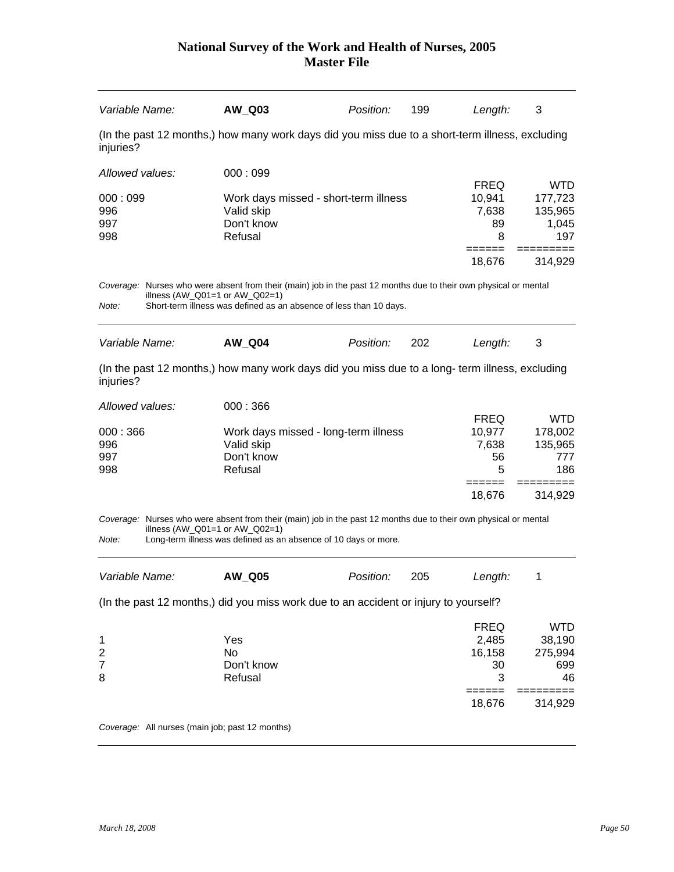|                              | AW_Q03                                                                                                                                                                                                                     | Position:                             | 199 | Length:                    | 3                                |
|------------------------------|----------------------------------------------------------------------------------------------------------------------------------------------------------------------------------------------------------------------------|---------------------------------------|-----|----------------------------|----------------------------------|
| injuries?                    | (In the past 12 months,) how many work days did you miss due to a short-term illness, excluding                                                                                                                            |                                       |     |                            |                                  |
| Allowed values:              | 000:099                                                                                                                                                                                                                    |                                       |     |                            |                                  |
|                              |                                                                                                                                                                                                                            |                                       |     | <b>FREQ</b>                | <b>WTD</b>                       |
| 000:099<br>996               | Valid skip                                                                                                                                                                                                                 | Work days missed - short-term illness |     | 10,941<br>7,638            | 177,723<br>135,965               |
| 997                          | Don't know                                                                                                                                                                                                                 |                                       |     | 89                         | 1,045                            |
| 998                          | Refusal                                                                                                                                                                                                                    |                                       |     | 8                          | 197                              |
|                              |                                                                                                                                                                                                                            |                                       |     | 18,676                     | 314,929                          |
|                              | Coverage: Nurses who were absent from their (main) job in the past 12 months due to their own physical or mental                                                                                                           |                                       |     |                            |                                  |
| Note:                        | illness $(AW_Q01=1$ or $AW_Q02=1)$<br>Short-term illness was defined as an absence of less than 10 days.                                                                                                                   |                                       |     |                            |                                  |
|                              |                                                                                                                                                                                                                            |                                       |     |                            |                                  |
| Variable Name:               | <b>AW_Q04</b>                                                                                                                                                                                                              | Position:                             | 202 | Length:                    | 3                                |
|                              |                                                                                                                                                                                                                            |                                       |     | <b>FREQ</b>                | <b>WTD</b>                       |
| 000:366<br>996<br>997<br>998 | Valid skip<br>Don't know<br>Refusal                                                                                                                                                                                        | Work days missed - long-term illness  |     | 10,977<br>7,638<br>56<br>5 | 178,002<br>135,965<br>777<br>186 |
|                              |                                                                                                                                                                                                                            |                                       |     | 18,676                     | 314,929                          |
| Note:                        | Coverage: Nurses who were absent from their (main) job in the past 12 months due to their own physical or mental<br>illness (AW $Q01=1$ or AW $Q02=1$ )<br>Long-term illness was defined as an absence of 10 days or more. |                                       |     |                            |                                  |
| Variable Name:               | AW_Q05                                                                                                                                                                                                                     | Position:                             | 205 | Length:                    | 1                                |
|                              | (In the past 12 months,) did you miss work due to an accident or injury to yourself?                                                                                                                                       |                                       |     |                            |                                  |
|                              |                                                                                                                                                                                                                            |                                       |     | <b>FREQ</b>                | <b>WTD</b>                       |
|                              | Yes                                                                                                                                                                                                                        |                                       |     | 2,485                      | 38,190                           |
| 1<br>$\overline{2}$          | <b>No</b>                                                                                                                                                                                                                  |                                       |     | 16,158                     | 275,994                          |
|                              | Don't know                                                                                                                                                                                                                 |                                       |     | 30                         | 699                              |
|                              | Refusal                                                                                                                                                                                                                    |                                       |     | 3                          | 46                               |
| $\overline{7}$<br>8          |                                                                                                                                                                                                                            |                                       |     | 18,676                     | 314,929                          |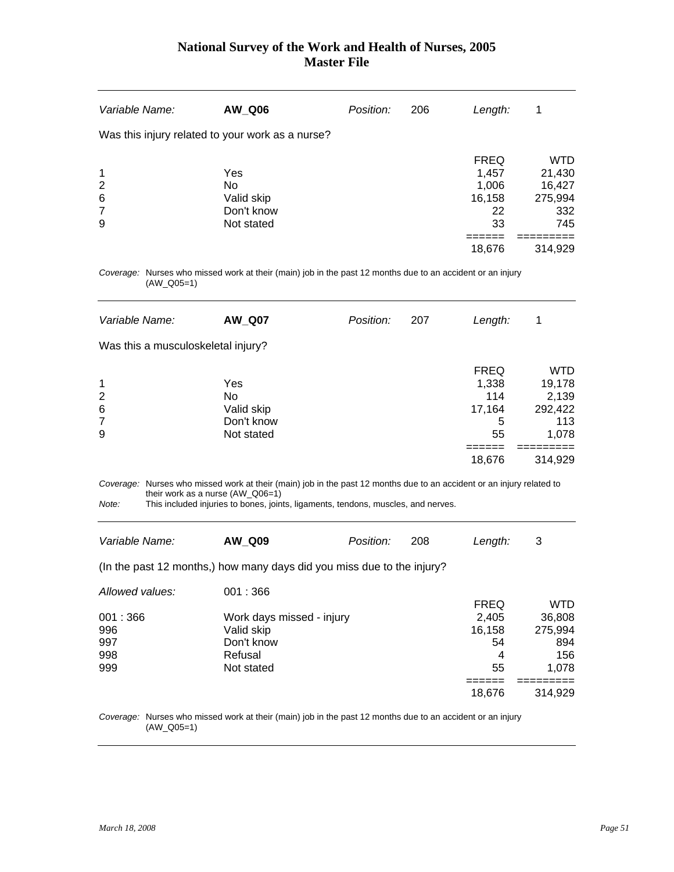| Variable Name:                                   | AW_Q06     | Position: | 206 | Length:     | 1          |
|--------------------------------------------------|------------|-----------|-----|-------------|------------|
| Was this injury related to your work as a nurse? |            |           |     |             |            |
|                                                  |            |           |     | <b>FREQ</b> | <b>WTD</b> |
| $\mathbf 1$                                      | Yes        |           |     | 1,457       | 21,430     |
| $\overline{2}$                                   | No.        |           |     | 1,006       | 16,427     |
| $\,6$                                            | Valid skip |           |     | 16,158      | 275,994    |
| $\overline{7}$                                   | Don't know |           |     | 22          | 332        |
| 9                                                | Not stated |           |     | 33          | 745        |
|                                                  |            |           |     |             |            |
|                                                  |            |           |     | 18,676      | 314,929    |

*Coverage:* Nurses who missed work at their (main) job in the past 12 months due to an accident or an injury (AW\_Q05=1)

| Variable Name:                     | <b>AW_Q07</b>                                       | Position: | 207 | Length:                                                    | 1                                                                   |
|------------------------------------|-----------------------------------------------------|-----------|-----|------------------------------------------------------------|---------------------------------------------------------------------|
| Was this a musculoskeletal injury? |                                                     |           |     |                                                            |                                                                     |
| 1<br>2<br>6<br>7<br>9              | Yes<br>No<br>Valid skip<br>Don't know<br>Not stated |           |     | <b>FREQ</b><br>1,338<br>114<br>17,164<br>5<br>55<br>18,676 | <b>WTD</b><br>19,178<br>2,139<br>292,422<br>113<br>1,078<br>314,929 |

*Coverage:* Nurses who missed work at their (main) job in the past 12 months due to an accident or an injury related to their work as a nurse (AW\_Q06=1)

*Note:* This included injuries to bones, joints, ligaments, tendons, muscles, and nerves.

| Variable Name: | AW Q09                                                                 | <i>Position:</i> | -208 | Lenath: |  |
|----------------|------------------------------------------------------------------------|------------------|------|---------|--|
|                | (In the past 12 months,) how many days did you miss due to the injury? |                  |      |         |  |

| Allowed values: | 001:366                   |             |         |
|-----------------|---------------------------|-------------|---------|
|                 |                           | <b>FREQ</b> | WTD     |
| 001:366         | Work days missed - injury | 2,405       | 36,808  |
| 996             | Valid skip                | 16,158      | 275,994 |
| 997             | Don't know                | 54          | 894     |
| 998             | Refusal                   | 4           | 156     |
| 999             | Not stated                | 55          | 1.078   |
|                 |                           |             |         |
|                 |                           | 18.676      | 314.929 |

*Coverage:* Nurses who missed work at their (main) job in the past 12 months due to an accident or an injury (AW\_Q05=1)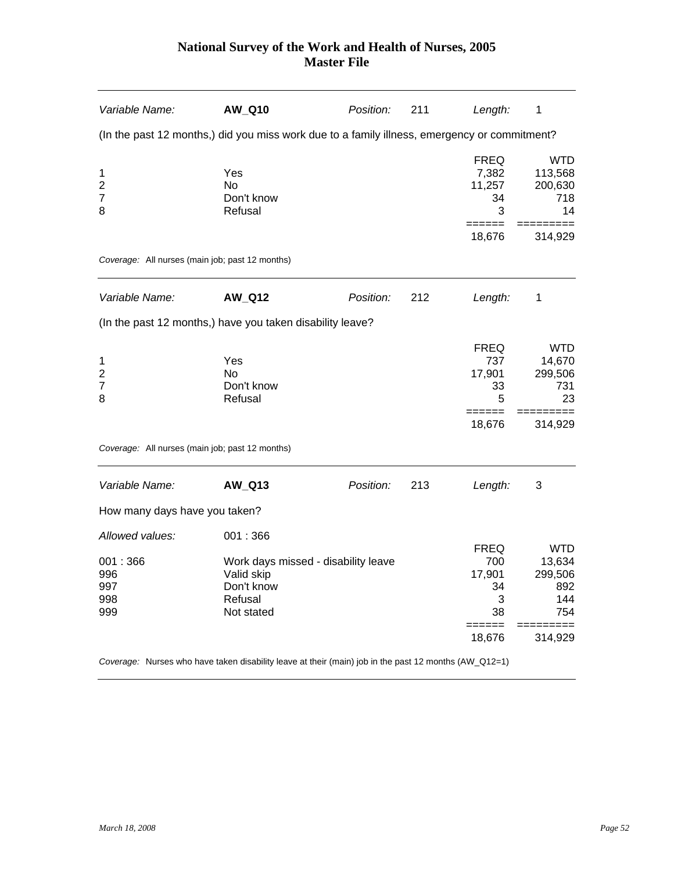| Variable Name:                                  | <b>AW Q10</b>                                                                                         | Position: | 211 | Length:                                   | 1                                             |
|-------------------------------------------------|-------------------------------------------------------------------------------------------------------|-----------|-----|-------------------------------------------|-----------------------------------------------|
|                                                 | (In the past 12 months,) did you miss work due to a family illness, emergency or commitment?          |           |     |                                           |                                               |
| 1<br>2<br>7<br>8                                | Yes<br>No<br>Don't know<br>Refusal                                                                    |           |     | <b>FREQ</b><br>7,382<br>11,257<br>34<br>3 | <b>WTD</b><br>113,568<br>200,630<br>718<br>14 |
|                                                 |                                                                                                       |           |     | ======<br>18,676                          | 314,929                                       |
| Coverage: All nurses (main job; past 12 months) |                                                                                                       |           |     |                                           |                                               |
| Variable Name:                                  | <b>AW_Q12</b>                                                                                         | Position: | 212 | Length:                                   | 1                                             |
|                                                 | (In the past 12 months,) have you taken disability leave?                                             |           |     |                                           |                                               |
| 1<br>$\overline{2}$<br>$\overline{7}$<br>8      | Yes<br><b>No</b><br>Don't know<br>Refusal                                                             |           |     | <b>FREQ</b><br>737<br>17,901<br>33<br>5   | <b>WTD</b><br>14,670<br>299,506<br>731<br>23  |
|                                                 |                                                                                                       |           |     | 18,676                                    | 314,929                                       |
| Coverage: All nurses (main job; past 12 months) |                                                                                                       |           |     |                                           |                                               |
| Variable Name:                                  | AW_Q13                                                                                                | Position: | 213 | Length:                                   | 3                                             |
| How many days have you taken?                   |                                                                                                       |           |     |                                           |                                               |
| Allowed values:                                 | 001:366                                                                                               |           |     | <b>FREQ</b>                               | <b>WTD</b>                                    |
| 001:366<br>996<br>997<br>998<br>999             | Work days missed - disability leave<br>Valid skip<br>Don't know<br>Refusal<br>Not stated              |           |     | 700<br>17,901<br>34<br>3<br>38            | 13,634<br>299,506<br>892<br>144<br>754        |
|                                                 |                                                                                                       |           |     | ======<br>18,676                          | 314,929                                       |
|                                                 | Coverage: Nurses who have taken disability leave at their (main) job in the past 12 months (AW_Q12=1) |           |     |                                           |                                               |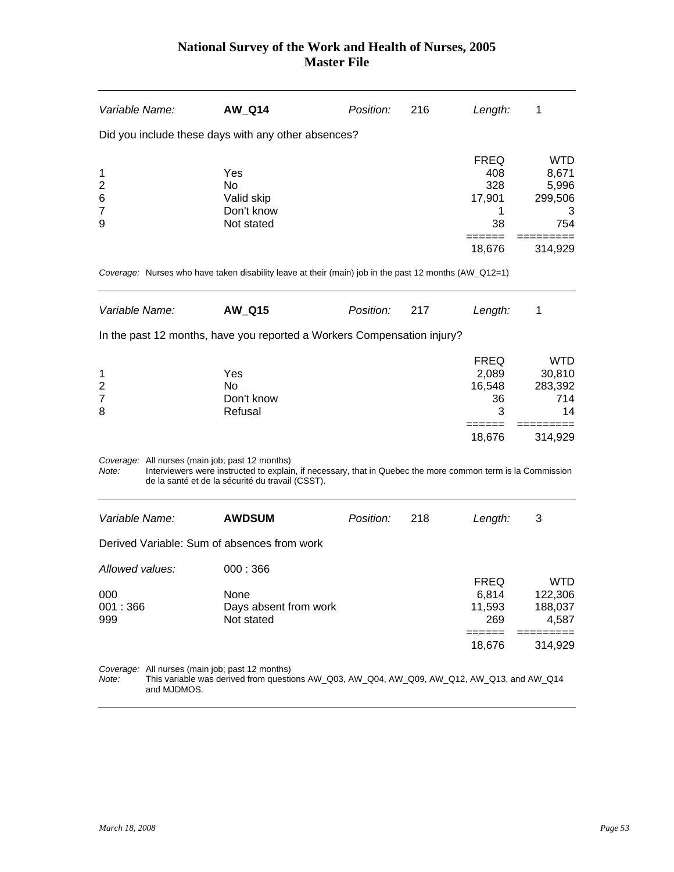| Variable Name:                                           | <b>AW_Q14</b>                                                                                                                                                   | Position: | 216 | Length:          | 1                     |
|----------------------------------------------------------|-----------------------------------------------------------------------------------------------------------------------------------------------------------------|-----------|-----|------------------|-----------------------|
|                                                          | Did you include these days with any other absences?                                                                                                             |           |     |                  |                       |
|                                                          |                                                                                                                                                                 |           |     | <b>FREQ</b>      | <b>WTD</b>            |
| 1                                                        | Yes<br>No                                                                                                                                                       |           |     | 408<br>328       | 8,671<br>5,996        |
| $\overline{\mathbf{c}}$<br>6                             | Valid skip                                                                                                                                                      |           |     | 17,901           | 299,506               |
| 7                                                        | Don't know                                                                                                                                                      |           |     | 1                | 3                     |
| 9                                                        | Not stated                                                                                                                                                      |           |     | 38               | 754                   |
|                                                          |                                                                                                                                                                 |           |     | =====<br>18,676  | 314,929               |
|                                                          | Coverage: Nurses who have taken disability leave at their (main) job in the past 12 months (AW_Q12=1)                                                           |           |     |                  |                       |
| Variable Name:                                           | <b>AW_Q15</b>                                                                                                                                                   | Position: | 217 | Length:          | 1                     |
|                                                          | In the past 12 months, have you reported a Workers Compensation injury?                                                                                         |           |     |                  |                       |
|                                                          |                                                                                                                                                                 |           |     | <b>FREQ</b>      | <b>WTD</b>            |
| 1                                                        | Yes                                                                                                                                                             |           |     | 2,089            | 30,810                |
| $\overline{\mathbf{c}}$                                  | <b>No</b>                                                                                                                                                       |           |     | 16,548           | 283,392               |
| 7                                                        | Don't know                                                                                                                                                      |           |     | 36               | 714                   |
| 8                                                        | Refusal                                                                                                                                                         |           |     | 3                | 14                    |
|                                                          |                                                                                                                                                                 |           |     | 18,676           | 314,929               |
| Coverage: All nurses (main job; past 12 months)<br>Note: | Interviewers were instructed to explain, if necessary, that in Quebec the more common term is la Commission<br>de la santé et de la sécurité du travail (CSST). |           |     |                  |                       |
| Variable Name:                                           | <b>AWDSUM</b>                                                                                                                                                   | Position: | 218 | Length:          | 3                     |
|                                                          | Derived Variable: Sum of absences from work                                                                                                                     |           |     |                  |                       |
| Allowed values:                                          | 000:366                                                                                                                                                         |           |     | <b>FREQ</b>      |                       |
| 000                                                      | None                                                                                                                                                            |           |     | 6,814            | <b>WTD</b><br>122,306 |
| 001:366                                                  | Days absent from work                                                                                                                                           |           |     | 11,593           | 188,037               |
| 999                                                      | Not stated                                                                                                                                                      |           |     | 269              | 4,587                 |
|                                                          |                                                                                                                                                                 |           |     | ======<br>18,676 | ======<br>314,929     |
| Coverage: All nurses (main job; past 12 months)<br>Note: | This variable was derived from questions AW_Q03, AW_Q04, AW_Q09, AW_Q12, AW_Q13, and AW_Q14                                                                     |           |     |                  |                       |

and MJDMOS.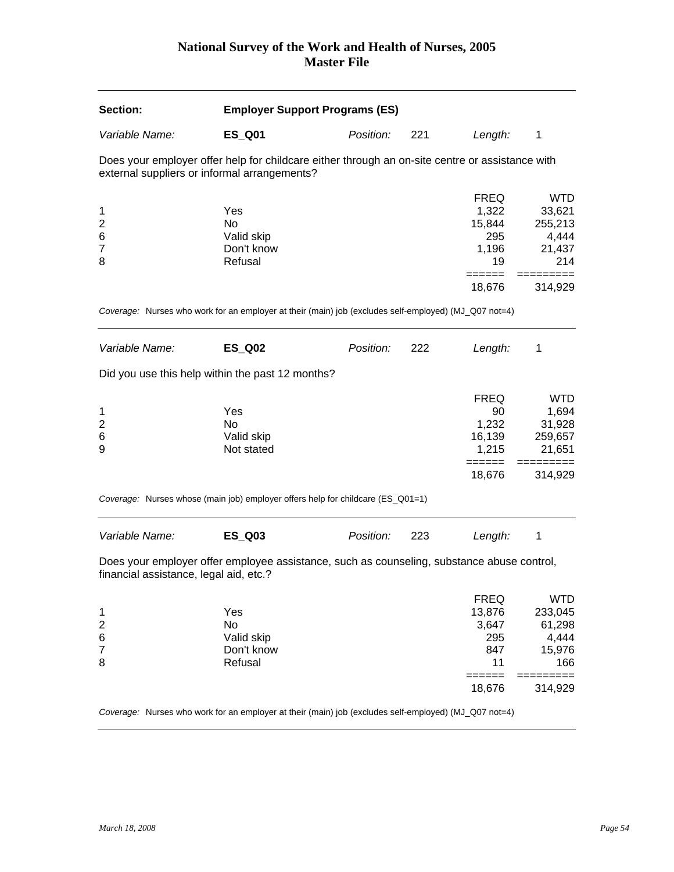| Section:                                                 | <b>Employer Support Programs (ES)</b>                                                                 |           |     |                                                                        |                                                                      |
|----------------------------------------------------------|-------------------------------------------------------------------------------------------------------|-----------|-----|------------------------------------------------------------------------|----------------------------------------------------------------------|
| Variable Name:                                           | <b>ES_Q01</b>                                                                                         | Position: | 221 | Length:                                                                | 1                                                                    |
| external suppliers or informal arrangements?             | Does your employer offer help for childcare either through an on-site centre or assistance with       |           |     |                                                                        |                                                                      |
| 1<br>$\overline{\mathbf{c}}$<br>6<br>$\overline{7}$<br>8 | Yes<br>No<br>Valid skip<br>Don't know<br>Refusal                                                      |           |     | <b>FREQ</b><br>1,322<br>15,844<br>295<br>1,196<br>19                   | <b>WTD</b><br>33,621<br>255,213<br>4,444<br>21,437<br>214            |
|                                                          |                                                                                                       |           |     | 18,676                                                                 | 314,929                                                              |
|                                                          | Coverage: Nurses who work for an employer at their (main) job (excludes self-employed) (MJ_Q07 not=4) |           |     |                                                                        |                                                                      |
| Variable Name:                                           | <b>ES_Q02</b>                                                                                         | Position: | 222 | Length:                                                                | 1                                                                    |
|                                                          | Did you use this help within the past 12 months?                                                      |           |     |                                                                        |                                                                      |
| 1<br>$\overline{2}$<br>6<br>9                            | Yes<br><b>No</b><br>Valid skip<br>Not stated                                                          |           |     | <b>FREQ</b><br>90<br>1,232<br>16,139<br>1,215                          | <b>WTD</b><br>1,694<br>31,928<br>259,657<br>21,651                   |
|                                                          |                                                                                                       |           |     | $=$ $=$ $=$ $=$ $=$ $=$<br>18,676                                      | 314,929                                                              |
|                                                          | Coverage: Nurses whose (main job) employer offers help for childcare (ES_Q01=1)                       |           |     |                                                                        |                                                                      |
| Variable Name:                                           | <b>ES_Q03</b>                                                                                         | Position: | 223 | Length:                                                                | 1                                                                    |
| financial assistance, legal aid, etc.?                   | Does your employer offer employee assistance, such as counseling, substance abuse control,            |           |     |                                                                        |                                                                      |
| 1<br>$\overline{\mathbf{c}}$<br>6<br>7<br>8              | Yes<br>No<br>Valid skip<br>Don't know<br>Refusal                                                      |           |     | <b>FREQ</b><br>13,876<br>3,647<br>295<br>847<br>11<br>======<br>18,676 | <b>WTD</b><br>233,045<br>61,298<br>4,444<br>15,976<br>166<br>314,929 |

*Coverage:* Nurses who work for an employer at their (main) job (excludes self-employed) (MJ\_Q07 not=4)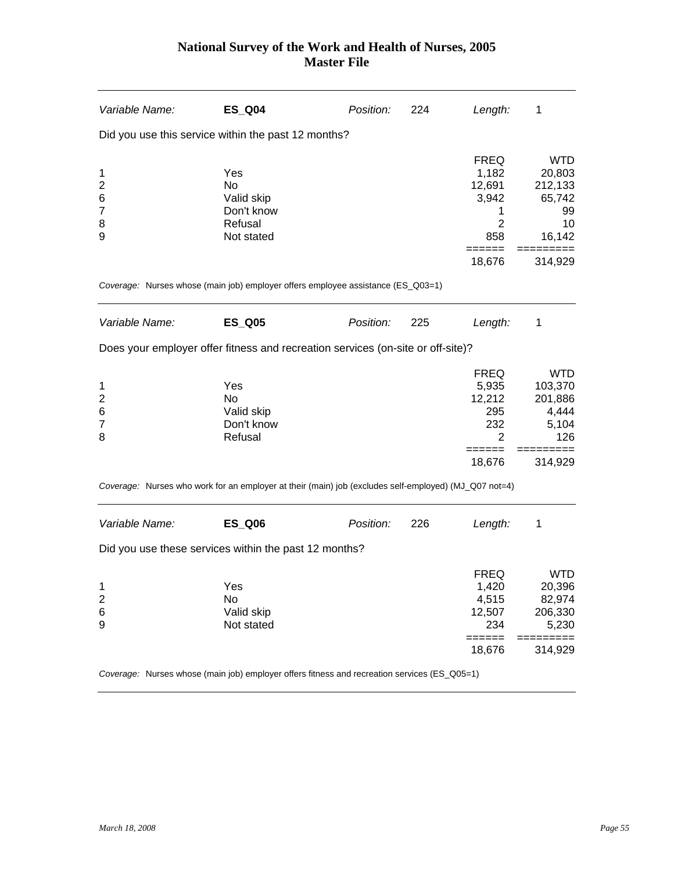| Variable Name:                                       | <b>ES_Q04</b>                                                                                         | Position: | 224 | Length:                                                                         | 1                                                                          |
|------------------------------------------------------|-------------------------------------------------------------------------------------------------------|-----------|-----|---------------------------------------------------------------------------------|----------------------------------------------------------------------------|
|                                                      | Did you use this service within the past 12 months?                                                   |           |     |                                                                                 |                                                                            |
| 1<br>$\overline{2}$<br>6<br>$\overline{7}$<br>8<br>9 | Yes<br><b>No</b><br>Valid skip<br>Don't know<br>Refusal<br>Not stated                                 |           |     | <b>FREQ</b><br>1,182<br>12,691<br>3,942<br>1<br>$\overline{2}$<br>858<br>18,676 | <b>WTD</b><br>20,803<br>212,133<br>65,742<br>99<br>10<br>16,142<br>314,929 |
|                                                      | Coverage: Nurses whose (main job) employer offers employee assistance (ES_Q03=1)                      |           |     |                                                                                 |                                                                            |
| Variable Name:                                       | <b>ES_Q05</b>                                                                                         | Position: | 225 | Length:                                                                         | 1                                                                          |
|                                                      | Does your employer offer fitness and recreation services (on-site or off-site)?                       |           |     |                                                                                 |                                                                            |
| 1<br>$\overline{\mathbf{c}}$<br>6<br>7<br>8          | Yes<br>No<br>Valid skip<br>Don't know<br>Refusal                                                      |           |     | <b>FREQ</b><br>5,935<br>12,212<br>295<br>232<br>2                               | <b>WTD</b><br>103,370<br>201,886<br>4,444<br>5,104<br>126                  |
|                                                      |                                                                                                       |           |     | 18,676                                                                          | 314,929                                                                    |
|                                                      | Coverage: Nurses who work for an employer at their (main) job (excludes self-employed) (MJ_Q07 not=4) |           |     |                                                                                 |                                                                            |
| Variable Name:                                       | <b>ES_Q06</b><br>Did you use these services within the past 12 months?                                | Position: | 226 | Length:                                                                         | 1                                                                          |
|                                                      |                                                                                                       |           |     |                                                                                 |                                                                            |
| 1<br>$\overline{\mathbf{c}}$<br>6<br>9               | Yes<br>No<br>Valid skip<br>Not stated                                                                 |           |     | <b>FREQ</b><br>1,420<br>4,515<br>12,507<br>234<br>======                        | <b>WTD</b><br>20,396<br>82,974<br>206,330<br>5,230<br>======<br>$==$       |
|                                                      |                                                                                                       |           |     | 18,676                                                                          | 314,929                                                                    |

*Coverage:* Nurses whose (main job) employer offers fitness and recreation services (ES\_Q05=1)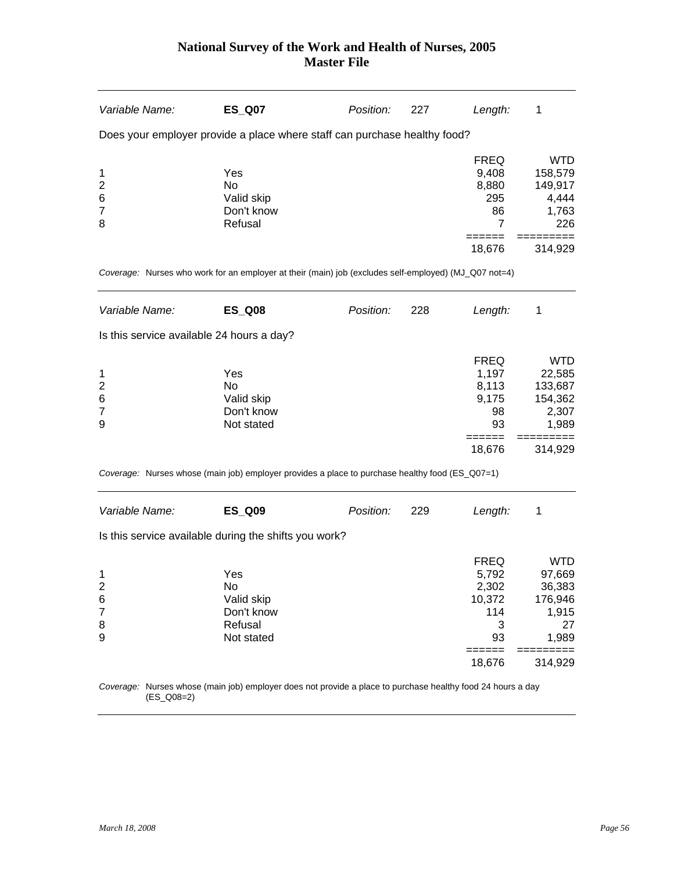| Variable Name:                            | <b>ES_Q07</b>                                                                                               | Position: | 227 | Length:                                                                | 1                                                                                        |
|-------------------------------------------|-------------------------------------------------------------------------------------------------------------|-----------|-----|------------------------------------------------------------------------|------------------------------------------------------------------------------------------|
|                                           | Does your employer provide a place where staff can purchase healthy food?                                   |           |     |                                                                        |                                                                                          |
| 1<br>$\overline{2}$<br>6<br>7<br>8        | Yes<br>No<br>Valid skip<br>Don't know<br>Refusal                                                            |           |     | <b>FREQ</b><br>9,408<br>8,880<br>295<br>86<br>7                        | <b>WTD</b><br>158,579<br>149,917<br>4,444<br>1,763<br>226                                |
|                                           |                                                                                                             |           |     | 18,676                                                                 | 314,929                                                                                  |
|                                           | Coverage: Nurses who work for an employer at their (main) job (excludes self-employed) (MJ_Q07 not=4)       |           |     |                                                                        |                                                                                          |
| Variable Name:                            | <b>ES_Q08</b>                                                                                               | Position: | 228 | Length:                                                                | 1                                                                                        |
| Is this service available 24 hours a day? |                                                                                                             |           |     |                                                                        |                                                                                          |
| 1<br>$\overline{2}$<br>6<br>7<br>9        | Yes<br>No<br>Valid skip<br>Don't know<br>Not stated                                                         |           |     | <b>FREQ</b><br>1,197<br>8,113<br>9,175<br>98<br>93<br>======<br>18,676 | <b>WTD</b><br>22,585<br>133,687<br>154,362<br>2,307<br>1,989<br>$==$<br>=====<br>314,929 |
|                                           | Coverage: Nurses whose (main job) employer provides a place to purchase healthy food (ES_Q07=1)             |           |     |                                                                        |                                                                                          |
| Variable Name:                            | <b>ES_Q09</b>                                                                                               | Position: | 229 | Length:                                                                | 1                                                                                        |
|                                           | Is this service available during the shifts you work?                                                       |           |     |                                                                        |                                                                                          |
| 1<br>2<br>6<br>7<br>8<br>9                | Yes<br>No<br>Valid skip<br>Don't know<br>Refusal<br>Not stated                                              |           |     | <b>FREQ</b><br>5,792<br>2,302<br>10,372<br>114<br>3<br>93<br>====      | <b>WTD</b><br>97,669<br>36,383<br>176,946<br>1,915<br>27<br>1,989                        |
|                                           |                                                                                                             |           |     | 18,676                                                                 | 314,929                                                                                  |
| $(ES_Q08=2)$                              | Coverage: Nurses whose (main job) employer does not provide a place to purchase healthy food 24 hours a day |           |     |                                                                        |                                                                                          |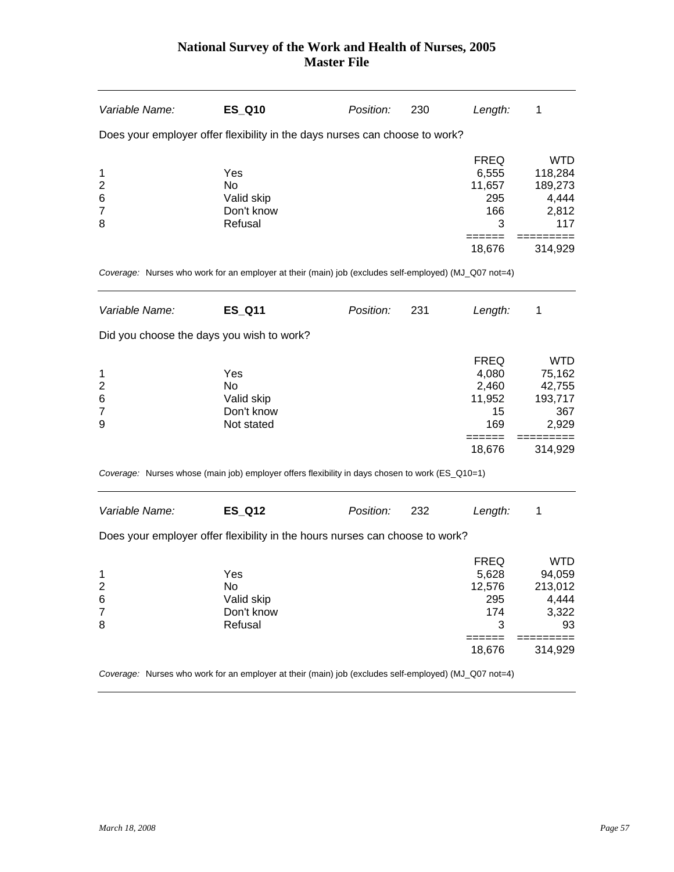| Variable Name:                                           | <b>ES_Q10</b>                                                                                         | Position: | 230 | Length:                                                               | 1                                                                      |
|----------------------------------------------------------|-------------------------------------------------------------------------------------------------------|-----------|-----|-----------------------------------------------------------------------|------------------------------------------------------------------------|
|                                                          | Does your employer offer flexibility in the days nurses can choose to work?                           |           |     |                                                                       |                                                                        |
| 1<br>$\overline{\mathbf{c}}$<br>6<br>$\overline{7}$<br>8 | Yes<br>No<br>Valid skip<br>Don't know<br>Refusal                                                      |           |     | <b>FREQ</b><br>6,555<br>11,657<br>295<br>166<br>3<br>======           | <b>WTD</b><br>118,284<br>189,273<br>4,444<br>2,812<br>117<br>========= |
|                                                          |                                                                                                       |           |     | 18,676                                                                | 314,929                                                                |
|                                                          | Coverage: Nurses who work for an employer at their (main) job (excludes self-employed) (MJ_Q07 not=4) |           |     |                                                                       |                                                                        |
| Variable Name:                                           | <b>ES_Q11</b>                                                                                         | Position: | 231 | Length:                                                               | 1                                                                      |
| Did you choose the days you wish to work?                |                                                                                                       |           |     |                                                                       |                                                                        |
| 1<br>2<br>6<br>$\overline{7}$<br>9                       | Yes<br>No<br>Valid skip<br>Don't know<br>Not stated                                                   |           |     | <b>FREQ</b><br>4,080<br>2,460<br>11,952<br>15<br>169                  | <b>WTD</b><br>75,162<br>42,755<br>193,717<br>367<br>2,929              |
|                                                          |                                                                                                       |           |     | =====<br>18,676                                                       | 314,929                                                                |
|                                                          | Coverage: Nurses whose (main job) employer offers flexibility in days chosen to work (ES_Q10=1)       |           |     |                                                                       |                                                                        |
| Variable Name:                                           | <b>ES_Q12</b>                                                                                         | Position: | 232 | Length:                                                               | 1                                                                      |
|                                                          | Does your employer offer flexibility in the hours nurses can choose to work?                          |           |     |                                                                       |                                                                        |
| 1<br>2<br>6<br>7<br>8                                    | Yes<br>No<br>Valid skip<br>Don't know<br>Refusal                                                      |           |     | <b>FREQ</b><br>5,628<br>12,576<br>295<br>174<br>3<br>======<br>18,676 | <b>WTD</b><br>94,059<br>213,012<br>4,444<br>3,322<br>93<br>314,929     |

*Coverage:* Nurses who work for an employer at their (main) job (excludes self-employed) (MJ\_Q07 not=4)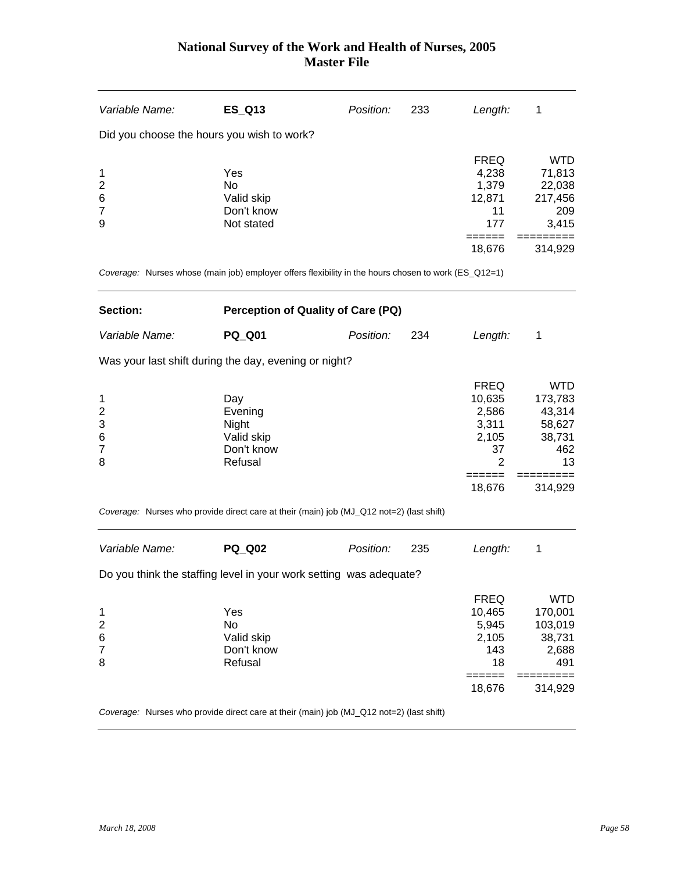| Variable Name:          | <b>ES_Q13</b>                                                                                        | Position: | 233 | Length:          | 1                    |
|-------------------------|------------------------------------------------------------------------------------------------------|-----------|-----|------------------|----------------------|
|                         | Did you choose the hours you wish to work?                                                           |           |     |                  |                      |
|                         |                                                                                                      |           |     | <b>FREQ</b>      | <b>WTD</b>           |
| 1                       | Yes                                                                                                  |           |     | 4,238            | 71,813               |
| $\overline{\mathbf{c}}$ | No                                                                                                   |           |     | 1,379            | 22,038               |
| 6                       | Valid skip                                                                                           |           |     | 12,871           | 217,456              |
| $\overline{7}$          | Don't know                                                                                           |           |     | 11               | 209                  |
| 9                       | Not stated                                                                                           |           |     | 177              | 3,415                |
|                         |                                                                                                      |           |     | ======<br>18,676 | 314,929              |
|                         | Coverage: Nurses whose (main job) employer offers flexibility in the hours chosen to work (ES_Q12=1) |           |     |                  |                      |
| Section:                | Perception of Quality of Care (PQ)                                                                   |           |     |                  |                      |
| Variable Name:          | <b>PQ_Q01</b>                                                                                        | Position: | 234 | Length:          | 1                    |
|                         | Was your last shift during the day, evening or night?                                                |           |     |                  |                      |
|                         |                                                                                                      |           |     | <b>FREQ</b>      | <b>WTD</b>           |
| 1                       | Day                                                                                                  |           |     | 10,635           | 173,783              |
| $\overline{\mathbf{c}}$ | Evening                                                                                              |           |     | 2,586            | 43,314               |
| 3                       | Night                                                                                                |           |     | 3,311            | 58,627               |
| 6                       | Valid skip                                                                                           |           |     | 2,105            | 38,731               |
| $\overline{7}$          | Don't know                                                                                           |           |     | 37               | 462                  |
| 8                       | Refusal                                                                                              |           |     | $\overline{2}$   | 13                   |
|                         |                                                                                                      |           |     | ======<br>18,676 | =========<br>314,929 |
|                         | Coverage: Nurses who provide direct care at their (main) job (MJ_Q12 not=2) (last shift)             |           |     |                  |                      |
| Variable Name:          | <b>PQ Q02</b>                                                                                        | Position: | 235 | Length:          | 1                    |
|                         | Do you think the staffing level in your work setting was adequate?                                   |           |     |                  |                      |
|                         |                                                                                                      |           |     | <b>FREQ</b>      | <b>WTD</b>           |
| 1                       | Yes                                                                                                  |           |     | 10,465           | 170,001              |
| $\overline{\mathbf{c}}$ | No                                                                                                   |           |     | 5,945            | 103,019              |
| 6                       | Valid skip                                                                                           |           |     | 2,105            | 38,731               |
| $\overline{7}$          | Don't know                                                                                           |           |     | 143              | 2,688                |
| 8                       | Refusal                                                                                              |           |     | 18               | 491                  |
|                         |                                                                                                      |           |     | =====            |                      |

 $18,676$   $314,929$ 

*Coverage:* Nurses who provide direct care at their (main) job (MJ\_Q12 not=2) (last shift)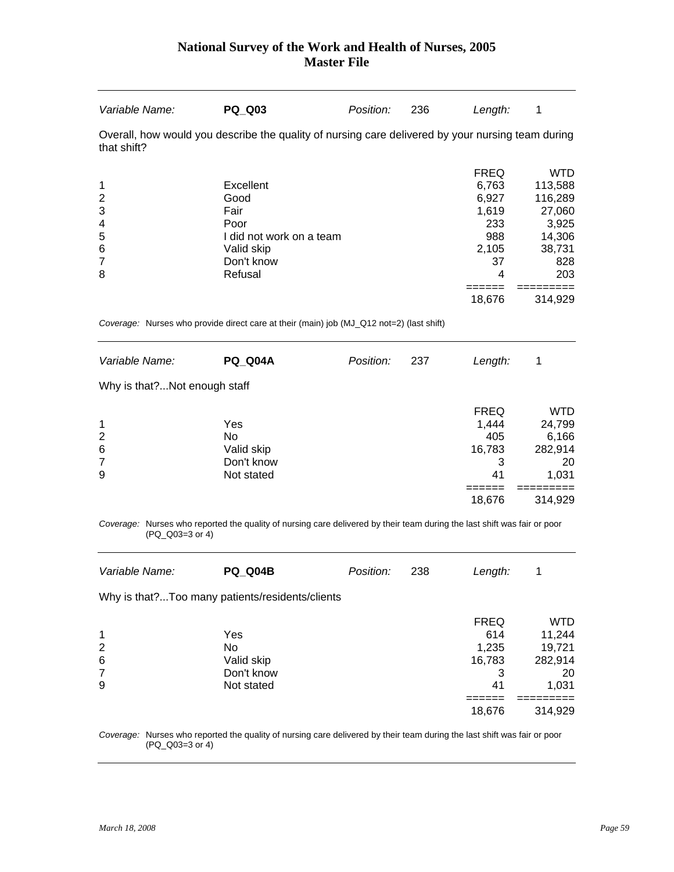| Variable Name:                                    | <b>PQ Q03</b>                                                                                                            | Position: | 236 | Length:                                                                            | 1                                                                                     |
|---------------------------------------------------|--------------------------------------------------------------------------------------------------------------------------|-----------|-----|------------------------------------------------------------------------------------|---------------------------------------------------------------------------------------|
| that shift?                                       | Overall, how would you describe the quality of nursing care delivered by your nursing team during                        |           |     |                                                                                    |                                                                                       |
| 1<br>$\overline{2}$<br>3<br>4<br>5<br>6<br>7<br>8 | Excellent<br>Good<br>Fair<br>Poor<br>I did not work on a team<br>Valid skip<br>Don't know<br>Refusal                     |           |     | <b>FREQ</b><br>6,763<br>6,927<br>1,619<br>233<br>988<br>2,105<br>37<br>4<br>------ | <b>WTD</b><br>113,588<br>116,289<br>27,060<br>3,925<br>14,306<br>38,731<br>828<br>203 |
|                                                   |                                                                                                                          |           |     | 18,676                                                                             | 314,929                                                                               |
|                                                   | Coverage: Nurses who provide direct care at their (main) job (MJ_Q12 not=2) (last shift)                                 |           |     |                                                                                    |                                                                                       |
| Variable Name:                                    | <b>PQ Q04A</b>                                                                                                           | Position: | 237 | Length:                                                                            | 1                                                                                     |
| Why is that?Not enough staff                      |                                                                                                                          |           |     |                                                                                    |                                                                                       |
| 1<br>2<br>6<br>7<br>9                             | Yes<br>No<br>Valid skip<br>Don't know<br>Not stated                                                                      |           |     | <b>FREQ</b><br>1,444<br>405<br>16,783<br>3<br>41                                   | <b>WTD</b><br>24,799<br>6,166<br>282,914<br>20<br>1,031                               |
|                                                   |                                                                                                                          |           |     | ======<br>18,676                                                                   | 314,929                                                                               |
| (PQ Q03=3 or 4)                                   | Coverage: Nurses who reported the quality of nursing care delivered by their team during the last shift was fair or poor |           |     |                                                                                    |                                                                                       |
| Variable Name:                                    | <b>PQ_Q04B</b>                                                                                                           | Position: | 238 | Length:                                                                            | 1                                                                                     |
|                                                   | Why is that?Too many patients/residents/clients                                                                          |           |     |                                                                                    |                                                                                       |
| 1<br>$\overline{c}$<br>6<br>7<br>9                | Yes<br>No<br>Valid skip<br>Don't know<br>Not stated                                                                      |           |     | <b>FREQ</b><br>614<br>1,235<br>16,783<br>3<br>41                                   | <b>WTD</b><br>11,244<br>19,721<br>282,914<br>20<br>1,031                              |
|                                                   |                                                                                                                          |           |     | ======<br>18,676                                                                   | 314,929                                                                               |
|                                                   | Coverage: Nurses who reported the quality of nursing care delivered by their team during the last shift was fair or poor |           |     |                                                                                    |                                                                                       |

*Coverage:* Nurses who reported the quality of nursing care delivered by their team during the last shift was fair or poor *verage:* Nurses who report<br>(PQ\_Q03=3 or 4)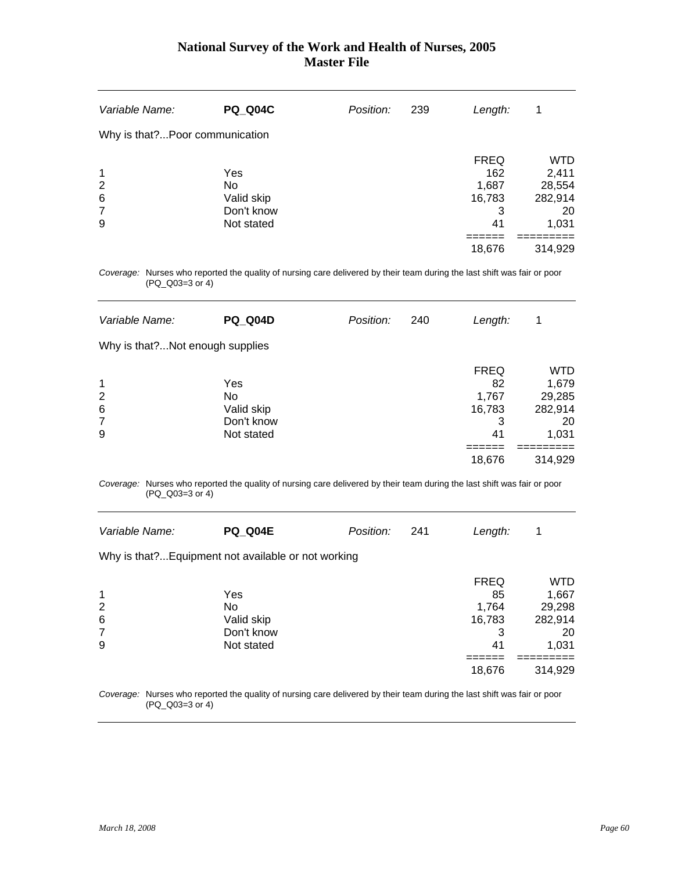| Variable Name:                               | <b>PQ Q04C</b>                                             | Position: | 239 | Length:                                          | 1                                                       |
|----------------------------------------------|------------------------------------------------------------|-----------|-----|--------------------------------------------------|---------------------------------------------------------|
| Why is that?Poor communication               |                                                            |           |     |                                                  |                                                         |
| $\mathbf 1$<br>$\overline{2}$<br>6<br>7<br>9 | Yes<br><b>No</b><br>Valid skip<br>Don't know<br>Not stated |           |     | <b>FREQ</b><br>162<br>1,687<br>16,783<br>3<br>41 | <b>WTD</b><br>2,411<br>28,554<br>282,914<br>20<br>1,031 |
|                                              |                                                            |           |     | 18,676                                           | 314,929                                                 |

*Coverage:* Nurses who reported the quality of nursing care delivered by their team during the last shift was fair or poor (PQ\_Q03=3 or 4)

| Variable Name:        | <b>PQ Q04D</b>                                      | Position: | 240 | Length:                                                   | 1                                                           |
|-----------------------|-----------------------------------------------------|-----------|-----|-----------------------------------------------------------|-------------------------------------------------------------|
|                       | Why is that?Not enough supplies                     |           |     |                                                           |                                                             |
| 1<br>2<br>6<br>7<br>9 | Yes<br>No<br>Valid skip<br>Don't know<br>Not stated |           |     | <b>FREQ</b><br>82<br>1,767<br>16,783<br>3<br>41<br>18,676 | WTD<br>1,679<br>29,285<br>282,914<br>20<br>1,031<br>314,929 |

*Coverage:* Nurses who reported the quality of nursing care delivered by their team during the last shift was fair or poor (PQ\_Q03=3 or 4)

| Variable Name:                                                          | <b>PQ Q04E</b>                                      | Position: | 241 | Length:                                                   | 1                                                                  |
|-------------------------------------------------------------------------|-----------------------------------------------------|-----------|-----|-----------------------------------------------------------|--------------------------------------------------------------------|
|                                                                         | Why is that? Equipment not available or not working |           |     |                                                           |                                                                    |
| $\mathbf 1$<br>$\overline{2}$<br>$6\phantom{1}6$<br>$\overline{7}$<br>9 | Yes<br>No<br>Valid skip<br>Don't know<br>Not stated |           |     | <b>FREQ</b><br>85<br>1,764<br>16,783<br>3<br>41<br>18,676 | <b>WTD</b><br>1,667<br>29,298<br>282,914<br>20<br>1,031<br>314,929 |

*Coverage:* Nurses who reported the quality of nursing care delivered by their team during the last shift was fair or poor (PQ\_Q03=3 or 4)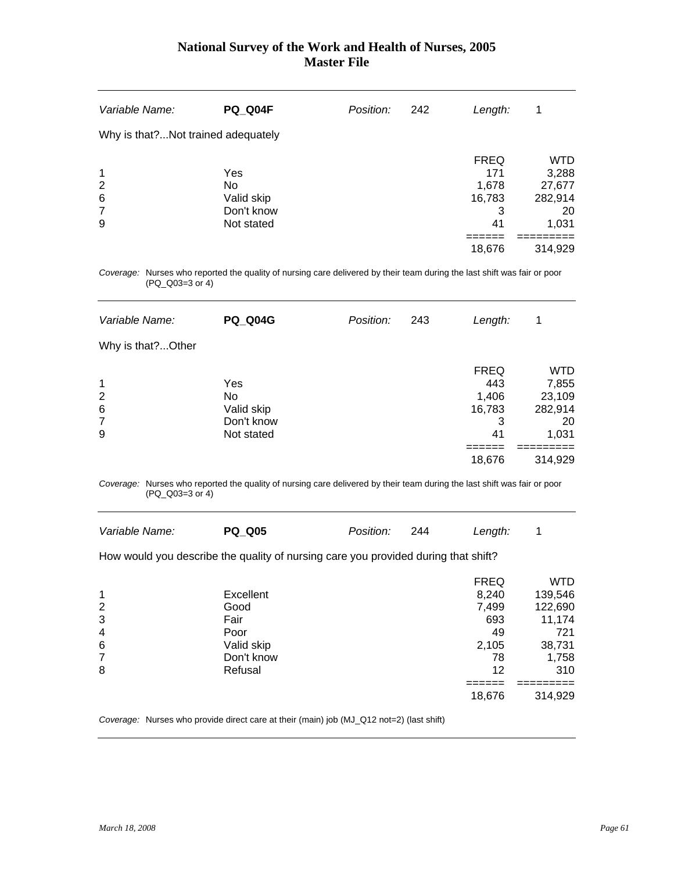| Variable Name:                      | <b>PQ_Q04F</b> | Position: | 242 | Length:     | 1          |
|-------------------------------------|----------------|-----------|-----|-------------|------------|
| Why is that? Not trained adequately |                |           |     |             |            |
|                                     |                |           |     | <b>FREQ</b> | <b>WTD</b> |
| $\mathbf 1$                         | Yes            |           |     | 171         | 3,288      |
| $\overline{2}$                      | No             |           |     | 1,678       | 27,677     |
| 6                                   | Valid skip     |           |     | 16,783      | 282,914    |
| $\overline{7}$                      | Don't know     |           |     | 3           | 20         |
| 9                                   | Not stated     |           |     | 41          | 1,031      |
|                                     |                |           |     |             |            |
|                                     |                |           |     | 18,676      | 314,929    |

*Coverage:* Nurses who reported the quality of nursing care delivered by their team during the last shift was fair or poor (PQ\_Q03=3 or 4)

| Variable Name:                     | <b>PQ Q04G</b>                                      | Position: | 243 | Length:                                                    | 1                                                                  |
|------------------------------------|-----------------------------------------------------|-----------|-----|------------------------------------------------------------|--------------------------------------------------------------------|
| Why is that?Other                  |                                                     |           |     |                                                            |                                                                    |
| 1<br>2<br>6<br>$\overline{7}$<br>9 | Yes<br>No<br>Valid skip<br>Don't know<br>Not stated |           |     | <b>FREQ</b><br>443<br>1,406<br>16,783<br>3<br>41<br>18,676 | <b>WTD</b><br>7,855<br>23,109<br>282,914<br>20<br>1,031<br>314,929 |

*Coverage:* Nurses who reported the quality of nursing care delivered by their team during the last shift was fair or poor (PQ\_Q03=3 or 4)

| Variable Name:                                                                     | <b>PQ Q05</b> | Position: | 244 | Length:     | 1          |  |  |  |  |
|------------------------------------------------------------------------------------|---------------|-----------|-----|-------------|------------|--|--|--|--|
| How would you describe the quality of nursing care you provided during that shift? |               |           |     |             |            |  |  |  |  |
|                                                                                    |               |           |     | <b>FREQ</b> | <b>WTD</b> |  |  |  |  |
| 1                                                                                  | Excellent     |           |     | 8.240       | 139,546    |  |  |  |  |
| 2                                                                                  | Good          |           |     | 7,499       | 122,690    |  |  |  |  |
| 3                                                                                  | Fair          |           |     | 693         | 11,174     |  |  |  |  |
| $\overline{4}$                                                                     | Poor          |           |     | 49          | 721        |  |  |  |  |
| $6\phantom{1}6$                                                                    | Valid skip    |           |     | 2,105       | 38,731     |  |  |  |  |
| 7                                                                                  | Don't know    |           |     | 78          | 1,758      |  |  |  |  |
| 8                                                                                  | Refusal       |           |     | 12          | 310        |  |  |  |  |
|                                                                                    |               |           |     |             |            |  |  |  |  |
|                                                                                    |               |           |     | 18.676      | 314.929    |  |  |  |  |

*Coverage:* Nurses who provide direct care at their (main) job (MJ\_Q12 not=2) (last shift)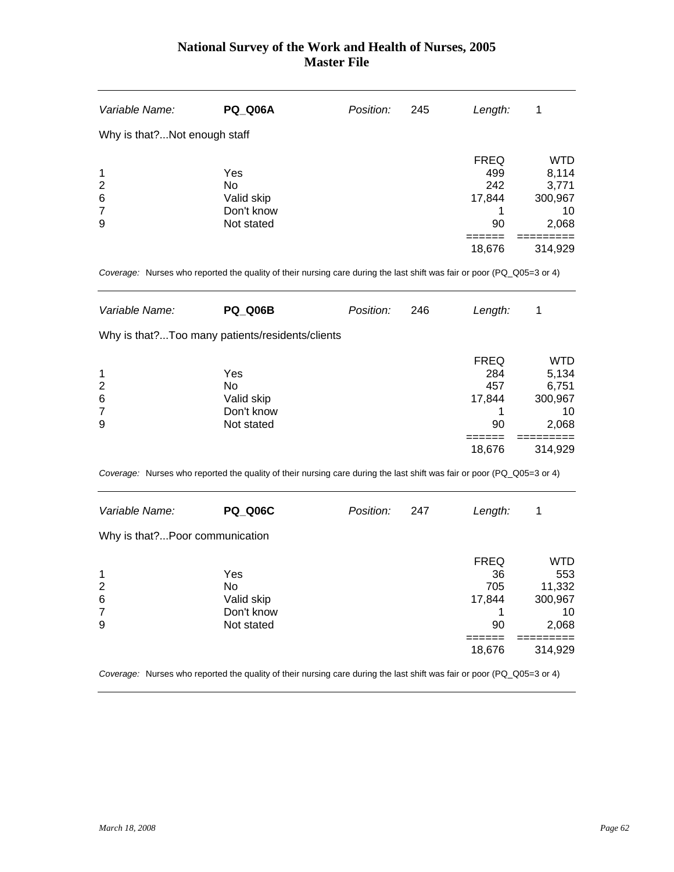| Variable Name:               | <b>PQ Q06A</b> | Position: | 245 | Length:     | 1          |
|------------------------------|----------------|-----------|-----|-------------|------------|
| Why is that?Not enough staff |                |           |     |             |            |
|                              |                |           |     | <b>FREQ</b> | <b>WTD</b> |
| 1                            | Yes            |           |     | 499         | 8,114      |
| $\overline{2}$               | No             |           |     | 242         | 3,771      |
| 6                            | Valid skip     |           |     | 17,844      | 300,967    |
| $\overline{7}$               | Don't know     |           |     |             | 10         |
| 9                            | Not stated     |           |     | 90          | 2,068      |
|                              |                |           |     |             |            |
|                              |                |           |     | 18,676      | 314,929    |
|                              |                |           |     |             |            |

*Coverage:* Nurses who reported the quality of their nursing care during the last shift was fair or poor (PQ\_Q05=3 or 4)

| Variable Name:                                  | <b>PQ Q06B</b>                                      | Position: | 246 | Length:                                             | 1                                                                 |
|-------------------------------------------------|-----------------------------------------------------|-----------|-----|-----------------------------------------------------|-------------------------------------------------------------------|
|                                                 | Why is that?Too many patients/residents/clients     |           |     |                                                     |                                                                   |
| 1<br>$\overline{2}$<br>6<br>$\overline{7}$<br>9 | Yes<br>No<br>Valid skip<br>Don't know<br>Not stated |           |     | <b>FREQ</b><br>284<br>457<br>17,844<br>90<br>18,676 | <b>WTD</b><br>5,134<br>6,751<br>300,967<br>10<br>2,068<br>314,929 |

*Coverage:* Nurses who reported the quality of their nursing care during the last shift was fair or poor (PQ\_Q05=3 or 4)

| Variable Name:                 | <b>PQ Q06C</b>                                      | Position: | 247 | Length:                                            | 1                                                         |
|--------------------------------|-----------------------------------------------------|-----------|-----|----------------------------------------------------|-----------------------------------------------------------|
| Why is that?Poor communication |                                                     |           |     |                                                    |                                                           |
| 1<br>2<br>$\,6$<br>7<br>9      | Yes<br>No<br>Valid skip<br>Don't know<br>Not stated |           |     | <b>FREQ</b><br>36<br>705<br>17,844<br>90<br>18,676 | WTD<br>553<br>11,332<br>300,967<br>10<br>2,068<br>314,929 |

*Coverage:* Nurses who reported the quality of their nursing care during the last shift was fair or poor (PQ\_Q05=3 or 4)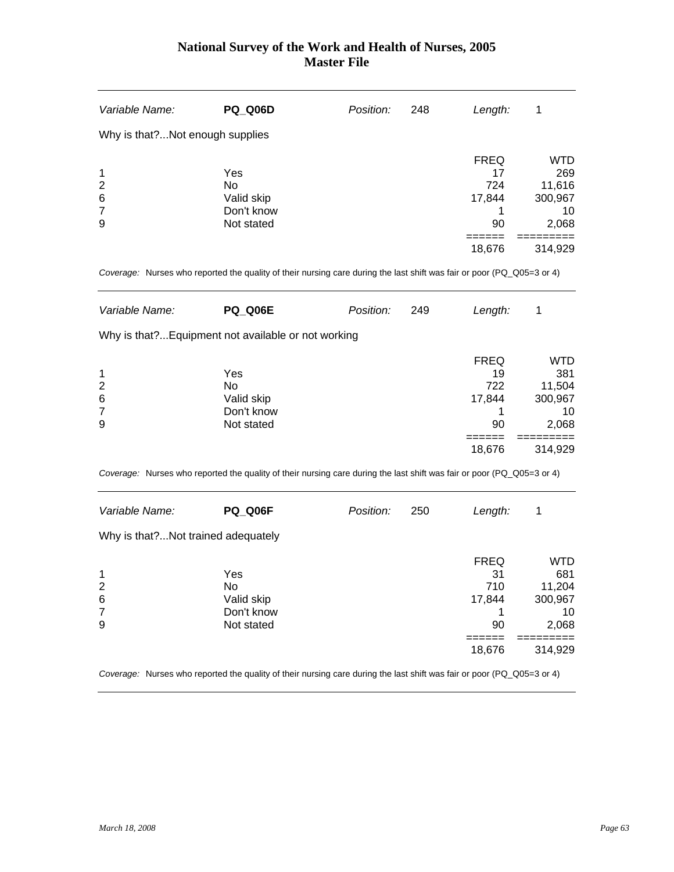| Variable Name:                     | <b>PQ Q06D</b>                                      | Position: | 248 | Length:                                  | 1                                                     |
|------------------------------------|-----------------------------------------------------|-----------|-----|------------------------------------------|-------------------------------------------------------|
|                                    | Why is that?Not enough supplies                     |           |     |                                          |                                                       |
| 1<br>$\overline{2}$<br>6<br>7<br>9 | Yes<br>No<br>Valid skip<br>Don't know<br>Not stated |           |     | <b>FREQ</b><br>17<br>724<br>17,844<br>90 | <b>WTD</b><br>269<br>11,616<br>300,967<br>10<br>2,068 |
|                                    |                                                     |           |     | 18,676                                   | 314,929                                               |

*Coverage:* Nurses who reported the quality of their nursing care during the last shift was fair or poor (PQ\_Q05=3 or 4)

| Variable Name: | <b>PQ Q06E</b>                                      | Position: | 249 | Length:     | 1       |
|----------------|-----------------------------------------------------|-----------|-----|-------------|---------|
|                | Why is that? Equipment not available or not working |           |     |             |         |
|                |                                                     |           |     | <b>FREQ</b> | WTD     |
| 1              | Yes                                                 |           |     | 19          | 381     |
| $\overline{2}$ | No.                                                 |           |     | 722         | 11,504  |
| 6              | Valid skip                                          |           |     | 17,844      | 300,967 |
| $\overline{7}$ | Don't know                                          |           |     |             | 10      |
| 9              | Not stated                                          |           |     | 90          | 2,068   |
|                |                                                     |           |     |             |         |
|                |                                                     |           |     | 18,676      | 314,929 |

*Coverage:* Nurses who reported the quality of their nursing care during the last shift was fair or poor (PQ\_Q05=3 or 4)

| Variable Name:                      | PQ Q06F                                             | Position: | 250 | Length:                                            | 1                                                         |
|-------------------------------------|-----------------------------------------------------|-----------|-----|----------------------------------------------------|-----------------------------------------------------------|
| Why is that? Not trained adequately |                                                     |           |     |                                                    |                                                           |
| 1<br>2<br>6<br>7<br>9               | Yes<br>No<br>Valid skip<br>Don't know<br>Not stated |           |     | <b>FREQ</b><br>31<br>710<br>17,844<br>90<br>18,676 | WTD<br>681<br>11,204<br>300,967<br>10<br>2,068<br>314,929 |

*Coverage:* Nurses who reported the quality of their nursing care during the last shift was fair or poor (PQ\_Q05=3 or 4)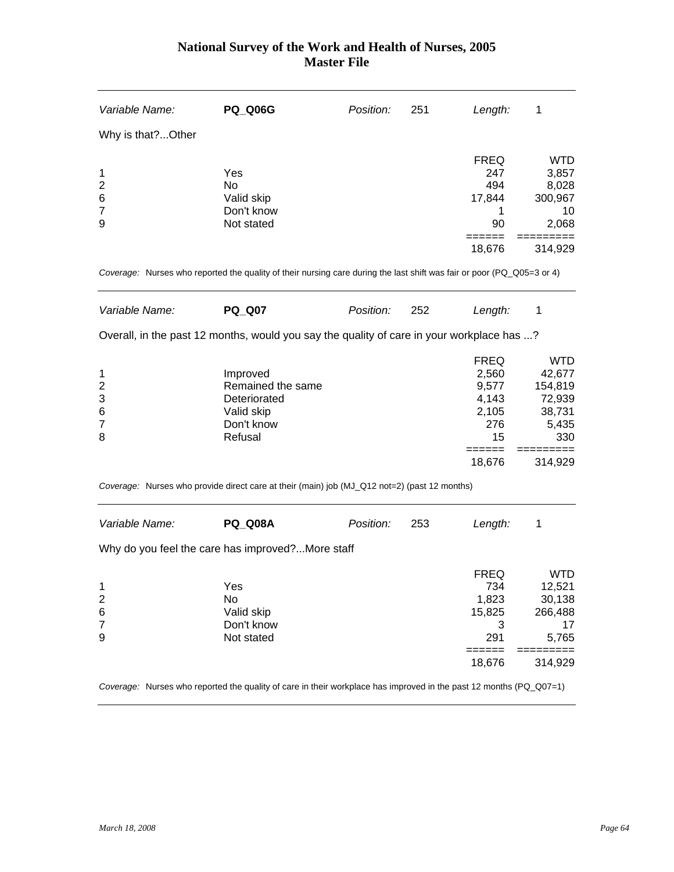| <b>PQ_Q06G</b>    | Position:                                                       | 251                                              | Length:     | 1                                                                                                                                                                                                                                                                                                                                                                                                                |
|-------------------|-----------------------------------------------------------------|--------------------------------------------------|-------------|------------------------------------------------------------------------------------------------------------------------------------------------------------------------------------------------------------------------------------------------------------------------------------------------------------------------------------------------------------------------------------------------------------------|
|                   |                                                                 |                                                  |             |                                                                                                                                                                                                                                                                                                                                                                                                                  |
|                   |                                                                 |                                                  | <b>FREQ</b> | <b>WTD</b>                                                                                                                                                                                                                                                                                                                                                                                                       |
| Yes               |                                                                 |                                                  | 247         | 3,857                                                                                                                                                                                                                                                                                                                                                                                                            |
| <b>No</b>         |                                                                 |                                                  |             | 8,028                                                                                                                                                                                                                                                                                                                                                                                                            |
|                   |                                                                 |                                                  |             | 300,967                                                                                                                                                                                                                                                                                                                                                                                                          |
|                   |                                                                 |                                                  |             | 10                                                                                                                                                                                                                                                                                                                                                                                                               |
|                   |                                                                 |                                                  |             | 2,068                                                                                                                                                                                                                                                                                                                                                                                                            |
|                   |                                                                 |                                                  | 18,676      | 314,929                                                                                                                                                                                                                                                                                                                                                                                                          |
|                   |                                                                 |                                                  |             |                                                                                                                                                                                                                                                                                                                                                                                                                  |
| <b>PQ_Q07</b>     | Position:                                                       | 252                                              | Length:     | 1                                                                                                                                                                                                                                                                                                                                                                                                                |
|                   |                                                                 |                                                  |             |                                                                                                                                                                                                                                                                                                                                                                                                                  |
|                   |                                                                 |                                                  |             | <b>WTD</b>                                                                                                                                                                                                                                                                                                                                                                                                       |
| Improved          |                                                                 |                                                  | 2,560       | 42,677                                                                                                                                                                                                                                                                                                                                                                                                           |
| Remained the same |                                                                 |                                                  | 9,577       | 154,819                                                                                                                                                                                                                                                                                                                                                                                                          |
| Deteriorated      |                                                                 |                                                  | 4,143       | 72,939                                                                                                                                                                                                                                                                                                                                                                                                           |
| Valid skip        |                                                                 |                                                  | 2,105       | 38,731                                                                                                                                                                                                                                                                                                                                                                                                           |
| Don't know        |                                                                 |                                                  | 276         | 5,435                                                                                                                                                                                                                                                                                                                                                                                                            |
|                   |                                                                 |                                                  |             | 330                                                                                                                                                                                                                                                                                                                                                                                                              |
|                   |                                                                 |                                                  | 18,676      | 314,929                                                                                                                                                                                                                                                                                                                                                                                                          |
|                   |                                                                 |                                                  |             |                                                                                                                                                                                                                                                                                                                                                                                                                  |
| <b>PQ Q08A</b>    | Position:                                                       | 253                                              | Length:     | 1                                                                                                                                                                                                                                                                                                                                                                                                                |
|                   |                                                                 |                                                  |             |                                                                                                                                                                                                                                                                                                                                                                                                                  |
|                   |                                                                 |                                                  |             | <b>WTD</b>                                                                                                                                                                                                                                                                                                                                                                                                       |
| Yes               |                                                                 |                                                  | 734         | 12,521                                                                                                                                                                                                                                                                                                                                                                                                           |
| No                |                                                                 |                                                  | 1,823       | 30,138                                                                                                                                                                                                                                                                                                                                                                                                           |
| Valid skip        |                                                                 |                                                  | 15,825      | 266,488                                                                                                                                                                                                                                                                                                                                                                                                          |
| Don't know        |                                                                 |                                                  | 3           | 17                                                                                                                                                                                                                                                                                                                                                                                                               |
|                   |                                                                 |                                                  |             | 5,765                                                                                                                                                                                                                                                                                                                                                                                                            |
|                   |                                                                 |                                                  | ======      |                                                                                                                                                                                                                                                                                                                                                                                                                  |
|                   |                                                                 |                                                  |             | 314,929                                                                                                                                                                                                                                                                                                                                                                                                          |
|                   | Valid skip<br>Don't know<br>Not stated<br>Refusal<br>Not stated | Why do you feel the care has improved?More staff |             | 494<br>17,844<br>1<br>90<br>=====<br>Coverage: Nurses who reported the quality of their nursing care during the last shift was fair or poor (PQ_Q05=3 or 4)<br>Overall, in the past 12 months, would you say the quality of care in your workplace has ?<br><b>FREQ</b><br>15<br>======<br>Coverage: Nurses who provide direct care at their (main) job (MJ_Q12 not=2) (past 12 months)<br>FREQ<br>291<br>18,676 |

*Coverage:* Nurses who reported the quality of care in their workplace has improved in the past 12 months (PQ\_Q07=1)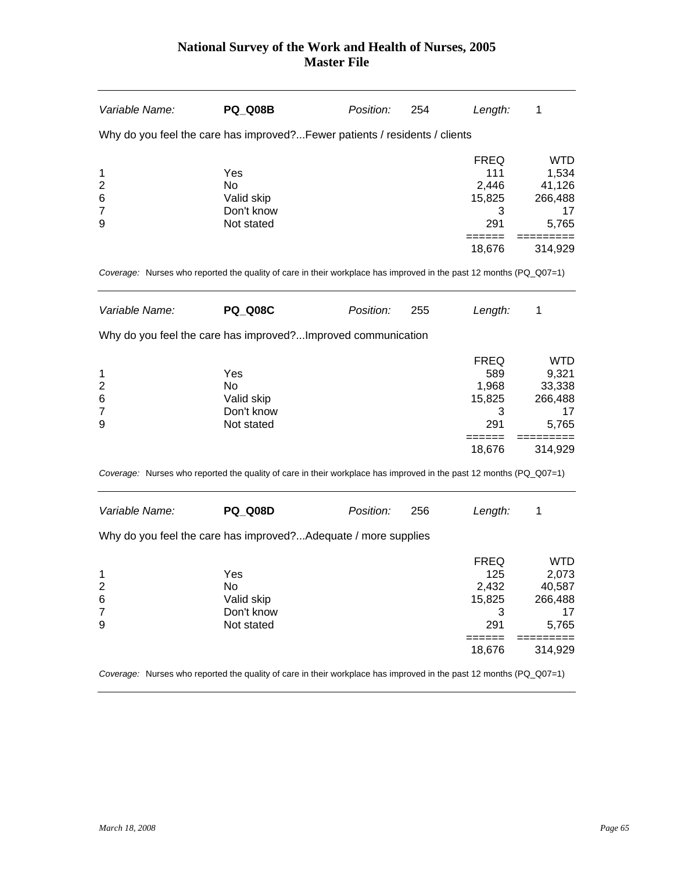| Variable Name:                                                                                                     | PQ Q08B                                             | Position: | 254 | Length:                                                     | 1                                                                  |
|--------------------------------------------------------------------------------------------------------------------|-----------------------------------------------------|-----------|-----|-------------------------------------------------------------|--------------------------------------------------------------------|
| Why do you feel the care has improved? Fewer patients / residents / clients                                        |                                                     |           |     |                                                             |                                                                    |
| 1<br>$\overline{2}$<br>6<br>$\overline{7}$<br>9                                                                    | Yes<br>No<br>Valid skip<br>Don't know<br>Not stated |           |     | <b>FREQ</b><br>111<br>2,446<br>15,825<br>3<br>291<br>====== | <b>WTD</b><br>1,534<br>41,126<br>266,488<br>17<br>5,765            |
| Coverage: Nurses who reported the quality of care in their workplace has improved in the past 12 months (PQ_Q07=1) |                                                     |           |     | 18,676                                                      | 314,929                                                            |
| Variable Name:                                                                                                     | <b>PQ_Q08C</b>                                      | Position: | 255 | Length:                                                     | 1                                                                  |
| Why do you feel the care has improved?Improved communication                                                       |                                                     |           |     |                                                             |                                                                    |
| 1<br>$\overline{c}$<br>6<br>7<br>9                                                                                 | Yes<br>No<br>Valid skip<br>Don't know<br>Not stated |           |     | <b>FREQ</b><br>589<br>1,968<br>15,825<br>3<br>291           | <b>WTD</b><br>9,321<br>33,338<br>266,488<br>17<br>5,765            |
|                                                                                                                    |                                                     |           |     | ======<br>18,676                                            | 314,929                                                            |
| Coverage: Nurses who reported the quality of care in their workplace has improved in the past 12 months (PQ_Q07=1) |                                                     |           |     |                                                             |                                                                    |
| Variable Name:                                                                                                     | <b>PQ_Q08D</b>                                      | Position: | 256 | Length:                                                     | 1                                                                  |
| Why do you feel the care has improved?Adequate / more supplies                                                     |                                                     |           |     |                                                             |                                                                    |
| 1<br>$\overline{\mathbf{c}}$<br>6<br>$\overline{7}$<br>9                                                           | Yes<br>No<br>Valid skip<br>Don't know<br>Not stated |           |     | <b>FREQ</b><br>125<br>2,432<br>15,825<br>3<br>291<br>18,676 | <b>WTD</b><br>2,073<br>40,587<br>266,488<br>17<br>5,765<br>314,929 |
|                                                                                                                    |                                                     |           |     |                                                             |                                                                    |

*Coverage:* Nurses who reported the quality of care in their workplace has improved in the past 12 months (PQ\_Q07=1)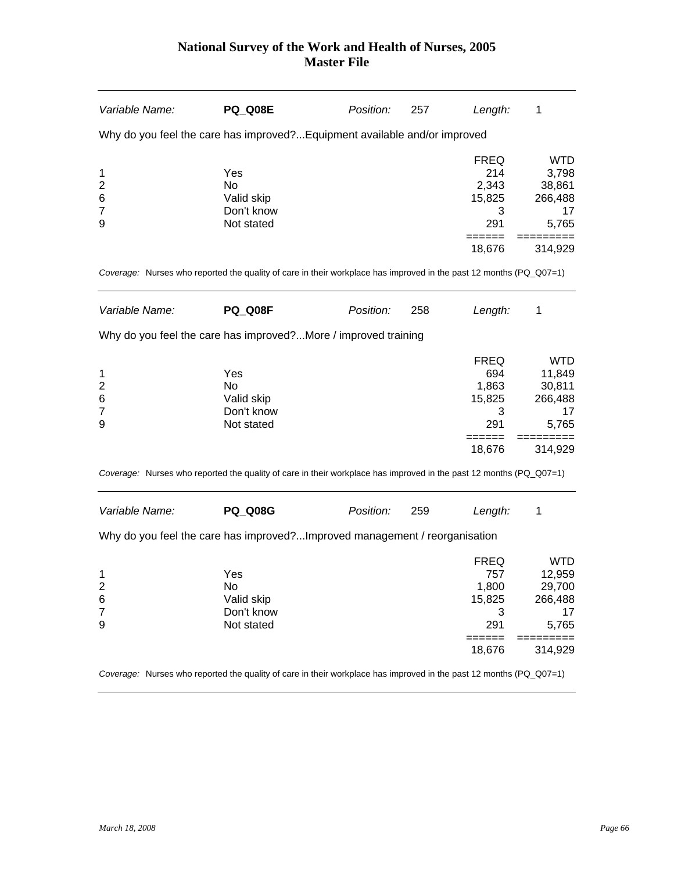| Variable Name:                                           | <b>PQ_Q08E</b>                                                                                                     | Position: | 257 | Length:                                                       | 1                                                                   |
|----------------------------------------------------------|--------------------------------------------------------------------------------------------------------------------|-----------|-----|---------------------------------------------------------------|---------------------------------------------------------------------|
|                                                          | Why do you feel the care has improved? Equipment available and/or improved                                         |           |     |                                                               |                                                                     |
| 1<br>2<br>6<br>$\overline{7}$<br>9                       | Yes<br>No.<br>Valid skip<br>Don't know<br>Not stated                                                               |           |     | <b>FREQ</b><br>214<br>2,343<br>15,825<br>3<br>291<br>======   | <b>WTD</b><br>3,798<br>38,861<br>266,488<br>17<br>5,765             |
|                                                          | Coverage: Nurses who reported the quality of care in their workplace has improved in the past 12 months (PQ_Q07=1) |           |     | 18,676                                                        | 314,929                                                             |
| Variable Name:                                           | PQ Q08F                                                                                                            | Position: | 258 | Length:                                                       | 1                                                                   |
|                                                          | Why do you feel the care has improved?More / improved training                                                     |           |     |                                                               |                                                                     |
| 1<br>$\overline{c}$<br>6<br>$\overline{7}$<br>9          | Yes<br>No.<br>Valid skip<br>Don't know<br>Not stated                                                               |           |     | FREQ<br>694<br>1,863<br>15,825<br>3<br>291<br>======          | <b>WTD</b><br>11,849<br>30,811<br>266,488<br>17<br>5,765            |
|                                                          |                                                                                                                    |           |     | 18,676                                                        | 314,929                                                             |
|                                                          | Coverage: Nurses who reported the quality of care in their workplace has improved in the past 12 months (PQ_Q07=1) |           |     |                                                               |                                                                     |
| Variable Name:                                           | <b>PQ_Q08G</b>                                                                                                     | Position: | 259 | Length:                                                       | 1                                                                   |
|                                                          | Why do you feel the care has improved?Improved management / reorganisation                                         |           |     |                                                               |                                                                     |
| 1<br>$\overline{\mathbf{c}}$<br>6<br>$\overline{7}$<br>9 | Yes<br>No.<br>Valid skip<br>Don't know<br>Not stated                                                               |           |     | FREQ<br>757<br>1,800<br>15,825<br>3<br>291<br>=====<br>18,676 | <b>WTD</b><br>12,959<br>29,700<br>266,488<br>17<br>5,765<br>314,929 |

*Coverage:* Nurses who reported the quality of care in their workplace has improved in the past 12 months (PQ\_Q07=1)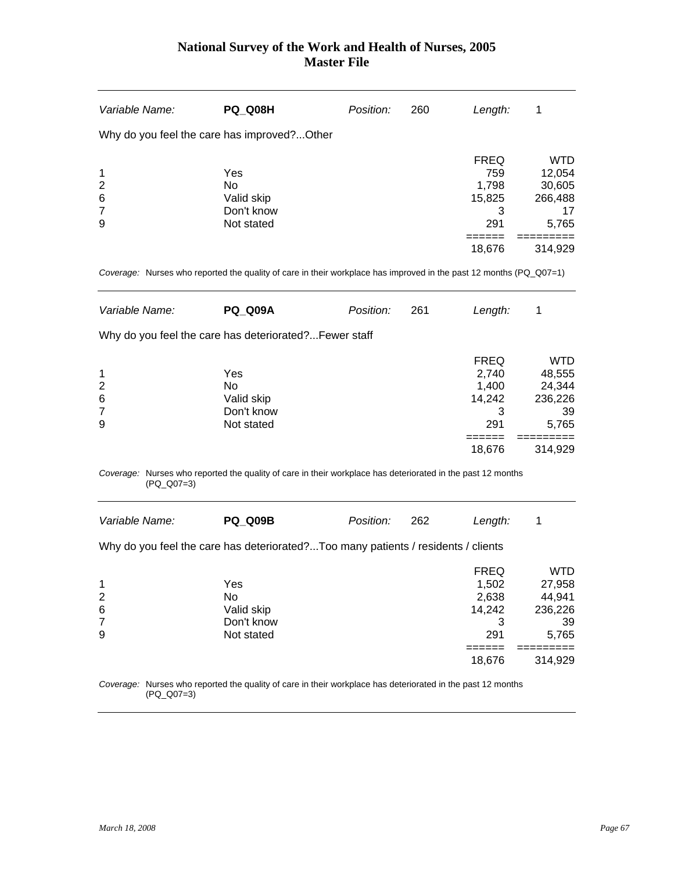| Variable Name:          | <b>PQ_Q08H</b>                                                                                                            | Position: | 260 | Length:             | 1          |
|-------------------------|---------------------------------------------------------------------------------------------------------------------------|-----------|-----|---------------------|------------|
|                         | Why do you feel the care has improved?Other                                                                               |           |     |                     |            |
|                         |                                                                                                                           |           |     | <b>FREQ</b>         | <b>WTD</b> |
| 1                       | Yes                                                                                                                       |           |     | 759                 | 12,054     |
| $\overline{2}$          | <b>No</b>                                                                                                                 |           |     | 1,798               | 30,605     |
| 6                       | Valid skip                                                                                                                |           |     | 15,825              | 266,488    |
| 7                       | Don't know                                                                                                                |           |     | 3                   | 17         |
| 9                       | Not stated                                                                                                                |           |     | 291                 | 5,765      |
|                         |                                                                                                                           |           |     | ======<br>18,676    | 314,929    |
|                         | Coverage: Nurses who reported the quality of care in their workplace has improved in the past 12 months (PQ_Q07=1)        |           |     |                     |            |
| Variable Name:          | <b>PQ_Q09A</b>                                                                                                            | Position: | 261 | Length:             | 1          |
|                         | Why do you feel the care has deteriorated? Fewer staff                                                                    |           |     |                     |            |
|                         |                                                                                                                           |           |     | <b>FREQ</b>         | <b>WTD</b> |
| 1                       | Yes                                                                                                                       |           |     | 2,740               | 48,555     |
| $\overline{2}$          | No                                                                                                                        |           |     | 1,400               | 24,344     |
| 6                       | Valid skip                                                                                                                |           |     | 14,242              | 236,226    |
| 7                       | Don't know                                                                                                                |           |     | 3                   | 39         |
| 9                       | Not stated                                                                                                                |           |     | 291                 | 5,765      |
|                         |                                                                                                                           |           |     | ======<br>18,676    | 314,929    |
|                         | Coverage: Nurses who reported the quality of care in their workplace has deteriorated in the past 12 months<br>(PQ_Q07=3) |           |     |                     |            |
| Variable Name:          | <b>PQ_Q09B</b>                                                                                                            | Position: | 262 | Length:             | 1          |
|                         | Why do you feel the care has deteriorated?Too many patients / residents / clients                                         |           |     |                     |            |
|                         |                                                                                                                           |           |     | <b>FREQ</b>         | <b>WTD</b> |
| 1                       | Yes                                                                                                                       |           |     | 1,502               | 27,958     |
| $\overline{\mathbf{c}}$ | No                                                                                                                        |           |     | 2,638               | 44,941     |
| 6                       | Valid skip                                                                                                                |           |     | 14,242              | 236,226    |
| 7                       | Don't know                                                                                                                |           |     | 3                   | 39         |
| 9                       | Not stated                                                                                                                |           |     | 291                 | 5,765      |
|                         |                                                                                                                           |           |     | $=$ =====<br>18,676 | 314,929    |
|                         | Coverage: Nurses who reported the quality of care in their workplace has deteriorated in the past 12 months<br>(PQ_Q07=3) |           |     |                     |            |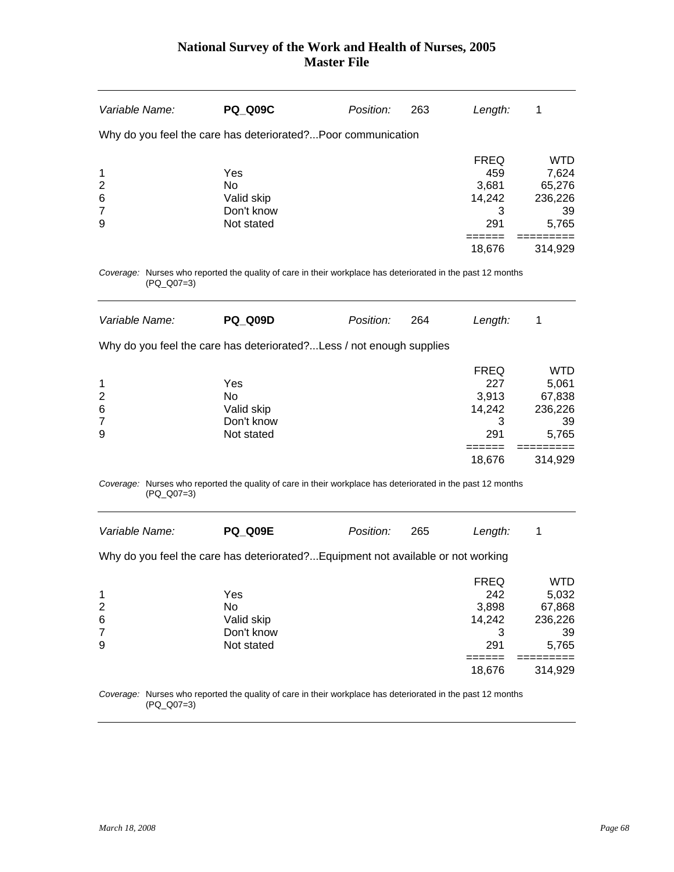| Variable Name:                                                                                                            | <b>PQ_Q09C</b>                                      | Position: | 263 | Length:                                                               | 1                                                                  |
|---------------------------------------------------------------------------------------------------------------------------|-----------------------------------------------------|-----------|-----|-----------------------------------------------------------------------|--------------------------------------------------------------------|
| Why do you feel the care has deteriorated? Poor communication                                                             |                                                     |           |     |                                                                       |                                                                    |
| 1<br>$\overline{2}$<br>6<br>$\overline{7}$<br>9                                                                           | Yes<br>No<br>Valid skip<br>Don't know<br>Not stated |           |     | <b>FREQ</b><br>459<br>3,681<br>14,242<br>3<br>291                     | <b>WTD</b><br>7,624<br>65,276<br>236,226<br>39<br>5,765            |
|                                                                                                                           |                                                     |           |     | =====<br>18,676                                                       | 314,929                                                            |
| Coverage: Nurses who reported the quality of care in their workplace has deteriorated in the past 12 months<br>(PQ_Q07=3) |                                                     |           |     |                                                                       |                                                                    |
| Variable Name:                                                                                                            | <b>PQ Q09D</b>                                      | Position: | 264 | Length:                                                               | 1                                                                  |
| Why do you feel the care has deteriorated? Less / not enough supplies                                                     |                                                     |           |     |                                                                       |                                                                    |
| 1<br>$\overline{2}$<br>6<br>7<br>9                                                                                        | Yes<br>No<br>Valid skip<br>Don't know<br>Not stated |           |     | <b>FREQ</b><br>227<br>3,913<br>14,242<br>3<br>291                     | <b>WTD</b><br>5,061<br>67,838<br>236,226<br>39<br>5,765            |
|                                                                                                                           |                                                     |           |     | 18,676                                                                | 314,929                                                            |
| Coverage: Nurses who reported the quality of care in their workplace has deteriorated in the past 12 months<br>(PQ_Q07=3) |                                                     |           |     |                                                                       |                                                                    |
| Variable Name:                                                                                                            | <b>PQ_Q09E</b>                                      | Position: | 265 | Length:                                                               | $\mathbf 1$                                                        |
| Why do you feel the care has deteriorated? Equipment not available or not working                                         |                                                     |           |     |                                                                       |                                                                    |
| 1<br>$\overline{\mathbf{c}}$<br>6<br>$\overline{7}$<br>9                                                                  | Yes<br>No<br>Valid skip<br>Don't know<br>Not stated |           |     | <b>FREQ</b><br>242<br>3,898<br>14,242<br>3<br>291<br>======<br>18,676 | <b>WTD</b><br>5,032<br>67,868<br>236,226<br>39<br>5,765<br>314,929 |

*Coverage:* Nurses who reported the quality of care in their workplace has deteriorated in the past 12 months (PQ\_Q07=3)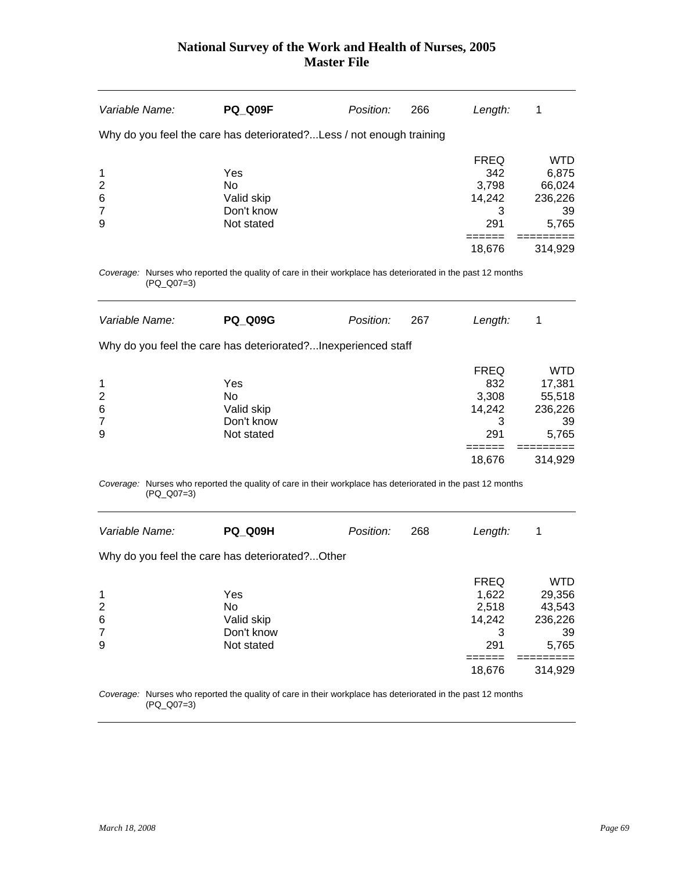| Variable Name:                                                                                                            | <b>PQ_Q09F</b>           | Position: | 266 | Length:     | 1             |
|---------------------------------------------------------------------------------------------------------------------------|--------------------------|-----------|-----|-------------|---------------|
| Why do you feel the care has deteriorated? Less / not enough training                                                     |                          |           |     |             |               |
|                                                                                                                           |                          |           |     | <b>FREQ</b> | <b>WTD</b>    |
| 1                                                                                                                         | Yes                      |           |     | 342         | 6,875         |
| 2                                                                                                                         | <b>No</b>                |           |     | 3,798       | 66,024        |
| 6<br>7                                                                                                                    | Valid skip<br>Don't know |           |     | 14,242<br>3 | 236,226<br>39 |
| 9                                                                                                                         | Not stated               |           |     | 291         | 5,765         |
|                                                                                                                           |                          |           |     |             |               |
|                                                                                                                           |                          |           |     | 18,676      | 314,929       |
| Coverage: Nurses who reported the quality of care in their workplace has deteriorated in the past 12 months<br>(PQ_Q07=3) |                          |           |     |             |               |
| Variable Name:                                                                                                            | <b>PQ_Q09G</b>           | Position: | 267 | Length:     | 1             |
| Why do you feel the care has deteriorated?Inexperienced staff                                                             |                          |           |     |             |               |
|                                                                                                                           |                          |           |     | <b>FREQ</b> | <b>WTD</b>    |
| 1                                                                                                                         | Yes                      |           |     | 832         | 17,381        |
| 2                                                                                                                         | <b>No</b>                |           |     | 3,308       | 55,518        |
| 6                                                                                                                         | Valid skip               |           |     | 14,242      | 236,226       |
| 7                                                                                                                         | Don't know               |           |     | 3           | 39            |
| 9                                                                                                                         | Not stated               |           |     | 291         | 5,765         |
|                                                                                                                           |                          |           |     | 18,676      | 314,929       |
| Coverage: Nurses who reported the quality of care in their workplace has deteriorated in the past 12 months<br>(PQ_Q07=3) |                          |           |     |             |               |
| Variable Name:                                                                                                            | <b>PQ_Q09H</b>           | Position: | 268 | Length:     | 1             |
| Why do you feel the care has deteriorated?Other                                                                           |                          |           |     |             |               |
|                                                                                                                           |                          |           |     | <b>FREQ</b> | <b>WTD</b>    |
| 1                                                                                                                         | Yes                      |           |     | 1,622       | 29,356        |
| $\overline{\mathbf{c}}$                                                                                                   | No                       |           |     | 2,518       | 43,543        |
| 6                                                                                                                         | Valid skip               |           |     | 14,242      | 236,226       |
| $\overline{7}$                                                                                                            | Don't know               |           |     | 3           | 39            |
| 9                                                                                                                         | Not stated               |           |     | 291         | 5,765         |
|                                                                                                                           |                          |           |     | =====       |               |

*Coverage:* Nurses who reported the quality of care in their workplace has deteriorated in the past 12 months (PQ\_Q07=3)

 $18,676$   $314,929$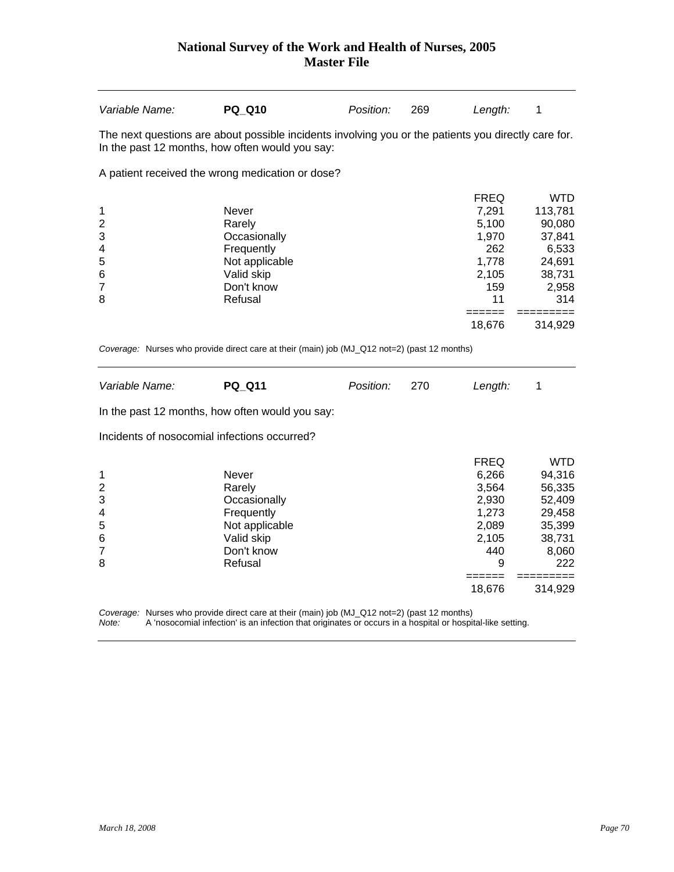| Variable Name:                                                                        | <b>PQ Q10</b>                                                                                                 | Position: | 269 | Length:                                                                                           | 1                                                                                                              |
|---------------------------------------------------------------------------------------|---------------------------------------------------------------------------------------------------------------|-----------|-----|---------------------------------------------------------------------------------------------------|----------------------------------------------------------------------------------------------------------------|
| In the past 12 months, how often would you say:                                       | The next questions are about possible incidents involving you or the patients you directly care for.          |           |     |                                                                                                   |                                                                                                                |
|                                                                                       | A patient received the wrong medication or dose?                                                              |           |     |                                                                                                   |                                                                                                                |
| 1<br>$\overline{\mathbf{c}}$<br>3<br>4<br>5<br>$6\phantom{1}6$<br>$\overline{7}$<br>8 | Never<br>Rarely<br>Occasionally<br>Frequently<br>Not applicable<br>Valid skip<br>Don't know<br>Refusal        |           |     | <b>FREQ</b><br>7,291<br>5,100<br>1,970<br>262<br>1,778<br>2,105<br>159<br>11                      | <b>WTD</b><br>113,781<br>90,080<br>37,841<br>6,533<br>24,691<br>38,731<br>2,958<br>314                         |
|                                                                                       |                                                                                                               |           |     | ======<br>18,676                                                                                  | =========<br>314,929                                                                                           |
|                                                                                       | Coverage: Nurses who provide direct care at their (main) job (MJ_Q12 not=2) (past 12 months)                  |           |     |                                                                                                   |                                                                                                                |
| Variable Name:                                                                        | <b>PQ_Q11</b>                                                                                                 | Position: | 270 | Length:                                                                                           | 1                                                                                                              |
| In the past 12 months, how often would you say:                                       |                                                                                                               |           |     |                                                                                                   |                                                                                                                |
| Incidents of nosocomial infections occurred?                                          |                                                                                                               |           |     |                                                                                                   |                                                                                                                |
| 1<br>$\overline{\mathbf{c}}$<br>3<br>4<br>5<br>6<br>7<br>8                            | <b>Never</b><br>Rarely<br>Occasionally<br>Frequently<br>Not applicable<br>Valid skip<br>Don't know<br>Refusal |           |     | <b>FREQ</b><br>6,266<br>3,564<br>2,930<br>1,273<br>2,089<br>2,105<br>440<br>9<br>======<br>18,676 | <b>WTD</b><br>94,316<br>56,335<br>52,409<br>29,458<br>35,399<br>38,731<br>8,060<br>222<br>=========<br>314,929 |
|                                                                                       | Coverage: Nurses who provide direct care at their (main) job (MJ_Q12 not=2) (past 12 months)                  |           |     |                                                                                                   |                                                                                                                |

*Note:* A 'nosocomial infection' is an infection that originates or occurs in a hospital or hospital-like setting.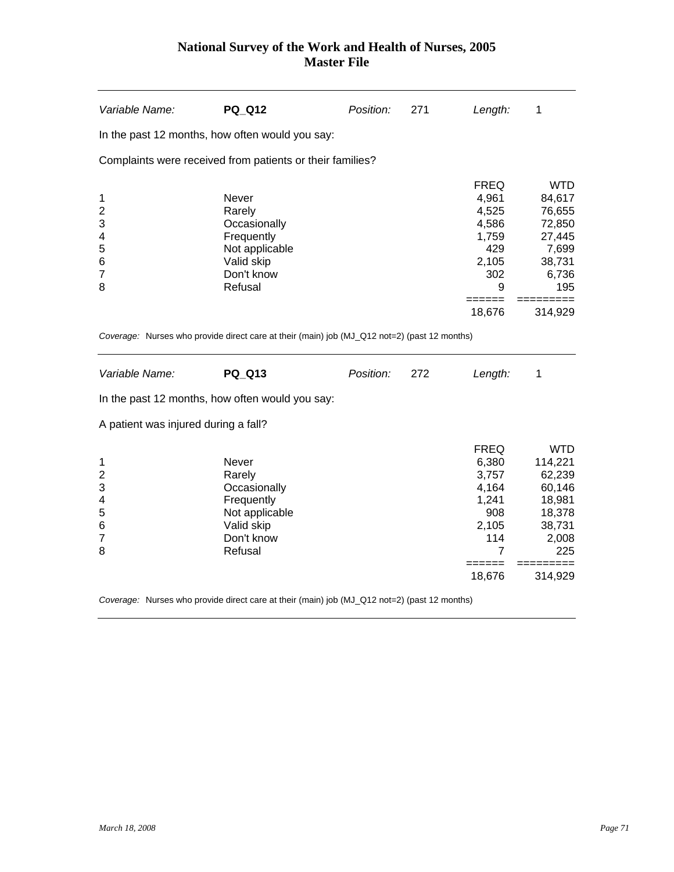| Variable Name:                                                  | <b>PQ_Q12</b>                                                                                          | Position: | 271 | Length:                                                                               | 1                                                                                       |
|-----------------------------------------------------------------|--------------------------------------------------------------------------------------------------------|-----------|-----|---------------------------------------------------------------------------------------|-----------------------------------------------------------------------------------------|
|                                                                 | In the past 12 months, how often would you say:                                                        |           |     |                                                                                       |                                                                                         |
|                                                                 | Complaints were received from patients or their families?                                              |           |     |                                                                                       |                                                                                         |
| 1<br>$\overline{c}$<br>3<br>4<br>5<br>$6\phantom{1}6$<br>7<br>8 | Never<br>Rarely<br>Occasionally<br>Frequently<br>Not applicable<br>Valid skip<br>Don't know<br>Refusal |           |     | <b>FREQ</b><br>4,961<br>4,525<br>4,586<br>1,759<br>429<br>2,105<br>302<br>9<br>=====  | <b>WTD</b><br>84,617<br>76,655<br>72,850<br>27,445<br>7,699<br>38,731<br>6,736<br>195   |
|                                                                 | Coverage: Nurses who provide direct care at their (main) job (MJ_Q12 not=2) (past 12 months)           |           |     | 18,676                                                                                | 314,929                                                                                 |
| Variable Name:                                                  | <b>PQ Q13</b>                                                                                          | Position: | 272 | Length:                                                                               | 1                                                                                       |
|                                                                 | In the past 12 months, how often would you say:                                                        |           |     |                                                                                       |                                                                                         |
| A patient was injured during a fall?                            |                                                                                                        |           |     |                                                                                       |                                                                                         |
| 1<br>$\overline{c}$<br>3<br>4<br>5<br>6<br>$\overline{7}$<br>8  | Never<br>Rarely<br>Occasionally<br>Frequently<br>Not applicable<br>Valid skip<br>Don't know<br>Refusal |           |     | <b>FREQ</b><br>6,380<br>3,757<br>4,164<br>1,241<br>908<br>2,105<br>114<br>7<br>------ | <b>WTD</b><br>114,221<br>62,239<br>60,146<br>18,981<br>18,378<br>38,731<br>2,008<br>225 |
|                                                                 |                                                                                                        |           |     | 18,676                                                                                | 314,929                                                                                 |
|                                                                 | Coverage: Nurses who provide direct care at their (main) job (MJ_Q12 not=2) (past 12 months)           |           |     |                                                                                       |                                                                                         |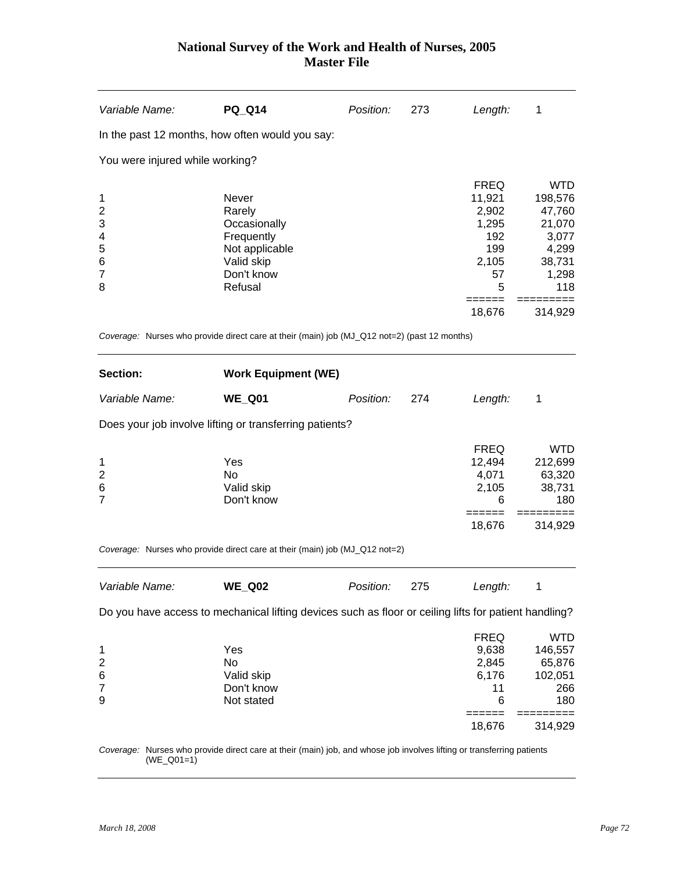| Variable Name:                                           | <b>PQ_Q14</b>                                                                                          | Position: | 273 | Length:                                                                   | 1                                                                                     |
|----------------------------------------------------------|--------------------------------------------------------------------------------------------------------|-----------|-----|---------------------------------------------------------------------------|---------------------------------------------------------------------------------------|
|                                                          | In the past 12 months, how often would you say:                                                        |           |     |                                                                           |                                                                                       |
| You were injured while working?                          |                                                                                                        |           |     |                                                                           |                                                                                       |
| 1<br>$\overline{2}$<br>3<br>4<br>5<br>6<br>7<br>8        | Never<br>Rarely<br>Occasionally<br>Frequently<br>Not applicable<br>Valid skip<br>Don't know<br>Refusal |           |     | <b>FREQ</b><br>11,921<br>2,902<br>1,295<br>192<br>199<br>2,105<br>57<br>5 | <b>WTD</b><br>198,576<br>47,760<br>21,070<br>3,077<br>4,299<br>38,731<br>1,298<br>118 |
|                                                          |                                                                                                        |           |     | 18,676                                                                    | 314,929                                                                               |
|                                                          | Coverage: Nurses who provide direct care at their (main) job (MJ_Q12 not=2) (past 12 months)           |           |     |                                                                           |                                                                                       |
| Section:                                                 | <b>Work Equipment (WE)</b>                                                                             |           |     |                                                                           |                                                                                       |
| Variable Name:                                           | <b>WE_Q01</b>                                                                                          | Position: | 274 | Length:                                                                   | 1                                                                                     |
|                                                          | Does your job involve lifting or transferring patients?                                                |           |     |                                                                           |                                                                                       |
| 1<br>$\overline{2}$<br>6<br>7                            | Yes<br>No<br>Valid skip<br>Don't know                                                                  |           |     | <b>FREQ</b><br>12,494<br>4,071<br>2,105<br>6                              | <b>WTD</b><br>212,699<br>63,320<br>38,731<br>180                                      |
|                                                          |                                                                                                        |           |     | ======<br>18,676                                                          | 314,929                                                                               |
|                                                          | Coverage: Nurses who provide direct care at their (main) job (MJ_Q12 not=2)                            |           |     |                                                                           |                                                                                       |
| Variable Name:                                           | <b>WE_Q02</b>                                                                                          | Position: | 275 | Length:                                                                   | 1                                                                                     |
|                                                          | Do you have access to mechanical lifting devices such as floor or ceiling lifts for patient handling?  |           |     |                                                                           |                                                                                       |
| 1<br>$\overline{\mathbf{c}}$<br>6<br>$\overline{7}$<br>9 | Yes<br>No<br>Valid skip<br>Don't know<br>Not stated                                                    |           |     | <b>FREQ</b><br>9,638<br>2,845<br>6,176<br>11<br>6<br>======               | <b>WTD</b><br>146,557<br>65,876<br>102,051<br>266<br>180<br>=========                 |
|                                                          |                                                                                                        |           |     |                                                                           |                                                                                       |

*Coverage:* Nurses who provide direct care at their (main) job, and whose job involves lifting or transferring patients (WE\_Q01=1)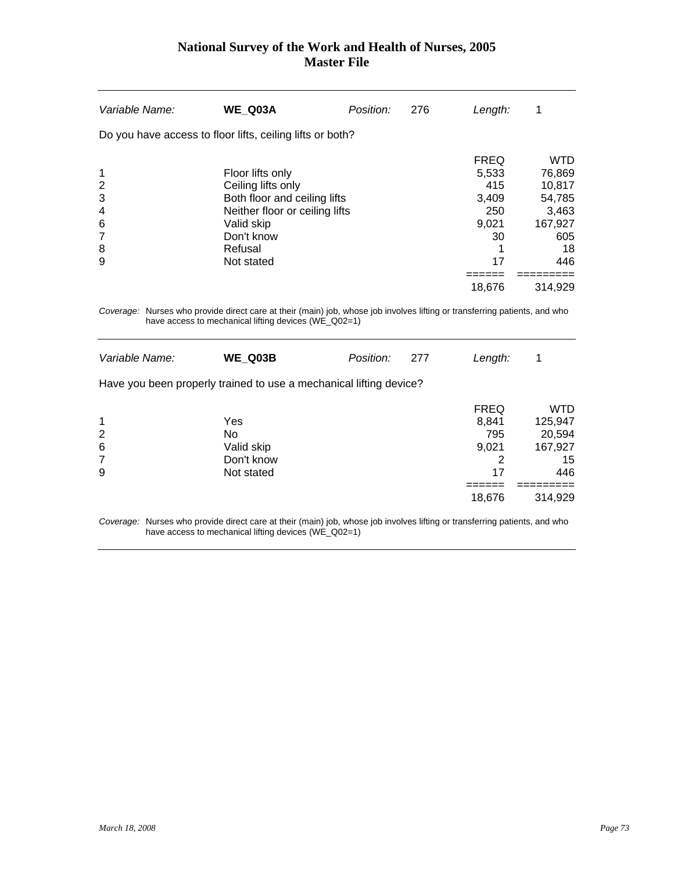| Variable Name:                                    | WE Q03A                                                                                                                                                       | Position: | 276 | Length:                                                                    | 1                                                                                           |
|---------------------------------------------------|---------------------------------------------------------------------------------------------------------------------------------------------------------------|-----------|-----|----------------------------------------------------------------------------|---------------------------------------------------------------------------------------------|
|                                                   | Do you have access to floor lifts, ceiling lifts or both?                                                                                                     |           |     |                                                                            |                                                                                             |
| 1<br>$\overline{2}$<br>3<br>4<br>6<br>7<br>8<br>9 | Floor lifts only<br>Ceiling lifts only<br>Both floor and ceiling lifts<br>Neither floor or ceiling lifts<br>Valid skip<br>Don't know<br>Refusal<br>Not stated |           |     | <b>FREQ</b><br>5,533<br>415<br>3.409<br>250<br>9,021<br>30<br>17<br>18,676 | <b>WTD</b><br>76,869<br>10,817<br>54,785<br>3,463<br>167,927<br>605<br>18<br>446<br>314,929 |
|                                                   |                                                                                                                                                               |           |     |                                                                            |                                                                                             |

*Coverage:* Nurses who provide direct care at their (main) job, whose job involves lifting or transferring patients, and who have access to mechanical lifting devices (WE\_Q02=1)

| Variable Name:                                                | WE Q03B                                                            | Position: | 277 | Length:                                         | 1                                                       |
|---------------------------------------------------------------|--------------------------------------------------------------------|-----------|-----|-------------------------------------------------|---------------------------------------------------------|
|                                                               | Have you been properly trained to use a mechanical lifting device? |           |     |                                                 |                                                         |
| $\mathbf 1$<br>$\overline{2}$<br>$\,6$<br>$\overline{7}$<br>9 | Yes<br>No<br>Valid skip<br>Don't know<br>Not stated                |           |     | <b>FREQ</b><br>8,841<br>795<br>9,021<br>2<br>17 | <b>WTD</b><br>125,947<br>20,594<br>167,927<br>15<br>446 |
|                                                               |                                                                    |           |     | 18,676                                          | 314,929                                                 |

*Coverage:* Nurses who provide direct care at their (main) job, whose job involves lifting or transferring patients, and who have access to mechanical lifting devices (WE\_Q02=1)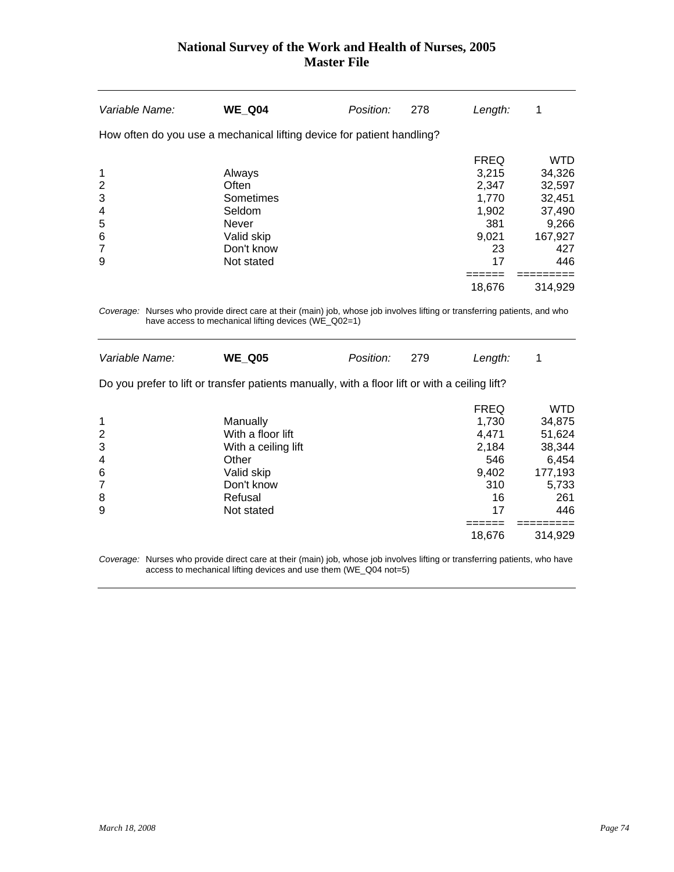| Variable Name:                                                         | <b>WE Q04</b>                                          | Position: | 278 | Length:                                         | 1                                                  |
|------------------------------------------------------------------------|--------------------------------------------------------|-----------|-----|-------------------------------------------------|----------------------------------------------------|
| How often do you use a mechanical lifting device for patient handling? |                                                        |           |     |                                                 |                                                    |
| 1<br>$\overline{2}$<br>3<br>4                                          | Always<br>Often<br>Sometimes<br>Seldom                 |           |     | <b>FREQ</b><br>3,215<br>2,347<br>1.770<br>1,902 | <b>WTD</b><br>34,326<br>32,597<br>32,451<br>37,490 |
| 5<br>6<br>7<br>9                                                       | <b>Never</b><br>Valid skip<br>Don't know<br>Not stated |           |     | 381<br>9,021<br>23<br>17<br>18,676              | 9,266<br>167,927<br>427<br>446<br>314,929          |

*Coverage:* Nurses who provide direct care at their (main) job, whose job involves lifting or transferring patients, and who have access to mechanical lifting devices (WE\_Q02=1)

| Variable Name:                                                                                 | <b>WE Q05</b>       | Position: | 279 | Length:     | 1          |  |  |  |  |
|------------------------------------------------------------------------------------------------|---------------------|-----------|-----|-------------|------------|--|--|--|--|
| Do you prefer to lift or transfer patients manually, with a floor lift or with a ceiling lift? |                     |           |     |             |            |  |  |  |  |
|                                                                                                |                     |           |     | <b>FREQ</b> | <b>WTD</b> |  |  |  |  |
| 1                                                                                              | Manually            |           |     | 1,730       | 34,875     |  |  |  |  |
| $\overline{2}$                                                                                 | With a floor lift   |           |     | 4.471       | 51,624     |  |  |  |  |
| 3                                                                                              | With a ceiling lift |           |     | 2,184       | 38,344     |  |  |  |  |
| $\overline{4}$                                                                                 | Other               |           |     | 546         | 6,454      |  |  |  |  |
| 6                                                                                              | Valid skip          |           |     | 9,402       | 177,193    |  |  |  |  |
| 7                                                                                              | Don't know          |           |     | 310         | 5,733      |  |  |  |  |
| 8                                                                                              | Refusal             |           |     | 16          | 261        |  |  |  |  |
| 9                                                                                              | Not stated          |           |     | 17          | 446        |  |  |  |  |
|                                                                                                |                     |           |     |             |            |  |  |  |  |
|                                                                                                |                     |           |     | 18,676      | 314.929    |  |  |  |  |

*Coverage:* Nurses who provide direct care at their (main) job, whose job involves lifting or transferring patients, who have access to mechanical lifting devices and use them (WE\_Q04 not=5)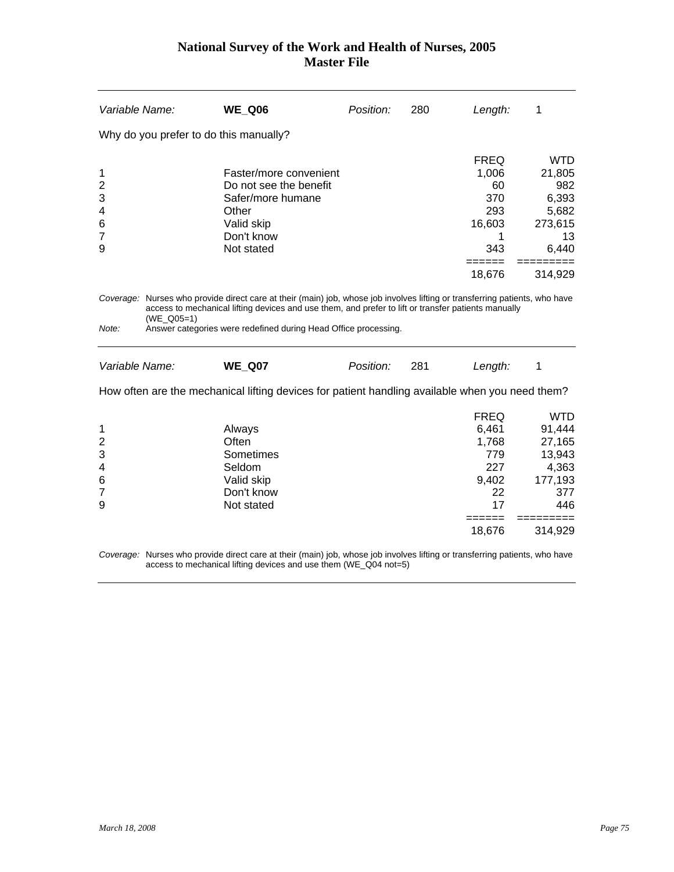| Variable Name:<br>Position:<br><b>WE_Q06</b><br>280<br>Length:<br>1<br>Why do you prefer to do this manually?<br><b>FREQ</b><br>Faster/more convenient<br>1,006<br>1<br>$\overline{c}$<br>Do not see the benefit<br>60<br>3<br>370<br>Safer/more humane<br>293<br>4<br>Other<br>6<br>Valid skip<br>16,603<br>$\overline{7}$<br>Don't know<br>1<br>Not stated<br>9<br>343<br>18,676<br>Coverage: Nurses who provide direct care at their (main) job, whose job involves lifting or transferring patients, who have<br>access to mechanical lifting devices and use them, and prefer to lift or transfer patients manually<br>$(WE_Q05=1)$<br>Note:<br>Answer categories were redefined during Head Office processing.<br>Variable Name:<br>281<br><b>WE Q07</b><br>Position:<br>Length:<br>1<br>How often are the mechanical lifting devices for patient handling available when you need them?<br><b>FREQ</b><br>6,461<br>1<br>Always<br>$\overline{\mathbf{c}}$<br>Often<br>1,768<br>3<br>Sometimes<br>779<br>227<br>Seldom<br>4<br>9,402<br>6<br>Valid skip<br>$\overline{7}$<br>Don't know<br>22<br>9<br>Not stated<br>17<br>=======<br>====== |  |  |        |                                                                                       |
|---------------------------------------------------------------------------------------------------------------------------------------------------------------------------------------------------------------------------------------------------------------------------------------------------------------------------------------------------------------------------------------------------------------------------------------------------------------------------------------------------------------------------------------------------------------------------------------------------------------------------------------------------------------------------------------------------------------------------------------------------------------------------------------------------------------------------------------------------------------------------------------------------------------------------------------------------------------------------------------------------------------------------------------------------------------------------------------------------------------------------------------------------|--|--|--------|---------------------------------------------------------------------------------------|
|                                                                                                                                                                                                                                                                                                                                                                                                                                                                                                                                                                                                                                                                                                                                                                                                                                                                                                                                                                                                                                                                                                                                                   |  |  |        |                                                                                       |
|                                                                                                                                                                                                                                                                                                                                                                                                                                                                                                                                                                                                                                                                                                                                                                                                                                                                                                                                                                                                                                                                                                                                                   |  |  |        |                                                                                       |
|                                                                                                                                                                                                                                                                                                                                                                                                                                                                                                                                                                                                                                                                                                                                                                                                                                                                                                                                                                                                                                                                                                                                                   |  |  |        | <b>WTD</b><br>21,805<br>982<br>6,393<br>5,682<br>273,615<br>13<br>6,440<br>314,929    |
|                                                                                                                                                                                                                                                                                                                                                                                                                                                                                                                                                                                                                                                                                                                                                                                                                                                                                                                                                                                                                                                                                                                                                   |  |  |        |                                                                                       |
|                                                                                                                                                                                                                                                                                                                                                                                                                                                                                                                                                                                                                                                                                                                                                                                                                                                                                                                                                                                                                                                                                                                                                   |  |  |        |                                                                                       |
|                                                                                                                                                                                                                                                                                                                                                                                                                                                                                                                                                                                                                                                                                                                                                                                                                                                                                                                                                                                                                                                                                                                                                   |  |  |        |                                                                                       |
|                                                                                                                                                                                                                                                                                                                                                                                                                                                                                                                                                                                                                                                                                                                                                                                                                                                                                                                                                                                                                                                                                                                                                   |  |  | 18,676 | <b>WTD</b><br>91,444<br>27,165<br>13,943<br>4,363<br>177,193<br>377<br>446<br>314,929 |

*Coverage:* Nurses who provide direct care at their (main) job, whose job involves lifting or transferring patients, who have access to mechanical lifting devices and use them (WE\_Q04 not=5)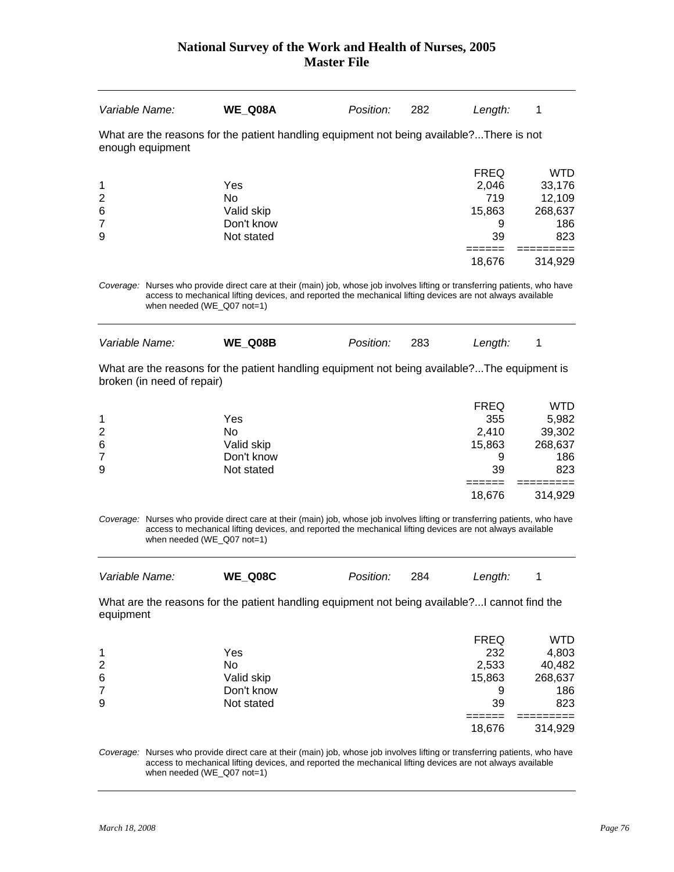| Variable Name:                                                                                                             |                                                                                                                                                                                                                                                                         | WE Q08A                                                         | Position: | 282 | Length:                                                    | 1                                                                  |  |  |  |
|----------------------------------------------------------------------------------------------------------------------------|-------------------------------------------------------------------------------------------------------------------------------------------------------------------------------------------------------------------------------------------------------------------------|-----------------------------------------------------------------|-----------|-----|------------------------------------------------------------|--------------------------------------------------------------------|--|--|--|
| What are the reasons for the patient handling equipment not being available?There is not<br>enough equipment               |                                                                                                                                                                                                                                                                         |                                                                 |           |     |                                                            |                                                                    |  |  |  |
| 1<br>$\overline{2}$<br>6<br>$\overline{7}$<br>9                                                                            |                                                                                                                                                                                                                                                                         | Yes<br>N <sub>o</sub><br>Valid skip<br>Don't know<br>Not stated |           |     | <b>FREQ</b><br>2,046<br>719<br>15,863<br>9<br>39<br>18,676 | <b>WTD</b><br>33,176<br>12,109<br>268,637<br>186<br>823<br>314,929 |  |  |  |
|                                                                                                                            | Coverage: Nurses who provide direct care at their (main) job, whose job involves lifting or transferring patients, who have<br>access to mechanical lifting devices, and reported the mechanical lifting devices are not always available<br>when needed (WE_Q07 not=1) |                                                                 |           |     |                                                            |                                                                    |  |  |  |
| Variable Name:                                                                                                             |                                                                                                                                                                                                                                                                         | WE Q08B                                                         | Position: | 283 | Length:                                                    | 1                                                                  |  |  |  |
| What are the reasons for the patient handling equipment not being available?The equipment is<br>broken (in need of repair) |                                                                                                                                                                                                                                                                         |                                                                 |           |     |                                                            |                                                                    |  |  |  |

|                |            | <b>FREQ</b> | WTD     |
|----------------|------------|-------------|---------|
| 1              | Yes        | 355         | 5,982   |
| $\overline{2}$ | No         | 2,410       | 39,302  |
| 6              | Valid skip | 15,863      | 268,637 |
| $\overline{7}$ | Don't know | 9           | 186     |
| 9              | Not stated | 39          | 823     |
|                |            |             |         |
|                |            | 18,676      | 314,929 |

*Coverage:* Nurses who provide direct care at their (main) job, whose job involves lifting or transferring patients, who have access to mechanical lifting devices, and reported the mechanical lifting devices are not always available when needed (WE\_Q07 not=1)

| Variable Name: | WE Q08C | <i>Position:</i> | - 284 | Length: |  |
|----------------|---------|------------------|-------|---------|--|
|                |         |                  |       |         |  |

What are the reasons for the patient handling equipment not being available?...I cannot find the equipment

|                |            | <b>FREQ</b> | WTD     |
|----------------|------------|-------------|---------|
| 1              | Yes        | 232         | 4,803   |
| $\overline{2}$ | No         | 2,533       | 40,482  |
| 6              | Valid skip | 15,863      | 268,637 |
| $\overline{7}$ | Don't know | 9           | 186     |
| 9              | Not stated | 39          | 823     |
|                |            |             |         |
|                |            | 18,676      | 314,929 |

*Coverage:* Nurses who provide direct care at their (main) job, whose job involves lifting or transferring patients, who have access to mechanical lifting devices, and reported the mechanical lifting devices are not always available when needed (WE\_Q07 not=1)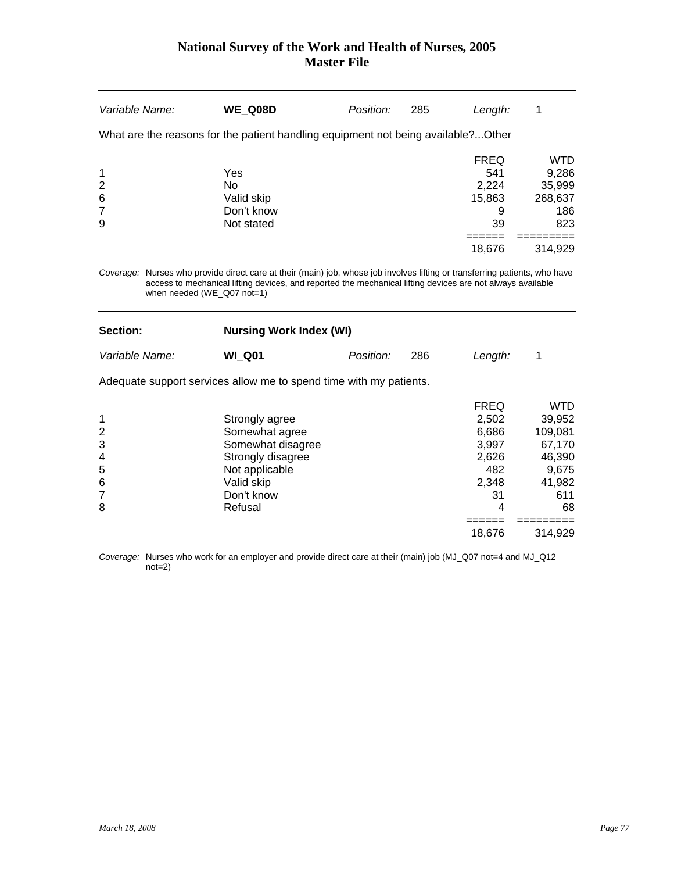| Variable Name:  |                                                                                   | <b>WE Q08D</b>                                                                                                                                                                                                                            | Position: | 285 | Length:     |            |  |  |  |  |
|-----------------|-----------------------------------------------------------------------------------|-------------------------------------------------------------------------------------------------------------------------------------------------------------------------------------------------------------------------------------------|-----------|-----|-------------|------------|--|--|--|--|
|                 | What are the reasons for the patient handling equipment not being available?Other |                                                                                                                                                                                                                                           |           |     |             |            |  |  |  |  |
|                 |                                                                                   |                                                                                                                                                                                                                                           |           |     | <b>FREQ</b> | <b>WTD</b> |  |  |  |  |
| 1               |                                                                                   | Yes                                                                                                                                                                                                                                       |           |     | 541         | 9,286      |  |  |  |  |
| $\overline{2}$  |                                                                                   | No.                                                                                                                                                                                                                                       |           |     | 2.224       | 35,999     |  |  |  |  |
| $6\phantom{1}6$ |                                                                                   | Valid skip                                                                                                                                                                                                                                |           |     | 15.863      | 268,637    |  |  |  |  |
| 7               |                                                                                   | Don't know                                                                                                                                                                                                                                |           |     | 9           | 186        |  |  |  |  |
| 9               |                                                                                   | Not stated                                                                                                                                                                                                                                |           |     | 39          | 823        |  |  |  |  |
|                 |                                                                                   |                                                                                                                                                                                                                                           |           |     |             |            |  |  |  |  |
|                 |                                                                                   |                                                                                                                                                                                                                                           |           |     | 18,676      | 314,929    |  |  |  |  |
|                 |                                                                                   | Coverage: Nurses who provide direct care at their (main) job, whose job involves lifting or transferring patients, who have<br>access to mechanical lifting devices, and reported the mechanical lifting devices are not always available |           |     |             |            |  |  |  |  |

when needed (WE\_Q07 not=1)

| <b>Section:</b> | <b>Nursing Work Index (WI)</b> |                  |     |         |  |  |
|-----------------|--------------------------------|------------------|-----|---------|--|--|
| Variable Name:  | <b>WI Q01</b>                  | <i>Position:</i> | 286 | Lenath: |  |  |

Adequate support services allow me to spend time with my patients.

|                |                   | <b>FREQ</b> | <b>WTD</b> |
|----------------|-------------------|-------------|------------|
| 1              | Strongly agree    | 2,502       | 39,952     |
| 2              | Somewhat agree    | 6,686       | 109,081    |
| 3              | Somewhat disagree | 3,997       | 67,170     |
| 4              | Strongly disagree | 2,626       | 46,390     |
| 5              | Not applicable    | 482         | 9,675      |
| 6              | Valid skip        | 2.348       | 41,982     |
| $\overline{7}$ | Don't know        | 31          | 611        |
| 8              | Refusal           | 4           | 68         |
|                |                   |             |            |
|                |                   | 18,676      | 314.929    |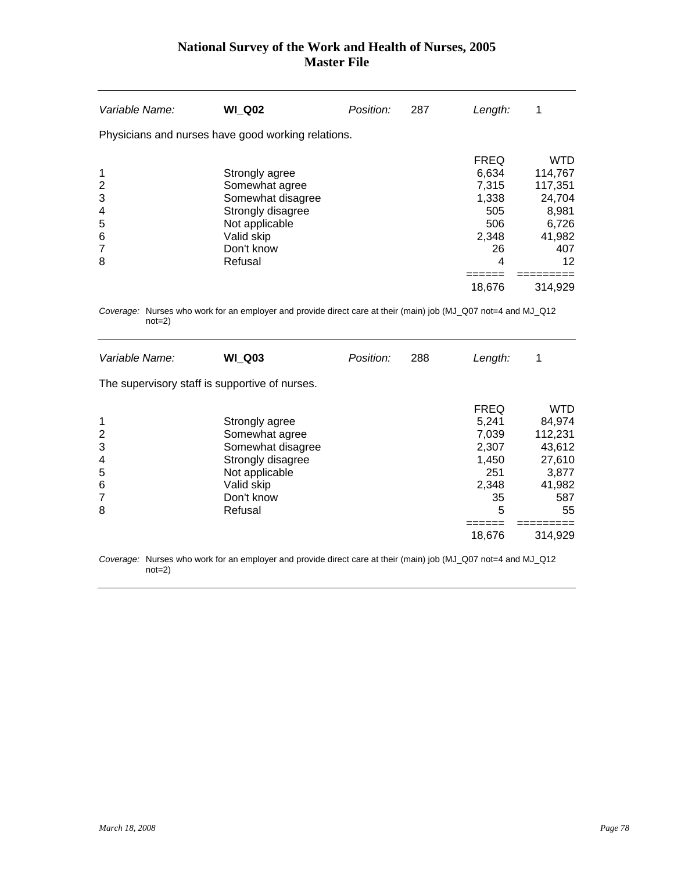| Variable Name:                                    | <b>WI Q02</b>                                                                                                                       | Position: | 287 | Length:                                                                            |                                                                                                |
|---------------------------------------------------|-------------------------------------------------------------------------------------------------------------------------------------|-----------|-----|------------------------------------------------------------------------------------|------------------------------------------------------------------------------------------------|
|                                                   | Physicians and nurses have good working relations.                                                                                  |           |     |                                                                                    |                                                                                                |
| 1<br>$\overline{2}$<br>3<br>4<br>5<br>6<br>7<br>8 | Strongly agree<br>Somewhat agree<br>Somewhat disagree<br>Strongly disagree<br>Not applicable<br>Valid skip<br>Don't know<br>Refusal |           |     | <b>FREQ</b><br>6.634<br>7,315<br>1.338<br>505<br>506<br>2,348<br>26<br>4<br>18,676 | <b>WTD</b><br>114,767<br>117,351<br>24,704<br>8,981<br>6,726<br>41,982<br>407<br>12<br>314,929 |

*Coverage:* Nurses who work for an employer and provide direct care at their (main) job (MJ\_Q07 not=4 and MJ\_Q12 not=2)

| Variable Name:                                    | <b>WI Q03</b>                                                                                                                       | Position: | 288 | Length:                                                                              | 1                                                                                              |
|---------------------------------------------------|-------------------------------------------------------------------------------------------------------------------------------------|-----------|-----|--------------------------------------------------------------------------------------|------------------------------------------------------------------------------------------------|
| The supervisory staff is supportive of nurses.    |                                                                                                                                     |           |     |                                                                                      |                                                                                                |
| 1<br>$\overline{2}$<br>3<br>4<br>5<br>6<br>7<br>8 | Strongly agree<br>Somewhat agree<br>Somewhat disagree<br>Strongly disagree<br>Not applicable<br>Valid skip<br>Don't know<br>Refusal |           |     | <b>FREQ</b><br>5,241<br>7.039<br>2,307<br>1,450<br>251<br>2,348<br>35<br>5<br>18,676 | <b>WTD</b><br>84,974<br>112,231<br>43,612<br>27,610<br>3,877<br>41,982<br>587<br>55<br>314,929 |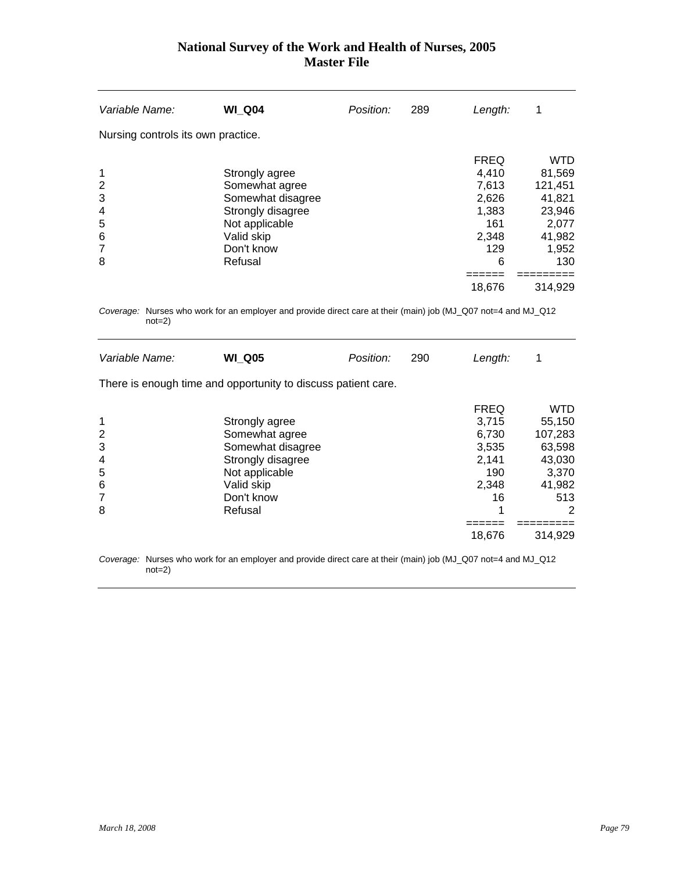| Variable Name:                                    | <b>WI Q04</b>                                                                                                                       | Position: | 289 | Length:                                                                               | 1                                                                                                 |
|---------------------------------------------------|-------------------------------------------------------------------------------------------------------------------------------------|-----------|-----|---------------------------------------------------------------------------------------|---------------------------------------------------------------------------------------------------|
| Nursing controls its own practice.                |                                                                                                                                     |           |     |                                                                                       |                                                                                                   |
| 1<br>$\overline{2}$<br>3<br>4<br>5<br>6<br>7<br>8 | Strongly agree<br>Somewhat agree<br>Somewhat disagree<br>Strongly disagree<br>Not applicable<br>Valid skip<br>Don't know<br>Refusal |           |     | <b>FREQ</b><br>4,410<br>7.613<br>2,626<br>1,383<br>161<br>2,348<br>129<br>6<br>18,676 | <b>WTD</b><br>81,569<br>121,451<br>41,821<br>23,946<br>2,077<br>41,982<br>1,952<br>130<br>314,929 |

*Coverage:* Nurses who work for an employer and provide direct care at their (main) job (MJ\_Q07 not=4 and MJ\_Q12 not=2)

| Variable Name:                                    | <b>WI Q05</b>                                                                                                                       | Position: | 290 | Length:                                                                         | 1                                                                                             |
|---------------------------------------------------|-------------------------------------------------------------------------------------------------------------------------------------|-----------|-----|---------------------------------------------------------------------------------|-----------------------------------------------------------------------------------------------|
|                                                   | There is enough time and opportunity to discuss patient care.                                                                       |           |     |                                                                                 |                                                                                               |
| 1<br>$\overline{2}$<br>3<br>4<br>5<br>6<br>7<br>8 | Strongly agree<br>Somewhat agree<br>Somewhat disagree<br>Strongly disagree<br>Not applicable<br>Valid skip<br>Don't know<br>Refusal |           |     | <b>FREQ</b><br>3,715<br>6,730<br>3.535<br>2,141<br>190<br>2,348<br>16<br>18,676 | <b>WTD</b><br>55,150<br>107,283<br>63,598<br>43,030<br>3,370<br>41,982<br>513<br>2<br>314.929 |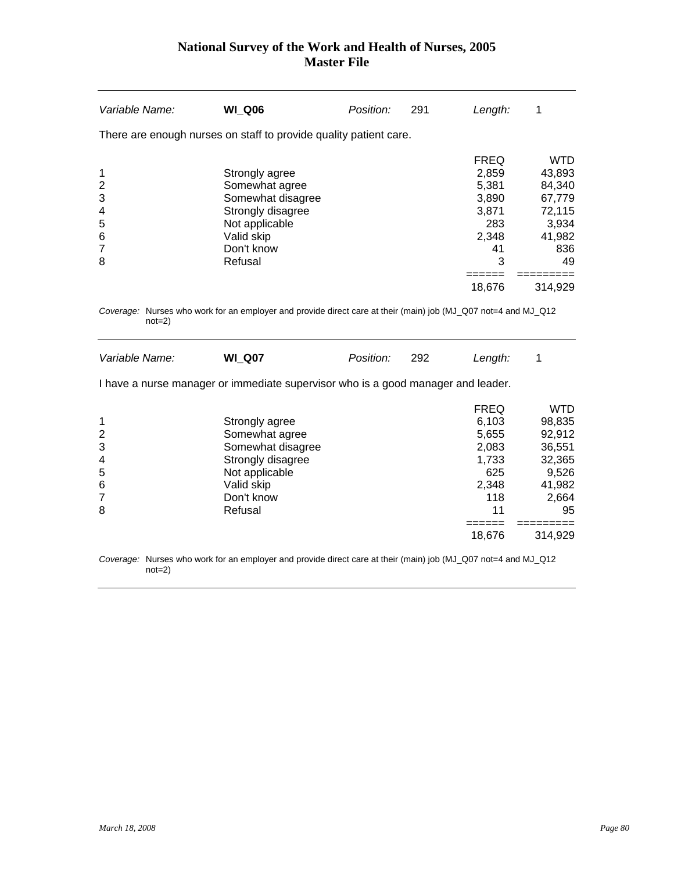| Variable Name: | <b>WI Q06</b>                                                     | Position: | 291 | Length:     |         |
|----------------|-------------------------------------------------------------------|-----------|-----|-------------|---------|
|                | There are enough nurses on staff to provide quality patient care. |           |     |             |         |
|                |                                                                   |           |     | <b>FREQ</b> | WTD     |
| 1              | Strongly agree                                                    |           |     | 2,859       | 43,893  |
| 2              | Somewhat agree                                                    |           |     | 5,381       | 84,340  |
| 3              | Somewhat disagree                                                 |           |     | 3,890       | 67,779  |
| 4              | Strongly disagree                                                 |           |     | 3,871       | 72,115  |
| 5              | Not applicable                                                    |           |     | 283         | 3,934   |
| 6              | Valid skip                                                        |           |     | 2,348       | 41,982  |
| $\overline{7}$ | Don't know                                                        |           |     | 41          | 836     |
| 8              | Refusal                                                           |           |     | 3           | 49      |
|                |                                                                   |           |     |             |         |
|                |                                                                   |           |     | 18,676      | 314.929 |

*Coverage:* Nurses who work for an employer and provide direct care at their (main) job (MJ\_Q07 not=4 and MJ\_Q12 not=2)

| Variable Name: | <b>WI Q07</b>                                                                                          | Position: | 292 | Length:              |                 |
|----------------|--------------------------------------------------------------------------------------------------------|-----------|-----|----------------------|-----------------|
|                | I have a nurse manager or immediate supervisor who is a good manager and leader.                       |           |     |                      |                 |
|                | Strongly agree                                                                                         |           |     | <b>FREQ</b><br>6,103 | WTD.<br>98,835  |
| 2              | Somewhat agree                                                                                         |           |     | 5,655                | 92,912          |
| 3              | Somewhat disagree                                                                                      |           |     | 2,083                | 36,551          |
| 4              | Strongly disagree                                                                                      |           |     | 1,733                | 32,365          |
| 5              | Not applicable                                                                                         |           |     | 625                  | 9,526           |
| 6              | Valid skip<br>Don't know                                                                               |           |     | 2,348<br>118         | 41,982<br>2,664 |
| 8              | Refusal                                                                                                |           |     | 11                   | 95              |
|                |                                                                                                        |           |     |                      |                 |
|                |                                                                                                        |           |     | 18,676               | 314,929         |
|                | Osimususi Niinsas iika iisultaa salamala saalansida dhaat san ettkah (mala) jak (MLOO7 nat. Land MLOJO |           |     |                      |                 |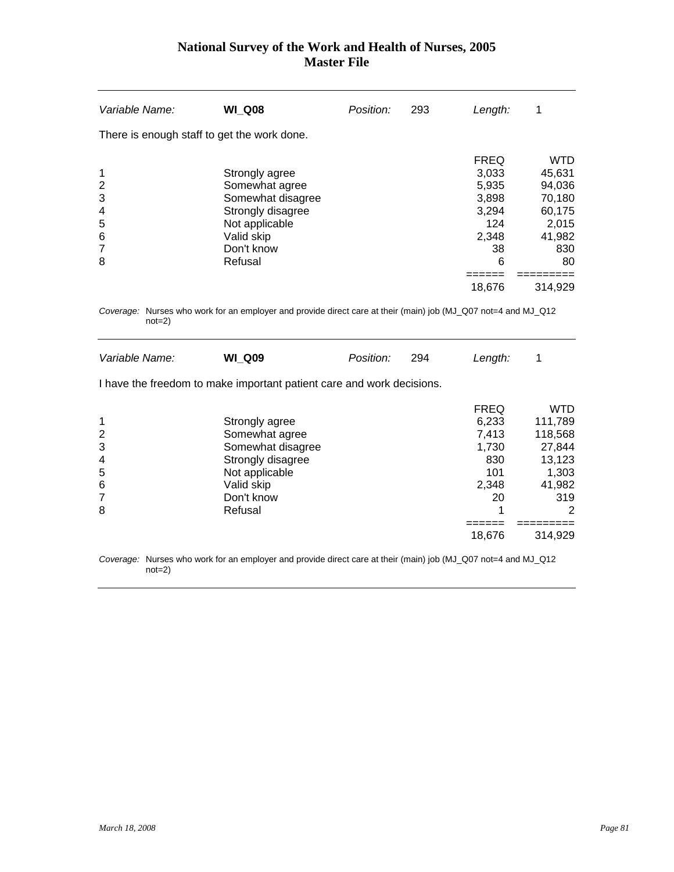| Variable Name:                                    | <b>WI Q08</b>                                                                                                                       | Position: | 293 | Length:                                                                              | 1                                                                                             |
|---------------------------------------------------|-------------------------------------------------------------------------------------------------------------------------------------|-----------|-----|--------------------------------------------------------------------------------------|-----------------------------------------------------------------------------------------------|
| There is enough staff to get the work done.       |                                                                                                                                     |           |     |                                                                                      |                                                                                               |
| 1<br>$\overline{2}$<br>3<br>4<br>5<br>6<br>7<br>8 | Strongly agree<br>Somewhat agree<br>Somewhat disagree<br>Strongly disagree<br>Not applicable<br>Valid skip<br>Don't know<br>Refusal |           |     | <b>FREQ</b><br>3,033<br>5,935<br>3,898<br>3,294<br>124<br>2,348<br>38<br>6<br>18,676 | <b>WTD</b><br>45,631<br>94,036<br>70,180<br>60,175<br>2,015<br>41,982<br>830<br>80<br>314.929 |

*Coverage:* Nurses who work for an employer and provide direct care at their (main) job (MJ\_Q07 not=4 and MJ\_Q12 not=2)

| Variable Name:                       | <b>WI Q09</b>                                                                                                                       | Position: | 294 | Length:                                                                       |                                                                                                |
|--------------------------------------|-------------------------------------------------------------------------------------------------------------------------------------|-----------|-----|-------------------------------------------------------------------------------|------------------------------------------------------------------------------------------------|
|                                      | I have the freedom to make important patient care and work decisions.                                                               |           |     |                                                                               |                                                                                                |
| 1<br>2<br>3<br>4<br>5<br>6<br>7<br>8 | Strongly agree<br>Somewhat agree<br>Somewhat disagree<br>Strongly disagree<br>Not applicable<br>Valid skip<br>Don't know<br>Refusal |           |     | <b>FREQ</b><br>6,233<br>7,413<br>1,730<br>830<br>101<br>2,348<br>20<br>18,676 | <b>WTD</b><br>111,789<br>118,568<br>27,844<br>13,123<br>1,303<br>41,982<br>319<br>2<br>314,929 |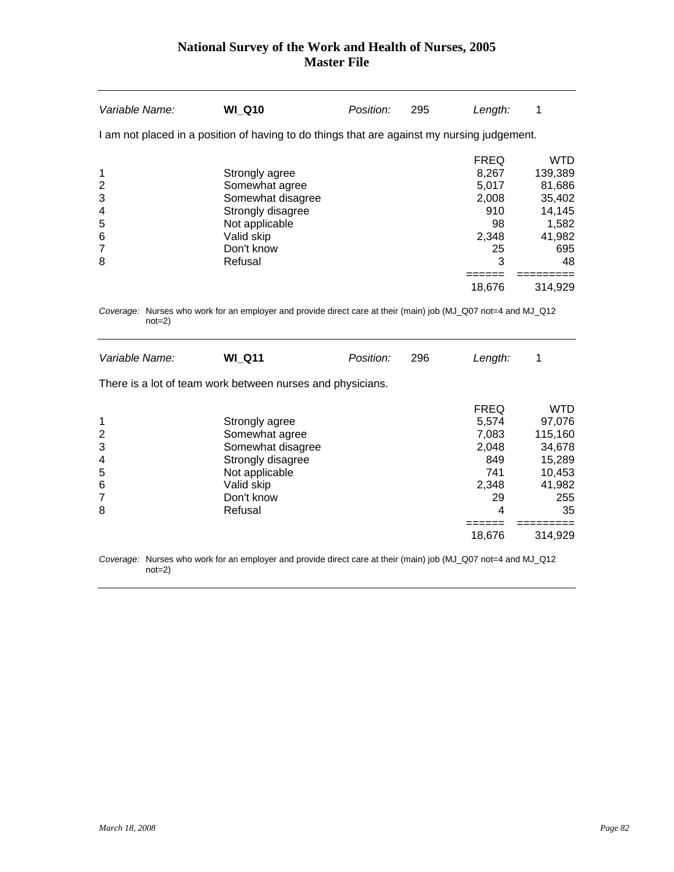| <b>WI Q10</b>                                                                                                                       | Position: | 295 | Length:                                                                 | 1                                                                                                     |
|-------------------------------------------------------------------------------------------------------------------------------------|-----------|-----|-------------------------------------------------------------------------|-------------------------------------------------------------------------------------------------------|
|                                                                                                                                     |           |     |                                                                         |                                                                                                       |
| Strongly agree<br>Somewhat agree<br>Somewhat disagree<br>Strongly disagree<br>Not applicable<br>Valid skip<br>Don't know<br>Refusal |           |     | <b>FREQ</b><br>8.267<br>5,017<br>2.008<br>910<br>98<br>2,348<br>25<br>3 | <b>WTD</b><br>139,389<br>81,686<br>35,402<br>14,145<br>1,582<br>41,982<br>695<br>48<br>314.929        |
|                                                                                                                                     |           |     |                                                                         | I am not placed in a position of having to do things that are against my nursing judgement.<br>18,676 |

*Coverage:* Nurses who work for an employer and provide direct care at their (main) job (MJ\_Q07 not=4 and MJ\_Q12 not=2)

| Variable Name:                       | <b>WI Q11</b>                                                                                                                       | Position: | 296 | Length:                                                                            | 1                                                                                        |
|--------------------------------------|-------------------------------------------------------------------------------------------------------------------------------------|-----------|-----|------------------------------------------------------------------------------------|------------------------------------------------------------------------------------------|
|                                      | There is a lot of team work between nurses and physicians.                                                                          |           |     |                                                                                    |                                                                                          |
| 1<br>2<br>3<br>4<br>5<br>6<br>7<br>8 | Strongly agree<br>Somewhat agree<br>Somewhat disagree<br>Strongly disagree<br>Not applicable<br>Valid skip<br>Don't know<br>Refusal |           |     | <b>FREQ</b><br>5.574<br>7,083<br>2.048<br>849<br>741<br>2,348<br>29<br>4<br>18,676 | WTD<br>97,076<br>115,160<br>34,678<br>15,289<br>10,453<br>41,982<br>255<br>35<br>314,929 |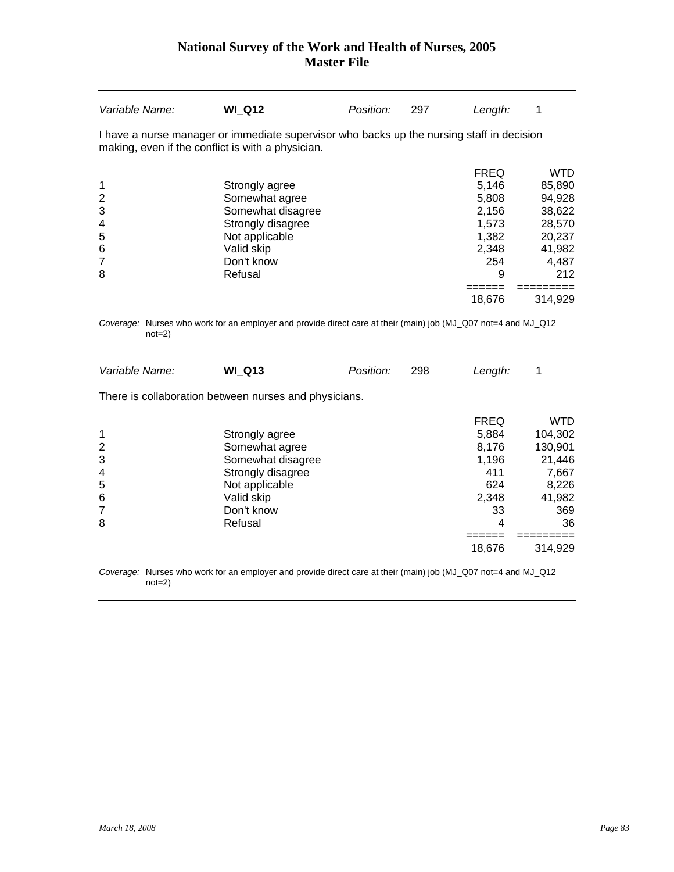| Variable Name:                                                 | <b>WI_Q12</b>                                                                                                                                  | Position: | 297 | Length:                                                                       | 1                                                                                      |
|----------------------------------------------------------------|------------------------------------------------------------------------------------------------------------------------------------------------|-----------|-----|-------------------------------------------------------------------------------|----------------------------------------------------------------------------------------|
|                                                                | I have a nurse manager or immediate supervisor who backs up the nursing staff in decision<br>making, even if the conflict is with a physician. |           |     |                                                                               |                                                                                        |
| 1<br>$\overline{c}$<br>3<br>4<br>5<br>6<br>$\overline{7}$<br>8 | Strongly agree<br>Somewhat agree<br>Somewhat disagree<br>Strongly disagree<br>Not applicable<br>Valid skip<br>Don't know<br>Refusal            |           |     | <b>FREQ</b><br>5,146<br>5,808<br>2,156<br>1,573<br>1,382<br>2,348<br>254<br>9 | <b>WTD</b><br>85,890<br>94,928<br>38,622<br>28,570<br>20,237<br>41,982<br>4,487<br>212 |
|                                                                |                                                                                                                                                |           |     | =====<br>18,676                                                               | 314,929                                                                                |
| $not=2)$                                                       | Coverage: Nurses who work for an employer and provide direct care at their (main) job (MJ_Q07 not=4 and MJ_Q12                                 |           |     |                                                                               |                                                                                        |
| Variable Name:                                                 | <b>WI_Q13</b>                                                                                                                                  | Position: | 298 | Length:                                                                       | 1                                                                                      |
|                                                                | There is collaboration between nurses and physicians.                                                                                          |           |     |                                                                               |                                                                                        |
| 1<br>$\overline{2}$<br>3<br>4<br>5<br>6<br>7<br>8              | Strongly agree<br>Somewhat agree<br>Somewhat disagree<br>Strongly disagree<br>Not applicable<br>Valid skip<br>Don't know<br>Refusal            |           |     | <b>FREQ</b><br>5,884<br>8,176<br>1,196<br>411<br>624<br>2,348<br>33<br>4      | <b>WTD</b><br>104,302<br>130,901<br>21,446<br>7,667<br>8,226<br>41,982<br>369<br>36    |
|                                                                |                                                                                                                                                |           |     | 18,676                                                                        | 314,929                                                                                |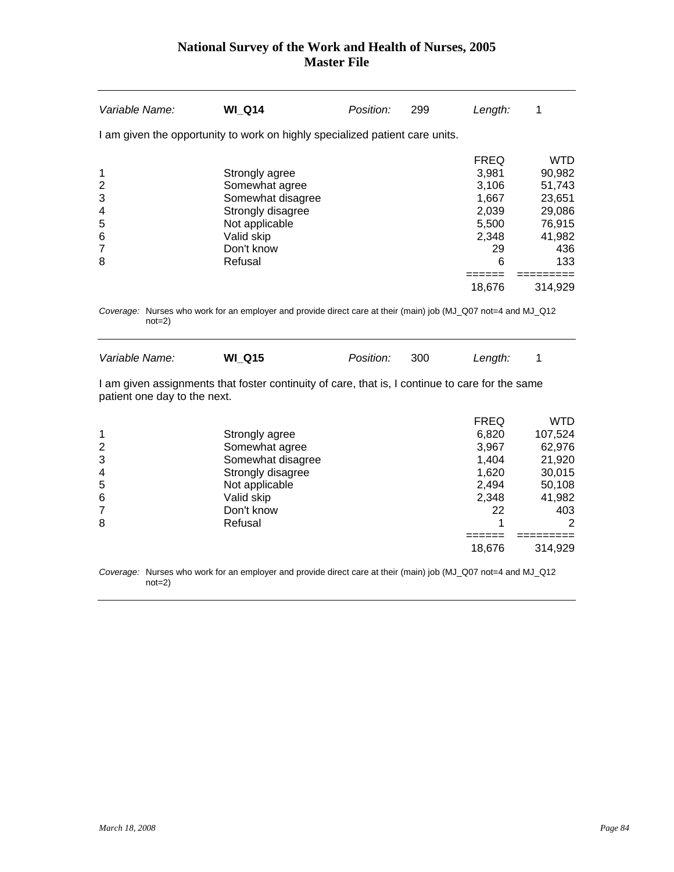| Variable Name:                                    | <b>WI Q14</b>                                                                                                                       | Position: | 299 | Length:                                                                      | 1                                                                                    |
|---------------------------------------------------|-------------------------------------------------------------------------------------------------------------------------------------|-----------|-----|------------------------------------------------------------------------------|--------------------------------------------------------------------------------------|
|                                                   | I am given the opportunity to work on highly specialized patient care units.                                                        |           |     |                                                                              |                                                                                      |
| 1<br>2<br>3<br>$\overline{4}$<br>5<br>6<br>7<br>8 | Strongly agree<br>Somewhat agree<br>Somewhat disagree<br>Strongly disagree<br>Not applicable<br>Valid skip<br>Don't know<br>Refusal |           |     | <b>FREQ</b><br>3,981<br>3.106<br>1.667<br>2,039<br>5.500<br>2,348<br>29<br>6 | <b>WTD</b><br>90,982<br>51,743<br>23,651<br>29,086<br>76,915<br>41,982<br>436<br>133 |
|                                                   |                                                                                                                                     |           |     | 18,676                                                                       | 314,929                                                                              |

*Coverage:* Nurses who work for an employer and provide direct care at their (main) job (MJ\_Q07 not=4 and MJ\_Q12 not=2)

| Variable Name: | <b>WI Q15</b> | Position: 300 | Length: |  |
|----------------|---------------|---------------|---------|--|
|                |               |               |         |  |

I am given assignments that foster continuity of care, that is, I continue to care for the same patient one day to the next.

|                |                   | <b>FREQ</b> | WTD     |
|----------------|-------------------|-------------|---------|
| 1              | Strongly agree    | 6,820       | 107,524 |
| 2              | Somewhat agree    | 3,967       | 62,976  |
| 3              | Somewhat disagree | 1,404       | 21,920  |
| $\overline{4}$ | Strongly disagree | 1,620       | 30,015  |
| 5              | Not applicable    | 2,494       | 50,108  |
| 6              | Valid skip        | 2,348       | 41,982  |
| 7              | Don't know        | 22          | 403     |
| 8              | Refusal           |             | 2       |
|                |                   |             |         |
|                |                   | 18,676      | 314.929 |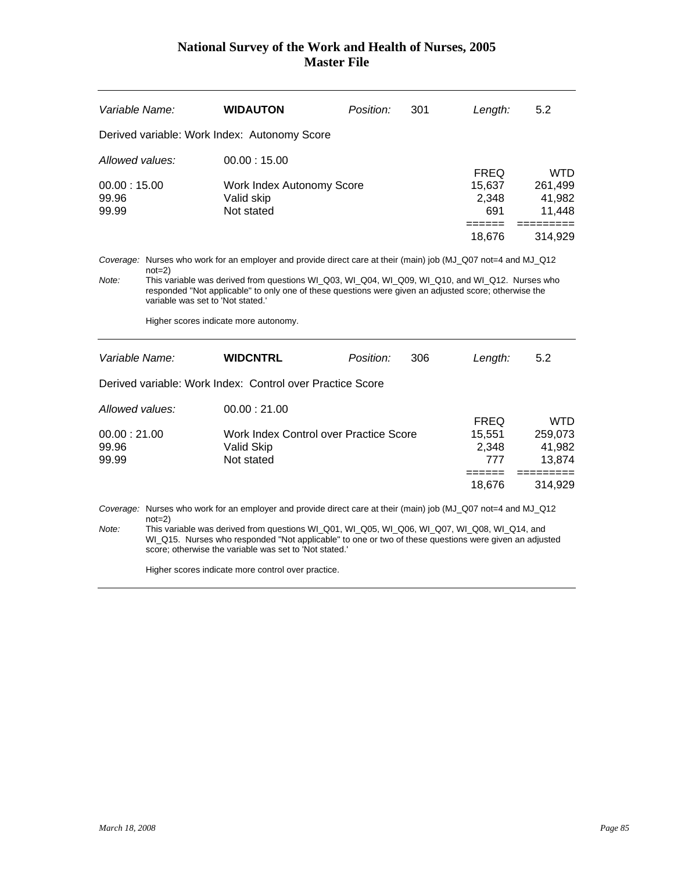| Variable Name:                                   |                                                                                                                                                                                                                                                                                                                                                                                                                      | <b>WIDAUTON</b>                                                                                                                                                                                                                                                                                                                                                                   | Position: | 301 | Length:                                          | 5.2                                       |  |
|--------------------------------------------------|----------------------------------------------------------------------------------------------------------------------------------------------------------------------------------------------------------------------------------------------------------------------------------------------------------------------------------------------------------------------------------------------------------------------|-----------------------------------------------------------------------------------------------------------------------------------------------------------------------------------------------------------------------------------------------------------------------------------------------------------------------------------------------------------------------------------|-----------|-----|--------------------------------------------------|-------------------------------------------|--|
|                                                  | Derived variable: Work Index: Autonomy Score                                                                                                                                                                                                                                                                                                                                                                         |                                                                                                                                                                                                                                                                                                                                                                                   |           |     |                                                  |                                           |  |
| Allowed values:                                  |                                                                                                                                                                                                                                                                                                                                                                                                                      | 00.00:15.00                                                                                                                                                                                                                                                                                                                                                                       |           |     | <b>FREQ</b>                                      | <b>WTD</b>                                |  |
| 00.00:15.00<br>99.96<br>99.99                    |                                                                                                                                                                                                                                                                                                                                                                                                                      | Work Index Autonomy Score<br>Valid skip<br>Not stated                                                                                                                                                                                                                                                                                                                             |           |     | 15,637<br>2,348<br>691<br>======                 | 261,499<br>41,982<br>11,448               |  |
|                                                  |                                                                                                                                                                                                                                                                                                                                                                                                                      |                                                                                                                                                                                                                                                                                                                                                                                   |           |     | 18,676                                           | 314,929                                   |  |
| Note:                                            | Coverage: Nurses who work for an employer and provide direct care at their (main) job (MJ_Q07 not=4 and MJ_Q12<br>$not=2)$<br>This variable was derived from questions WI Q03, WI Q04, WI Q09, WI Q10, and WI Q12. Nurses who<br>responded "Not applicable" to only one of these questions were given an adjusted score; otherwise the<br>variable was set to 'Not stated.'<br>Higher scores indicate more autonomy. |                                                                                                                                                                                                                                                                                                                                                                                   |           |     |                                                  |                                           |  |
| Variable Name:                                   |                                                                                                                                                                                                                                                                                                                                                                                                                      | <b>WIDCNTRL</b>                                                                                                                                                                                                                                                                                                                                                                   | Position: | 306 | Length:                                          | 5.2                                       |  |
|                                                  |                                                                                                                                                                                                                                                                                                                                                                                                                      | Derived variable: Work Index: Control over Practice Score                                                                                                                                                                                                                                                                                                                         |           |     |                                                  |                                           |  |
| Allowed values:<br>00.00:21.00<br>99.96<br>99.99 |                                                                                                                                                                                                                                                                                                                                                                                                                      | 00.00:21.00<br>Work Index Control over Practice Score<br>Valid Skip<br>Not stated                                                                                                                                                                                                                                                                                                 |           |     | <b>FREQ</b><br>15,551<br>2,348<br>777<br>------- | <b>WTD</b><br>259,073<br>41,982<br>13,874 |  |
|                                                  |                                                                                                                                                                                                                                                                                                                                                                                                                      |                                                                                                                                                                                                                                                                                                                                                                                   |           |     | 18,676                                           | 314,929                                   |  |
| Note:                                            | $not=2)$                                                                                                                                                                                                                                                                                                                                                                                                             | Coverage: Nurses who work for an employer and provide direct care at their (main) job (MJ_Q07 not=4 and MJ_Q12<br>This variable was derived from questions WI_Q01, WI_Q05, WI_Q06, WI_Q07, WI_Q08, WI_Q14, and<br>WI_Q15. Nurses who responded "Not applicable" to one or two of these questions were given an adjusted<br>score: otherwise the variable was set to 'Not stated.' |           |     |                                                  |                                           |  |

Higher scores indicate more control over practice.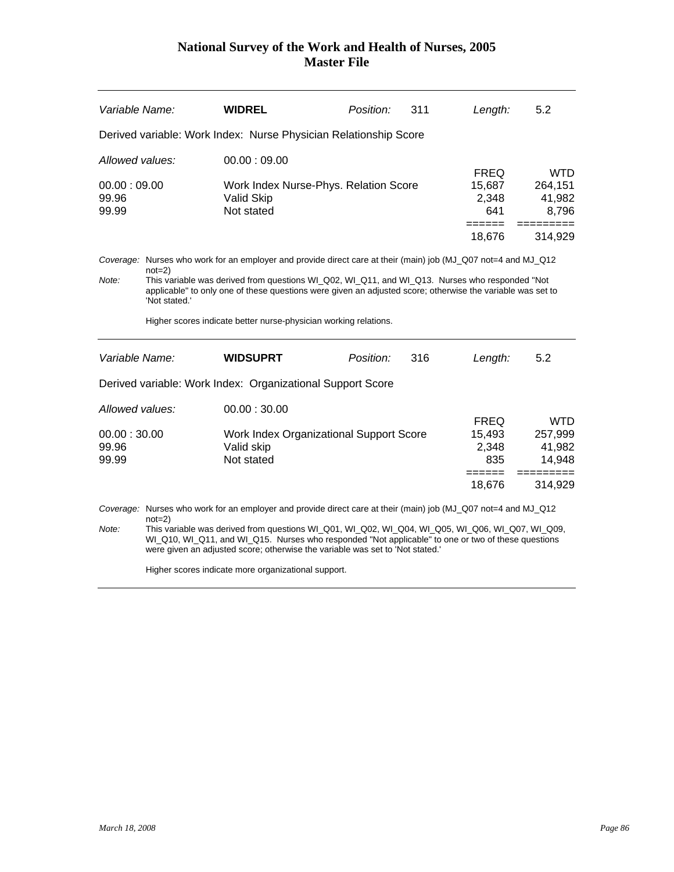| Variable Name:                                                                                                                                                                                                                                                                                                                                                                                                                 |                                                                                                                                                                                                                                                                                                                                                             | WIDREL                                                                             | Position: | 311 | Length:                               | 5.2                                       |  |
|--------------------------------------------------------------------------------------------------------------------------------------------------------------------------------------------------------------------------------------------------------------------------------------------------------------------------------------------------------------------------------------------------------------------------------|-------------------------------------------------------------------------------------------------------------------------------------------------------------------------------------------------------------------------------------------------------------------------------------------------------------------------------------------------------------|------------------------------------------------------------------------------------|-----------|-----|---------------------------------------|-------------------------------------------|--|
|                                                                                                                                                                                                                                                                                                                                                                                                                                |                                                                                                                                                                                                                                                                                                                                                             | Derived variable: Work Index: Nurse Physician Relationship Score                   |           |     |                                       |                                           |  |
| Allowed values:<br>00.00:09.00<br>99.96                                                                                                                                                                                                                                                                                                                                                                                        |                                                                                                                                                                                                                                                                                                                                                             | 00.00:09.00<br>Work Index Nurse-Phys. Relation Score<br>Valid Skip                 |           |     | <b>FREQ</b><br>15,687<br>2,348        | WTD.<br>264,151<br>41,982                 |  |
| 99.99                                                                                                                                                                                                                                                                                                                                                                                                                          |                                                                                                                                                                                                                                                                                                                                                             | Not stated                                                                         |           |     | 641                                   | 8,796                                     |  |
|                                                                                                                                                                                                                                                                                                                                                                                                                                |                                                                                                                                                                                                                                                                                                                                                             |                                                                                    |           |     | 18,676                                | 314,929                                   |  |
| Note:                                                                                                                                                                                                                                                                                                                                                                                                                          | Coverage: Nurses who work for an employer and provide direct care at their (main) job (MJ_Q07 not=4 and MJ_Q12<br>$not=2)$<br>This variable was derived from questions WI_Q02, WI_Q11, and WI_Q13. Nurses who responded "Not<br>applicable" to only one of these questions were given an adjusted score; otherwise the variable was set to<br>'Not stated.' |                                                                                    |           |     |                                       |                                           |  |
|                                                                                                                                                                                                                                                                                                                                                                                                                                |                                                                                                                                                                                                                                                                                                                                                             | Higher scores indicate better nurse-physician working relations.                   |           |     |                                       |                                           |  |
| Variable Name:                                                                                                                                                                                                                                                                                                                                                                                                                 |                                                                                                                                                                                                                                                                                                                                                             | <b>WIDSUPRT</b>                                                                    | Position: | 316 | Length:                               | 5.2                                       |  |
|                                                                                                                                                                                                                                                                                                                                                                                                                                |                                                                                                                                                                                                                                                                                                                                                             | Derived variable: Work Index: Organizational Support Score                         |           |     |                                       |                                           |  |
| Allowed values:<br>00.00:30.00<br>99.96<br>99.99                                                                                                                                                                                                                                                                                                                                                                               |                                                                                                                                                                                                                                                                                                                                                             | 00.00:30.00<br>Work Index Organizational Support Score<br>Valid skip<br>Not stated |           |     | <b>FREQ</b><br>15,493<br>2,348<br>835 | <b>WTD</b><br>257,999<br>41,982<br>14,948 |  |
|                                                                                                                                                                                                                                                                                                                                                                                                                                |                                                                                                                                                                                                                                                                                                                                                             |                                                                                    |           |     | $=$ $=$ $=$ $=$ $=$ $=$<br>18,676     | =========<br>314,929                      |  |
| Coverage: Nurses who work for an employer and provide direct care at their (main) job (MJ_Q07 not=4 and MJ_Q12<br>$not=2)$<br>This variable was derived from questions WI_Q01, WI_Q02, WI_Q04, WI_Q05, WI_Q06, WI_Q07, WI_Q09,<br>Note:<br>WI_Q10, WI_Q11, and WI_Q15. Nurses who responded "Not applicable" to one or two of these questions<br>were given an adjusted score; otherwise the variable was set to 'Not stated.' |                                                                                                                                                                                                                                                                                                                                                             |                                                                                    |           |     |                                       |                                           |  |

Higher scores indicate more organizational support.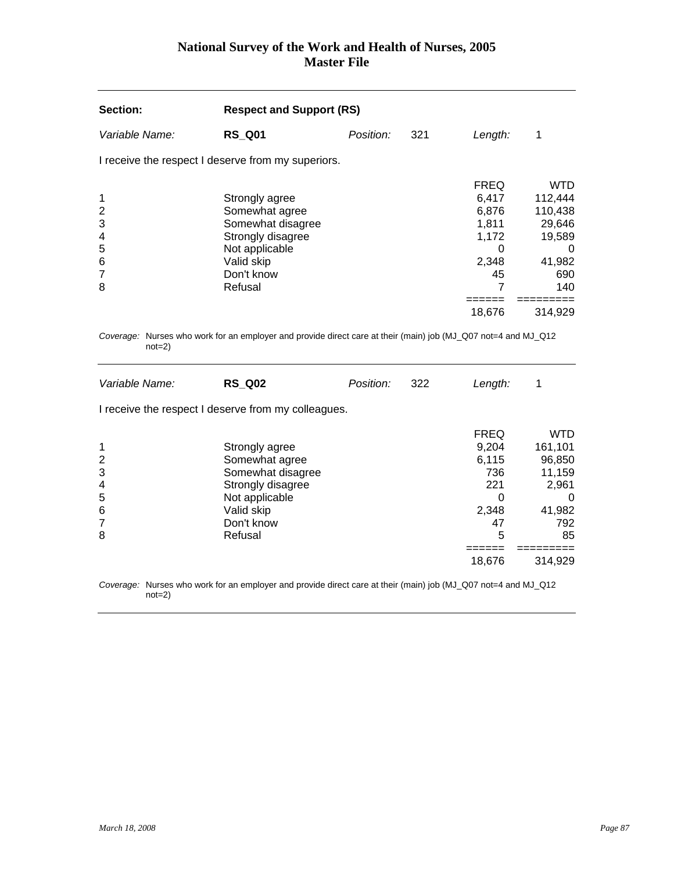| Section:                                                       | <b>Respect and Support (RS)</b>                                                                                                     |           |     |                                                                                       |                                                                                             |
|----------------------------------------------------------------|-------------------------------------------------------------------------------------------------------------------------------------|-----------|-----|---------------------------------------------------------------------------------------|---------------------------------------------------------------------------------------------|
| Variable Name:                                                 | <b>RS Q01</b>                                                                                                                       | Position: | 321 | Length:                                                                               | 1                                                                                           |
|                                                                | I receive the respect I deserve from my superiors.                                                                                  |           |     |                                                                                       |                                                                                             |
| 1<br>$\overline{\mathbf{c}}$<br>3<br>4<br>5<br>6<br>7<br>8     | Strongly agree<br>Somewhat agree<br>Somewhat disagree<br>Strongly disagree<br>Not applicable<br>Valid skip<br>Don't know<br>Refusal |           |     | <b>FREQ</b><br>6,417<br>6,876<br>1,811<br>1,172<br>0<br>2,348<br>45<br>7              | <b>WTD</b><br>112,444<br>110,438<br>29,646<br>19,589<br>0<br>41,982<br>690<br>140           |
|                                                                |                                                                                                                                     |           |     | ======<br>18,676                                                                      | =========<br>314,929                                                                        |
| $not=2)$<br>Variable Name:                                     | Coverage: Nurses who work for an employer and provide direct care at their (main) job (MJ_Q07 not=4 and MJ_Q12<br><b>RS Q02</b>     | Position: | 322 | Length:                                                                               | 1                                                                                           |
|                                                                | I receive the respect I deserve from my colleagues.                                                                                 |           |     |                                                                                       |                                                                                             |
| 1<br>$\overline{c}$<br>3<br>4<br>5<br>6<br>$\overline{7}$<br>8 | Strongly agree<br>Somewhat agree<br>Somewhat disagree<br>Strongly disagree<br>Not applicable<br>Valid skip<br>Don't know<br>Refusal |           |     | <b>FREQ</b><br>9,204<br>6,115<br>736<br>221<br>$\Omega$<br>2,348<br>47<br>5<br>====== | <b>WTD</b><br>161,101<br>96,850<br>11,159<br>2,961<br>0<br>41,982<br>792<br>85<br>========= |
|                                                                |                                                                                                                                     |           |     | 18,676                                                                                | 314,929                                                                                     |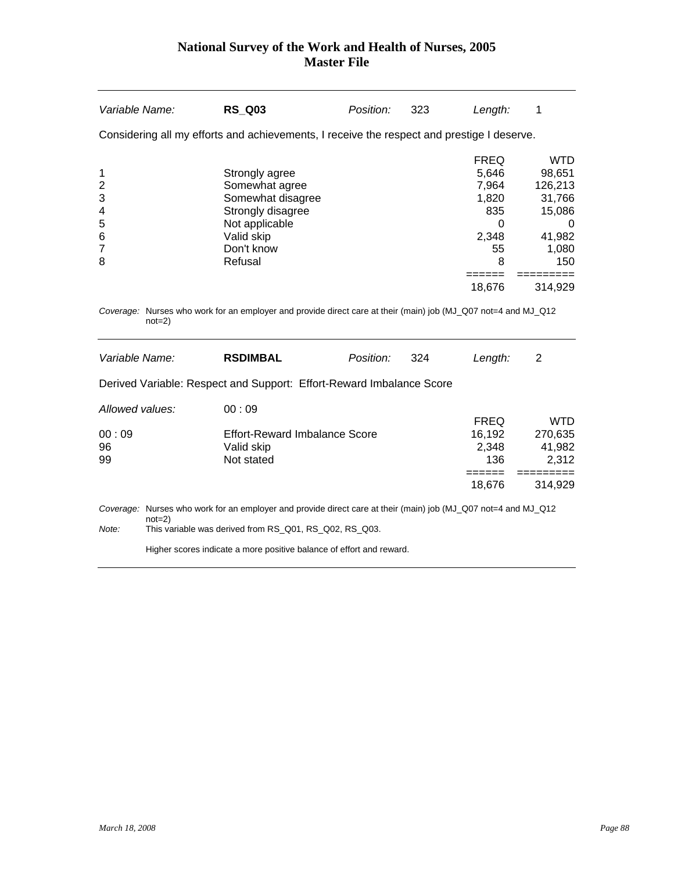| Variable Name:                                                          | <b>RS Q03</b>                                                                                                                                                            | Position: | 323 | Length:                                                                       | 1                                                                                  |
|-------------------------------------------------------------------------|--------------------------------------------------------------------------------------------------------------------------------------------------------------------------|-----------|-----|-------------------------------------------------------------------------------|------------------------------------------------------------------------------------|
|                                                                         | Considering all my efforts and achievements, I receive the respect and prestige I deserve.                                                                               |           |     |                                                                               |                                                                                    |
| 1<br>$\overline{\mathbf{c}}$<br>3<br>4<br>5<br>6<br>$\overline{7}$<br>8 | Strongly agree<br>Somewhat agree<br>Somewhat disagree<br>Strongly disagree<br>Not applicable<br>Valid skip<br>Don't know<br>Refusal                                      |           |     | <b>FREQ</b><br>5,646<br>7,964<br>1,820<br>835<br>$\Omega$<br>2,348<br>55<br>8 | <b>WTD</b><br>98,651<br>126,213<br>31,766<br>15,086<br>0<br>41,982<br>1,080<br>150 |
| $not=2)$                                                                | Coverage: Nurses who work for an employer and provide direct care at their (main) job (MJ_Q07 not=4 and MJ_Q12                                                           |           |     | =====<br>18,676                                                               | 314,929                                                                            |
| Variable Name:                                                          | <b>RSDIMBAL</b>                                                                                                                                                          | Position: | 324 | Length:                                                                       | 2                                                                                  |
|                                                                         | Derived Variable: Respect and Support: Effort-Reward Imbalance Score                                                                                                     |           |     |                                                                               |                                                                                    |
| Allowed values:<br>00:09<br>96<br>99                                    | 00:09<br><b>Effort-Reward Imbalance Score</b><br>Valid skip<br>Not stated                                                                                                |           |     | <b>FREQ</b><br>16,192<br>2,348<br>136<br>$=$ $=$ $=$ $=$ $=$<br>18,676        | <b>WTD</b><br>270,635<br>41,982<br>2,312<br>======<br>314,929                      |
| $not=2)$<br>Note:                                                       | Coverage: Nurses who work for an employer and provide direct care at their (main) job (MJ_Q07 not=4 and MJ_Q12<br>This variable was derived from RS_Q01, RS_Q02, RS_Q03. |           |     |                                                                               |                                                                                    |

Higher scores indicate a more positive balance of effort and reward.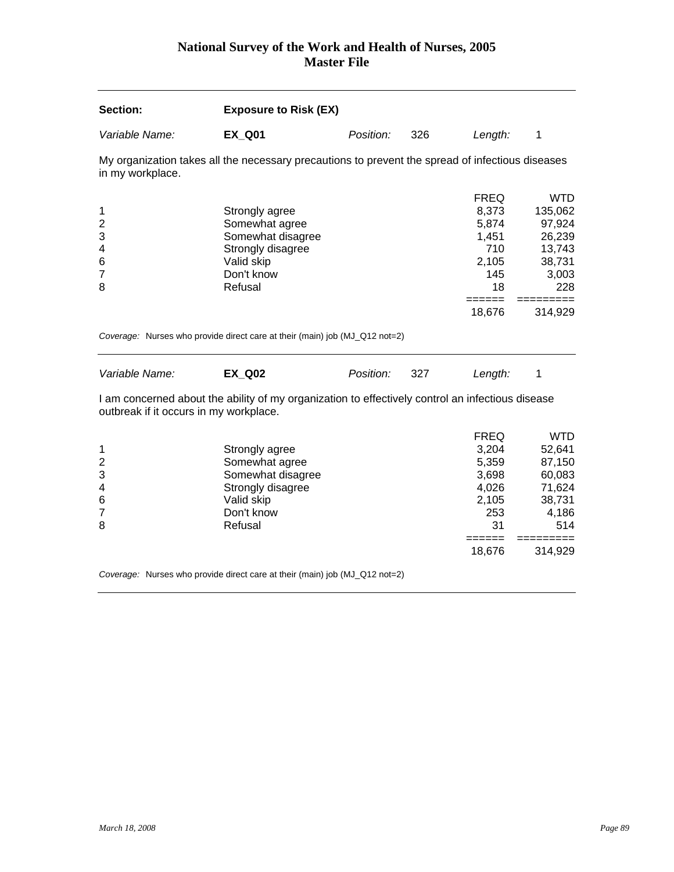| Section:                                         | <b>Exposure to Risk (EX)</b>                                                                                      |           |     |                                                                                |                                                                                       |
|--------------------------------------------------|-------------------------------------------------------------------------------------------------------------------|-----------|-----|--------------------------------------------------------------------------------|---------------------------------------------------------------------------------------|
| Variable Name:                                   | <b>EX_Q01</b>                                                                                                     | Position: | 326 | Length:                                                                        | 1                                                                                     |
| in my workplace.                                 | My organization takes all the necessary precautions to prevent the spread of infectious diseases                  |           |     |                                                                                |                                                                                       |
| 1<br>$\overline{c}$<br>3<br>4<br>$\,6$<br>7<br>8 | Strongly agree<br>Somewhat agree<br>Somewhat disagree<br>Strongly disagree<br>Valid skip<br>Don't know<br>Refusal |           |     | <b>FREQ</b><br>8,373<br>5,874<br>1,451<br>710<br>2,105<br>145<br>18            | <b>WTD</b><br>135,062<br>97,924<br>26,239<br>13,743<br>38,731<br>3,003<br>228         |
|                                                  |                                                                                                                   |           |     | $=$ $=$ $=$ $=$ $=$<br>18,676                                                  | 314,929                                                                               |
| Variable Name:                                   | Coverage: Nurses who provide direct care at their (main) job (MJ_Q12 not=2)<br><b>EX Q02</b>                      | Position: | 327 | Length:                                                                        | 1                                                                                     |
| outbreak if it occurs in my workplace.           | I am concerned about the ability of my organization to effectively control an infectious disease                  |           |     |                                                                                |                                                                                       |
| 1<br>$\overline{c}$<br>3<br>4<br>6<br>7<br>8     | Strongly agree<br>Somewhat agree<br>Somewhat disagree<br>Strongly disagree<br>Valid skip<br>Don't know<br>Refusal |           |     | <b>FREQ</b><br>3,204<br>5,359<br>3,698<br>4,026<br>2,105<br>253<br>31<br>----- | <b>WTD</b><br>52,641<br>87,150<br>60,083<br>71,624<br>38,731<br>4,186<br>514<br>===== |
|                                                  |                                                                                                                   |           |     | 18,676                                                                         | 314,929                                                                               |

*Coverage:* Nurses who provide direct care at their (main) job (MJ\_Q12 not=2)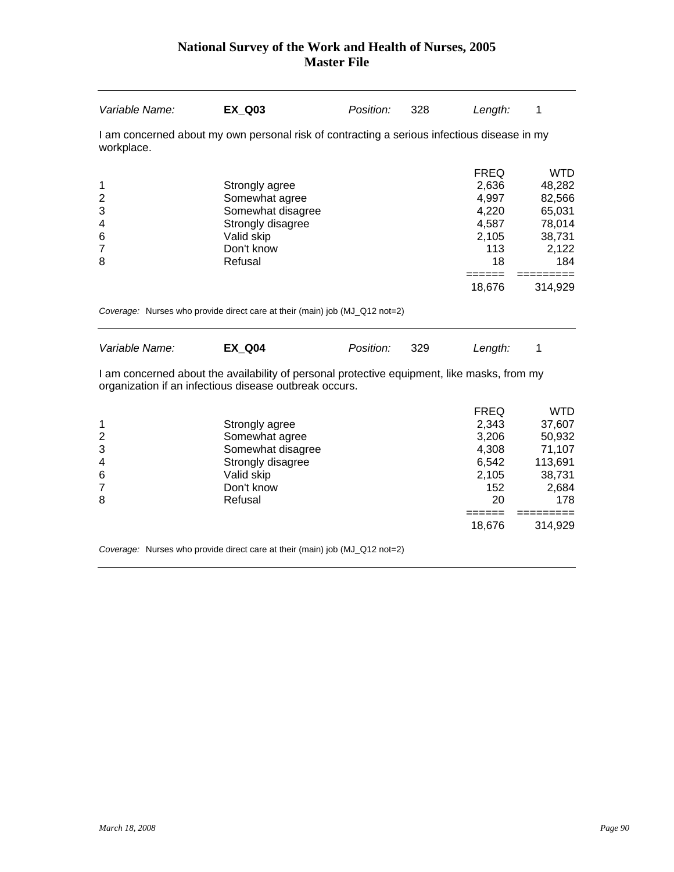| Variable Name:                                            | <b>EX_Q03</b>                                                                                                                                         | Position: | 328 | Length:                                                                                   | 1                                                                                                    |
|-----------------------------------------------------------|-------------------------------------------------------------------------------------------------------------------------------------------------------|-----------|-----|-------------------------------------------------------------------------------------------|------------------------------------------------------------------------------------------------------|
| workplace.                                                | I am concerned about my own personal risk of contracting a serious infectious disease in my                                                           |           |     |                                                                                           |                                                                                                      |
| 1<br>$\overline{c}$<br>3<br>4<br>6<br>$\overline{7}$<br>8 | Strongly agree<br>Somewhat agree<br>Somewhat disagree<br>Strongly disagree<br>Valid skip<br>Don't know<br>Refusal                                     |           |     | <b>FREQ</b><br>2,636<br>4,997<br>4,220<br>4,587<br>2,105<br>113<br>18<br>======<br>18,676 | <b>WTD</b><br>48,282<br>82,566<br>65,031<br>78,014<br>38,731<br>2,122<br>184<br>=========<br>314,929 |
|                                                           | Coverage: Nurses who provide direct care at their (main) job (MJ_Q12 not=2)                                                                           |           |     |                                                                                           |                                                                                                      |
| Variable Name:                                            | <b>EX_Q04</b>                                                                                                                                         | Position: | 329 | Length:                                                                                   | 1                                                                                                    |
|                                                           | I am concerned about the availability of personal protective equipment, like masks, from my<br>organization if an infectious disease outbreak occurs. |           |     |                                                                                           |                                                                                                      |
| 1<br>$\overline{2}$<br>3                                  | Strongly agree<br>Somewhat agree<br>Somewhat disagree                                                                                                 |           |     | <b>FREQ</b><br>2,343<br>3,206<br>4,308                                                    | <b>WTD</b><br>37,607<br>50,932<br>71,107                                                             |

| 4 | Strongly disagree | 6.542  | 113,691 |
|---|-------------------|--------|---------|
| 6 | Valid skip        | 2,105  | 38,731  |
|   | Don't know        | 152    | 2,684   |
| 8 | Refusal           | 20     | 178     |
|   |                   |        |         |
|   |                   | 18.676 | 314.929 |
|   |                   |        |         |

*Coverage:* Nurses who provide direct care at their (main) job (MJ\_Q12 not=2)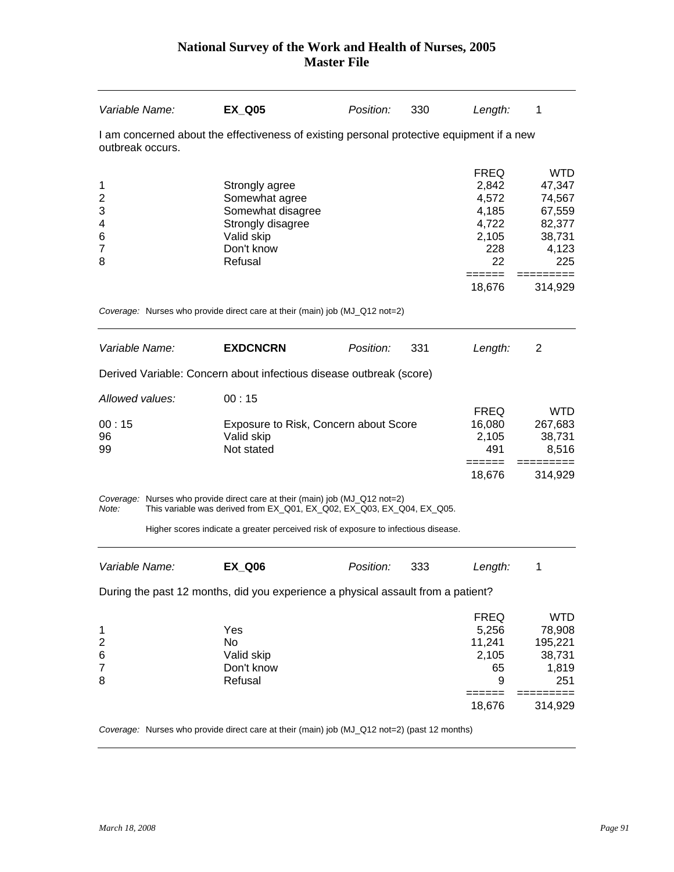| Variable Name:                                  | <b>EX_Q05</b>                                                                                                                                         | Position: | 330 | Length:                                                                         | 1                                                                                             |
|-------------------------------------------------|-------------------------------------------------------------------------------------------------------------------------------------------------------|-----------|-----|---------------------------------------------------------------------------------|-----------------------------------------------------------------------------------------------|
| outbreak occurs.                                | I am concerned about the effectiveness of existing personal protective equipment if a new                                                             |           |     |                                                                                 |                                                                                               |
| 1<br>2<br>3<br>4<br>6<br>7<br>8                 | Strongly agree<br>Somewhat agree<br>Somewhat disagree<br>Strongly disagree<br>Valid skip<br>Don't know<br>Refusal                                     |           |     | <b>FREQ</b><br>2,842<br>4,572<br>4,185<br>4,722<br>2,105<br>228<br>22<br>====== | <b>WTD</b><br>47,347<br>74,567<br>67,559<br>82,377<br>38,731<br>4,123<br>225<br>$=$ ========= |
|                                                 | Coverage: Nurses who provide direct care at their (main) job (MJ_Q12 not=2)                                                                           |           |     | 18,676                                                                          | 314,929                                                                                       |
| Variable Name:                                  | <b>EXDCNCRN</b>                                                                                                                                       | Position: | 331 | Length:                                                                         | 2                                                                                             |
|                                                 | Derived Variable: Concern about infectious disease outbreak (score)                                                                                   |           |     |                                                                                 |                                                                                               |
| Allowed values:                                 | 00:15                                                                                                                                                 |           |     |                                                                                 |                                                                                               |
| 00:15<br>96<br>99                               | Exposure to Risk, Concern about Score<br>Valid skip<br>Not stated                                                                                     |           |     | <b>FREQ</b><br>16,080<br>2,105<br>491                                           | <b>WTD</b><br>267,683<br>38,731<br>8,516                                                      |
|                                                 |                                                                                                                                                       |           |     | ======<br>18,676                                                                | =========<br>314,929                                                                          |
| Note:                                           | Coverage: Nurses who provide direct care at their (main) job (MJ_Q12 not=2)<br>This variable was derived from EX_Q01, EX_Q02, EX_Q03, EX_Q04, EX_Q05. |           |     |                                                                                 |                                                                                               |
|                                                 | Higher scores indicate a greater perceived risk of exposure to infectious disease.                                                                    |           |     |                                                                                 |                                                                                               |
| Variable Name:                                  | <b>EX Q06</b>                                                                                                                                         | Position: | 333 | Length:                                                                         | 1                                                                                             |
|                                                 | During the past 12 months, did you experience a physical assault from a patient?                                                                      |           |     |                                                                                 |                                                                                               |
| 1<br>$\overline{c}$<br>6<br>$\overline{7}$<br>8 | Yes<br>No<br>Valid skip<br>Don't know<br>Refusal                                                                                                      |           |     | <b>FREQ</b><br>5,256<br>11,241<br>2,105<br>65<br>9                              | <b>WTD</b><br>78,908<br>195,221<br>38,731<br>1,819<br>251                                     |
|                                                 |                                                                                                                                                       |           |     | ======<br>18,676                                                                | $=$ =========<br>314,929                                                                      |
|                                                 | Coverage: Nurses who provide direct care at their (main) job (MJ_Q12 not=2) (past 12 months)                                                          |           |     |                                                                                 |                                                                                               |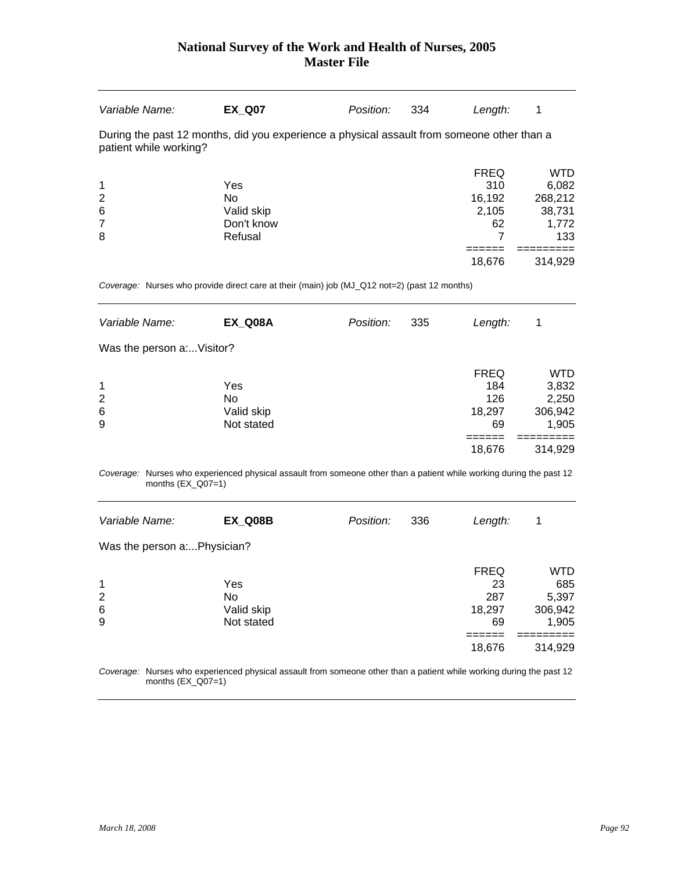| Variable Name:                                                                                                       | <b>EX Q07</b> | Position: | 334 | Length:     | 1          |  |  |  |  |
|----------------------------------------------------------------------------------------------------------------------|---------------|-----------|-----|-------------|------------|--|--|--|--|
| During the past 12 months, did you experience a physical assault from someone other than a<br>patient while working? |               |           |     |             |            |  |  |  |  |
|                                                                                                                      |               |           |     | <b>FREQ</b> | <b>WTD</b> |  |  |  |  |
| $\mathbf 1$                                                                                                          | Yes           |           |     | 310         | 6,082      |  |  |  |  |
| $\overline{2}$                                                                                                       | No.           |           |     | 16,192      | 268,212    |  |  |  |  |
| $6\phantom{1}6$                                                                                                      | Valid skip    |           |     | 2,105       | 38,731     |  |  |  |  |
| $\overline{7}$                                                                                                       | Don't know    |           |     | 62          | 1,772      |  |  |  |  |
| 8                                                                                                                    | Refusal       |           |     |             | 133        |  |  |  |  |
|                                                                                                                      |               |           |     |             |            |  |  |  |  |
|                                                                                                                      |               |           |     | 18.676      | 314.929    |  |  |  |  |

*Coverage:* Nurses who provide direct care at their (main) job (MJ\_Q12 not=2) (past 12 months)

|                                 |  | 335                  | Length:                                   | 1                                                           |  |
|---------------------------------|--|----------------------|-------------------------------------------|-------------------------------------------------------------|--|
| Was the person a: Visitor?      |  |                      |                                           |                                                             |  |
| Yes<br>Valid skip<br>Not stated |  |                      | <b>FREQ</b><br>184<br>126<br>18,297<br>69 | <b>WTD</b><br>3,832<br>2,250<br>306,942<br>1,905<br>314,929 |  |
|                                 |  | EX Q08A<br>Position: |                                           | 18,676                                                      |  |

*Coverage:* Nurses who experienced physical assault from someone other than a patient while working during the past 12 months (EX\_Q07=1)

| <b>EX Q08B</b> | Position:                                 | 336 | Length:     | 1       |
|----------------|-------------------------------------------|-----|-------------|---------|
|                |                                           |     |             |         |
|                |                                           |     | <b>FREQ</b> | WTD     |
| Yes            |                                           |     | 23          | 685     |
| No             |                                           |     | 287         | 5,397   |
|                |                                           |     |             | 306,942 |
| Not stated     |                                           |     | 69          | 1,905   |
|                |                                           |     |             |         |
|                |                                           |     | 18,676      | 314,929 |
|                | Was the person a:Physician?<br>Valid skip |     |             | 18,297  |

*Coverage:* Nurses who experienced physical assault from someone other than a patient while working during the past 12 months (EX\_Q07=1)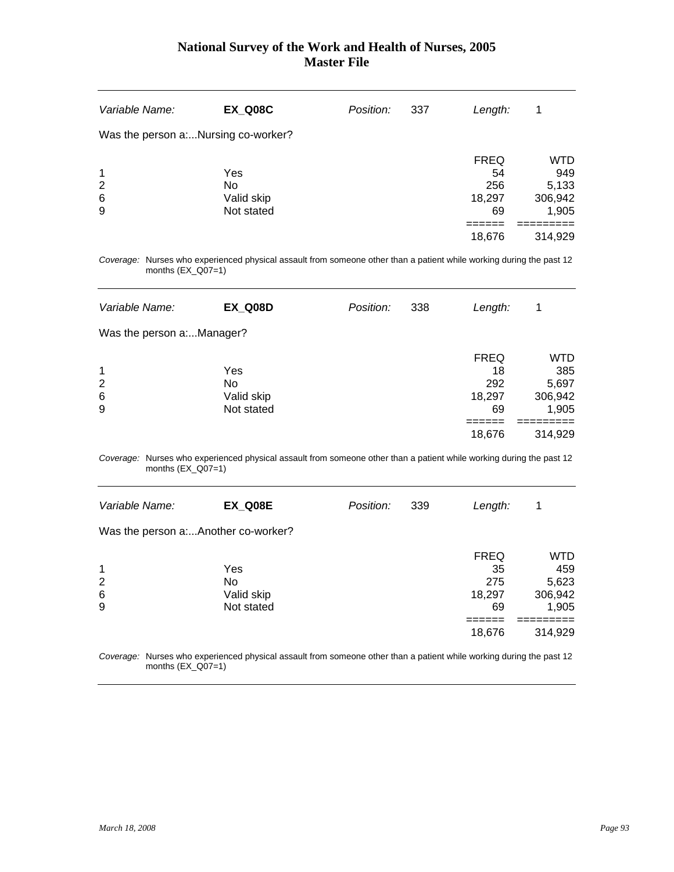| Variable Name:  | EX Q08C                            | Position: | 337 | Length:     | 1          |
|-----------------|------------------------------------|-----------|-----|-------------|------------|
|                 | Was the person aNursing co-worker? |           |     |             |            |
|                 |                                    |           |     | <b>FREQ</b> | <b>WTD</b> |
| $\mathbf 1$     | Yes                                |           |     | 54          | 949        |
| $\overline{2}$  | <b>No</b>                          |           |     | 256         | 5,133      |
| $6\phantom{1}6$ | Valid skip                         |           |     | 18,297      | 306,942    |
| 9               | Not stated                         |           |     | 69          | 1,905      |
|                 |                                    |           |     |             |            |
|                 |                                    |           |     | 18,676      | 314,929    |
|                 |                                    |           |     |             |            |

*Coverage:* Nurses who experienced physical assault from someone other than a patient while working during the past 12 months (EX\_Q07=1)

| Variable Name:            | <b>EX Q08D</b> | Position: | 338 | Length:     | 1       |
|---------------------------|----------------|-----------|-----|-------------|---------|
| Was the person a:Manager? |                |           |     |             |         |
|                           |                |           |     | <b>FREQ</b> | WTD     |
| $\mathbf 1$               | Yes            |           |     | 18          | 385     |
| $\overline{2}$            | No             |           |     | 292         | 5,697   |
| 6                         | Valid skip     |           |     | 18,297      | 306,942 |
| 9                         | Not stated     |           |     | 69          | 1,905   |
|                           |                |           |     |             |         |
|                           |                |           |     | 18,676      | 314,929 |

*Coverage:* Nurses who experienced physical assault from someone other than a patient while working during the past 12 months  $(EX_Q07=1)$ 

| Variable Name:                      | EX Q08E    | Position: | 339 | Length:     | 1       |
|-------------------------------------|------------|-----------|-----|-------------|---------|
| Was the person a:Another co-worker? |            |           |     |             |         |
|                                     |            |           |     | <b>FREQ</b> | WTD     |
| 1                                   | Yes        |           |     | 35          | 459     |
| 2                                   | No         |           |     | 275         | 5,623   |
| 6                                   | Valid skip |           |     | 18,297      | 306,942 |
| 9                                   | Not stated |           |     | 69          | 1,905   |
|                                     |            |           |     |             |         |
|                                     |            |           |     | 18,676      | 314,929 |
|                                     |            |           |     |             |         |

*Coverage:* Nurses who experienced physical assault from someone other than a patient while working during the past 12 months (EX\_Q07=1)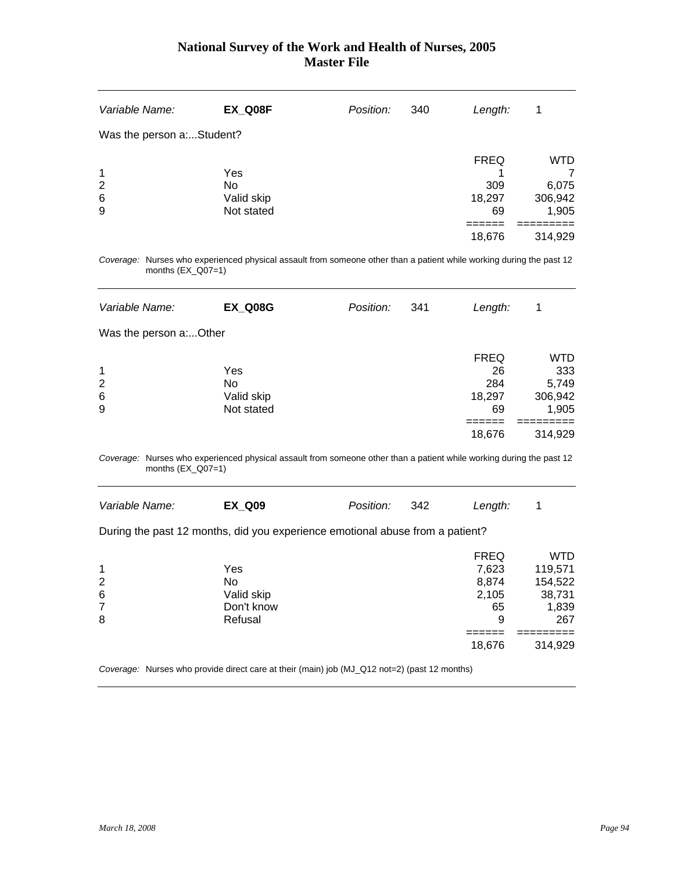| Variable Name:             | <b>EX_Q08F</b>                        | Position: | 340 | Length:                            | 1                                       |
|----------------------------|---------------------------------------|-----------|-----|------------------------------------|-----------------------------------------|
| Was the person a:Student?  |                                       |           |     |                                    |                                         |
| $\mathbf 1$<br>2<br>6<br>9 | Yes<br>No<br>Valid skip<br>Not stated |           |     | <b>FREQ</b><br>309<br>18,297<br>69 | <b>WTD</b><br>6,075<br>306,942<br>1,905 |
|                            |                                       |           |     | 18,676                             | 314,929                                 |

*Coverage:* Nurses who experienced physical assault from someone other than a patient while working during the past 12 months  $(EX_Q07=1)$ 

| Variable Name:         | <b>EX Q08G</b> | Position: | 341 | Length:     | 1       |
|------------------------|----------------|-----------|-----|-------------|---------|
| Was the person a:Other |                |           |     |             |         |
|                        |                |           |     | <b>FREQ</b> | WTD     |
| $\mathbf{1}$           | Yes            |           |     | 26          | 333     |
| 2                      | No             |           |     | 284         | 5,749   |
| 6                      | Valid skip     |           |     | 18,297      | 306,942 |
| 9                      | Not stated     |           |     | 69          | 1,905   |
|                        |                |           |     |             |         |
|                        |                |           |     | 18,676      | 314,929 |

*Coverage:* Nurses who experienced physical assault from someone other than a patient while working during the past 12 months (EX\_Q07=1)

| Variable Name:                         | <b>EX Q09</b>                                                                 | Position: | 342 | Length:                                           |                                                            |
|----------------------------------------|-------------------------------------------------------------------------------|-----------|-----|---------------------------------------------------|------------------------------------------------------------|
|                                        | During the past 12 months, did you experience emotional abuse from a patient? |           |     |                                                   |                                                            |
| 1<br>$\overline{2}$<br>$\,6$<br>7<br>8 | Yes<br>No<br>Valid skip<br>Don't know<br>Refusal                              |           |     | <b>FREQ</b><br>7,623<br>8,874<br>2,105<br>65<br>9 | <b>WTD</b><br>119,571<br>154,522<br>38,731<br>1,839<br>267 |
|                                        |                                                                               |           |     | 18,676                                            | 314,929                                                    |

*Coverage:* Nurses who provide direct care at their (main) job (MJ\_Q12 not=2) (past 12 months)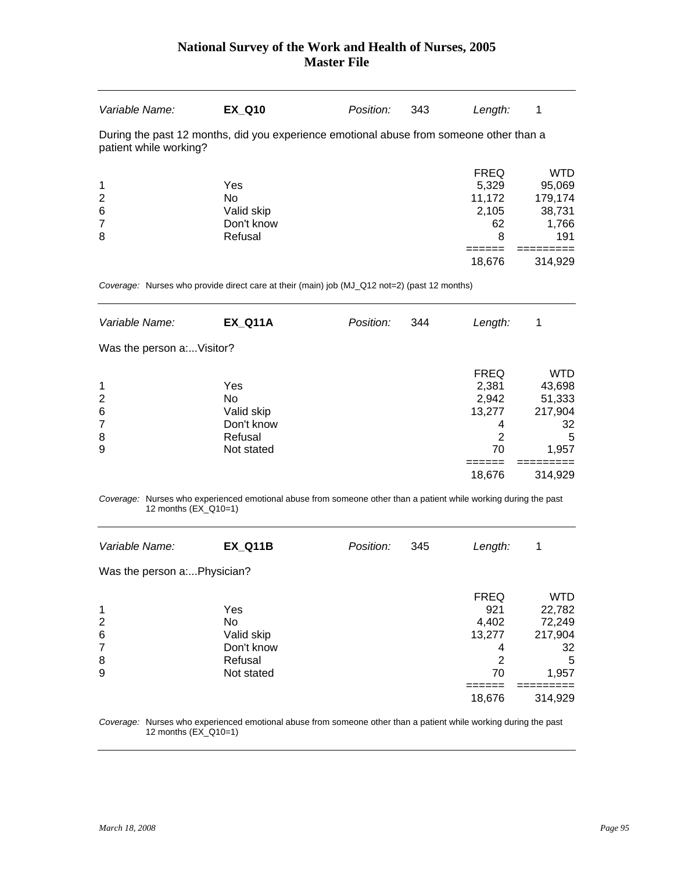| Variable Name:                                                                                                    | <b>EX Q10</b> | Position: | 343 | Length:     | 1          |  |  |  |
|-------------------------------------------------------------------------------------------------------------------|---------------|-----------|-----|-------------|------------|--|--|--|
| During the past 12 months, did you experience emotional abuse from someone other than a<br>patient while working? |               |           |     |             |            |  |  |  |
|                                                                                                                   |               |           |     | <b>FREQ</b> | <b>WTD</b> |  |  |  |
| $\mathbf{1}$                                                                                                      | Yes           |           |     | 5.329       | 95,069     |  |  |  |
| $\overline{2}$                                                                                                    | No.           |           |     | 11,172      | 179,174    |  |  |  |
| $6\phantom{1}6$                                                                                                   | Valid skip    |           |     | 2,105       | 38,731     |  |  |  |
| $\overline{7}$                                                                                                    | Don't know    |           |     | 62          | 1,766      |  |  |  |
| 8                                                                                                                 | Refusal       |           |     | 8           | 191        |  |  |  |
|                                                                                                                   |               |           |     |             |            |  |  |  |
|                                                                                                                   |               |           |     | 18.676      | 314,929    |  |  |  |

*Coverage:* Nurses who provide direct care at their (main) job (MJ\_Q12 not=2) (past 12 months)

| Variable Name:            | <b>EX Q11A</b>   | Position: | 344 | Length:        | 1                |
|---------------------------|------------------|-----------|-----|----------------|------------------|
| Was the person a:Visitor? |                  |           |     |                |                  |
|                           |                  |           |     | <b>FREQ</b>    | WTD              |
| 1<br>2                    | Yes<br><b>No</b> |           |     | 2,381<br>2,942 | 43,698<br>51,333 |
| 6                         | Valid skip       |           |     | 13,277         | 217,904          |
| 7                         | Don't know       |           |     | 4              | 32               |
| 8                         | Refusal          |           |     | 2              | 5                |
| 9                         | Not stated       |           |     | 70             | 1,957            |
|                           |                  |           |     |                |                  |
|                           |                  |           |     | 18,676         | 314,929          |

*Coverage:* Nurses who experienced emotional abuse from someone other than a patient while working during the past 12 months (EX\_Q10=1)

| Variable Name:              | <b>EX Q11B</b> | Position: | 345 | Length:     | 1          |
|-----------------------------|----------------|-----------|-----|-------------|------------|
| Was the person a:Physician? |                |           |     |             |            |
|                             |                |           |     | <b>FREQ</b> | <b>WTD</b> |
| $\mathbf 1$                 | Yes            |           |     | 921         | 22,782     |
| $\overline{2}$              | No             |           |     | 4,402       | 72,249     |
| $6\phantom{1}6$             | Valid skip     |           |     | 13,277      | 217,904    |
| $\overline{7}$              | Don't know     |           |     | 4           | 32         |
| 8                           | Refusal        |           |     | 2           | 5          |
| 9                           | Not stated     |           |     | 70          | 1,957      |
|                             |                |           |     |             |            |
|                             |                |           |     | 18,676      | 314,929    |
|                             |                |           |     |             |            |

*Coverage:* Nurses who experienced emotional abuse from someone other than a patient while working during the past 12 months (EX\_Q10=1)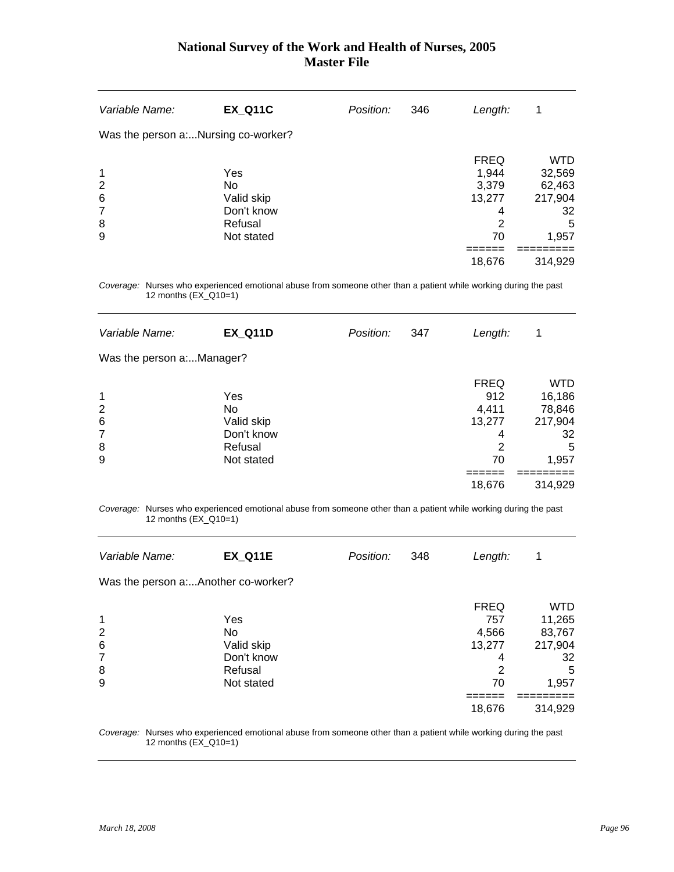| Variable Name: | <b>EX_Q11C</b>                     | Position: | 346 | Length:     | 1          |
|----------------|------------------------------------|-----------|-----|-------------|------------|
|                | Was the person aNursing co-worker? |           |     |             |            |
|                |                                    |           |     | <b>FREQ</b> | <b>WTD</b> |
| 1              | Yes                                |           |     | 1,944       | 32,569     |
| $\overline{2}$ | No                                 |           |     | 3,379       | 62,463     |
| 6              | Valid skip                         |           |     | 13,277      | 217,904    |
| 7              | Don't know                         |           |     | 4           | 32         |
| 8              | Refusal                            |           |     | 2           | 5          |
| 9              | Not stated                         |           |     | 70          | 1,957      |
|                |                                    |           |     |             |            |
|                |                                    |           |     | 18,676      | 314,929    |
|                |                                    |           |     |             |            |

*Coverage:* Nurses who experienced emotional abuse from someone other than a patient while working during the past 12 months (EX\_Q10=1)

| Variable Name:            | <b>EX_Q11D</b> | Position: | 347 | Length:     | 1          |
|---------------------------|----------------|-----------|-----|-------------|------------|
| Was the person a:Manager? |                |           |     |             |            |
|                           |                |           |     | <b>FREQ</b> | <b>WTD</b> |
| $\mathbf 1$               | Yes            |           |     | 912         | 16,186     |
| $\overline{2}$            | No             |           |     | 4,411       | 78,846     |
| $6\phantom{1}6$           | Valid skip     |           |     | 13,277      | 217,904    |
| 7                         | Don't know     |           |     | 4           | 32         |
| 8                         | Refusal        |           |     | 2           | 5          |
| 9                         | Not stated     |           |     | 70          | 1,957      |
|                           |                |           |     |             |            |
|                           |                |           |     | 18,676      | 314,929    |
|                           |                |           |     |             |            |

*Coverage:* Nurses who experienced emotional abuse from someone other than a patient while working during the past 12 months (EX\_Q10=1)

| Variable Name:                      | <b>EX Q11E</b> | Position: | 348 | Length:     | 1          |
|-------------------------------------|----------------|-----------|-----|-------------|------------|
| Was the person a:Another co-worker? |                |           |     |             |            |
|                                     |                |           |     | <b>FREQ</b> | <b>WTD</b> |
| $\mathbf 1$                         | Yes            |           |     | 757         | 11,265     |
| $\overline{2}$                      | No.            |           |     | 4,566       | 83,767     |
| $6\phantom{1}6$                     | Valid skip     |           |     | 13,277      | 217,904    |
| $\overline{7}$                      | Don't know     |           |     | 4           | 32         |
| 8                                   | Refusal        |           |     | 2           | 5          |
| 9                                   | Not stated     |           |     | 70          | 1,957      |
|                                     |                |           |     |             |            |
|                                     |                |           |     | 18,676      | 314,929    |

*Coverage:* Nurses who experienced emotional abuse from someone other than a patient while working during the past 12 months (EX\_Q10=1)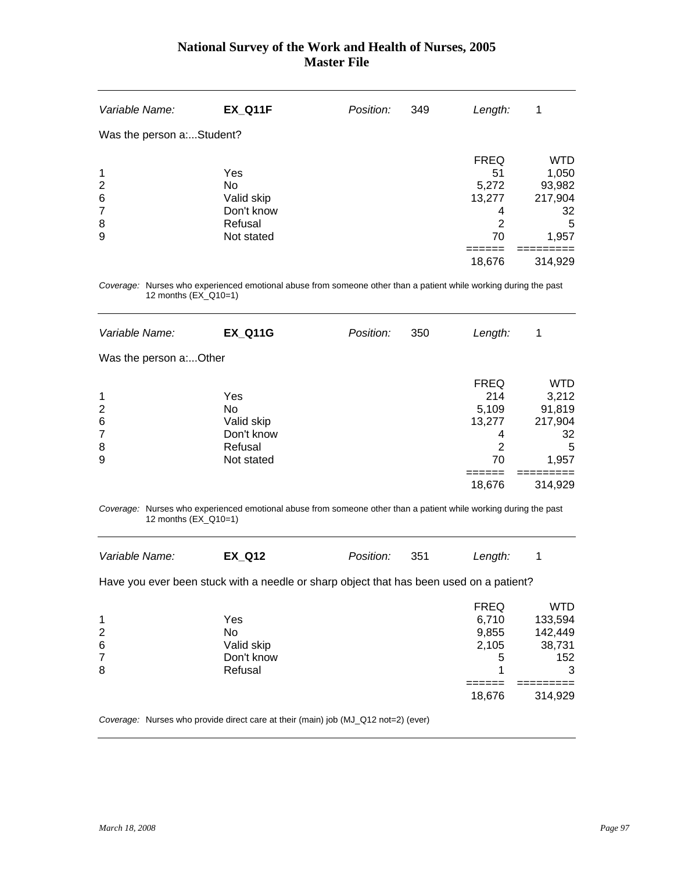| Variable Name:                          | <b>EX_Q11F</b>                                                 | Position: | 349 | Length:                                              | 1                                                            |
|-----------------------------------------|----------------------------------------------------------------|-----------|-----|------------------------------------------------------|--------------------------------------------------------------|
| Was the person a:Student?               |                                                                |           |     |                                                      |                                                              |
| 1<br>$\overline{2}$<br>6<br>7<br>8<br>9 | Yes<br>No<br>Valid skip<br>Don't know<br>Refusal<br>Not stated |           |     | <b>FREQ</b><br>51<br>5,272<br>13,277<br>4<br>2<br>70 | <b>WTD</b><br>1,050<br>93,982<br>217,904<br>32<br>5<br>1,957 |
|                                         |                                                                |           |     | 18,676                                               | 314,929                                                      |

*Coverage:* Nurses who experienced emotional abuse from someone other than a patient while working during the past 12 months (EX\_Q10=1)

| Variable Name:         | <b>EX_Q11G</b> | Position: | 350 | Length:     | 1          |
|------------------------|----------------|-----------|-----|-------------|------------|
| Was the person a:Other |                |           |     |             |            |
|                        |                |           |     | <b>FREQ</b> | <b>WTD</b> |
| $\mathbf 1$            | Yes            |           |     | 214         | 3,212      |
| $\overline{2}$         | No             |           |     | 5,109       | 91,819     |
| $6\phantom{1}6$        | Valid skip     |           |     | 13,277      | 217,904    |
| 7                      | Don't know     |           |     | 4           | 32         |
| 8                      | Refusal        |           |     | 2           | 5          |
| 9                      | Not stated     |           |     | 70          | 1,957      |
|                        |                |           |     |             |            |
|                        |                |           |     | 18,676      | 314,929    |
|                        |                |           |     |             |            |

*Coverage:* Nurses who experienced emotional abuse from someone other than a patient while working during the past 12 months (EX\_Q10=1)

| Variable Name: | <b>EX Q12</b> | <i>Position:</i> | 351 | Length: |  |
|----------------|---------------|------------------|-----|---------|--|
|                |               |                  |     |         |  |

Have you ever been stuck with a needle or sharp object that has been used on a patient?

|                |            | <b>FREQ</b> | <b>WTD</b> |
|----------------|------------|-------------|------------|
| 1              | Yes        | 6,710       | 133,594    |
| 2              | No         | 9,855       | 142,449    |
| $\,6$          | Valid skip | 2,105       | 38,731     |
| $\overline{7}$ | Don't know | 5           | 152        |
| 8              | Refusal    |             | 3          |
|                |            |             |            |
|                |            | 18,676      | 314,929    |

*Coverage:* Nurses who provide direct care at their (main) job (MJ\_Q12 not=2) (ever)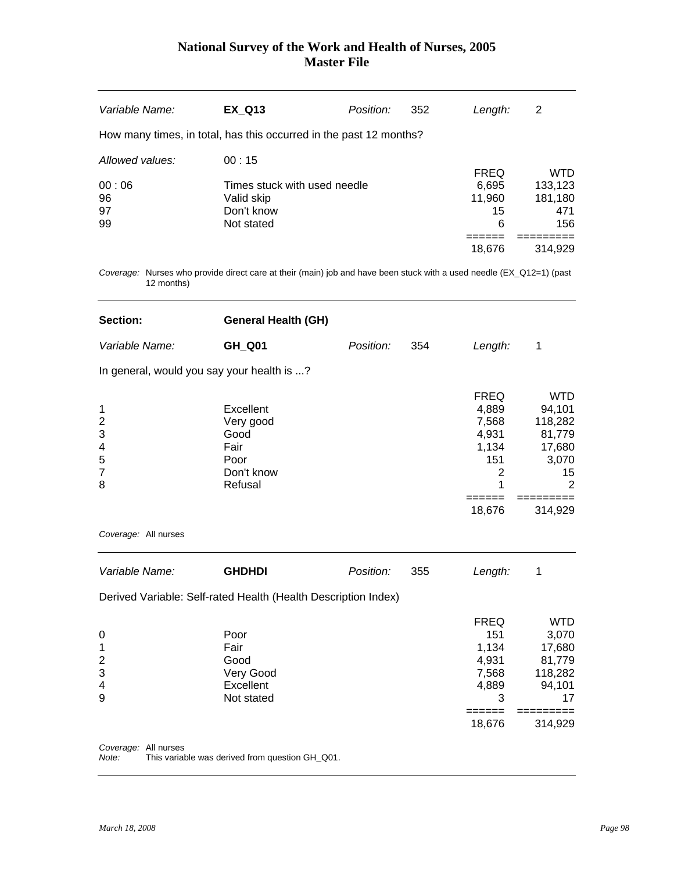| Variable Name:  | <b>EX Q13</b>                                                      | Position: | 352 | Length:     | 2          |
|-----------------|--------------------------------------------------------------------|-----------|-----|-------------|------------|
|                 | How many times, in total, has this occurred in the past 12 months? |           |     |             |            |
| Allowed values: | 00:15                                                              |           |     |             |            |
|                 |                                                                    |           |     | <b>FREQ</b> | <b>WTD</b> |
| 00:06           | Times stuck with used needle                                       |           |     | 6,695       | 133,123    |
| 96              | Valid skip                                                         |           |     | 11,960      | 181,180    |
| 97              | Don't know                                                         |           |     | 15          | 471        |
| 99              | Not stated                                                         |           |     | 6           | 156        |
|                 |                                                                    |           |     |             |            |
|                 |                                                                    |           |     | 18,676      | 314,929    |
|                 |                                                                    |           |     |             |            |

*Coverage:* Nurses who provide direct care at their (main) job and have been stuck with a used needle (EX\_Q12=1) (past 12 months)

| Section:                                                  | <b>General Health (GH)</b>                                              |           |     |                                                                               |                                                                                      |
|-----------------------------------------------------------|-------------------------------------------------------------------------|-----------|-----|-------------------------------------------------------------------------------|--------------------------------------------------------------------------------------|
| Variable Name:                                            | GH_Q01                                                                  | Position: | 354 | Length:                                                                       | 1                                                                                    |
|                                                           | In general, would you say your health is ?                              |           |     |                                                                               |                                                                                      |
| 1<br>$\overline{2}$<br>3<br>4<br>5<br>$\overline{7}$<br>8 | Excellent<br>Very good<br>Good<br>Fair<br>Poor<br>Don't know<br>Refusal |           |     | <b>FREQ</b><br>4,889<br>7,568<br>4,931<br>1,134<br>151<br>$\overline{2}$<br>1 | <b>WTD</b><br>94,101<br>118,282<br>81,779<br>17,680<br>3,070<br>15<br>$\overline{2}$ |
|                                                           |                                                                         |           |     | ======<br>18,676                                                              | -----<br>314,929                                                                     |
| Coverage: All nurses                                      |                                                                         |           |     |                                                                               |                                                                                      |
| Variable Name:                                            | <b>GHDHDI</b>                                                           | Position: | 355 | Length:                                                                       | 1                                                                                    |
|                                                           | Derived Variable: Self-rated Health (Health Description Index)          |           |     |                                                                               |                                                                                      |
| 0<br>1<br>$\overline{c}$<br>3<br>4<br>9                   | Poor<br>Fair<br>Good<br>Very Good<br>Excellent<br>Not stated            |           |     | <b>FREQ</b><br>151<br>1,134<br>4,931<br>7,568<br>4,889<br>3<br>18,676         | <b>WTD</b><br>3,070<br>17,680<br>81,779<br>118,282<br>94,101<br>17<br>314,929        |
| Coverage: All nurses                                      |                                                                         |           |     |                                                                               |                                                                                      |

*Note:* This variable was derived from question GH\_Q01.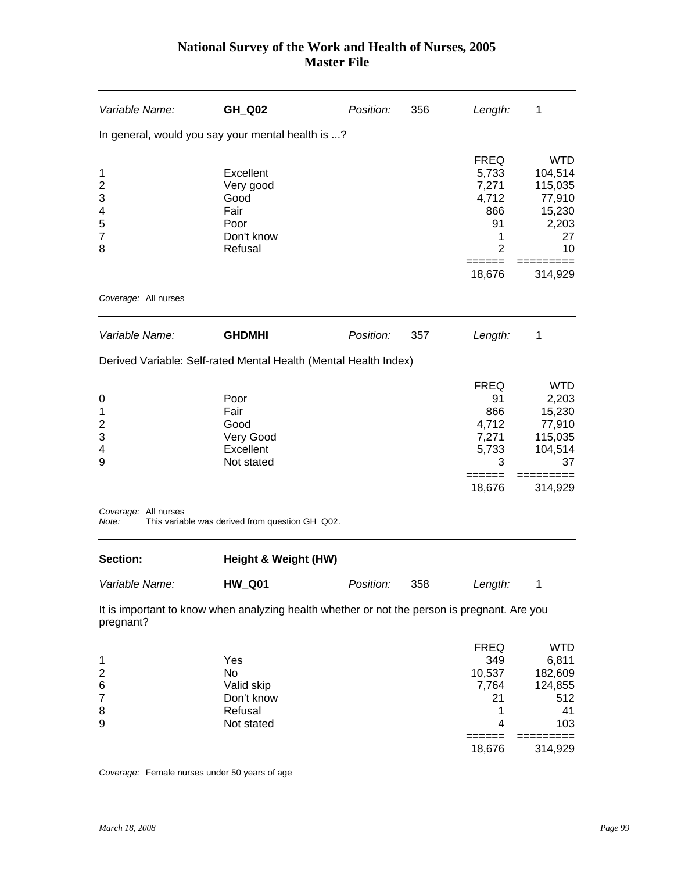| Variable Name:                                                           | GH_Q02                                                                                                          | Position: | 356 | Length:                                                                              | 1                                                                              |
|--------------------------------------------------------------------------|-----------------------------------------------------------------------------------------------------------------|-----------|-----|--------------------------------------------------------------------------------------|--------------------------------------------------------------------------------|
|                                                                          | In general, would you say your mental health is ?                                                               |           |     |                                                                                      |                                                                                |
| 1<br>$\overline{2}$<br>3<br>4<br>5<br>$\overline{7}$<br>8                | Excellent<br>Very good<br>Good<br>Fair<br>Poor<br>Don't know<br>Refusal                                         |           |     | <b>FREQ</b><br>5,733<br>7,271<br>4,712<br>866<br>91<br>1<br>$\overline{2}$<br>====== | <b>WTD</b><br>104,514<br>115,035<br>77,910<br>15,230<br>2,203<br>27<br>10      |
|                                                                          |                                                                                                                 |           |     | 18,676                                                                               | 314,929                                                                        |
| Coverage: All nurses                                                     |                                                                                                                 |           |     |                                                                                      |                                                                                |
| Variable Name:                                                           | <b>GHDMHI</b>                                                                                                   | Position: | 357 | Length:                                                                              | 1                                                                              |
|                                                                          | Derived Variable: Self-rated Mental Health (Mental Health Index)                                                |           |     |                                                                                      |                                                                                |
| 0<br>1<br>$\overline{c}$<br>3<br>4<br>9<br>Coverage: All nurses<br>Note: | Poor<br>Fair<br>Good<br>Very Good<br>Excellent<br>Not stated<br>This variable was derived from question GH_Q02. |           |     | <b>FREQ</b><br>91<br>866<br>4,712<br>7,271<br>5,733<br>3<br>18,676                   | <b>WTD</b><br>2,203<br>15,230<br>77,910<br>115,035<br>104,514<br>37<br>314,929 |
|                                                                          |                                                                                                                 |           |     |                                                                                      |                                                                                |
| Section:                                                                 | Height & Weight (HW)                                                                                            |           |     |                                                                                      |                                                                                |
| Variable Name:                                                           | <b>HW_Q01</b>                                                                                                   | Position: | 358 | Length:                                                                              | $\mathbf 1$                                                                    |
| pregnant?                                                                | It is important to know when analyzing health whether or not the person is pregnant. Are you                    |           |     |                                                                                      |                                                                                |
| 1<br>$\overline{c}$<br>6<br>$\overline{7}$<br>8<br>9                     | Yes<br>No<br>Valid skip<br>Don't know<br>Refusal<br>Not stated                                                  |           |     | <b>FREQ</b><br>349<br>10,537<br>7,764<br>21<br>1<br>4<br>======                      | <b>WTD</b><br>6,811<br>182,609<br>124,855<br>512<br>41<br>103                  |
|                                                                          |                                                                                                                 |           |     | 18,676                                                                               | 314,929                                                                        |

*Coverage:* Female nurses under 50 years of age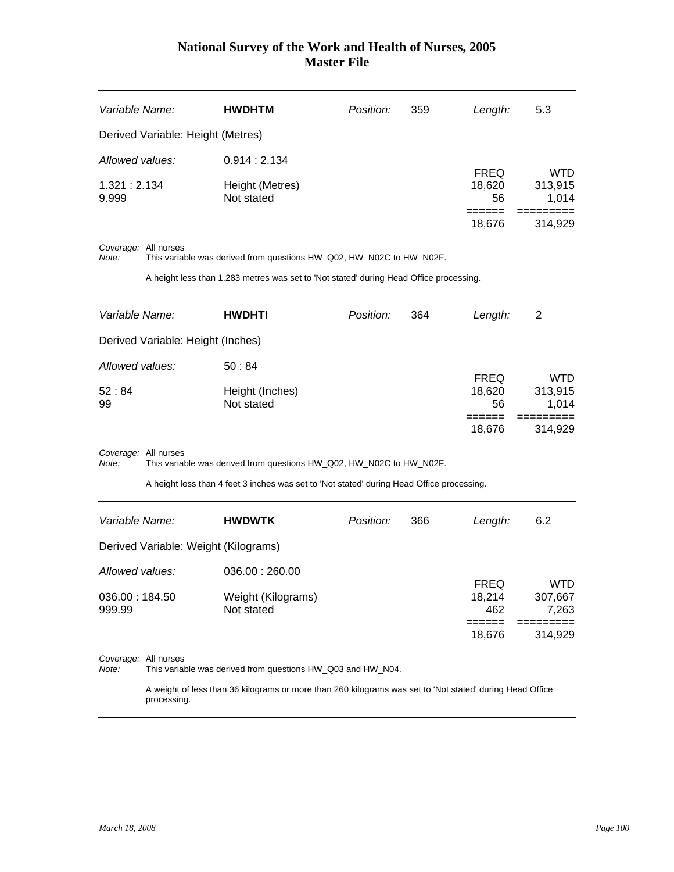| Variable Name:       |                      | <b>HWDHTM</b>                                                                             | Position: | 359 | Length:                               | 5.3                                       |
|----------------------|----------------------|-------------------------------------------------------------------------------------------|-----------|-----|---------------------------------------|-------------------------------------------|
|                      |                      | Derived Variable: Height (Metres)                                                         |           |     |                                       |                                           |
| Allowed values:      |                      | 0.914:2.134                                                                               |           |     |                                       |                                           |
| 1.321:2.134<br>9.999 |                      | Height (Metres)<br>Not stated                                                             |           |     | <b>FREQ</b><br>18,620<br>56<br>18,676 | <b>WTD</b><br>313,915<br>1,014<br>314,929 |
| Note:                | Coverage: All nurses | This variable was derived from questions HW_Q02, HW_N02C to HW_N02F.                      |           |     |                                       |                                           |
|                      |                      | A height less than 1.283 metres was set to 'Not stated' during Head Office processing.    |           |     |                                       |                                           |
| Variable Name:       |                      | <b>HWDHTI</b>                                                                             | Position: | 364 | Length:                               | $\overline{2}$                            |
|                      |                      | Derived Variable: Height (Inches)                                                         |           |     |                                       |                                           |
| Allowed values:      |                      | 50:84                                                                                     |           |     |                                       | <b>WTD</b>                                |
| 52:84<br>99          |                      | Height (Inches)<br>Not stated                                                             |           |     | <b>FREQ</b><br>18,620<br>56           | 313,915<br>1,014                          |
|                      |                      |                                                                                           |           |     | ======<br>18,676                      | =========<br>314,929                      |
| Note:                | Coverage: All nurses | This variable was derived from questions HW_Q02, HW_N02C to HW_N02F.                      |           |     |                                       |                                           |
|                      |                      | A height less than 4 feet 3 inches was set to 'Not stated' during Head Office processing. |           |     |                                       |                                           |
| Variable Name:       |                      | <b>HWDWTK</b>                                                                             | Position: | 366 | Length:                               | 6.2                                       |
|                      |                      | Derived Variable: Weight (Kilograms)                                                      |           |     |                                       |                                           |

| Allowed values: | 036.00:260.00      |             |         |
|-----------------|--------------------|-------------|---------|
|                 |                    | <b>FREQ</b> | WTD     |
| 036.00 : 184.50 | Weight (Kilograms) | 18.214      | 307.667 |
| 999.99          | Not stated         | 462         | 7.263   |
|                 |                    |             |         |
|                 |                    | 18.676      | 314.929 |

*Coverage:* All nurses

*Note:* This variable was derived from questions HW\_Q03 and HW\_N04.

 A weight of less than 36 kilograms or more than 260 kilograms was set to 'Not stated' during Head Office processing.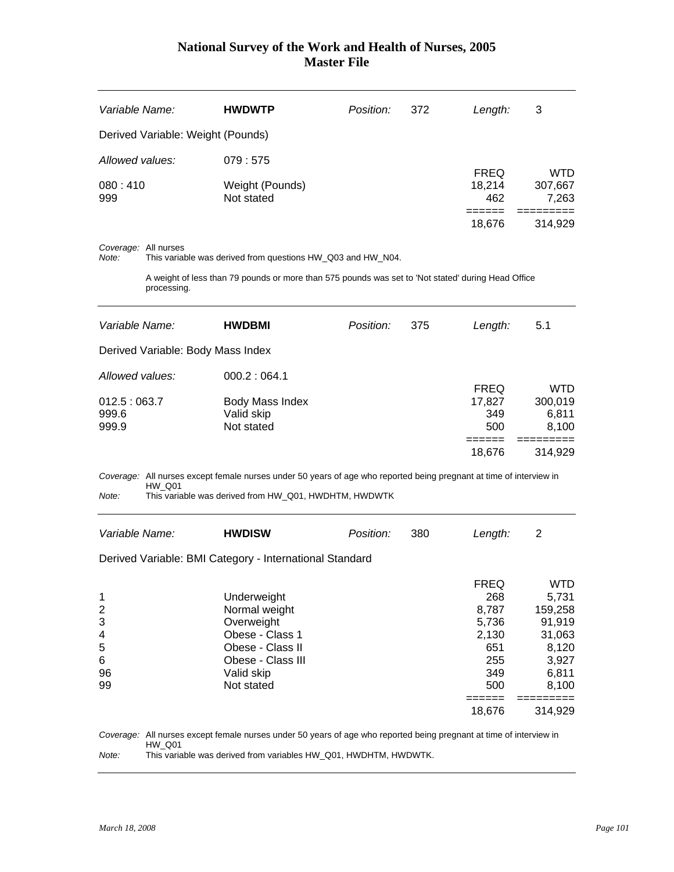| Variable Name:                    | <b>HWDWTP</b>                 | Position: | 372 | Length:       | 3                |
|-----------------------------------|-------------------------------|-----------|-----|---------------|------------------|
| Derived Variable: Weight (Pounds) |                               |           |     |               |                  |
| Allowed values:                   | 079:575                       |           |     | <b>FREQ</b>   | <b>WTD</b>       |
| 080:410<br>999                    | Weight (Pounds)<br>Not stated |           |     | 18,214<br>462 | 307,667<br>7,263 |
|                                   |                               |           |     | 18,676        | 314.929          |

*Coverage:* All nurses

*Note:* This variable was derived from questions HW\_Q03 and HW\_N04.

 A weight of less than 79 pounds or more than 575 pounds was set to 'Not stated' during Head Office processing.

| Variable Name:                    | <b>HWDBMI</b>   | Position: | 375 | Length:     | 5.1     |  |  |
|-----------------------------------|-----------------|-----------|-----|-------------|---------|--|--|
| Derived Variable: Body Mass Index |                 |           |     |             |         |  |  |
| Allowed values:                   | 000.2:064.1     |           |     |             |         |  |  |
|                                   |                 |           |     | <b>FREQ</b> | WTD     |  |  |
| 012.5:063.7                       | Body Mass Index |           |     | 17,827      | 300,019 |  |  |
| 999.6                             | Valid skip      |           |     | 349         | 6,811   |  |  |
| 999.9                             | Not stated      |           |     | 500         | 8,100   |  |  |
|                                   |                 |           |     |             |         |  |  |
|                                   |                 |           |     | 18.676      | 314.929 |  |  |

*Coverage:* All nurses except female nurses under 50 years of age who reported being pregnant at time of interview in HW\_Q01

*Note:* This variable was derived from HW\_Q01, HWDHTM, HWDWTK

| Variable Name: | <b>HWDISW</b>                                           | Position: | 380 | Length:     | 2          |  |  |  |  |
|----------------|---------------------------------------------------------|-----------|-----|-------------|------------|--|--|--|--|
|                | Derived Variable: BMI Category - International Standard |           |     |             |            |  |  |  |  |
|                |                                                         |           |     | <b>FREQ</b> | <b>WTD</b> |  |  |  |  |
| 1              | Underweight                                             |           |     | 268         | 5,731      |  |  |  |  |
| 2              | Normal weight                                           |           |     | 8,787       | 159,258    |  |  |  |  |
| 3              | Overweight                                              |           |     | 5,736       | 91,919     |  |  |  |  |
| 4              | Obese - Class 1                                         |           |     | 2,130       | 31,063     |  |  |  |  |
| 5              | Obese - Class II                                        |           |     | 651         | 8,120      |  |  |  |  |
| 6              | Obese - Class III                                       |           |     | 255         | 3,927      |  |  |  |  |
| 96             | Valid skip                                              |           |     | 349         | 6,811      |  |  |  |  |
| 99             | Not stated                                              |           |     | 500         | 8,100      |  |  |  |  |
|                |                                                         |           |     |             |            |  |  |  |  |
|                |                                                         |           |     | 18,676      | 314,929    |  |  |  |  |

*Coverage:* All nurses except female nurses under 50 years of age who reported being pregnant at time of interview in HW\_Q01 *Note:* This variable was derived from variables HW\_Q01, HWDHTM, HWDWTK.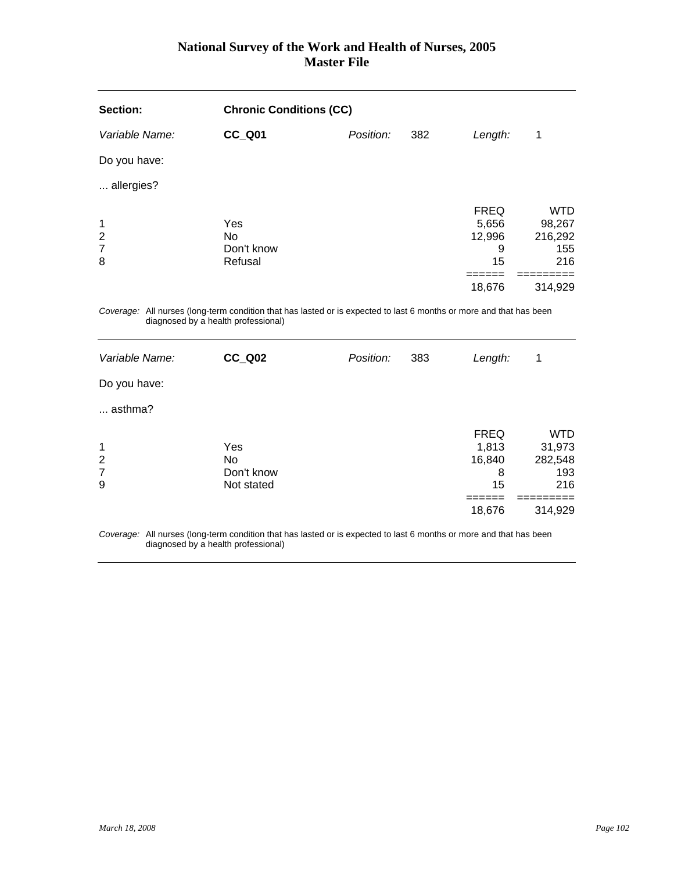| Section:                                   | <b>Chronic Conditions (CC)</b>                                                                                                                             |           |     |                                           |                                               |
|--------------------------------------------|------------------------------------------------------------------------------------------------------------------------------------------------------------|-----------|-----|-------------------------------------------|-----------------------------------------------|
| Variable Name:                             | <b>CC_Q01</b>                                                                                                                                              | Position: | 382 | Length:                                   | 1                                             |
| Do you have:                               |                                                                                                                                                            |           |     |                                           |                                               |
| allergies?                                 |                                                                                                                                                            |           |     |                                           |                                               |
| 1<br>$\overline{2}$<br>$\overline{7}$<br>8 | Yes<br><b>No</b><br>Don't know<br>Refusal                                                                                                                  |           |     | <b>FREQ</b><br>5,656<br>12,996<br>9<br>15 | <b>WTD</b><br>98,267<br>216,292<br>155<br>216 |
|                                            |                                                                                                                                                            |           |     | =====<br>18,676                           | ========<br>314,929                           |
|                                            | Coverage: All nurses (long-term condition that has lasted or is expected to last 6 months or more and that has been<br>diagnosed by a health professional) |           |     |                                           |                                               |
| Variable Name:                             | <b>CC_Q02</b>                                                                                                                                              | Position: | 383 | Length:                                   | 1                                             |
| Do you have:                               |                                                                                                                                                            |           |     |                                           |                                               |
| asthma?                                    |                                                                                                                                                            |           |     |                                           |                                               |
| 1<br>$\overline{c}$<br>$\overline{7}$<br>9 | Yes<br><b>No</b><br>Don't know<br>Not stated                                                                                                               |           |     | <b>FREQ</b><br>1,813<br>16,840<br>8<br>15 | <b>WTD</b><br>31,973<br>282,548<br>193<br>216 |
|                                            |                                                                                                                                                            |           |     | ======<br>18,676                          | ========<br>314,929                           |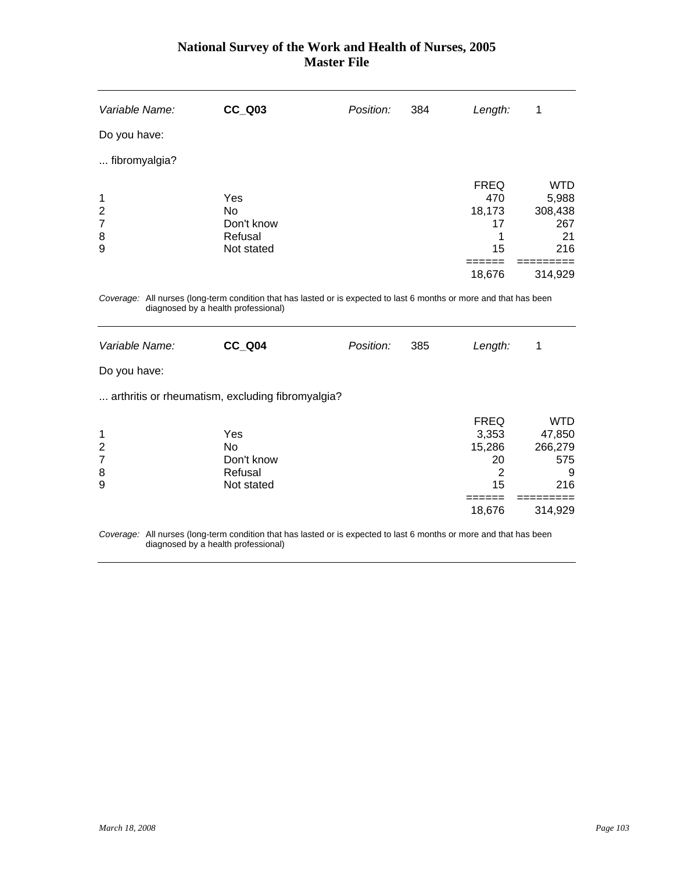| Variable Name:                                                                                                                                             |  | <b>CC Q03</b>                                     | Position: | 384 | Length:                                  | 1                                           |
|------------------------------------------------------------------------------------------------------------------------------------------------------------|--|---------------------------------------------------|-----------|-----|------------------------------------------|---------------------------------------------|
| Do you have:                                                                                                                                               |  |                                                   |           |     |                                          |                                             |
| fibromyalgia?                                                                                                                                              |  |                                                   |           |     |                                          |                                             |
| 1<br>$\overline{2}$<br>$\overline{7}$<br>8<br>9                                                                                                            |  | Yes<br>No.<br>Don't know<br>Refusal<br>Not stated |           |     | <b>FREQ</b><br>470<br>18,173<br>17<br>15 | WTD<br>5,988<br>308,438<br>267<br>21<br>216 |
|                                                                                                                                                            |  |                                                   |           |     | 18,676                                   | 314,929                                     |
| Coverage: All nurses (long-term condition that has lasted or is expected to last 6 months or more and that has been<br>diagnosed by a health professional) |  |                                                   |           |     |                                          |                                             |

| Variable Name: | CC Q04                                           | Position: | 385 | Length:     | 1          |
|----------------|--------------------------------------------------|-----------|-----|-------------|------------|
| Do you have:   |                                                  |           |     |             |            |
|                | arthritis or rheumatism, excluding fibromyalgia? |           |     |             |            |
|                |                                                  |           |     | <b>FREQ</b> | <b>WTD</b> |
| 1              | Yes                                              |           |     | 3,353       | 47,850     |
| 2              | <b>No</b>                                        |           |     | 15,286      | 266,279    |
| $\overline{7}$ | Don't know                                       |           |     | 20          | 575        |
| 8              | Refusal                                          |           |     | 2           | 9          |
| 9              | Not stated                                       |           |     | 15          | 216        |
|                |                                                  |           |     |             |            |
|                |                                                  |           |     | 18,676      | 314,929    |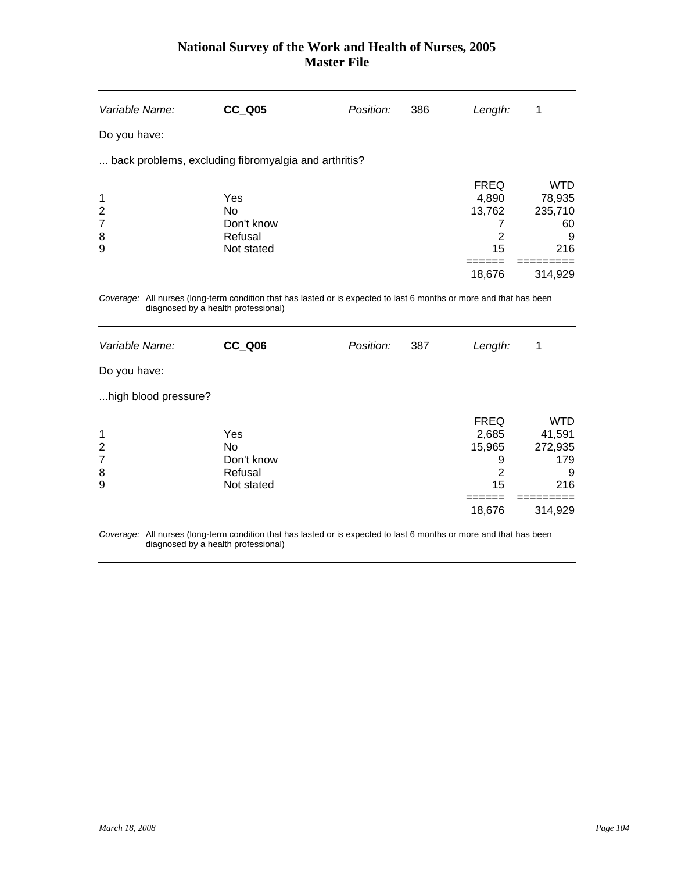| Variable Name:                                  | <b>CC_Q05</b>                                                                                                       | Position: | 386 | Length:                                                               | 1                                                                     |
|-------------------------------------------------|---------------------------------------------------------------------------------------------------------------------|-----------|-----|-----------------------------------------------------------------------|-----------------------------------------------------------------------|
| Do you have:                                    |                                                                                                                     |           |     |                                                                       |                                                                       |
|                                                 | back problems, excluding fibromyalgia and arthritis?                                                                |           |     |                                                                       |                                                                       |
| 1<br>$\overline{2}$<br>$\overline{7}$<br>8<br>9 | Yes<br>No<br>Don't know<br>Refusal<br>Not stated                                                                    |           |     | <b>FREQ</b><br>4,890<br>13,762<br>7<br>$\overline{2}$<br>15<br>18,676 | <b>WTD</b><br>78,935<br>235,710<br>60<br>9<br>216<br>314,929          |
| diagnosed by a health professional)             | Coverage: All nurses (long-term condition that has lasted or is expected to last 6 months or more and that has been |           |     |                                                                       |                                                                       |
| Variable Name:                                  | CC Q06                                                                                                              | Position: | 387 | Length:                                                               | 1                                                                     |
| Do you have:                                    |                                                                                                                     |           |     |                                                                       |                                                                       |
| high blood pressure?                            |                                                                                                                     |           |     |                                                                       |                                                                       |
| 1<br>$\overline{c}$<br>$\overline{7}$<br>8<br>9 | Yes<br>N <sub>o</sub><br>Don't know<br>Refusal<br>Not stated                                                        |           |     | <b>FREQ</b><br>2,685<br>15,965<br>9<br>$\overline{2}$<br>15<br>18,676 | <b>WTD</b><br>41,591<br>272,935<br>179<br>9<br>216<br>----<br>314,929 |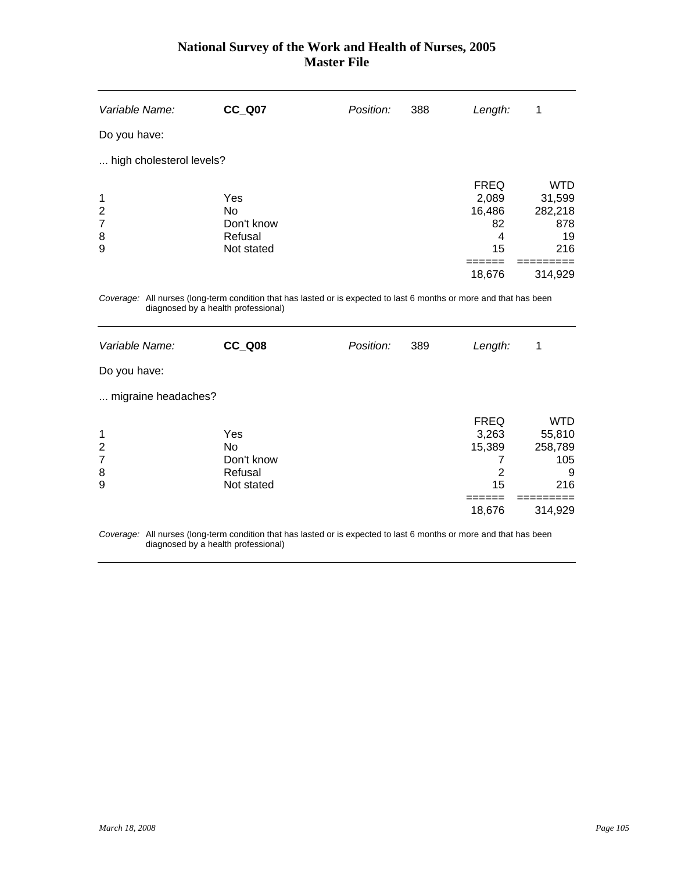| Variable Name:                                                                                                      | <b>CC Q07</b> | Position: | 388 | Length:     | 1          |  |
|---------------------------------------------------------------------------------------------------------------------|---------------|-----------|-----|-------------|------------|--|
| Do you have:                                                                                                        |               |           |     |             |            |  |
| high cholesterol levels?                                                                                            |               |           |     |             |            |  |
|                                                                                                                     |               |           |     | <b>FREQ</b> | <b>WTD</b> |  |
| 1                                                                                                                   | Yes           |           |     | 2,089       | 31,599     |  |
| $\overline{2}$                                                                                                      | <b>No</b>     |           |     | 16,486      | 282,218    |  |
| $\overline{7}$                                                                                                      | Don't know    |           |     | 82          | 878        |  |
| 8                                                                                                                   | Refusal       |           |     | 4           | 19         |  |
| 9                                                                                                                   | Not stated    |           |     | 15          | 216        |  |
|                                                                                                                     |               |           |     |             |            |  |
|                                                                                                                     |               |           |     | 18,676      | 314,929    |  |
| Coverage: All nurses (long-term condition that has lasted or is expected to last 6 months or more and that has been |               |           |     |             |            |  |

diagnosed by a health professional)

| Variable Name:                     | <b>CC_Q08</b>                                    | Position: | 389 | Length:                                             | 1                                                             |
|------------------------------------|--------------------------------------------------|-----------|-----|-----------------------------------------------------|---------------------------------------------------------------|
| Do you have:                       |                                                  |           |     |                                                     |                                                               |
| migraine headaches?                |                                                  |           |     |                                                     |                                                               |
| 1<br>$\overline{2}$<br>7<br>8<br>9 | Yes<br>No<br>Don't know<br>Refusal<br>Not stated |           |     | <b>FREQ</b><br>3,263<br>15,389<br>2<br>15<br>18,676 | <b>WTD</b><br>55,810<br>258,789<br>105<br>9<br>216<br>314,929 |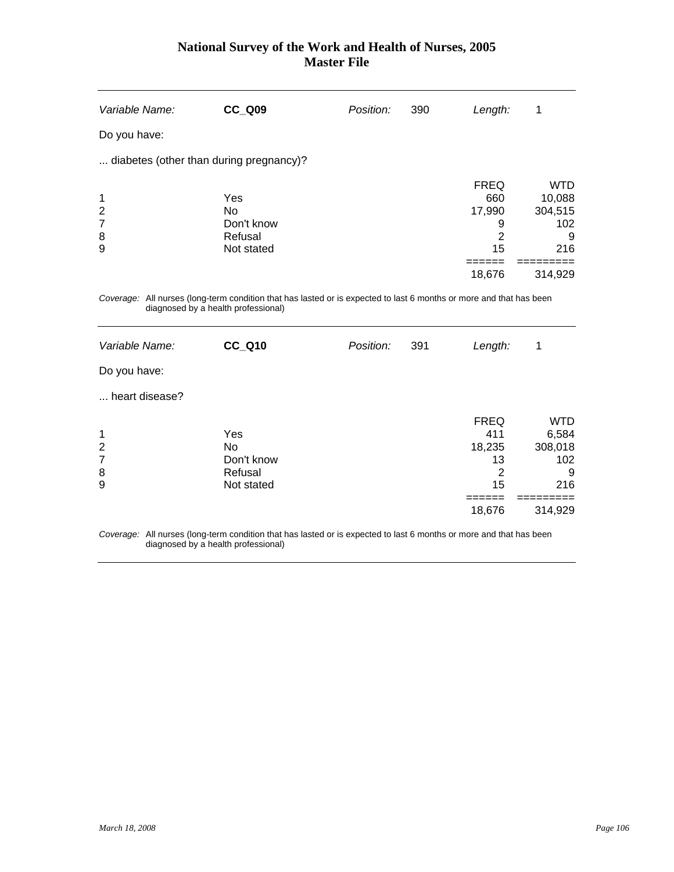| Variable Name:                                        | <b>CC Q09</b>                                                                                                                        | Position: | 390 | Length:                                                                        | 1                                                                    |
|-------------------------------------------------------|--------------------------------------------------------------------------------------------------------------------------------------|-----------|-----|--------------------------------------------------------------------------------|----------------------------------------------------------------------|
| Do you have:                                          |                                                                                                                                      |           |     |                                                                                |                                                                      |
| diabetes (other than during pregnancy)?               |                                                                                                                                      |           |     |                                                                                |                                                                      |
| 1<br>$\overline{c}$<br>$\overline{7}$<br>8<br>9       | Yes<br>N <sub>o</sub><br>Don't know<br>Refusal<br>Not stated                                                                         |           |     | <b>FREQ</b><br>660<br>17,990<br>9<br>$\overline{2}$<br>15                      | <b>WTD</b><br>10,088<br>304,515<br>102<br>9<br>216                   |
|                                                       |                                                                                                                                      |           |     | 18,676                                                                         | 314,929                                                              |
| diagnosed by a health professional)<br>Variable Name: | Coverage: All nurses (long-term condition that has lasted or is expected to last 6 months or more and that has been<br><b>CC Q10</b> | Position: | 391 | Length:                                                                        | 1                                                                    |
| Do you have:                                          |                                                                                                                                      |           |     |                                                                                |                                                                      |
| heart disease?                                        |                                                                                                                                      |           |     |                                                                                |                                                                      |
| 1<br>$\overline{2}$<br>$\overline{7}$<br>8<br>9       | Yes<br><b>No</b><br>Don't know<br>Refusal<br>Not stated                                                                              |           |     | <b>FREQ</b><br>411<br>18,235<br>13<br>$\overline{2}$<br>15<br>======<br>18,676 | <b>WTD</b><br>6,584<br>308,018<br>102<br>9<br>216<br>----<br>314,929 |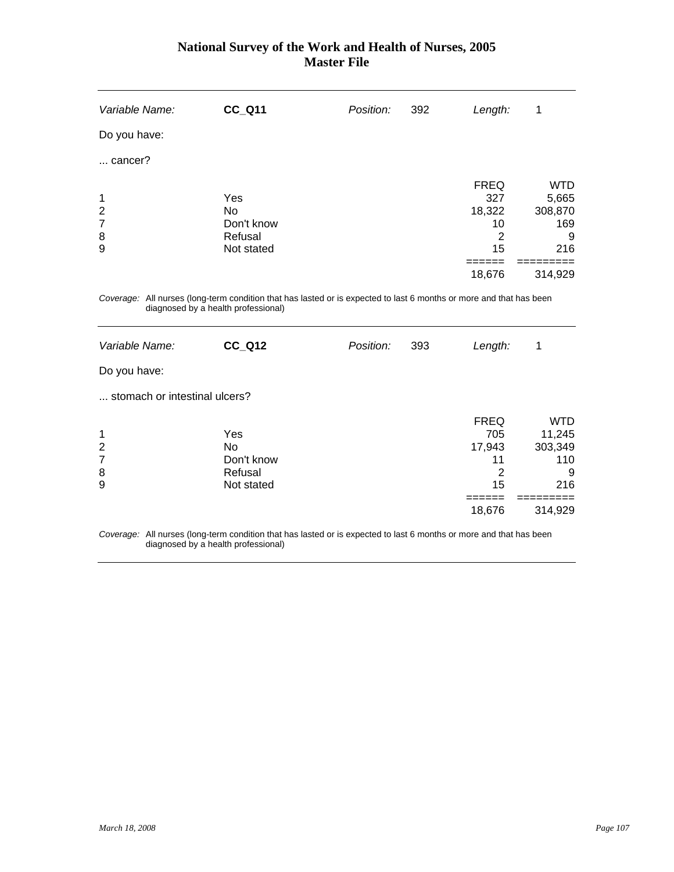| Variable Name:                        | <b>CC_Q11</b>           | Position: | 392 | Length:                            | 1                                     |
|---------------------------------------|-------------------------|-----------|-----|------------------------------------|---------------------------------------|
| Do you have:                          |                         |           |     |                                    |                                       |
| cancer?                               |                         |           |     |                                    |                                       |
| 1<br>$\overline{2}$<br>$\overline{7}$ | Yes<br>No<br>Don't know |           |     | <b>FREQ</b><br>327<br>18,322<br>10 | <b>WTD</b><br>5,665<br>308,870<br>169 |
| 8<br>9                                | Refusal<br>Not stated   |           |     | 2<br>15<br>18,676                  | 9<br>216<br>314,929                   |
|                                       |                         |           |     |                                    |                                       |

*Coverage:* All nurses (long-term condition that has lasted or is expected to last 6 months or more and that has been diagnosed by a health professional)

| Variable Name:                | <b>CC_Q12</b> | Position: | 393 | Length:     | 1          |
|-------------------------------|---------------|-----------|-----|-------------|------------|
| Do you have:                  |               |           |     |             |            |
| stomach or intestinal ulcers? |               |           |     |             |            |
|                               |               |           |     | <b>FREQ</b> | <b>WTD</b> |
| $\mathbf 1$                   | Yes           |           |     | 705         | 11,245     |
| $\overline{2}$                | No            |           |     | 17,943      | 303,349    |
| $\overline{7}$                | Don't know    |           |     | 11          | 110        |
| 8                             | Refusal       |           |     | 2           | 9          |
| 9                             | Not stated    |           |     | 15          | 216        |
|                               |               |           |     |             |            |
|                               |               |           |     | 18,676      | 314,929    |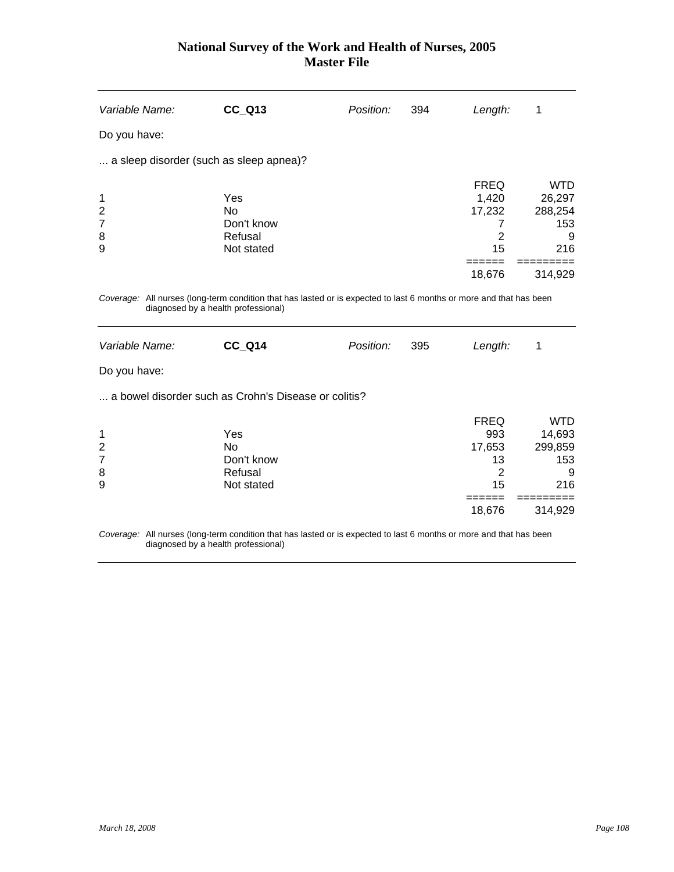| <b>CC_Q13</b>                                           | Position:                                                                      | 394                                                  | Length:                                                                           | 1                                                                                                                             |
|---------------------------------------------------------|--------------------------------------------------------------------------------|------------------------------------------------------|-----------------------------------------------------------------------------------|-------------------------------------------------------------------------------------------------------------------------------|
|                                                         |                                                                                |                                                      |                                                                                   |                                                                                                                               |
|                                                         |                                                                                |                                                      |                                                                                   |                                                                                                                               |
| Yes<br>No<br>Don't know<br>Refusal<br>Not stated        |                                                                                |                                                      | <b>FREQ</b><br>1,420<br>17,232<br>7<br>$\overline{2}$<br>15                       | <b>WTD</b><br>26,297<br>288,254<br>153<br>9<br>216                                                                            |
|                                                         |                                                                                |                                                      |                                                                                   | 314,929                                                                                                                       |
| <b>CC_Q14</b>                                           | Position:                                                                      | 395                                                  | Length:                                                                           | 1                                                                                                                             |
|                                                         |                                                                                |                                                      |                                                                                   |                                                                                                                               |
|                                                         |                                                                                |                                                      |                                                                                   |                                                                                                                               |
| Yes<br><b>No</b><br>Don't know<br>Refusal<br>Not stated |                                                                                |                                                      | <b>FREQ</b><br>993<br>17,653<br>13<br>$\overline{2}$<br>15<br>$=$ $=$ $=$ $=$ $=$ | <b>WTD</b><br>14,693<br>299,859<br>153<br>9<br>216<br>=========                                                               |
|                                                         | a sleep disorder (such as sleep apnea)?<br>diagnosed by a health professional) | a bowel disorder such as Crohn's Disease or colitis? |                                                                                   | 18,676<br>Coverage: All nurses (long-term condition that has lasted or is expected to last 6 months or more and that has been |

*Coverage:* All nurses (long-term condition that has lasted or is expected to last 6 months or more and that has been diagnosed by a health professional)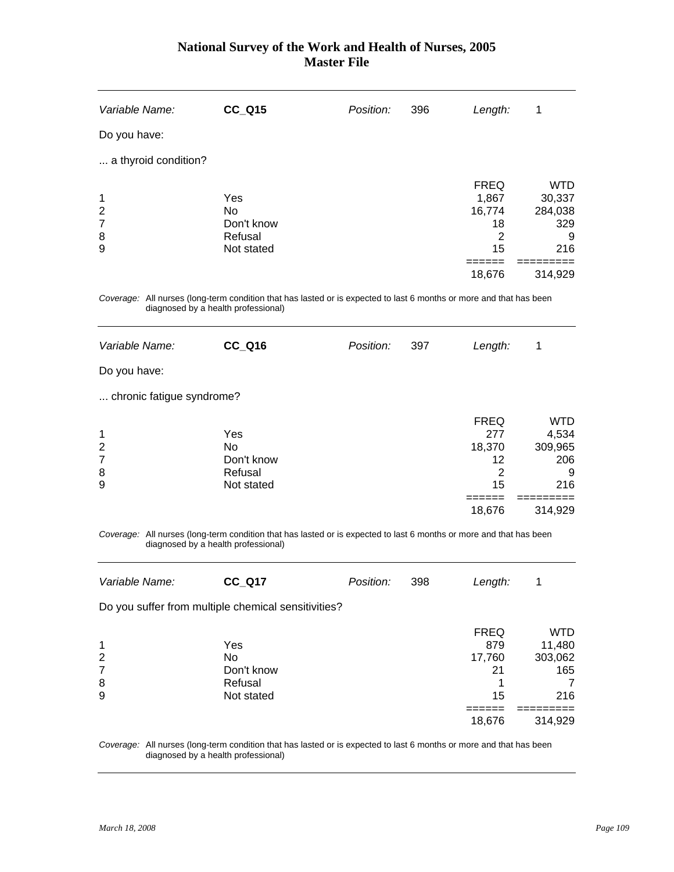| Variable Name:            | <b>CC_Q15</b>                                                                                                                                              | Position: | 396 | Length:        | 1          |
|---------------------------|------------------------------------------------------------------------------------------------------------------------------------------------------------|-----------|-----|----------------|------------|
| Do you have:              |                                                                                                                                                            |           |     |                |            |
| a thyroid condition?      |                                                                                                                                                            |           |     |                |            |
|                           |                                                                                                                                                            |           |     | <b>FREQ</b>    | <b>WTD</b> |
| 1                         | Yes                                                                                                                                                        |           |     | 1,867          | 30,337     |
| $\overline{2}$            | <b>No</b>                                                                                                                                                  |           |     | 16,774         | 284,038    |
| $\overline{7}$            | Don't know                                                                                                                                                 |           |     | 18             | 329        |
| 8                         | Refusal                                                                                                                                                    |           |     | $\overline{2}$ | 9          |
| 9                         | Not stated                                                                                                                                                 |           |     | 15<br>------   | 216        |
|                           |                                                                                                                                                            |           |     | 18,676         | 314,929    |
|                           | Coverage: All nurses (long-term condition that has lasted or is expected to last 6 months or more and that has been                                        |           |     |                |            |
|                           | diagnosed by a health professional)                                                                                                                        |           |     |                |            |
| Variable Name:            | <b>CC_Q16</b>                                                                                                                                              | Position: | 397 | Length:        | 1          |
| Do you have:              |                                                                                                                                                            |           |     |                |            |
| chronic fatigue syndrome? |                                                                                                                                                            |           |     |                |            |
|                           |                                                                                                                                                            |           |     | <b>FREQ</b>    | <b>WTD</b> |
| 1                         | Yes                                                                                                                                                        |           |     | 277            | 4,534      |
| $\overline{2}$            | <b>No</b>                                                                                                                                                  |           |     | 18,370         | 309,965    |
| $\overline{7}$            | Don't know                                                                                                                                                 |           |     | 12             | 206        |
| 8                         | Refusal                                                                                                                                                    |           |     | $\overline{2}$ | 9          |
| 9                         | Not stated                                                                                                                                                 |           |     | 15             | 216        |
|                           |                                                                                                                                                            |           |     | 18,676         | 314,929    |
|                           | Coverage: All nurses (long-term condition that has lasted or is expected to last 6 months or more and that has been<br>diagnosed by a health professional) |           |     |                |            |
| Variable Name:            | <b>CC_Q17</b>                                                                                                                                              | Position: | 398 | Length:        | 1          |
|                           | Do you suffer from multiple chemical sensitivities?                                                                                                        |           |     |                |            |
|                           |                                                                                                                                                            |           |     | <b>FREQ</b>    | <b>WTD</b> |
| 1                         | Yes                                                                                                                                                        |           |     | 879            | 11,480     |
| $\boldsymbol{2}$          | No                                                                                                                                                         |           |     | 17,760         | 303,062    |
| $\overline{7}$            | Don't know                                                                                                                                                 |           |     | 21             | 165        |

7 Don't know 21 165 8 Refusal Refusal 2 and 2 and 2 and 2 and 2 and 2 and 2 and 2 and 2 and 2 and 2 and 2 and 2 and 2 and 2 and 2 and 2 and 2 and 2 and 2 and 2 and 2 and 2 and 2 and 2 and 2 and 2 and 2 and 2 and 2 and 2 and 2 and 2 and 2 and 9 Not stated 15 216 ====== =========  $18,676$   $314,929$ 

*Coverage:* All nurses (long-term condition that has lasted or is expected to last 6 months or more and that has been diagnosed by a health professional)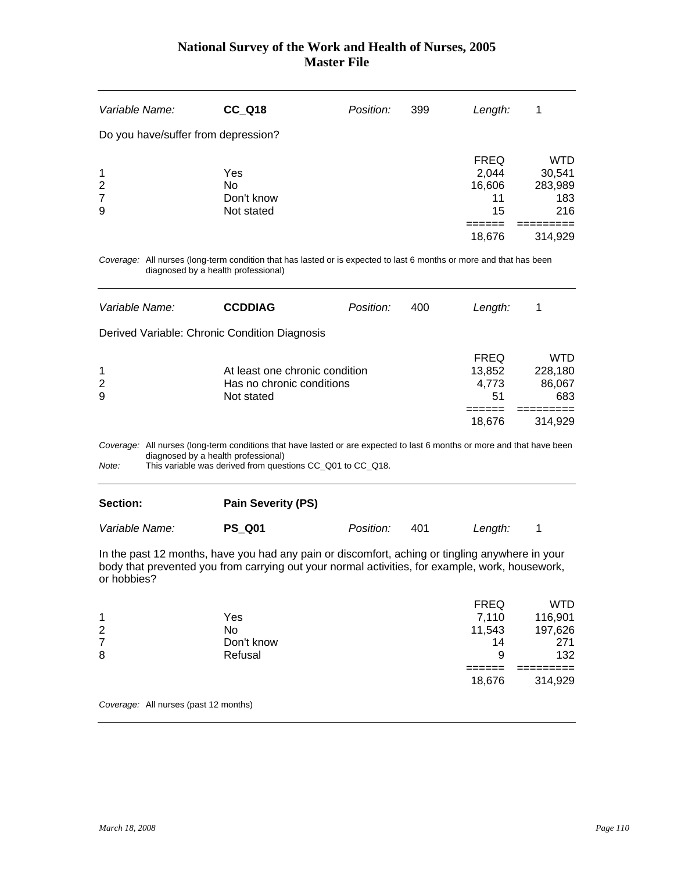| Variable Name:                                        | <b>CC Q18</b>                         | Position: | 399 | Length:                                    | 1                                             |  |
|-------------------------------------------------------|---------------------------------------|-----------|-----|--------------------------------------------|-----------------------------------------------|--|
| Do you have/suffer from depression?                   |                                       |           |     |                                            |                                               |  |
| $\mathbf{1}$<br>$\overline{2}$<br>$\overline{7}$<br>9 | Yes<br>No<br>Don't know<br>Not stated |           |     | <b>FREQ</b><br>2,044<br>16,606<br>11<br>15 | <b>WTD</b><br>30,541<br>283,989<br>183<br>216 |  |
|                                                       |                                       |           |     | 18,676                                     | 314,929                                       |  |

*Coverage:* All nurses (long-term condition that has lasted or is expected to last 6 months or more and that has been diagnosed by a health professional)

| Variable Name: | <b>CCDDIAG</b>                                                                                                          | Position: | 400 | Length:                              |                                 |
|----------------|-------------------------------------------------------------------------------------------------------------------------|-----------|-----|--------------------------------------|---------------------------------|
|                | Derived Variable: Chronic Condition Diagnosis                                                                           |           |     |                                      |                                 |
| 1<br>2<br>9    | At least one chronic condition<br>Has no chronic conditions<br>Not stated                                               |           |     | <b>FREQ</b><br>13,852<br>4,773<br>51 | WTD<br>228,180<br>86,067<br>683 |
|                |                                                                                                                         |           |     | 18,676                               | 314.929                         |
|                | Coverage: All nurses (long-term conditions that have lasted or are expected to last 6 months or more and that have been |           |     |                                      |                                 |

diagnosed by a health professional)

*Note:* This variable was derived from questions CC\_Q01 to CC\_Q18.

| <b>Section:</b> | <b>Pain Severity (PS)</b> |                  |     |         |  |
|-----------------|---------------------------|------------------|-----|---------|--|
| Variable Name:  | <b>PS Q01</b>             | <i>Position:</i> | 401 | Length: |  |

In the past 12 months, have you had any pain or discomfort, aching or tingling anywhere in your body that prevented you from carrying out your normal activities, for example, work, housework, or hobbies?

|                |            | 18,676      | 314,929 |
|----------------|------------|-------------|---------|
|                |            |             |         |
| 8              | Refusal    | 9           | 132     |
| $\overline{7}$ | Don't know | 14          | 271     |
| 2              | No         | 11,543      | 197,626 |
| 1              | Yes        | 7,110       | 116,901 |
|                |            | <b>FREQ</b> | WTD     |

*Coverage:* All nurses (past 12 months)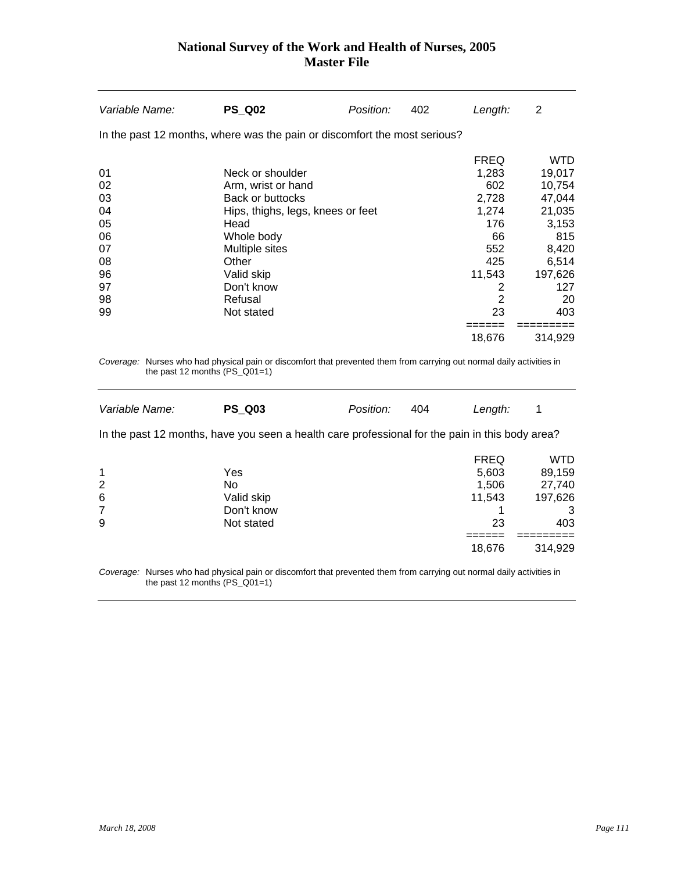| Variable Name:  | <b>PS Q02</b>                                                                                                                                            | Position: | 402 | Length:        | 2          |
|-----------------|----------------------------------------------------------------------------------------------------------------------------------------------------------|-----------|-----|----------------|------------|
|                 | In the past 12 months, where was the pain or discomfort the most serious?                                                                                |           |     |                |            |
|                 |                                                                                                                                                          |           |     | <b>FREQ</b>    | <b>WTD</b> |
| 01              | Neck or shoulder                                                                                                                                         |           |     | 1,283          | 19,017     |
| 02              | Arm, wrist or hand                                                                                                                                       |           |     | 602            | 10,754     |
| 03              | <b>Back or buttocks</b>                                                                                                                                  |           |     | 2,728          | 47,044     |
| 04              | Hips, thighs, legs, knees or feet                                                                                                                        |           |     | 1,274          | 21,035     |
| 05              | Head                                                                                                                                                     |           |     | 176            | 3,153      |
| 06              | Whole body                                                                                                                                               |           |     | 66             | 815        |
| 07              | Multiple sites                                                                                                                                           |           |     | 552            | 8,420      |
| 08              | Other                                                                                                                                                    |           |     | 425            | 6,514      |
| 96              | Valid skip                                                                                                                                               |           |     | 11,543         | 197,626    |
| 97              | Don't know                                                                                                                                               |           |     | $\overline{c}$ | 127        |
| 98              | Refusal                                                                                                                                                  |           |     | $\overline{2}$ | 20         |
| 99              | Not stated                                                                                                                                               |           |     | 23             | 403        |
|                 |                                                                                                                                                          |           |     | 18,676         | 314,929    |
|                 | Coverage: Nurses who had physical pain or discomfort that prevented them from carrying out normal daily activities in<br>the past 12 months $(PS_Q01=1)$ |           |     |                |            |
| Variable Name:  | <b>PS Q03</b>                                                                                                                                            | Position: | 404 | Length:        | 1          |
|                 | In the past 12 months, have you seen a health care professional for the pain in this body area?                                                          |           |     |                |            |
|                 |                                                                                                                                                          |           |     | <b>FREQ</b>    | <b>WTD</b> |
| 1               | Yes                                                                                                                                                      |           |     | 5,603          | 89,159     |
| $\overline{c}$  | <b>No</b>                                                                                                                                                |           |     | 1,506          | 27,740     |
| $6\phantom{1}6$ | Valid skip                                                                                                                                               |           |     | 11,543         | 197,626    |
| $\overline{7}$  | Don't know                                                                                                                                               |           |     | 1              | 3          |
| 9               | Not stated                                                                                                                                               |           |     | 23             | 403        |
|                 |                                                                                                                                                          |           |     |                |            |
|                 |                                                                                                                                                          |           |     | 18,676         | 314,929    |
|                 |                                                                                                                                                          |           |     |                |            |

*Coverage:* Nurses who had physical pain or discomfort that prevented them from carrying out normal daily activities in the past 12 months (PS\_Q01=1)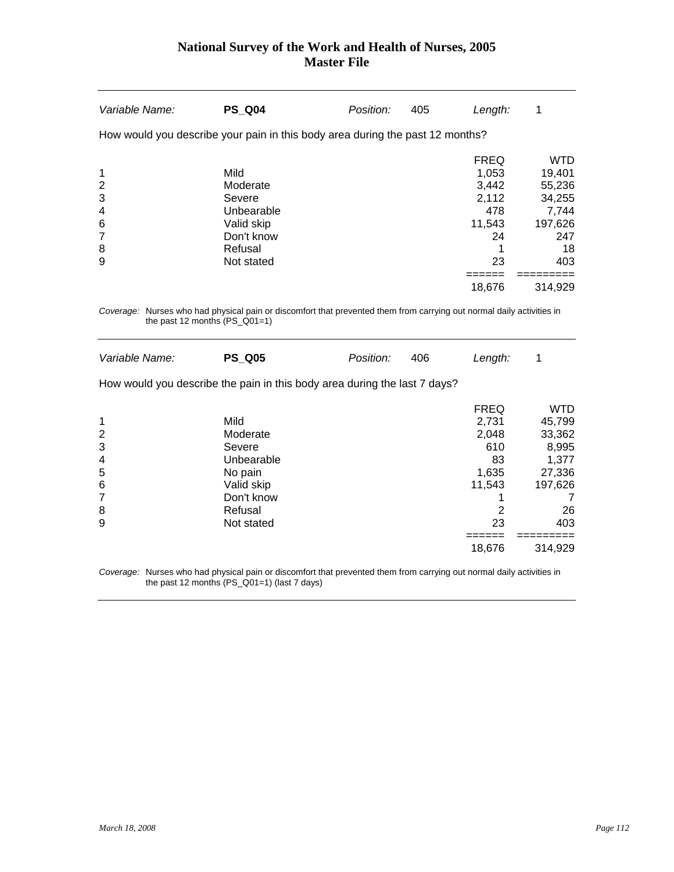| Variable Name:                                    | <b>PS Q04</b>                                                                                 | Position: | 405 | Length:                                                             | 1                                                                                |
|---------------------------------------------------|-----------------------------------------------------------------------------------------------|-----------|-----|---------------------------------------------------------------------|----------------------------------------------------------------------------------|
|                                                   | How would you describe your pain in this body area during the past 12 months?                 |           |     |                                                                     |                                                                                  |
| 1<br>$\overline{2}$<br>3<br>4<br>6<br>7<br>8<br>9 | Mild<br>Moderate<br>Severe<br>Unbearable<br>Valid skip<br>Don't know<br>Refusal<br>Not stated |           |     | <b>FREQ</b><br>1,053<br>3,442<br>2,112<br>478<br>11,543<br>24<br>23 | <b>WTD</b><br>19,401<br>55,236<br>34,255<br>7,744<br>197,626<br>247<br>18<br>403 |
|                                                   |                                                                                               |           |     | 18.676                                                              | 314.929                                                                          |

*Coverage:* Nurses who had physical pain or discomfort that prevented them from carrying out normal daily activities in the past 12 months (PS\_Q01=1)

| Variable Name: | <b>PS Q05</b>                                                             | Position: | 406 | Length:     | 1          |
|----------------|---------------------------------------------------------------------------|-----------|-----|-------------|------------|
|                |                                                                           |           |     |             |            |
|                | How would you describe the pain in this body area during the last 7 days? |           |     |             |            |
|                |                                                                           |           |     | <b>FREQ</b> | <b>WTD</b> |
| 1              | Mild                                                                      |           |     | 2,731       | 45,799     |
| 2              | Moderate                                                                  |           |     | 2.048       | 33,362     |
| $\mathbf{3}$   | Severe                                                                    |           |     | 610         | 8,995      |
| 4              | Unbearable                                                                |           |     | 83          | 1,377      |
| 5              | No pain                                                                   |           |     | 1,635       | 27,336     |
| 6              | Valid skip                                                                |           |     | 11.543      | 197,626    |
| 7              | Don't know                                                                |           |     |             |            |
| 8              | Refusal                                                                   |           |     | 2           | 26         |
| 9              | Not stated                                                                |           |     | 23          | 403        |
|                |                                                                           |           |     |             |            |
|                |                                                                           |           |     | 18,676      | 314,929    |
|                |                                                                           |           |     |             |            |

*Coverage:* Nurses who had physical pain or discomfort that prevented them from carrying out normal daily activities in the past 12 months (PS\_Q01=1) (last 7 days)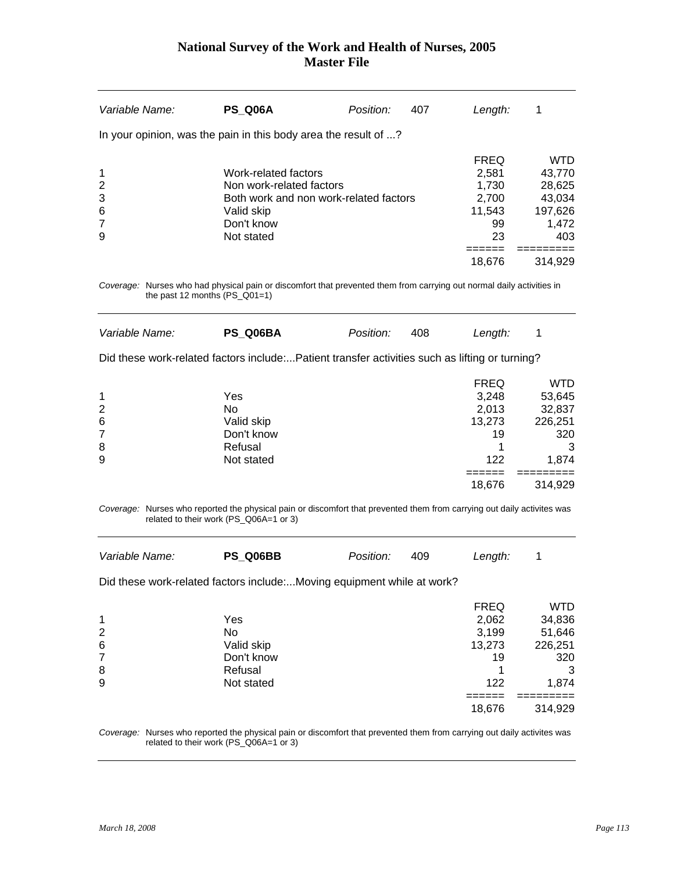| Variable Name:                                                | <b>PS_Q06A</b>                                                                                                                                                    | Position: | 407 | Length:                                                                       | 1                                                                           |
|---------------------------------------------------------------|-------------------------------------------------------------------------------------------------------------------------------------------------------------------|-----------|-----|-------------------------------------------------------------------------------|-----------------------------------------------------------------------------|
|                                                               | In your opinion, was the pain in this body area the result of ?                                                                                                   |           |     |                                                                               |                                                                             |
| 1<br>$\overline{c}$<br>3<br>6<br>$\overline{7}$<br>9          | Work-related factors<br>Non work-related factors<br>Both work and non work-related factors<br>Valid skip<br>Don't know<br>Not stated                              |           |     | <b>FREQ</b><br>2,581<br>1,730<br>2,700<br>11,543<br>99<br>23<br>======        | <b>WTD</b><br>43,770<br>28,625<br>43,034<br>197,626<br>1,472<br>403         |
|                                                               |                                                                                                                                                                   |           |     | 18,676                                                                        | 314,929                                                                     |
| the past 12 months $(PS_Q01=1)$                               | Coverage: Nurses who had physical pain or discomfort that prevented them from carrying out normal daily activities in                                             |           |     |                                                                               |                                                                             |
| Variable Name:                                                | PS_Q06BA                                                                                                                                                          | Position: | 408 | Length:                                                                       | 1                                                                           |
|                                                               | Did these work-related factors include:Patient transfer activities such as lifting or turning?                                                                    |           |     |                                                                               |                                                                             |
| 1<br>$\overline{\mathbf{c}}$<br>6<br>$\overline{7}$<br>8<br>9 | Yes<br><b>No</b><br>Valid skip<br>Don't know<br>Refusal<br>Not stated                                                                                             |           |     | <b>FREQ</b><br>3,248<br>2,013<br>13,273<br>19<br>1<br>122<br>======           | <b>WTD</b><br>53,645<br>32,837<br>226,251<br>320<br>3<br>1,874<br>========= |
|                                                               |                                                                                                                                                                   |           |     | 18,676                                                                        | 314,929                                                                     |
|                                                               | Coverage: Nurses who reported the physical pain or discomfort that prevented them from carrying out daily activites was<br>related to their work (PS_Q06A=1 or 3) |           |     |                                                                               |                                                                             |
| Variable Name:                                                | PS_Q06BB                                                                                                                                                          | Position: | 409 | Length:                                                                       | 1                                                                           |
|                                                               | Did these work-related factors include:Moving equipment while at work?                                                                                            |           |     |                                                                               |                                                                             |
| 1<br>$\overline{c}$<br>6<br>$\overline{7}$<br>8<br>9          | Yes<br><b>No</b><br>Valid skip<br>Don't know<br>Refusal<br>Not stated                                                                                             |           |     | <b>FREQ</b><br>2,062<br>3,199<br>13,273<br>19<br>1<br>122<br>======<br>18,676 | <b>WTD</b><br>34,836<br>51,646<br>226,251<br>320<br>3<br>1,874<br>314,929   |

*Coverage:* Nurses who reported the physical pain or discomfort that prevented them from carrying out daily activites was related to their work (PS\_Q06A=1 or 3)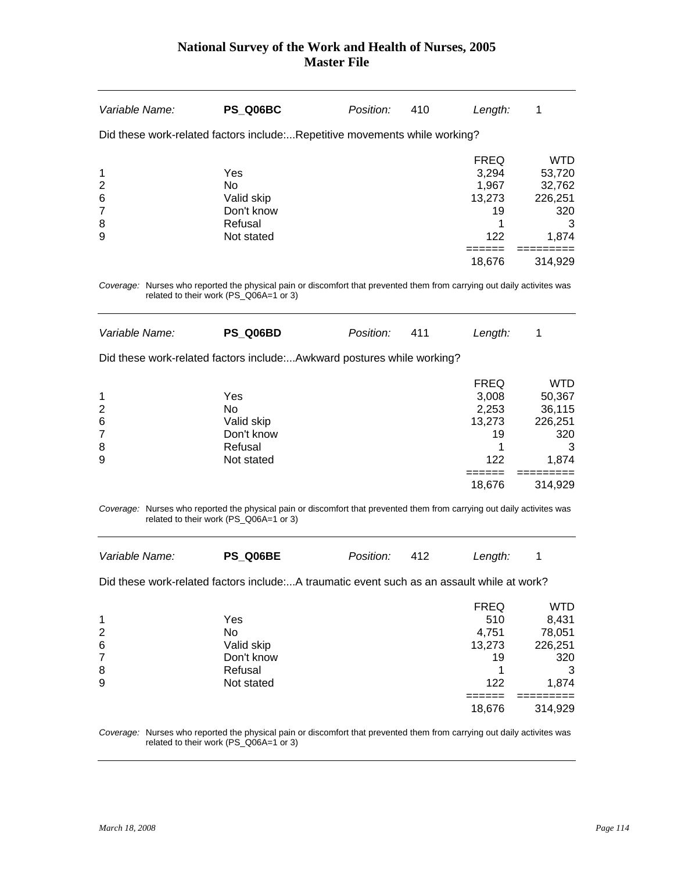| Variable Name:                                                                                                          | PS Q06BC                                                              | Position: | 410 | Length:                                                                       | 1                                                                         |
|-------------------------------------------------------------------------------------------------------------------------|-----------------------------------------------------------------------|-----------|-----|-------------------------------------------------------------------------------|---------------------------------------------------------------------------|
| Did these work-related factors include:Repetitive movements while working?                                              |                                                                       |           |     |                                                                               |                                                                           |
| 1<br>$\overline{2}$<br>6<br>7<br>8<br>9                                                                                 | Yes<br>No<br>Valid skip<br>Don't know<br>Refusal<br>Not stated        |           |     | <b>FREQ</b><br>3,294<br>1,967<br>13,273<br>19<br>1<br>122                     | <b>WTD</b><br>53,720<br>32,762<br>226,251<br>320<br>3<br>1,874            |
|                                                                                                                         |                                                                       |           |     | =====<br>18,676                                                               | 314,929                                                                   |
| Coverage: Nurses who reported the physical pain or discomfort that prevented them from carrying out daily activites was | related to their work (PS_Q06A=1 or 3)                                |           |     |                                                                               |                                                                           |
| Variable Name:                                                                                                          | PS Q06BD                                                              | Position: | 411 | Length:                                                                       | 1                                                                         |
| Did these work-related factors include:Awkward postures while working?                                                  |                                                                       |           |     |                                                                               |                                                                           |
| 1<br>$\overline{\mathbf{c}}$<br>6<br>$\overline{7}$<br>8<br>9                                                           | Yes<br><b>No</b><br>Valid skip<br>Don't know<br>Refusal<br>Not stated |           |     | <b>FREQ</b><br>3,008<br>2,253<br>13,273<br>19<br>1<br>122<br>------<br>18,676 | <b>WTD</b><br>50,367<br>36,115<br>226,251<br>320<br>3<br>1,874<br>314,929 |
| Coverage: Nurses who reported the physical pain or discomfort that prevented them from carrying out daily activites was | related to their work (PS_Q06A=1 or 3)                                |           |     |                                                                               |                                                                           |
| Variable Name:<br>Did these work-related factors include:A traumatic event such as an assault while at work?            | PS_Q06BE                                                              | Position: | 412 | Length:                                                                       | 1                                                                         |
| 1<br>$\overline{2}$<br>6<br>$\overline{7}$<br>8<br>9                                                                    | Yes<br>No<br>Valid skip<br>Don't know<br>Refusal<br>Not stated        |           |     | <b>FREQ</b><br>510<br>4,751<br>13,273<br>19<br>1<br>122<br>18,676             | <b>WTD</b><br>8,431<br>78,051<br>226,251<br>320<br>3<br>1,874<br>314,929  |

*Coverage:* Nurses who reported the physical pain or discomfort that prevented them from carrying out daily activites was related to their work (PS\_Q06A=1 or 3)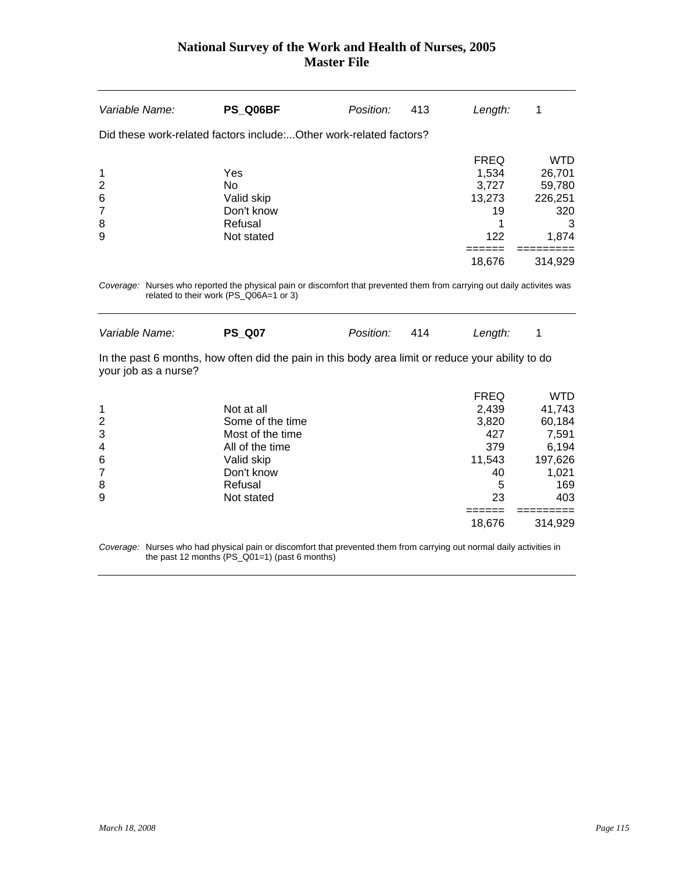| Variable Name:                                            | PS Q06BF                                                                                                                                                                           | Position: | 413 | Length:                                                          | 1                                                                           |
|-----------------------------------------------------------|------------------------------------------------------------------------------------------------------------------------------------------------------------------------------------|-----------|-----|------------------------------------------------------------------|-----------------------------------------------------------------------------|
|                                                           | Did these work-related factors includeOther work-related factors?                                                                                                                  |           |     |                                                                  |                                                                             |
| 1<br>$\overline{c}$<br>6<br>$\overline{7}$<br>8<br>9      | Yes<br>No<br>Valid skip<br>Don't know<br>Refusal<br>Not stated                                                                                                                     |           |     | <b>FREQ</b><br>1,534<br>3,727<br>13,273<br>19<br>1<br>122        | <b>WTD</b><br>26,701<br>59,780<br>226,251<br>320<br>3<br>1,874              |
|                                                           |                                                                                                                                                                                    |           |     | 18,676                                                           | 314,929                                                                     |
| Variable Name:                                            | Coverage: Nurses who reported the physical pain or discomfort that prevented them from carrying out daily activites was<br>related to their work (PS_Q06A=1 or 3)<br><b>PS Q07</b> | Position: | 414 | Length:                                                          | 1                                                                           |
| your job as a nurse?                                      | In the past 6 months, how often did the pain in this body area limit or reduce your ability to do                                                                                  |           |     |                                                                  |                                                                             |
| 1<br>$\overline{c}$<br>3<br>4<br>6<br>$\overline{7}$<br>8 | Not at all<br>Some of the time<br>Most of the time<br>All of the time<br>Valid skip<br>Don't know<br>Refusal                                                                       |           |     | <b>FREQ</b><br>2,439<br>3,820<br>427<br>379<br>11,543<br>40<br>5 | <b>WTD</b><br>41,743<br>60,184<br>7,591<br>6,194<br>197,626<br>1,021<br>169 |
| 9                                                         | Not stated                                                                                                                                                                         |           |     | 23                                                               | 403                                                                         |

*Coverage:* Nurses who had physical pain or discomfort that prevented them from carrying out normal daily activities in the past 12 months (PS\_Q01=1) (past 6 months)

 $18,676$   $314,929$ 

====== =========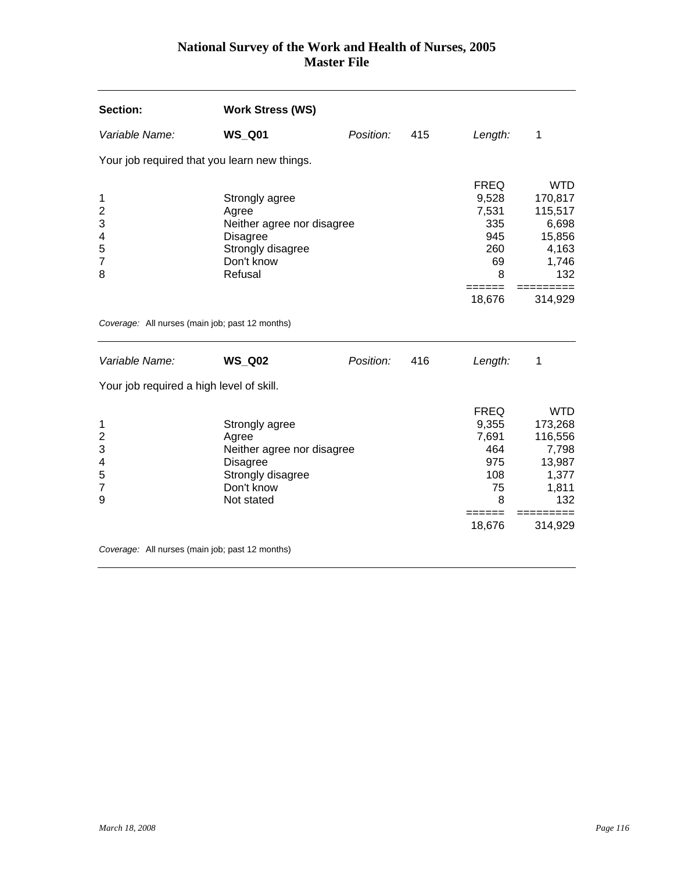| Section:                                                  | <b>Work Stress (WS)</b>                                                                                                   |           |     |                                                                                                    |                                                                                                      |
|-----------------------------------------------------------|---------------------------------------------------------------------------------------------------------------------------|-----------|-----|----------------------------------------------------------------------------------------------------|------------------------------------------------------------------------------------------------------|
| Variable Name:                                            | <b>WS_Q01</b>                                                                                                             | Position: | 415 | Length:                                                                                            | 1                                                                                                    |
| Your job required that you learn new things.              |                                                                                                                           |           |     |                                                                                                    |                                                                                                      |
| 1<br>$\overline{2}$<br>3<br>4<br>5<br>$\overline{7}$<br>8 | Strongly agree<br>Agree<br>Neither agree nor disagree<br><b>Disagree</b><br>Strongly disagree<br>Don't know<br>Refusal    |           |     | <b>FREQ</b><br>9,528<br>7,531<br>335<br>945<br>260<br>69<br>8<br>=====                             | <b>WTD</b><br>170,817<br>115,517<br>6,698<br>15,856<br>4,163<br>1,746<br>132                         |
|                                                           |                                                                                                                           |           |     | 18,676                                                                                             | 314,929                                                                                              |
| Coverage: All nurses (main job; past 12 months)           |                                                                                                                           |           |     |                                                                                                    |                                                                                                      |
| Variable Name:                                            | <b>WS Q02</b>                                                                                                             | Position: | 416 | Length:                                                                                            | 1                                                                                                    |
| Your job required a high level of skill.                  |                                                                                                                           |           |     |                                                                                                    |                                                                                                      |
| 1<br>$\overline{c}$<br>3<br>4<br>5<br>7<br>9              | Strongly agree<br>Agree<br>Neither agree nor disagree<br><b>Disagree</b><br>Strongly disagree<br>Don't know<br>Not stated |           |     | <b>FREQ</b><br>9,355<br>7,691<br>464<br>975<br>108<br>75<br>8<br>$=$ $=$ $=$ $=$ $=$ $=$<br>18,676 | <b>WTD</b><br>173,268<br>116,556<br>7,798<br>13,987<br>1,377<br>1,811<br>132<br>=========<br>314,929 |
| Coverage: All nurses (main job; past 12 months)           |                                                                                                                           |           |     |                                                                                                    |                                                                                                      |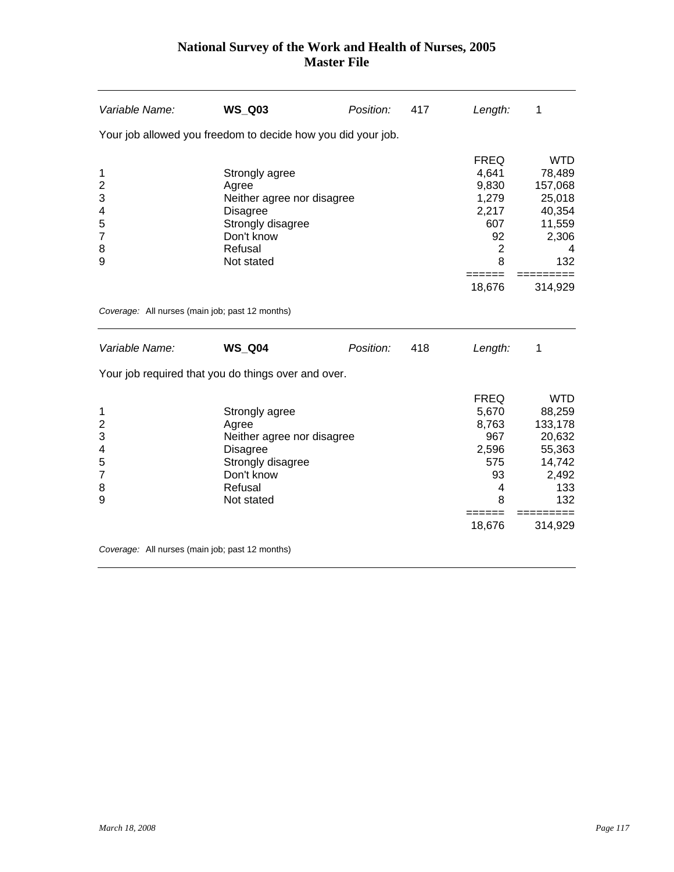| Variable Name:                                                              | <b>WS_Q03</b>                                                                                                                        | Position: | 417 | Length:                                                                                       | 1                                                                                    |
|-----------------------------------------------------------------------------|--------------------------------------------------------------------------------------------------------------------------------------|-----------|-----|-----------------------------------------------------------------------------------------------|--------------------------------------------------------------------------------------|
|                                                                             | Your job allowed you freedom to decide how you did your job.                                                                         |           |     |                                                                                               |                                                                                      |
| 1<br>$\overline{\mathbf{c}}$<br>3<br>4<br>5<br>$\overline{7}$<br>8<br>9     | Strongly agree<br>Agree<br>Neither agree nor disagree<br><b>Disagree</b><br>Strongly disagree<br>Don't know<br>Refusal<br>Not stated |           |     | <b>FREQ</b><br>4,641<br>9,830<br>1,279<br>2,217<br>607<br>92<br>$\overline{2}$<br>8<br>====== | <b>WTD</b><br>78,489<br>157,068<br>25,018<br>40,354<br>11,559<br>2,306<br>4<br>132   |
|                                                                             |                                                                                                                                      |           |     | 18,676                                                                                        | 314,929                                                                              |
| Coverage: All nurses (main job; past 12 months)                             |                                                                                                                                      |           |     |                                                                                               |                                                                                      |
| Variable Name:                                                              | <b>WS_Q04</b>                                                                                                                        | Position: | 418 | Length:                                                                                       | 1                                                                                    |
|                                                                             | Your job required that you do things over and over.                                                                                  |           |     |                                                                                               |                                                                                      |
| 1<br>$\overline{c}$<br>3<br>$\overline{4}$<br>5<br>$\overline{7}$<br>8<br>9 | Strongly agree<br>Agree<br>Neither agree nor disagree<br><b>Disagree</b><br>Strongly disagree<br>Don't know<br>Refusal<br>Not stated |           |     | <b>FREQ</b><br>5,670<br>8,763<br>967<br>2,596<br>575<br>93<br>4<br>8                          | <b>WTD</b><br>88,259<br>133,178<br>20,632<br>55,363<br>14,742<br>2,492<br>133<br>132 |
|                                                                             |                                                                                                                                      |           |     | 18,676                                                                                        | 314,929                                                                              |
| Coverage: All nurses (main job; past 12 months)                             |                                                                                                                                      |           |     |                                                                                               |                                                                                      |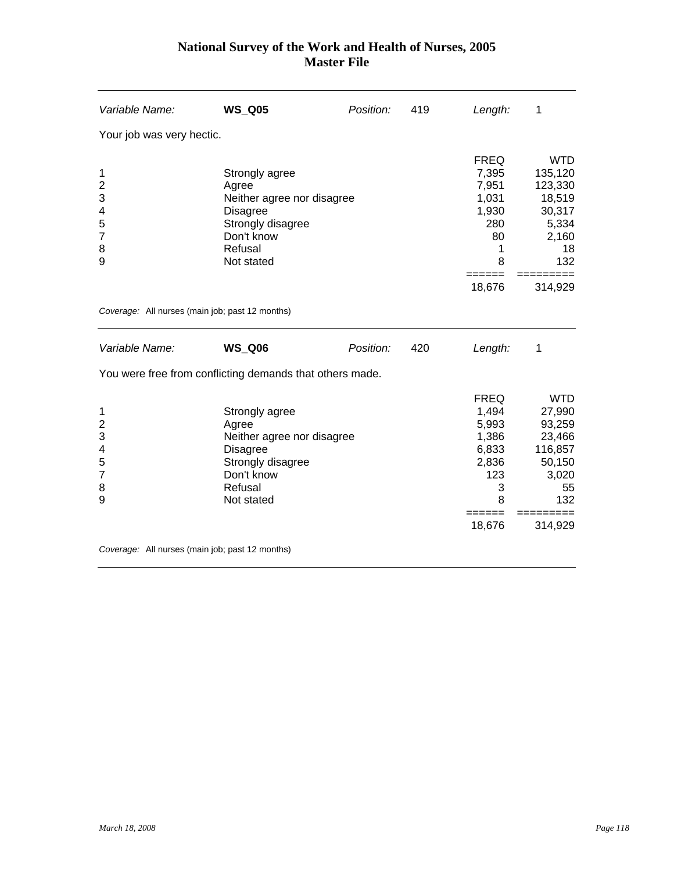| Variable Name:                                                              | <b>WS_Q05</b>                                                                                                                        | Position: | 419 | Length:                                                                   | 1                                                                                   |
|-----------------------------------------------------------------------------|--------------------------------------------------------------------------------------------------------------------------------------|-----------|-----|---------------------------------------------------------------------------|-------------------------------------------------------------------------------------|
| Your job was very hectic.                                                   |                                                                                                                                      |           |     |                                                                           |                                                                                     |
| 1<br>$\overline{c}$<br>3<br>4<br>5<br>$\overline{7}$<br>8<br>9              | Strongly agree<br>Agree<br>Neither agree nor disagree<br><b>Disagree</b><br>Strongly disagree<br>Don't know<br>Refusal<br>Not stated |           |     | <b>FREQ</b><br>7,395<br>7,951<br>1,031<br>1,930<br>280<br>80<br>1<br>8    | <b>WTD</b><br>135,120<br>123,330<br>18,519<br>30,317<br>5,334<br>2,160<br>18<br>132 |
|                                                                             |                                                                                                                                      |           |     | ======<br>18,676                                                          | 314,929                                                                             |
| Coverage: All nurses (main job; past 12 months)                             |                                                                                                                                      |           |     |                                                                           |                                                                                     |
| Variable Name:                                                              | <b>WS_Q06</b>                                                                                                                        | Position: | 420 | Length:                                                                   | 1                                                                                   |
|                                                                             | You were free from conflicting demands that others made.                                                                             |           |     |                                                                           |                                                                                     |
| 1<br>$\overline{c}$<br>3<br>$\overline{4}$<br>5<br>$\overline{7}$<br>8<br>9 | Strongly agree<br>Agree<br>Neither agree nor disagree<br><b>Disagree</b><br>Strongly disagree<br>Don't know<br>Refusal<br>Not stated |           |     | <b>FREQ</b><br>1,494<br>5,993<br>1,386<br>6,833<br>2,836<br>123<br>3<br>8 | <b>WTD</b><br>27,990<br>93,259<br>23,466<br>116,857<br>50,150<br>3,020<br>55<br>132 |
|                                                                             |                                                                                                                                      |           |     | 18,676                                                                    | 314,929                                                                             |
| Coverage: All nurses (main job; past 12 months)                             |                                                                                                                                      |           |     |                                                                           |                                                                                     |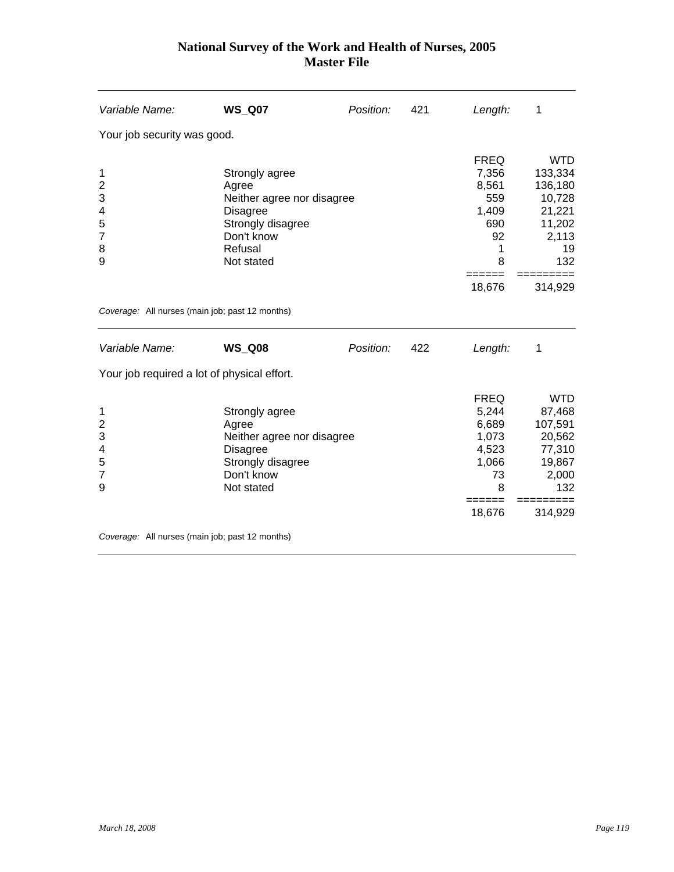| Variable Name:                                                 | <b>WS_Q07</b>                                                                                                                        | Position: | 421 | Length:                                                                                 | 1                                                                                        |
|----------------------------------------------------------------|--------------------------------------------------------------------------------------------------------------------------------------|-----------|-----|-----------------------------------------------------------------------------------------|------------------------------------------------------------------------------------------|
| Your job security was good.                                    |                                                                                                                                      |           |     |                                                                                         |                                                                                          |
| 1<br>$\overline{c}$<br>3<br>4<br>5<br>$\overline{7}$<br>8<br>9 | Strongly agree<br>Agree<br>Neither agree nor disagree<br><b>Disagree</b><br>Strongly disagree<br>Don't know<br>Refusal<br>Not stated |           |     | <b>FREQ</b><br>7,356<br>8,561<br>559<br>1,409<br>690<br>92<br>1<br>8                    | <b>WTD</b><br>133,334<br>136,180<br>10,728<br>21,221<br>11,202<br>2,113<br>19<br>132     |
|                                                                |                                                                                                                                      |           |     | 18,676                                                                                  | 314,929                                                                                  |
| Coverage: All nurses (main job; past 12 months)                |                                                                                                                                      |           |     |                                                                                         |                                                                                          |
| Variable Name:                                                 | <b>WS_Q08</b>                                                                                                                        | Position: | 422 | Length:                                                                                 | 1                                                                                        |
| Your job required a lot of physical effort.                    |                                                                                                                                      |           |     |                                                                                         |                                                                                          |
| 1<br>$\overline{2}$<br>3<br>4<br>5<br>$\overline{7}$<br>9      | Strongly agree<br>Agree<br>Neither agree nor disagree<br><b>Disagree</b><br>Strongly disagree<br>Don't know<br>Not stated            |           |     | <b>FREQ</b><br>5,244<br>6,689<br>1,073<br>4,523<br>1,066<br>73<br>8<br>======<br>18,676 | <b>WTD</b><br>87,468<br>107,591<br>20,562<br>77,310<br>19,867<br>2,000<br>132<br>314,929 |
| Coverage: All nurses (main job; past 12 months)                |                                                                                                                                      |           |     |                                                                                         |                                                                                          |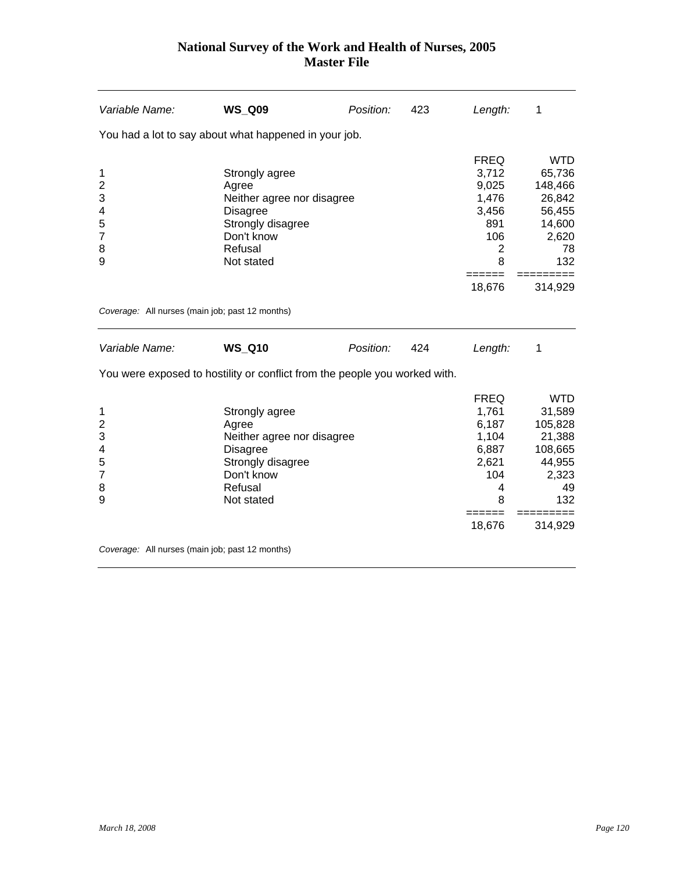| Variable Name:                                                 | <b>WS_Q09</b>                                                                                                                        | Position: | 423 | Length:                                                                   | 1                                                                                    |
|----------------------------------------------------------------|--------------------------------------------------------------------------------------------------------------------------------------|-----------|-----|---------------------------------------------------------------------------|--------------------------------------------------------------------------------------|
|                                                                | You had a lot to say about what happened in your job.                                                                                |           |     |                                                                           |                                                                                      |
| 1<br>$\overline{c}$<br>3<br>4<br>5<br>$\overline{7}$<br>8<br>9 | Strongly agree<br>Agree<br>Neither agree nor disagree<br><b>Disagree</b><br>Strongly disagree<br>Don't know<br>Refusal<br>Not stated |           |     | <b>FREQ</b><br>3,712<br>9,025<br>1,476<br>3,456<br>891<br>106<br>2<br>8   | <b>WTD</b><br>65,736<br>148,466<br>26,842<br>56,455<br>14,600<br>2,620<br>78<br>132  |
|                                                                |                                                                                                                                      |           |     | ======<br>18,676                                                          | 314,929                                                                              |
| Coverage: All nurses (main job; past 12 months)                |                                                                                                                                      |           |     |                                                                           |                                                                                      |
| Variable Name:                                                 | <b>WS Q10</b>                                                                                                                        | Position: | 424 | Length:                                                                   | 1                                                                                    |
|                                                                | You were exposed to hostility or conflict from the people you worked with.                                                           |           |     |                                                                           |                                                                                      |
| 1<br>$\overline{c}$<br>3<br>4<br>5<br>$\overline{7}$<br>8<br>9 | Strongly agree<br>Agree<br>Neither agree nor disagree<br><b>Disagree</b><br>Strongly disagree<br>Don't know<br>Refusal<br>Not stated |           |     | <b>FREQ</b><br>1,761<br>6,187<br>1,104<br>6,887<br>2,621<br>104<br>4<br>8 | <b>WTD</b><br>31,589<br>105,828<br>21,388<br>108,665<br>44,955<br>2,323<br>49<br>132 |
|                                                                |                                                                                                                                      |           |     | 18,676                                                                    | 314,929                                                                              |
| Coverage: All nurses (main job; past 12 months)                |                                                                                                                                      |           |     |                                                                           |                                                                                      |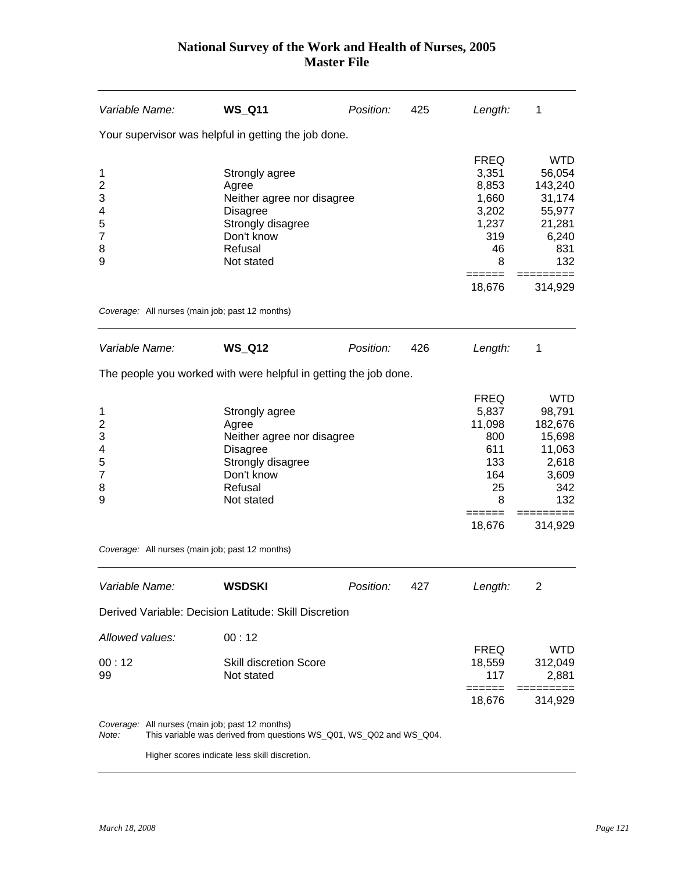| Variable Name:                                                          | <b>WS Q11</b>                                                                                                                        | Position: | 425 | Length:                                                                              | 1                                                                                    |
|-------------------------------------------------------------------------|--------------------------------------------------------------------------------------------------------------------------------------|-----------|-----|--------------------------------------------------------------------------------------|--------------------------------------------------------------------------------------|
|                                                                         | Your supervisor was helpful in getting the job done.                                                                                 |           |     |                                                                                      |                                                                                      |
| 1<br>$\overline{2}$<br>3<br>4<br>5<br>$\overline{7}$<br>8<br>9          | Strongly agree<br>Agree<br>Neither agree nor disagree<br><b>Disagree</b><br>Strongly disagree<br>Don't know<br>Refusal<br>Not stated |           |     | <b>FREQ</b><br>3,351<br>8,853<br>1,660<br>3,202<br>1,237<br>319<br>46<br>8<br>====== | <b>WTD</b><br>56,054<br>143,240<br>31,174<br>55,977<br>21,281<br>6,240<br>831<br>132 |
|                                                                         |                                                                                                                                      |           |     | 18,676                                                                               | 314,929                                                                              |
|                                                                         | Coverage: All nurses (main job; past 12 months)                                                                                      |           |     |                                                                                      |                                                                                      |
| Variable Name:                                                          | <b>WS_Q12</b>                                                                                                                        | Position: | 426 | Length:                                                                              | 1                                                                                    |
|                                                                         | The people you worked with were helpful in getting the job done.                                                                     |           |     |                                                                                      |                                                                                      |
| 1<br>$\overline{\mathbf{c}}$<br>3<br>4<br>5<br>$\overline{7}$<br>8<br>9 | Strongly agree<br>Agree<br>Neither agree nor disagree<br><b>Disagree</b><br>Strongly disagree<br>Don't know<br>Refusal<br>Not stated |           |     | <b>FREQ</b><br>5,837<br>11,098<br>800<br>611<br>133<br>164<br>25<br>8                | <b>WTD</b><br>98,791<br>182,676<br>15,698<br>11,063<br>2,618<br>3,609<br>342<br>132  |
|                                                                         |                                                                                                                                      |           |     | <b>=====</b><br>18,676                                                               | =======<br>314,929                                                                   |
|                                                                         | Coverage: All nurses (main job; past 12 months)                                                                                      |           |     |                                                                                      |                                                                                      |
| Variable Name:                                                          | <b>WSDSKI</b>                                                                                                                        | Position: | 427 | Length:                                                                              | $\overline{\mathbf{c}}$                                                              |
|                                                                         | Derived Variable: Decision Latitude: Skill Discretion                                                                                |           |     |                                                                                      |                                                                                      |
| Allowed values:<br>00:12<br>99                                          | 00:12<br><b>Skill discretion Score</b><br>Not stated                                                                                 |           |     | <b>FREQ</b><br>18,559<br>117<br>======                                               | <b>WTD</b><br>312,049<br>2,881                                                       |
|                                                                         |                                                                                                                                      |           |     | 18,676                                                                               | 314,929                                                                              |
| Note:                                                                   | Coverage: All nurses (main job; past 12 months)<br>This variable was derived from questions WS_Q01, WS_Q02 and WS_Q04.               |           |     |                                                                                      |                                                                                      |
|                                                                         | Higher scores indicate less skill discretion.                                                                                        |           |     |                                                                                      |                                                                                      |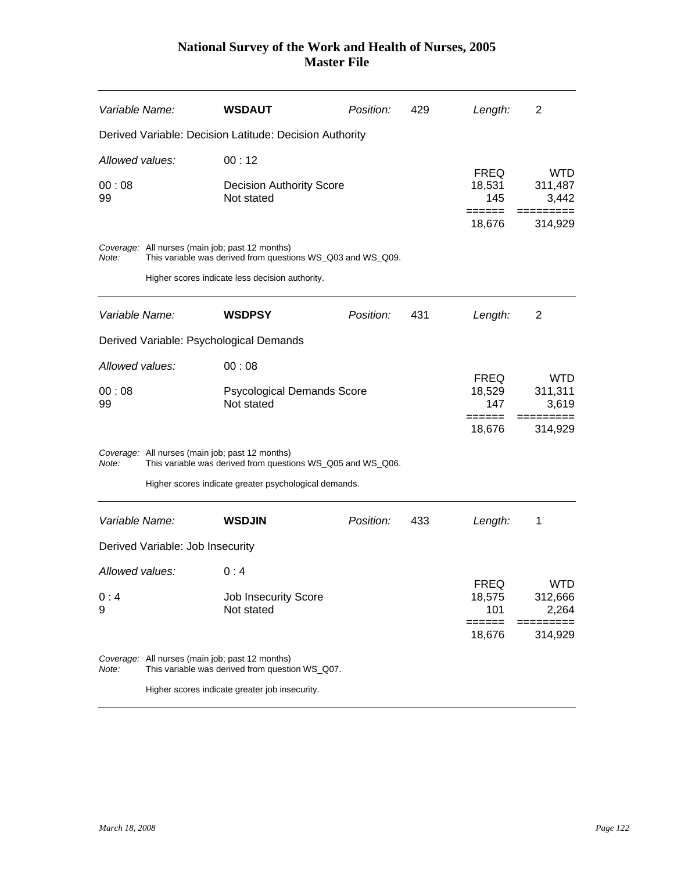| Variable Name:  |                                  | <b>WSDAUT</b>                                                                                                  | Position: | 429 | Length:                                | 2                                     |
|-----------------|----------------------------------|----------------------------------------------------------------------------------------------------------------|-----------|-----|----------------------------------------|---------------------------------------|
|                 |                                  | Derived Variable: Decision Latitude: Decision Authority                                                        |           |     |                                        |                                       |
| Allowed values: |                                  | 00:12                                                                                                          |           |     |                                        |                                       |
| 00:08<br>99     |                                  | <b>Decision Authority Score</b><br>Not stated                                                                  |           |     | <b>FREQ</b><br>18,531<br>145<br>====== | <b>WTD</b><br>311,487<br>3,442<br>$=$ |
|                 |                                  |                                                                                                                |           |     | 18,676                                 | 314,929                               |
| Note:           |                                  | Coverage: All nurses (main job; past 12 months)<br>This variable was derived from questions WS_Q03 and WS_Q09. |           |     |                                        |                                       |
|                 |                                  | Higher scores indicate less decision authority.                                                                |           |     |                                        |                                       |
| Variable Name:  |                                  | <b>WSDPSY</b>                                                                                                  | Position: | 431 | Length:                                | $\overline{2}$                        |
|                 |                                  | Derived Variable: Psychological Demands                                                                        |           |     |                                        |                                       |
| Allowed values: |                                  | 00:08                                                                                                          |           |     |                                        |                                       |
| 00:08<br>99     |                                  | <b>Psycological Demands Score</b><br>Not stated                                                                |           |     | <b>FREQ</b><br>18,529<br>147           | <b>WTD</b><br>311,311<br>3,619        |
|                 |                                  |                                                                                                                |           |     | ======<br>18,676                       | ====<br>314,929                       |
| Note:           |                                  | Coverage: All nurses (main job; past 12 months)<br>This variable was derived from questions WS_Q05 and WS_Q06. |           |     |                                        |                                       |
|                 |                                  | Higher scores indicate greater psychological demands.                                                          |           |     |                                        |                                       |
| Variable Name:  |                                  | <b>WSDJIN</b>                                                                                                  | Position: | 433 | Length:                                | 1                                     |
|                 | Derived Variable: Job Insecurity |                                                                                                                |           |     |                                        |                                       |
| Allowed values: |                                  | 0:4                                                                                                            |           |     |                                        |                                       |
| 0:4             |                                  | <b>Job Insecurity Score</b>                                                                                    |           |     | <b>FREQ</b><br>18,575                  | WTD<br>312,666                        |
| 9               |                                  | Not stated                                                                                                     |           |     | 101                                    | 2,264                                 |
|                 |                                  |                                                                                                                |           |     | ======<br>18,676                       | =========<br>314,929                  |
| Note:           |                                  | Coverage: All nurses (main job; past 12 months)<br>This variable was derived from question WS_Q07.             |           |     |                                        |                                       |
|                 |                                  | Higher scores indicate greater job insecurity.                                                                 |           |     |                                        |                                       |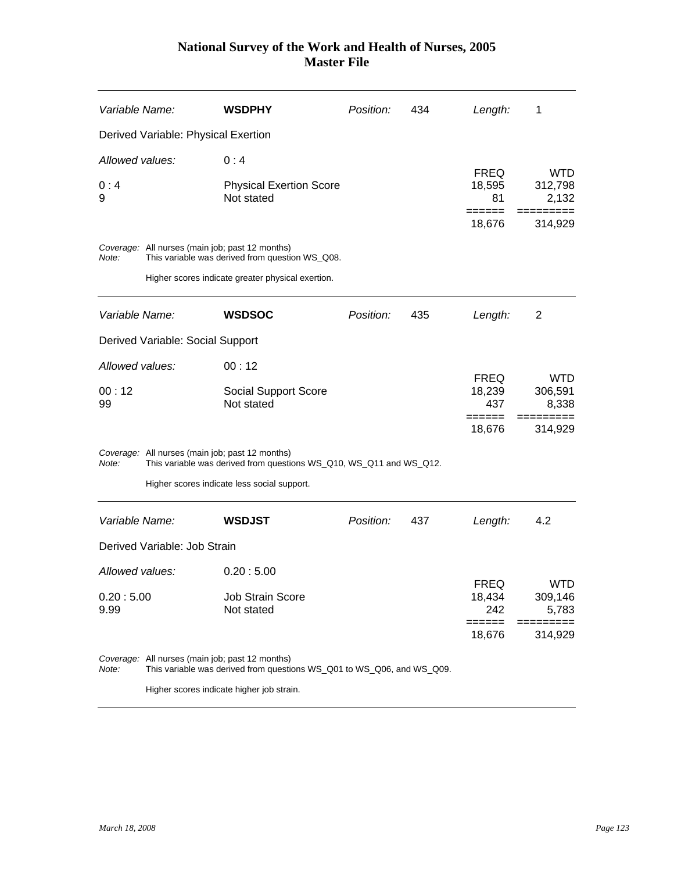| Variable Name:  |                                     | <b>WSDPHY</b>                                                                                                             | Position: | 434 | Length:                      | 1                              |
|-----------------|-------------------------------------|---------------------------------------------------------------------------------------------------------------------------|-----------|-----|------------------------------|--------------------------------|
|                 | Derived Variable: Physical Exertion |                                                                                                                           |           |     |                              |                                |
| Allowed values: |                                     | 0:4                                                                                                                       |           |     |                              |                                |
| 0:4<br>9        |                                     | <b>Physical Exertion Score</b><br>Not stated                                                                              |           |     | <b>FREQ</b><br>18,595<br>81  | <b>WTD</b><br>312,798<br>2,132 |
|                 |                                     |                                                                                                                           |           |     | 18,676                       | 314,929                        |
| Note:           |                                     | Coverage: All nurses (main job; past 12 months)<br>This variable was derived from question WS_Q08.                        |           |     |                              |                                |
|                 |                                     | Higher scores indicate greater physical exertion.                                                                         |           |     |                              |                                |
| Variable Name:  |                                     | <b>WSDSOC</b>                                                                                                             | Position: | 435 | Length:                      | 2                              |
|                 | Derived Variable: Social Support    |                                                                                                                           |           |     |                              |                                |
| Allowed values: |                                     | 00:12                                                                                                                     |           |     |                              |                                |
| 00:12<br>99     |                                     | Social Support Score<br>Not stated                                                                                        |           |     | <b>FREQ</b><br>18,239<br>437 | <b>WTD</b><br>306,591<br>8,338 |
|                 |                                     |                                                                                                                           |           |     | ======<br>18,676             | 314,929                        |
| Note:           |                                     | Coverage: All nurses (main job; past 12 months)<br>This variable was derived from questions WS_Q10, WS_Q11 and WS_Q12.    |           |     |                              |                                |
|                 |                                     | Higher scores indicate less social support.                                                                               |           |     |                              |                                |
| Variable Name:  |                                     | <b>WSDJST</b>                                                                                                             | Position: | 437 | Length:                      | 4.2                            |
|                 | Derived Variable: Job Strain        |                                                                                                                           |           |     |                              |                                |
| Allowed values: |                                     | 0.20:5.00                                                                                                                 |           |     |                              |                                |
| 0.20:5.00       |                                     | <b>Job Strain Score</b>                                                                                                   |           |     | <b>FREQ</b><br>18,434        | <b>WTD</b><br>309,146          |
| 9.99            |                                     | Not stated                                                                                                                |           |     | 242                          | 5,783                          |
|                 |                                     |                                                                                                                           |           |     | ======<br>18,676             | ======<br>314,929              |
| Note:           |                                     | Coverage: All nurses (main job; past 12 months)<br>This variable was derived from questions WS_Q01 to WS_Q06, and WS_Q09. |           |     |                              |                                |
|                 |                                     | Higher scores indicate higher job strain.                                                                                 |           |     |                              |                                |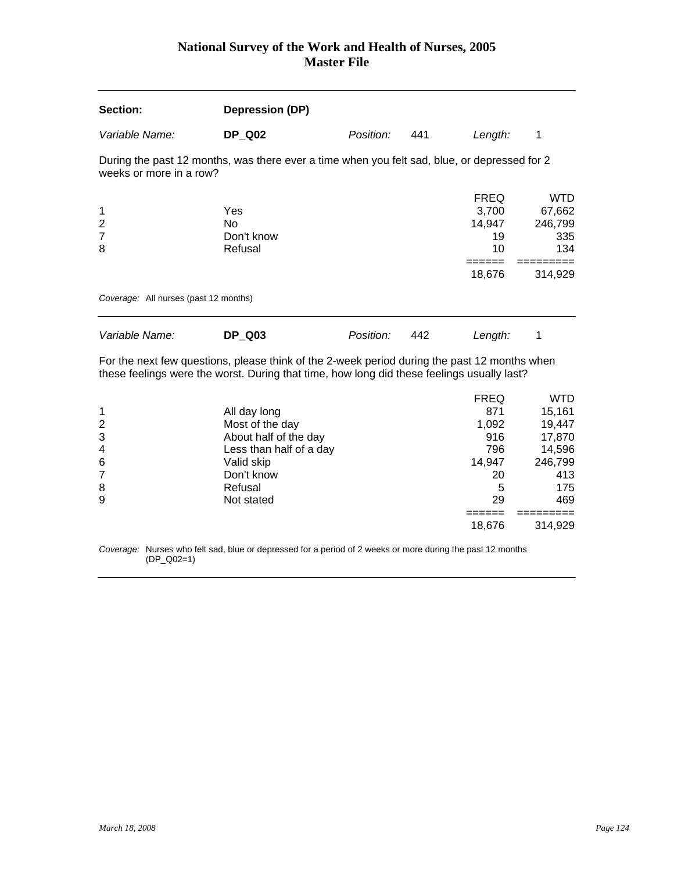| Section:                                   | Depression (DP)                                                                              |           |     |                                                      |                                                   |
|--------------------------------------------|----------------------------------------------------------------------------------------------|-----------|-----|------------------------------------------------------|---------------------------------------------------|
| Variable Name:                             | <b>DP Q02</b>                                                                                | Position: | 441 | Length:                                              | 1                                                 |
| weeks or more in a row?                    | During the past 12 months, was there ever a time when you felt sad, blue, or depressed for 2 |           |     |                                                      |                                                   |
| 1<br>$\overline{2}$<br>$\overline{7}$<br>8 | Yes<br>No<br>Don't know<br>Refusal                                                           |           |     | <b>FREQ</b><br>3,700<br>14,947<br>19<br>10<br>18,676 | WTD<br>67,662<br>246,799<br>335<br>134<br>314,929 |
| Coverage: All nurses (past 12 months)      |                                                                                              |           |     |                                                      |                                                   |
| Variable Name:                             | <b>DP Q03</b>                                                                                | Position: | 442 | Length:                                              |                                                   |

For the next few questions, please think of the 2-week period during the past 12 months when these feelings were the worst. During that time, how long did these feelings usually last?

|                |                         | <b>FREQ</b> | WTD     |
|----------------|-------------------------|-------------|---------|
| 1              | All day long            | 871         | 15,161  |
| $\overline{2}$ | Most of the day         | 1,092       | 19,447  |
| 3              | About half of the day   | 916         | 17,870  |
| $\overline{4}$ | Less than half of a day | 796         | 14,596  |
| 6              | Valid skip              | 14,947      | 246,799 |
| 7              | Don't know              | 20          | 413     |
| 8              | Refusal                 | 5           | 175     |
| 9              | Not stated              | 29          | 469     |
|                |                         |             |         |
|                |                         | 18,676      | 314,929 |

*Coverage:* Nurses who felt sad, blue or depressed for a period of 2 weeks or more during the past 12 months (DP\_Q02=1)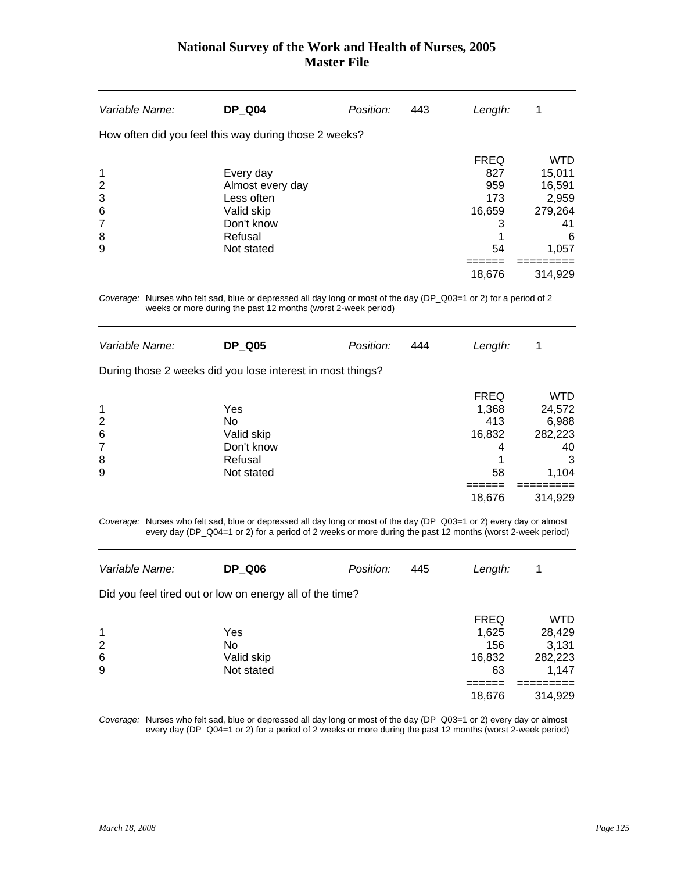| Variable Name:                               | <b>DP Q04</b>                                                                                    | Position: | 443 | Length:                                                         | 1                                                                                 |
|----------------------------------------------|--------------------------------------------------------------------------------------------------|-----------|-----|-----------------------------------------------------------------|-----------------------------------------------------------------------------------|
|                                              | How often did you feel this way during those 2 weeks?                                            |           |     |                                                                 |                                                                                   |
| 1<br>$\overline{2}$<br>3<br>6<br>7<br>8<br>9 | Every day<br>Almost every day<br>Less often<br>Valid skip<br>Don't know<br>Refusal<br>Not stated |           |     | <b>FREQ</b><br>827<br>959<br>173<br>16,659<br>3<br>54<br>18,676 | <b>WTD</b><br>15,011<br>16,591<br>2,959<br>279,264<br>41<br>6<br>1,057<br>314.929 |

*Coverage:* Nurses who felt sad, blue or depressed all day long or most of the day (DP\_Q03=1 or 2) for a period of 2 weeks or more during the past 12 months (worst 2-week period)

| Variable Name:                          | <b>DP Q05</b>                                                  | Position: | 444 | Length:                                          |                                                              |
|-----------------------------------------|----------------------------------------------------------------|-----------|-----|--------------------------------------------------|--------------------------------------------------------------|
|                                         | During those 2 weeks did you lose interest in most things?     |           |     |                                                  |                                                              |
| 1<br>2<br>6<br>$\overline{7}$<br>8<br>9 | Yes<br>No<br>Valid skip<br>Don't know<br>Refusal<br>Not stated |           |     | <b>FREQ</b><br>1,368<br>413<br>16,832<br>4<br>58 | <b>WTD</b><br>24,572<br>6,988<br>282,223<br>40<br>3<br>1,104 |
|                                         |                                                                |           |     | 18,676                                           | 314,929                                                      |

*Coverage:* Nurses who felt sad, blue or depressed all day long or most of the day (DP\_Q03=1 or 2) every day or almost every day (DP\_Q04=1 or 2) for a period of 2 weeks or more during the past 12 months (worst 2-week period)

| Variable Name:                                           | <b>DP Q06</b>                         | Position: | 445 | Length:                                     | 1                                                 |
|----------------------------------------------------------|---------------------------------------|-----------|-----|---------------------------------------------|---------------------------------------------------|
| Did you feel tired out or low on energy all of the time? |                                       |           |     |                                             |                                                   |
| $\overline{1}$<br>2<br>6<br>9                            | Yes<br>No<br>Valid skip<br>Not stated |           |     | <b>FREQ</b><br>1,625<br>156<br>16,832<br>63 | <b>WTD</b><br>28,429<br>3,131<br>282,223<br>1,147 |
|                                                          |                                       |           |     | 18,676                                      | 314,929                                           |

*Coverage:* Nurses who felt sad, blue or depressed all day long or most of the day (DP\_Q03=1 or 2) every day or almost every day (DP\_Q04=1 or 2) for a period of 2 weeks or more during the past 12 months (worst 2-week period)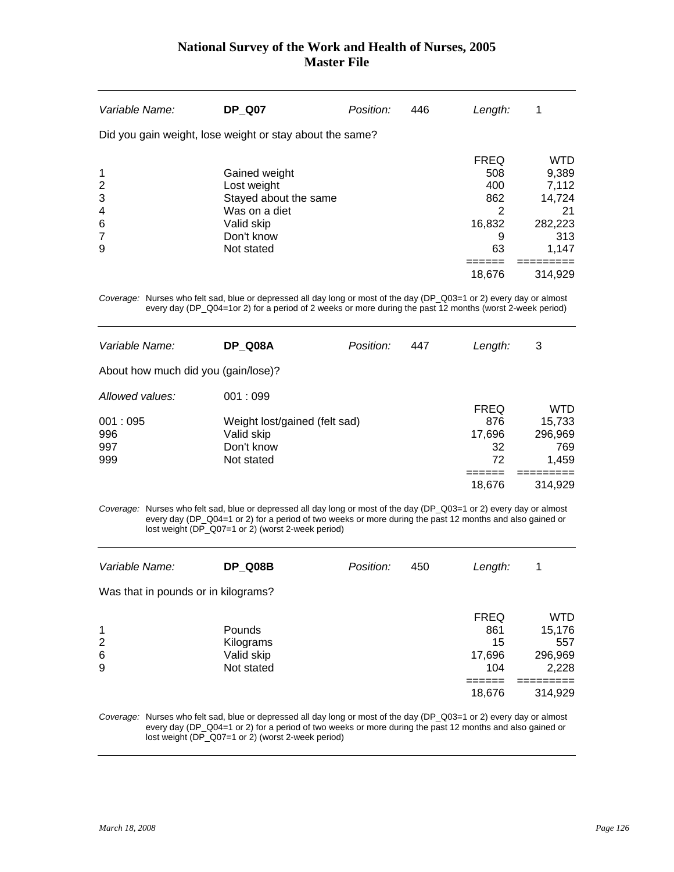| Variable Name:                               | <b>DP Q07</b>                                                                                                    | Position: | 446 | Length:                                                              | 1                                                                                  |
|----------------------------------------------|------------------------------------------------------------------------------------------------------------------|-----------|-----|----------------------------------------------------------------------|------------------------------------------------------------------------------------|
|                                              | Did you gain weight, lose weight or stay about the same?                                                         |           |     |                                                                      |                                                                                    |
| 1<br>2<br>3<br>$\overline{4}$<br>6<br>7<br>9 | Gained weight<br>Lost weight<br>Stayed about the same<br>Was on a diet<br>Valid skip<br>Don't know<br>Not stated |           |     | <b>FREQ</b><br>508<br>400<br>862<br>2<br>16,832<br>9<br>63<br>18,676 | <b>WTD</b><br>9,389<br>7,112<br>14,724<br>21<br>282,223<br>313<br>1,147<br>314,929 |
|                                              |                                                                                                                  |           |     |                                                                      |                                                                                    |

*Coverage:* Nurses who felt sad, blue or depressed all day long or most of the day (DP\_Q03=1 or 2) every day or almost every day (DP\_Q04=1or 2) for a period of 2 weeks or more during the past 12 months (worst 2-week period)

| Variable Name:                      | DP Q08A                       | Position: | 447 | Length:     | 3       |
|-------------------------------------|-------------------------------|-----------|-----|-------------|---------|
| About how much did you (gain/lose)? |                               |           |     |             |         |
| Allowed values:                     | 001:099                       |           |     |             |         |
|                                     |                               |           |     | <b>FREQ</b> | WTD     |
| 001:095                             | Weight lost/gained (felt sad) |           |     | 876         | 15,733  |
| 996                                 | Valid skip                    |           |     | 17,696      | 296,969 |
| 997                                 | Don't know                    |           |     | 32          | 769     |
| 999                                 | Not stated                    |           |     | 72          | 1,459   |
|                                     |                               |           |     |             |         |
|                                     |                               |           |     | 18,676      | 314.929 |
|                                     |                               |           |     |             |         |

*Coverage:* Nurses who felt sad, blue or depressed all day long or most of the day (DP\_Q03=1 or 2) every day or almost every day (DP\_Q04=1 or 2) for a period of two weeks or more during the past 12 months and also gained or lost weight (DP\_Q07=1 or 2) (worst 2-week period)

| Variable Name:                      | DP Q08B       | Position: | 450 | Length:     | 1       |
|-------------------------------------|---------------|-----------|-----|-------------|---------|
| Was that in pounds or in kilograms? |               |           |     |             |         |
|                                     |               |           |     | <b>FREQ</b> | WTD     |
| $\mathbf 1$                         | <b>Pounds</b> |           |     | 861         | 15,176  |
| 2                                   | Kilograms     |           |     | 15          | 557     |
| $6\phantom{1}6$                     | Valid skip    |           |     | 17,696      | 296,969 |
| 9                                   | Not stated    |           |     | 104         | 2,228   |
|                                     |               |           |     |             |         |
|                                     |               |           |     | 18,676      | 314,929 |

*Coverage:* Nurses who felt sad, blue or depressed all day long or most of the day (DP\_Q03=1 or 2) every day or almost every day (DP\_Q04=1 or 2) for a period of two weeks or more during the past 12 months and also gained or lost weight (DP\_Q07=1 or 2) (worst 2-week period)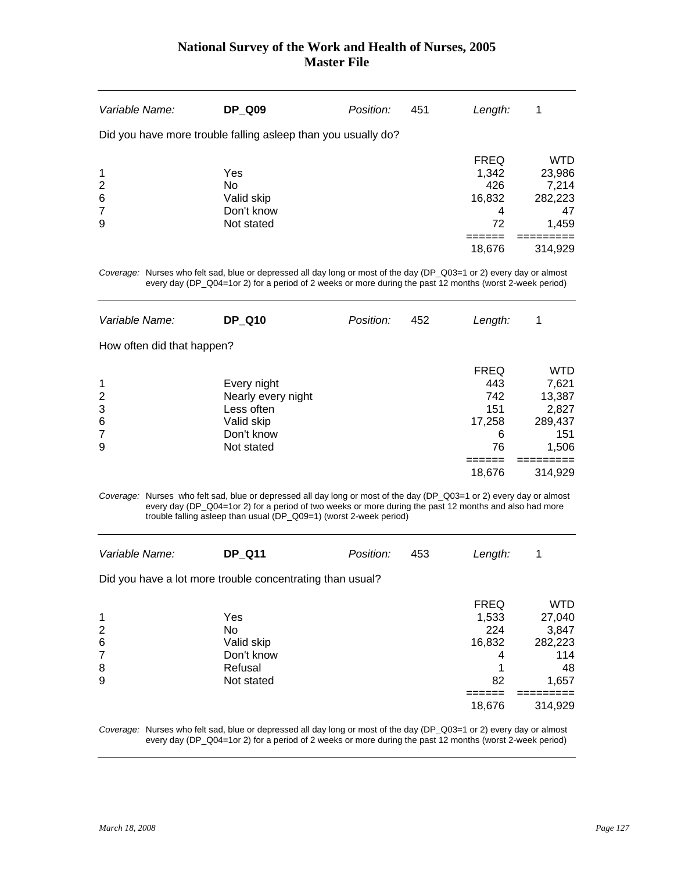| Variable Name:  | <b>DP Q09</b>                                                 | Position: | 451 | Length:     | 1          |
|-----------------|---------------------------------------------------------------|-----------|-----|-------------|------------|
|                 | Did you have more trouble falling asleep than you usually do? |           |     |             |            |
|                 |                                                               |           |     | <b>FREQ</b> | <b>WTD</b> |
| $\mathbf 1$     | Yes                                                           |           |     | 1,342       | 23,986     |
| $\overline{2}$  | <b>No</b>                                                     |           |     | 426         | 7,214      |
| $6\phantom{1}6$ | Valid skip                                                    |           |     | 16,832      | 282,223    |
| $\overline{7}$  | Don't know                                                    |           |     | 4           | 47         |
| 9               | Not stated                                                    |           |     | 72          | 1,459      |
|                 |                                                               |           |     |             |            |
|                 |                                                               |           |     | 18,676      | 314,929    |
|                 |                                                               |           |     |             |            |

*Coverage:* Nurses who felt sad, blue or depressed all day long or most of the day (DP\_Q03=1 or 2) every day or almost every day (DP\_Q04=1or 2) for a period of 2 weeks or more during the past 12 months (worst 2-week period)

| Variable Name:             | <b>DP Q10</b>      | Position: | 452 | Length:     | 1       |
|----------------------------|--------------------|-----------|-----|-------------|---------|
| How often did that happen? |                    |           |     |             |         |
|                            |                    |           |     | <b>FREQ</b> | WTD     |
| 1                          | Every night        |           |     | 443         | 7,621   |
| 2                          | Nearly every night |           |     | 742         | 13,387  |
| 3                          | Less often         |           |     | 151         | 2,827   |
| 6                          | Valid skip         |           |     | 17,258      | 289,437 |
| 7                          | Don't know         |           |     | 6           | 151     |
| 9                          | Not stated         |           |     | 76          | 1,506   |
|                            |                    |           |     |             |         |
|                            |                    |           |     | 18,676      | 314,929 |
|                            |                    |           |     |             |         |

*Coverage:* Nurses who felt sad, blue or depressed all day long or most of the day (DP\_Q03=1 or 2) every day or almost every day (DP\_Q04=1or 2) for a period of two weeks or more during the past 12 months and also had more trouble falling asleep than usual (DP\_Q09=1) (worst 2-week period)

| Variable Name:                | <b>DP_Q11</b>                                             | Position: | 453 | Length:                     | 1                             |
|-------------------------------|-----------------------------------------------------------|-----------|-----|-----------------------------|-------------------------------|
|                               | Did you have a lot more trouble concentrating than usual? |           |     |                             |                               |
| $\mathbf 1$<br>$\overline{2}$ | Yes<br>No                                                 |           |     | <b>FREQ</b><br>1,533<br>224 | <b>WTD</b><br>27,040<br>3,847 |
| $6\phantom{1}6$<br>7          | Valid skip<br>Don't know                                  |           |     | 16,832<br>4                 | 282,223<br>114                |
| 8                             | Refusal                                                   |           |     |                             | 48                            |
| 9                             | Not stated                                                |           |     | 82                          | 1,657                         |
|                               |                                                           |           |     | 18,676                      | 314,929                       |

*Coverage:* Nurses who felt sad, blue or depressed all day long or most of the day (DP\_Q03=1 or 2) every day or almost every day (DP\_Q04=1or 2) for a period of 2 weeks or more during the past 12 months (worst 2-week period)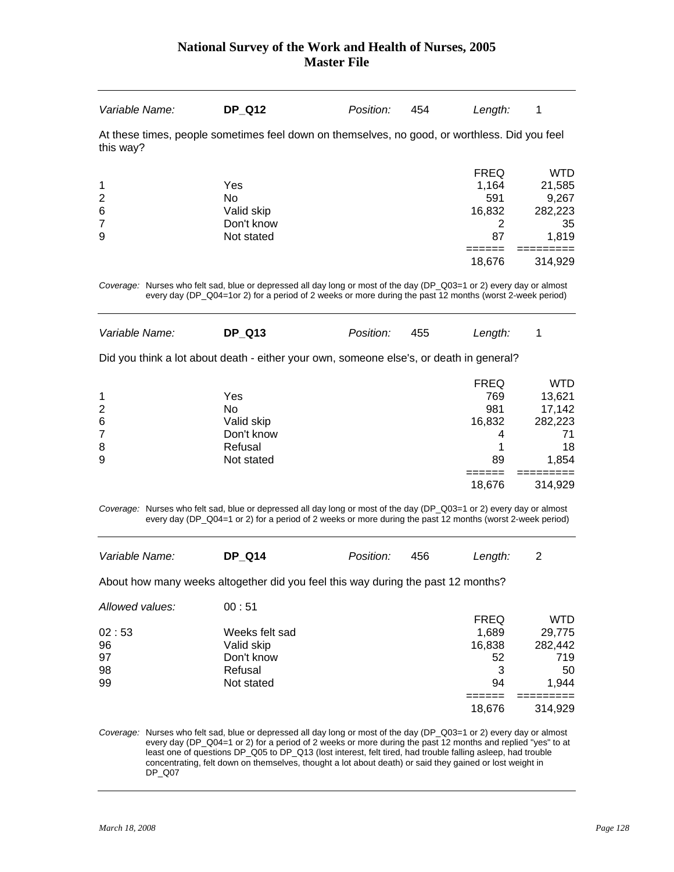| Variable Name:                                                                                                                                                                                                                   | <b>DP Q12</b>                                                                                 | Position: | 454 | Length:                                                    | 1                                                           |  |  |
|----------------------------------------------------------------------------------------------------------------------------------------------------------------------------------------------------------------------------------|-----------------------------------------------------------------------------------------------|-----------|-----|------------------------------------------------------------|-------------------------------------------------------------|--|--|
| this way?                                                                                                                                                                                                                        | At these times, people sometimes feel down on themselves, no good, or worthless. Did you feel |           |     |                                                            |                                                             |  |  |
| 1<br>$\overline{2}$<br>6<br>7<br>9                                                                                                                                                                                               | Yes<br>No<br>Valid skip<br>Don't know<br>Not stated                                           |           |     | <b>FREQ</b><br>1.164<br>591<br>16,832<br>2<br>87<br>18,676 | WTD<br>21,585<br>9,267<br>282,223<br>35<br>1,819<br>314,929 |  |  |
| Coverage: Nurses who felt sad, blue or depressed all day long or most of the day (DP_Q03=1 or 2) every day or almost<br>every day (DP_Q04=1or 2) for a period of 2 weeks or more during the past 12 months (worst 2-week period) |                                                                                               |           |     |                                                            |                                                             |  |  |
| Variable Name:                                                                                                                                                                                                                   | <b>DP Q13</b>                                                                                 | Position: | 455 | Length:                                                    |                                                             |  |  |

Did you think a lot about death - either your own, someone else's, or death in general?

|                 |            | <b>FREQ</b> | WTD     |
|-----------------|------------|-------------|---------|
| 1               | Yes        | 769         | 13,621  |
| 2               | No         | 981         | 17,142  |
| $6\phantom{1}6$ | Valid skip | 16,832      | 282,223 |
| $\overline{7}$  | Don't know | 4           | 71      |
| 8               | Refusal    |             | 18      |
| 9               | Not stated | 89          | 1,854   |
|                 |            |             |         |
|                 |            | 18,676      | 314,929 |

*Coverage:* Nurses who felt sad, blue or depressed all day long or most of the day (DP\_Q03=1 or 2) every day or almost every day (DP\_Q04=1 or 2) for a period of 2 weeks or more during the past 12 months (worst 2-week period)

| Variable Name:  | <b>DP Q14</b>                                                                    | Position: | 456 | Length:     | 2          |
|-----------------|----------------------------------------------------------------------------------|-----------|-----|-------------|------------|
|                 | About how many weeks altogether did you feel this way during the past 12 months? |           |     |             |            |
| Allowed values: | 00:51                                                                            |           |     |             |            |
|                 |                                                                                  |           |     | <b>FREQ</b> | <b>WTD</b> |
| 02:53           | Weeks felt sad                                                                   |           |     | 1.689       | 29,775     |
| 96              | Valid skip                                                                       |           |     | 16,838      | 282,442    |
| 97              | Don't know                                                                       |           |     | 52          | 719        |
| 98              | Refusal                                                                          |           |     | 3           | 50         |
| 99              | Not stated                                                                       |           |     | 94          | 1,944      |
|                 |                                                                                  |           |     |             |            |
|                 |                                                                                  |           |     | 18,676      | 314,929    |
|                 |                                                                                  |           |     |             |            |

*Coverage:* Nurses who felt sad, blue or depressed all day long or most of the day (DP\_Q03=1 or 2) every day or almost every day (DP\_Q04=1 or 2) for a period of 2 weeks or more during the past 12 months and replied "yes" to at least one of questions DP\_Q05 to DP\_Q13 (lost interest, felt tired, had trouble falling asleep, had trouble concentrating, felt down on themselves, thought a lot about death) or said they gained or lost weight in DP\_Q07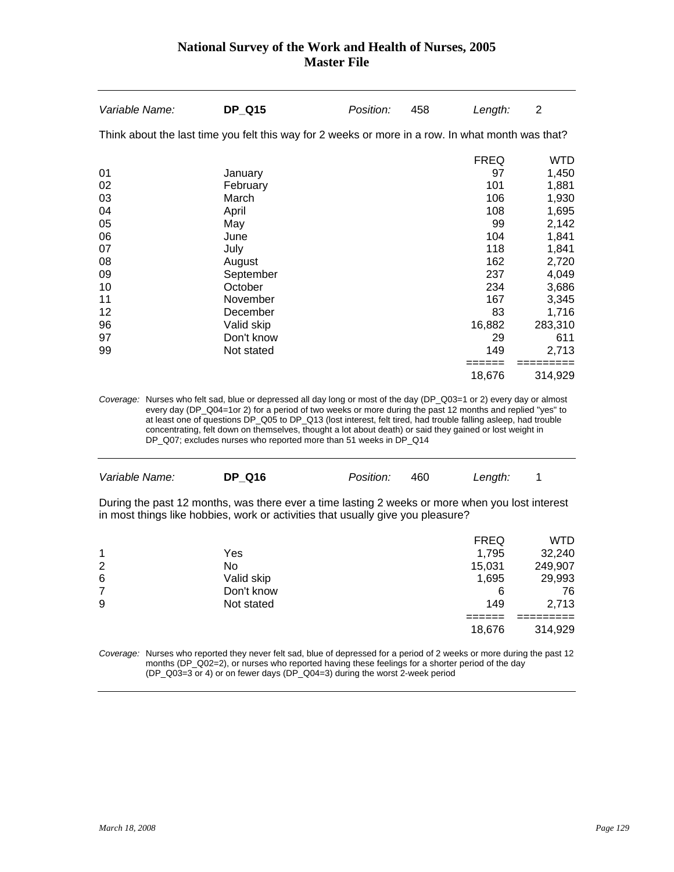| Variable Name:                                                                                    | <b>DP_Q15</b> | Position: | 458 | Length:     | $\overline{2}$ |
|---------------------------------------------------------------------------------------------------|---------------|-----------|-----|-------------|----------------|
| Think about the last time you felt this way for 2 weeks or more in a row. In what month was that? |               |           |     |             |                |
|                                                                                                   |               |           |     | <b>FREQ</b> | <b>WTD</b>     |
| 01                                                                                                | January       |           |     | 97          | 1,450          |
| 02                                                                                                | February      |           |     | 101         | 1,881          |
| 03                                                                                                | March         |           |     | 106         | 1,930          |
| 04                                                                                                | April         |           |     | 108         | 1,695          |
| 05                                                                                                | May           |           |     | 99          | 2,142          |
| 06                                                                                                | June          |           |     | 104         | 1,841          |
| 07                                                                                                | July          |           |     | 118         | 1,841          |
| 08                                                                                                | August        |           |     | 162         | 2,720          |
| 09                                                                                                | September     |           |     | 237         | 4,049          |
| 10                                                                                                | October       |           |     | 234         | 3,686          |
| 11                                                                                                | November      |           |     | 167         | 3,345          |
| 12                                                                                                | December      |           |     | 83          | 1,716          |
| 96                                                                                                | Valid skip    |           |     | 16,882      | 283,310        |
| 97                                                                                                | Don't know    |           |     | 29          | 611            |
| 99                                                                                                | Not stated    |           |     | 149         | 2,713          |
|                                                                                                   |               |           |     | =====       |                |
|                                                                                                   |               |           |     | 18,676      | 314,929        |

*Coverage:* Nurses who felt sad, blue or depressed all day long or most of the day (DP\_Q03=1 or 2) every day or almost every day (DP\_Q04=1or 2) for a period of two weeks or more during the past 12 months and replied "yes" to at least one of questions DP\_Q05 to DP\_Q13 (lost interest, felt tired, had trouble falling asleep, had trouble concentrating, felt down on themselves, thought a lot about death) or said they gained or lost weight in DP\_Q07; excludes nurses who reported more than 51 weeks in DP\_Q14

| Variable Name: | <b>DP Q16</b> | <i>Position:</i> | 460 | Length: |  |
|----------------|---------------|------------------|-----|---------|--|
|                |               |                  |     |         |  |

During the past 12 months, was there ever a time lasting 2 weeks or more when you lost interest in most things like hobbies, work or activities that usually give you pleasure?

|                |            | <b>FREQ</b> | <b>WTD</b> |
|----------------|------------|-------------|------------|
| 1              | Yes        | 1,795       | 32,240     |
| 2              | No         | 15,031      | 249,907    |
| 6              | Valid skip | 1,695       | 29,993     |
| $\overline{7}$ | Don't know | 6           | 76         |
| 9              | Not stated | 149         | 2,713      |
|                |            |             |            |
|                |            | 18,676      | 314,929    |

*Coverage:* Nurses who reported they never felt sad, blue of depressed for a period of 2 weeks or more during the past 12 months (DP\_Q02=2), or nurses who reported having these feelings for a shorter period of the day (DP\_Q03=3 or 4) or on fewer days (DP\_Q04=3) during the worst 2-week period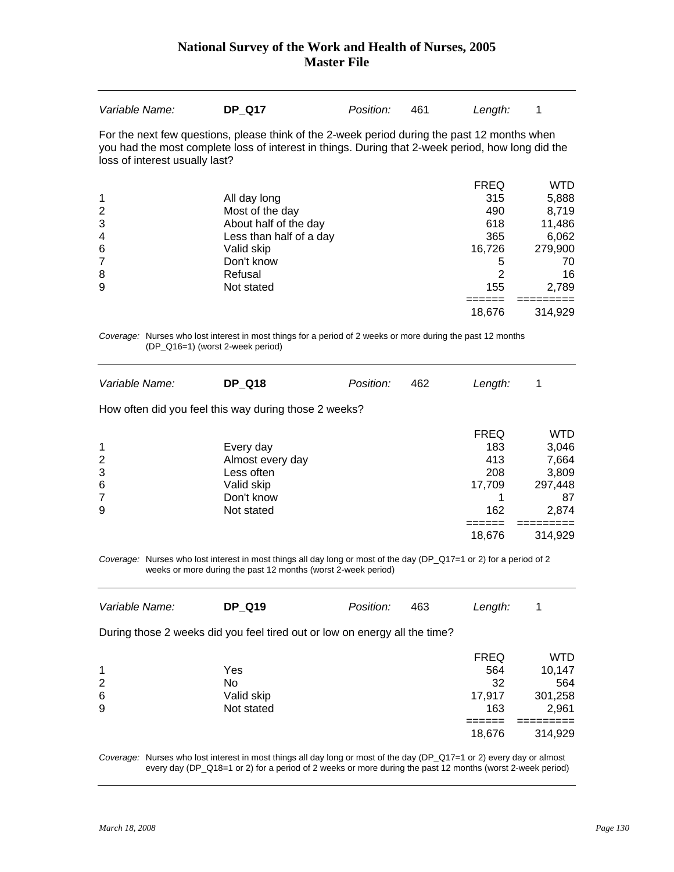| Variable Name:                                                                                                                                                                                                                      | <b>DP Q17</b>                                                                                                                                                                        | Position: | 461 | Length:                                                                         | 1                                                                               |  |  |
|-------------------------------------------------------------------------------------------------------------------------------------------------------------------------------------------------------------------------------------|--------------------------------------------------------------------------------------------------------------------------------------------------------------------------------------|-----------|-----|---------------------------------------------------------------------------------|---------------------------------------------------------------------------------|--|--|
| For the next few questions, please think of the 2-week period during the past 12 months when<br>you had the most complete loss of interest in things. During that 2-week period, how long did the<br>loss of interest usually last? |                                                                                                                                                                                      |           |     |                                                                                 |                                                                                 |  |  |
| 1<br>$\overline{2}$<br>3<br>4<br>6<br>7<br>8<br>9                                                                                                                                                                                   | All day long<br>Most of the day<br>About half of the day<br>Less than half of a day<br>Valid skip<br>Don't know<br>Refusal<br>Not stated                                             |           |     | <b>FREQ</b><br>315<br>490<br>618<br>365<br>16,726<br>5<br>$\overline{2}$<br>155 | <b>WTD</b><br>5,888<br>8,719<br>11,486<br>6,062<br>279,900<br>70<br>16<br>2,789 |  |  |
|                                                                                                                                                                                                                                     |                                                                                                                                                                                      |           |     | 18,676                                                                          | 314,929                                                                         |  |  |
| (DP_Q16=1) (worst 2-week period)                                                                                                                                                                                                    | Coverage: Nurses who lost interest in most things for a period of 2 weeks or more during the past 12 months                                                                          |           |     |                                                                                 |                                                                                 |  |  |
| Variable Name:                                                                                                                                                                                                                      | <b>DP_Q18</b>                                                                                                                                                                        | Position: | 462 | Length:                                                                         | 1                                                                               |  |  |
|                                                                                                                                                                                                                                     | How often did you feel this way during those 2 weeks?                                                                                                                                |           |     |                                                                                 |                                                                                 |  |  |
| 1<br>2<br>3<br>6<br>7<br>9                                                                                                                                                                                                          | Every day<br>Almost every day<br>Less often<br>Valid skip<br>Don't know<br>Not stated                                                                                                |           |     | <b>FREQ</b><br>183<br>413<br>208<br>17,709<br>1<br>162                          | <b>WTD</b><br>3,046<br>7,664<br>3,809<br>297,448<br>87<br>2,874                 |  |  |
|                                                                                                                                                                                                                                     |                                                                                                                                                                                      |           |     | ======<br>18,676                                                                | =======<br>314,929                                                              |  |  |
|                                                                                                                                                                                                                                     | Coverage: Nurses who lost interest in most things all day long or most of the day (DP_Q17=1 or 2) for a period of 2<br>weeks or more during the past 12 months (worst 2-week period) |           |     |                                                                                 |                                                                                 |  |  |
| Variable Name:                                                                                                                                                                                                                      | <b>DP_Q19</b>                                                                                                                                                                        | Position: | 463 | Length:                                                                         | 1                                                                               |  |  |
|                                                                                                                                                                                                                                     | During those 2 weeks did you feel tired out or low on energy all the time?                                                                                                           |           |     |                                                                                 |                                                                                 |  |  |
| 1<br>2<br>6<br>9                                                                                                                                                                                                                    | Yes<br>No.<br>Valid skip<br>Not stated                                                                                                                                               |           |     | <b>FREQ</b><br>564<br>32<br>17,917<br>163<br>======                             | <b>WTD</b><br>10,147<br>564<br>301,258<br>2,961                                 |  |  |
|                                                                                                                                                                                                                                     |                                                                                                                                                                                      |           |     | 18,676                                                                          | 314,929                                                                         |  |  |

*Coverage:* Nurses who lost interest in most things all day long or most of the day (DP\_Q17=1 or 2) every day or almost every day (DP\_Q18=1 or 2) for a period of 2 weeks or more during the past 12 months (worst 2-week period)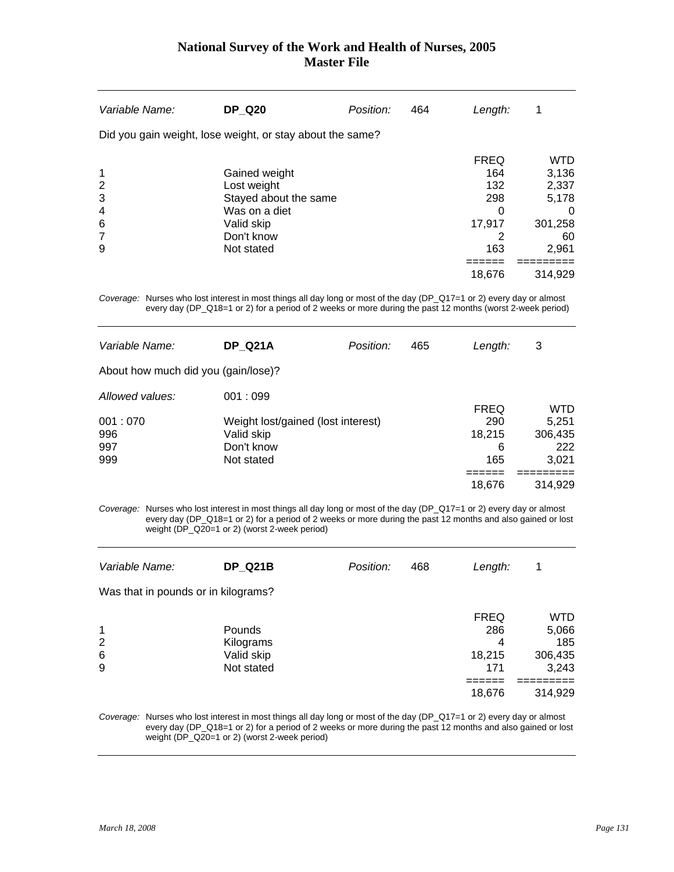| Variable Name:                               | <b>DP Q20</b>                                                                                                    | Position: | 464 | Length:                                                            | 1                                                                    |
|----------------------------------------------|------------------------------------------------------------------------------------------------------------------|-----------|-----|--------------------------------------------------------------------|----------------------------------------------------------------------|
|                                              | Did you gain weight, lose weight, or stay about the same?                                                        |           |     |                                                                    |                                                                      |
| 1<br>2<br>3<br>$\overline{4}$<br>6<br>7<br>9 | Gained weight<br>Lost weight<br>Stayed about the same<br>Was on a diet<br>Valid skip<br>Don't know<br>Not stated |           |     | <b>FREQ</b><br>164<br>132<br>298<br>$\Omega$<br>17,917<br>2<br>163 | <b>WTD</b><br>3,136<br>2,337<br>5,178<br>0<br>301,258<br>60<br>2,961 |
|                                              |                                                                                                                  |           |     | 18,676                                                             | 314.929                                                              |

*Coverage:* Nurses who lost interest in most things all day long or most of the day (DP\_Q17=1 or 2) every day or almost every day (DP\_Q18=1 or 2) for a period of 2 weeks or more during the past 12 months (worst 2-week period)

| Variable Name:                      | <b>DP Q21A</b>                     | Position: | 465 | Length:     | 3          |
|-------------------------------------|------------------------------------|-----------|-----|-------------|------------|
| About how much did you (gain/lose)? |                                    |           |     |             |            |
| Allowed values:                     | 001:099                            |           |     |             |            |
|                                     |                                    |           |     | <b>FREQ</b> | <b>WTD</b> |
| 001:070                             | Weight lost/gained (lost interest) |           |     | 290         | 5,251      |
| 996                                 | Valid skip                         |           |     | 18,215      | 306,435    |
| 997                                 | Don't know                         |           |     | 6           | 222        |
| 999                                 | Not stated                         |           |     | 165         | 3,021      |
|                                     |                                    |           |     |             |            |
|                                     |                                    |           |     | 18,676      | 314,929    |
|                                     |                                    |           |     |             |            |

*Coverage:* Nurses who lost interest in most things all day long or most of the day (DP\_Q17=1 or 2) every day or almost every day (DP\_Q18=1 or 2) for a period of 2 weeks or more during the past 12 months and also gained or lost weight (DP\_Q20=1 or 2) (worst 2-week period)

| Variable Name:                          | <b>DP Q21B</b>                                  | Position: | 468 | Length:                                  | 1                                       |
|-----------------------------------------|-------------------------------------------------|-----------|-----|------------------------------------------|-----------------------------------------|
| Was that in pounds or in kilograms?     |                                                 |           |     |                                          |                                         |
| $\mathbf 1$<br>$\overline{2}$<br>6<br>9 | Pounds<br>Kilograms<br>Valid skip<br>Not stated |           |     | <b>FREQ</b><br>286<br>4<br>18,215<br>171 | WTD<br>5,066<br>185<br>306,435<br>3,243 |
|                                         |                                                 |           |     | 18,676                                   | 314,929                                 |

*Coverage:* Nurses who lost interest in most things all day long or most of the day (DP\_Q17=1 or 2) every day or almost every day (DP\_Q18=1 or 2) for a period of 2 weeks or more during the past 12 months and also gained or lost weight (DP\_Q20=1 or 2) (worst 2-week period)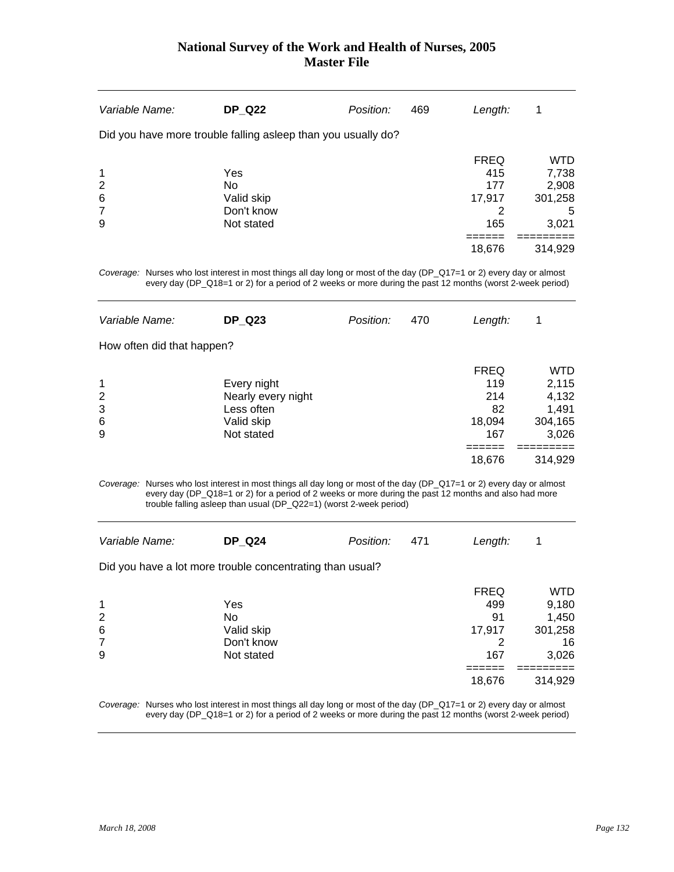| Variable Name:                                                          | <b>DP Q22</b>                                                 | Position: | 469 | Length:                                                   | 1                                                                |
|-------------------------------------------------------------------------|---------------------------------------------------------------|-----------|-----|-----------------------------------------------------------|------------------------------------------------------------------|
|                                                                         | Did you have more trouble falling asleep than you usually do? |           |     |                                                           |                                                                  |
| $\mathbf 1$<br>$\overline{2}$<br>$6\phantom{1}6$<br>$\overline{7}$<br>9 | Yes<br>No.<br>Valid skip<br>Don't know<br>Not stated          |           |     | <b>FREQ</b><br>415<br>177<br>17,917<br>2<br>165<br>18,676 | <b>WTD</b><br>7,738<br>2,908<br>301,258<br>5<br>3,021<br>314,929 |

*Coverage:* Nurses who lost interest in most things all day long or most of the day (DP\_Q17=1 or 2) every day or almost every day (DP\_Q18=1 or 2) for a period of 2 weeks or more during the past 12 months (worst 2-week period)

| Variable Name:                  | <b>DP Q23</b>                                                               | Position: | 470 | Length:                                                    | 1                                                             |
|---------------------------------|-----------------------------------------------------------------------------|-----------|-----|------------------------------------------------------------|---------------------------------------------------------------|
| How often did that happen?      |                                                                             |           |     |                                                            |                                                               |
| $\mathbf 1$<br>2<br>3<br>6<br>9 | Every night<br>Nearly every night<br>Less often<br>Valid skip<br>Not stated |           |     | <b>FREQ</b><br>119<br>214<br>82<br>18,094<br>167<br>18,676 | WTD<br>2,115<br>4,132<br>1,491<br>304,165<br>3,026<br>314,929 |

*Coverage:* Nurses who lost interest in most things all day long or most of the day (DP\_Q17=1 or 2) every day or almost every day (DP\_Q18=1 or 2) for a period of 2 weeks or more during the past 12 months and also had more trouble falling asleep than usual (DP\_Q22=1) (worst 2-week period)

| Variable Name: | <b>DP Q24</b> | Position: 471 | Length: |  |
|----------------|---------------|---------------|---------|--|
|                |               |               |         |  |

Did you have a lot more trouble concentrating than usual?

|                |            | <b>FREQ</b> | WTD     |
|----------------|------------|-------------|---------|
| 1              | Yes        | 499         | 9,180   |
| 2              | No         | 91          | 1,450   |
| 6              | Valid skip | 17,917      | 301,258 |
| $\overline{7}$ | Don't know |             | 16      |
| 9              | Not stated | 167         | 3,026   |
|                |            |             |         |
|                |            | 18,676      | 314,929 |

*Coverage:* Nurses who lost interest in most things all day long or most of the day (DP\_Q17=1 or 2) every day or almost every day (DP\_Q18=1 or 2) for a period of 2 weeks or more during the past 12 months (worst 2-week period)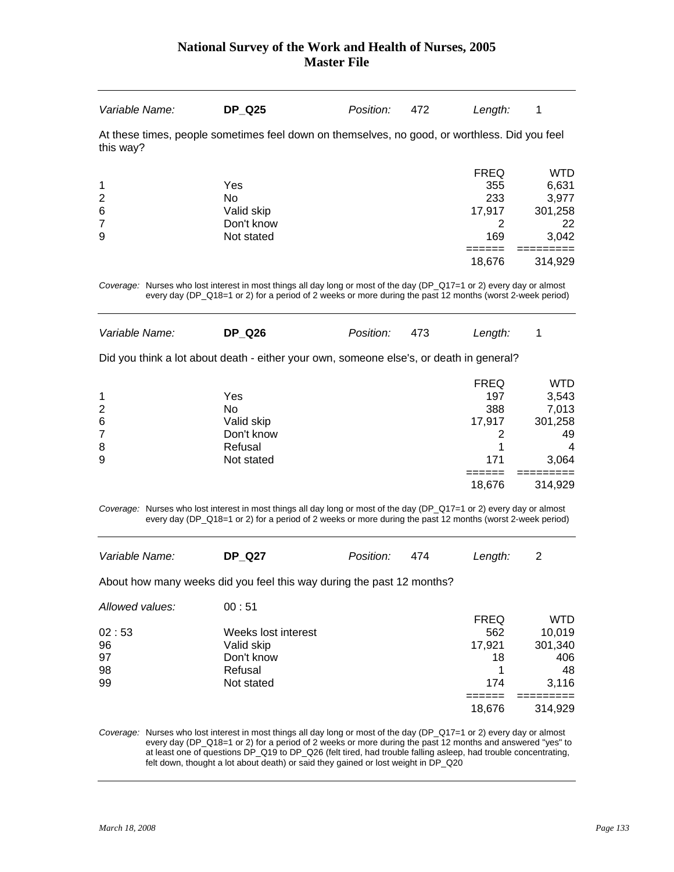| Variable Name: | <b>DP Q25</b>                                                                                                                                                                                                                      | Position: | 472 | Length:     | 1          |
|----------------|------------------------------------------------------------------------------------------------------------------------------------------------------------------------------------------------------------------------------------|-----------|-----|-------------|------------|
| this way?      | At these times, people sometimes feel down on themselves, no good, or worthless. Did you feel                                                                                                                                      |           |     |             |            |
|                |                                                                                                                                                                                                                                    |           |     | <b>FREQ</b> | <b>WTD</b> |
| 1              | Yes                                                                                                                                                                                                                                |           |     | 355         | 6,631      |
| $\overline{2}$ | No.                                                                                                                                                                                                                                |           |     | 233         | 3.977      |
| $\,6$          | Valid skip                                                                                                                                                                                                                         |           |     | 17,917      | 301,258    |
| $\overline{7}$ | Don't know                                                                                                                                                                                                                         |           |     | 2           | 22         |
| 9              | Not stated                                                                                                                                                                                                                         |           |     | 169         | 3,042      |
|                |                                                                                                                                                                                                                                    |           |     | 18.676      | 314.929    |
|                | Coverage: Nurses who lost interest in most things all day long or most of the day (DP_Q17=1 or 2) every day or almost<br>every day (DP_Q18=1 or 2) for a period of 2 weeks or more during the past 12 months (worst 2-week period) |           |     |             |            |

*Variable Name:* **DP\_Q26** *Position:* 473 *Length:* 1 Did you think a lot about death - either your own, someone else's, or death in general? FREQ WTD 1 197 3,543 2 No 388 7,013 6 Valid skip 17,917 301,258 7 Don't know 2 49 8 Refusal 1 4 9 171 3,064 ====== =========  $18,676$   $314,929$ 

*Coverage:* Nurses who lost interest in most things all day long or most of the day (DP\_Q17=1 or 2) every day or almost every day (DP\_Q18=1 or 2) for a period of 2 weeks or more during the past 12 months (worst 2-week period)

| Variable Name:  | <b>DP Q27</b>                                                         | Position: | 474 | Length:     | 2          |
|-----------------|-----------------------------------------------------------------------|-----------|-----|-------------|------------|
|                 | About how many weeks did you feel this way during the past 12 months? |           |     |             |            |
| Allowed values: | 00:51                                                                 |           |     |             |            |
|                 |                                                                       |           |     | <b>FREQ</b> | <b>WTD</b> |
| 02:53           | Weeks lost interest                                                   |           |     | 562         | 10,019     |
| 96              | Valid skip                                                            |           |     | 17,921      | 301,340    |
| 97              | Don't know                                                            |           |     | 18          | 406        |
| 98              | Refusal                                                               |           |     |             | 48         |
| 99              | Not stated                                                            |           |     | 174         | 3,116      |
|                 |                                                                       |           |     |             |            |
|                 |                                                                       |           |     | 18.676      | 314.929    |
|                 |                                                                       |           |     |             |            |

*Coverage:* Nurses who lost interest in most things all day long or most of the day (DP\_Q17=1 or 2) every day or almost every day (DP\_Q18=1 or 2) for a period of 2 weeks or more during the past 12 months and answered "yes" to at least one of questions DP\_Q19 to DP\_Q26 (felt tired, had trouble falling asleep, had trouble concentrating, felt down, thought a lot about death) or said they gained or lost weight in DP\_Q20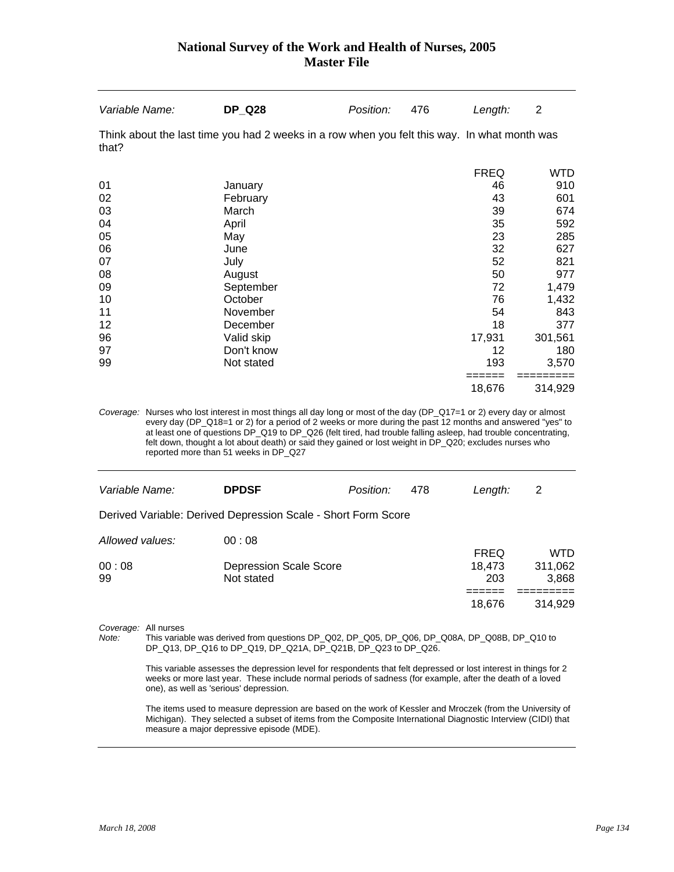| Variable Name: | <b>DP_Q28</b>                                                                                | Position: | 476 | Length:     | 2          |
|----------------|----------------------------------------------------------------------------------------------|-----------|-----|-------------|------------|
| that?          | Think about the last time you had 2 weeks in a row when you felt this way. In what month was |           |     |             |            |
|                |                                                                                              |           |     | <b>FREQ</b> | <b>WTD</b> |
| 01             | January                                                                                      |           |     | 46          | 910        |
| 02             | February                                                                                     |           |     | 43          | 601        |
| 03             | March                                                                                        |           |     | 39          | 674        |
| 04             | April                                                                                        |           |     | 35          | 592        |
| 05             | May                                                                                          |           |     | 23          | 285        |
| 06             | June                                                                                         |           |     | 32          | 627        |
| 07             | July                                                                                         |           |     | 52          | 821        |
| 08             | August                                                                                       |           |     | 50          | 977        |
| 09             | September                                                                                    |           |     | 72          | 1,479      |
| 10             | October                                                                                      |           |     | 76          | 1,432      |
| 11             | November                                                                                     |           |     | 54          | 843        |
| 12             | December                                                                                     |           |     | 18          | 377        |
| 96             | Valid skip                                                                                   |           |     | 17,931      | 301,561    |
| 97             | Don't know                                                                                   |           |     | 12          | 180        |
| 99             | Not stated                                                                                   |           |     | 193         | 3,570      |
|                |                                                                                              |           |     | 18,676      | 314,929    |

*Coverage:* Nurses who lost interest in most things all day long or most of the day (DP\_Q17=1 or 2) every day or almost every day (DP\_Q18=1 or 2) for a period of 2 weeks or more during the past 12 months and answered "yes" to at least one of questions DP\_Q19 to DP\_Q26 (felt tired, had trouble falling asleep, had trouble concentrating, felt down, thought a lot about death) or said they gained or lost weight in DP\_Q20; excludes nurses who reported more than 51 weeks in DP\_Q27

| Variable Name:  | <b>DPDSF</b>                                                  | Position: | 478 | Length:       | 2                |
|-----------------|---------------------------------------------------------------|-----------|-----|---------------|------------------|
|                 | Derived Variable: Derived Depression Scale - Short Form Score |           |     |               |                  |
| Allowed values: | 00:08                                                         |           |     | <b>FREQ</b>   | WTD              |
| 00:08<br>99     | <b>Depression Scale Score</b><br>Not stated                   |           |     | 18.473<br>203 | 311,062<br>3,868 |
|                 |                                                               |           |     |               | 314.929          |
|                 |                                                               |           |     | 18.676        |                  |

*Coverage:* All nurses

*Note:* This variable was derived from questions DP\_Q02, DP\_Q05, DP\_Q06, DP\_Q08A, DP\_Q08B, DP\_Q10 to DP\_Q13, DP\_Q16 to DP\_Q19, DP\_Q21A, DP\_Q21B, DP\_Q23 to DP\_Q26.

 This variable assesses the depression level for respondents that felt depressed or lost interest in things for 2 weeks or more last year. These include normal periods of sadness (for example, after the death of a loved one), as well as 'serious' depression.

 The items used to measure depression are based on the work of Kessler and Mroczek (from the University of Michigan). They selected a subset of items from the Composite International Diagnostic Interview (CIDI) that measure a major depressive episode (MDE).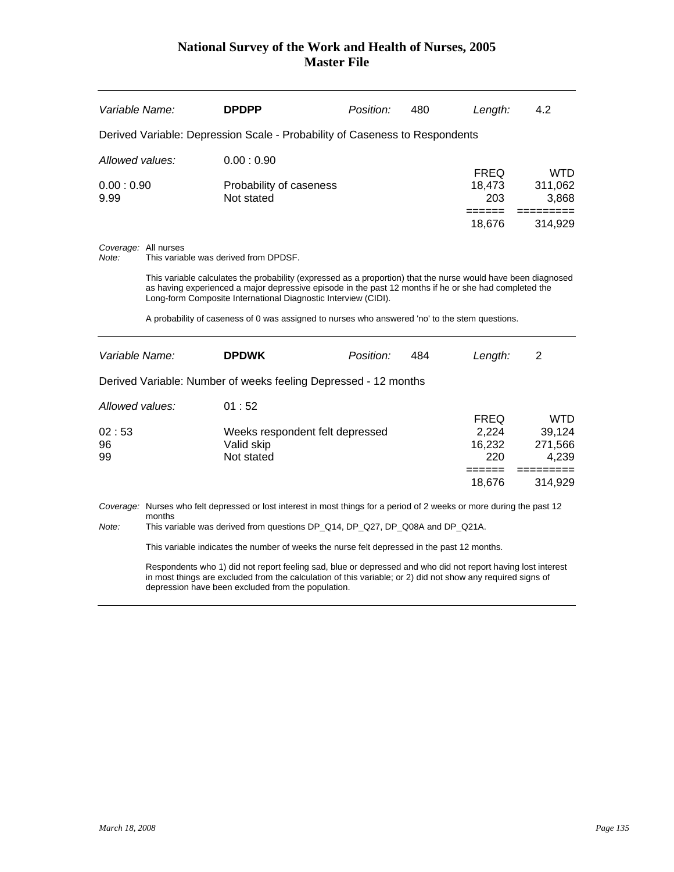| Variable Name:                       |        | <b>DPDPP</b>                                                                                                                                                                                                                                                                                                                                                                                                                                                      | Position: | 480 | Length:                                                          | 4.2                                                    |
|--------------------------------------|--------|-------------------------------------------------------------------------------------------------------------------------------------------------------------------------------------------------------------------------------------------------------------------------------------------------------------------------------------------------------------------------------------------------------------------------------------------------------------------|-----------|-----|------------------------------------------------------------------|--------------------------------------------------------|
|                                      |        | Derived Variable: Depression Scale - Probability of Caseness to Respondents                                                                                                                                                                                                                                                                                                                                                                                       |           |     |                                                                  |                                                        |
| Allowed values:                      |        | 0.00:0.90                                                                                                                                                                                                                                                                                                                                                                                                                                                         |           |     |                                                                  |                                                        |
| 0.00:0.90<br>9.99                    |        | Probability of caseness<br>Not stated                                                                                                                                                                                                                                                                                                                                                                                                                             |           |     | <b>FREQ</b><br>18,473<br>203<br>======                           | <b>WTD</b><br>311,062<br>3,868<br>=========<br>314,929 |
| Coverage: All nurses<br>Note:        |        | This variable was derived from DPDSF.<br>This variable calculates the probability (expressed as a proportion) that the nurse would have been diagnosed                                                                                                                                                                                                                                                                                                            |           |     | 18,676                                                           |                                                        |
|                                      |        | as having experienced a major depressive episode in the past 12 months if he or she had completed the<br>Long-form Composite International Diagnostic Interview (CIDI).                                                                                                                                                                                                                                                                                           |           |     |                                                                  |                                                        |
|                                      |        | A probability of caseness of 0 was assigned to nurses who answered 'no' to the stem questions.                                                                                                                                                                                                                                                                                                                                                                    |           |     |                                                                  |                                                        |
| Variable Name:                       |        | <b>DPDWK</b>                                                                                                                                                                                                                                                                                                                                                                                                                                                      | Position: | 484 | Length:                                                          | 2                                                      |
|                                      |        | Derived Variable: Number of weeks feeling Depressed - 12 months                                                                                                                                                                                                                                                                                                                                                                                                   |           |     |                                                                  |                                                        |
| Allowed values:<br>02:53<br>96<br>99 |        | 01:52<br>Weeks respondent felt depressed<br>Valid skip<br>Not stated                                                                                                                                                                                                                                                                                                                                                                                              |           |     | <b>FREQ</b><br>2,224<br>16,232<br>220<br>$=$ $=$ $=$ $=$ $=$ $=$ | <b>WTD</b><br>39,124<br>271,566<br>4,239<br>=========  |
|                                      | months | Coverage: Nurses who felt depressed or lost interest in most things for a period of 2 weeks or more during the past 12                                                                                                                                                                                                                                                                                                                                            |           |     | 18,676                                                           | 314,929                                                |
| Note:                                |        | This variable was derived from questions DP_Q14, DP_Q27, DP_Q08A and DP_Q21A.<br>This variable indicates the number of weeks the nurse felt depressed in the past 12 months.<br>Respondents who 1) did not report feeling sad, blue or depressed and who did not report having lost interest<br>in most things are excluded from the calculation of this variable; or 2) did not show any required signs of<br>depression have been excluded from the population. |           |     |                                                                  |                                                        |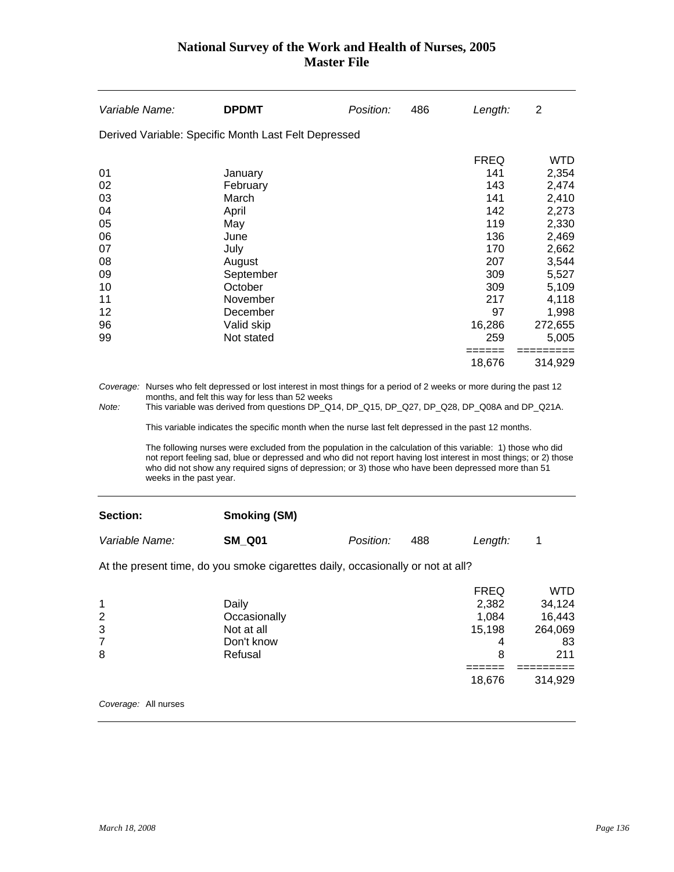| Variable Name: | <b>DPDMT</b>                                                                                                           | Position: | 486 | Length:          | 2          |
|----------------|------------------------------------------------------------------------------------------------------------------------|-----------|-----|------------------|------------|
|                | Derived Variable: Specific Month Last Felt Depressed                                                                   |           |     |                  |            |
|                |                                                                                                                        |           |     | <b>FREQ</b>      | <b>WTD</b> |
| 01             | January                                                                                                                |           |     | 141              | 2,354      |
| 02             | February                                                                                                               |           |     | 143              | 2,474      |
| 03             | March                                                                                                                  |           |     | 141              | 2,410      |
| 04             | April                                                                                                                  |           |     | 142              | 2,273      |
| 05             | May                                                                                                                    |           |     | 119              | 2,330      |
| 06             | June                                                                                                                   |           |     | 136              | 2,469      |
| 07             | July                                                                                                                   |           |     | 170              | 2,662      |
| 08             | August                                                                                                                 |           |     | 207              | 3,544      |
| 09             | September                                                                                                              |           |     | 309              | 5,527      |
| 10             | October                                                                                                                |           |     | 309              | 5,109      |
| 11             | November                                                                                                               |           |     | 217              | 4,118      |
| 12             | December                                                                                                               |           |     | 97               | 1,998      |
| 96             | Valid skip                                                                                                             |           |     | 16,286           | 272,655    |
| 99             | Not stated                                                                                                             |           |     | 259              | 5,005      |
|                |                                                                                                                        |           |     | ======<br>18,676 | 314,929    |
|                | Coversee. Nurses who felt depressed or lost interest in most things for a period of 2 weeks or more during the past 12 |           |     |                  |            |

*Coverage:* Nurses who felt depressed or lost interest in most things for a period of 2 weeks or more during the past 12 months, and felt this way for less than 52 weeks

*Note:* This variable was derived from questions DP\_Q14, DP\_Q15, DP\_Q27, DP\_Q28, DP\_Q08A and DP\_Q21A.

This variable indicates the specific month when the nurse last felt depressed in the past 12 months.

 The following nurses were excluded from the population in the calculation of this variable: 1) those who did not report feeling sad, blue or depressed and who did not report having lost interest in most things; or 2) those who did not show any required signs of depression; or 3) those who have been depressed more than 51 weeks in the past year.

#### **Section:**

| <b>Smoking (SM)</b> |  |
|---------------------|--|
|---------------------|--|

| Variable Name: | <b>SM Q01</b> | <i>Position:</i> | Length: |  |
|----------------|---------------|------------------|---------|--|
|                |               |                  |         |  |

At the present time, do you smoke cigarettes daily, occasionally or not at all?

|              | <b>FREQ</b> | WTD     |
|--------------|-------------|---------|
| Daily        | 2,382       | 34,124  |
| Occasionally | 1,084       | 16,443  |
| Not at all   | 15,198      | 264,069 |
| Don't know   | 4           | 83      |
| Refusal      | 8           | 211     |
|              |             |         |
|              | 18,676      | 314,929 |
|              |             |         |

*Coverage:* All nurses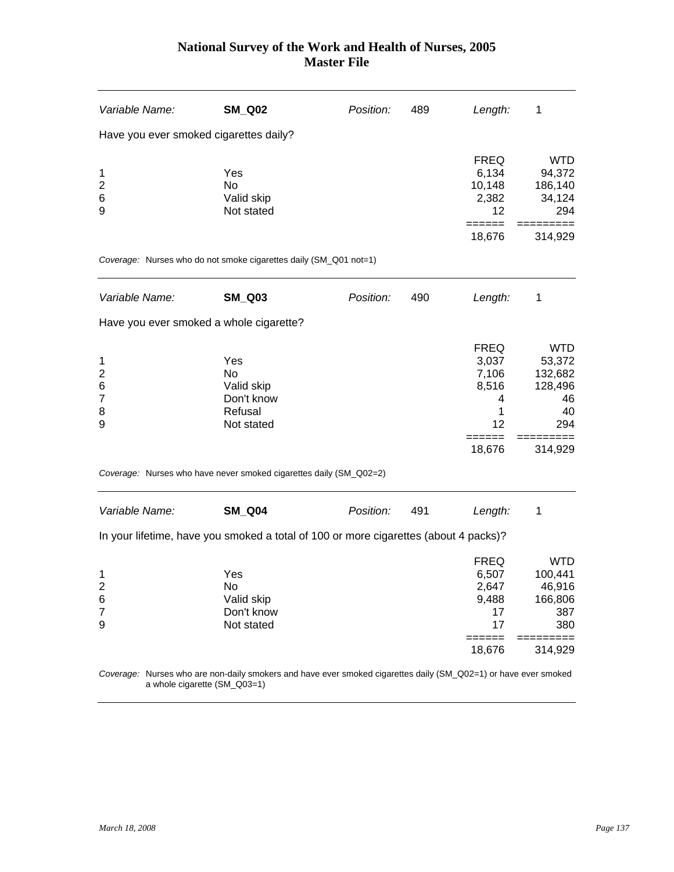| Variable Name:                                       | <b>SM_Q02</b>                                                                                                   | Position: | 489 | Length:                                                          | 1                                                                        |
|------------------------------------------------------|-----------------------------------------------------------------------------------------------------------------|-----------|-----|------------------------------------------------------------------|--------------------------------------------------------------------------|
| Have you ever smoked cigarettes daily?               |                                                                                                                 |           |     |                                                                  |                                                                          |
| 1<br>$\overline{c}$<br>6<br>9                        | Yes<br><b>No</b><br>Valid skip<br>Not stated                                                                    |           |     | <b>FREQ</b><br>6,134<br>10,148<br>2,382<br>12                    | <b>WTD</b><br>94,372<br>186,140<br>34,124<br>294                         |
|                                                      |                                                                                                                 |           |     | 18,676                                                           | 314,929                                                                  |
|                                                      | Coverage: Nurses who do not smoke cigarettes daily (SM_Q01 not=1)                                               |           |     |                                                                  |                                                                          |
| Variable Name:                                       | <b>SM_Q03</b>                                                                                                   | Position: | 490 | Length:                                                          | 1                                                                        |
|                                                      | Have you ever smoked a whole cigarette?                                                                         |           |     |                                                                  |                                                                          |
| 1<br>$\overline{2}$<br>6<br>$\overline{7}$<br>8<br>9 | Yes<br>No<br>Valid skip<br>Don't know<br>Refusal<br>Not stated                                                  |           |     | <b>FREQ</b><br>3,037<br>7,106<br>8,516<br>4<br>1<br>12<br>18,676 | <b>WTD</b><br>53,372<br>132,682<br>128,496<br>46<br>40<br>294<br>314,929 |
|                                                      | Coverage: Nurses who have never smoked cigarettes daily (SM_Q02=2)                                              |           |     |                                                                  |                                                                          |
| Variable Name:                                       | <b>SM_Q04</b>                                                                                                   | Position: | 491 | Length:                                                          | 1                                                                        |
|                                                      | In your lifetime, have you smoked a total of 100 or more cigarettes (about 4 packs)?                            |           |     |                                                                  |                                                                          |
| 1<br>2<br>6<br>$\overline{7}$<br>9                   | Yes<br>No<br>Valid skip<br>Don't know<br>Not stated                                                             |           |     | <b>FREQ</b><br>6,507<br>2,647<br>9,488<br>17<br>17               | <b>WTD</b><br>100,441<br>46,916<br>166,806<br>387<br>380                 |
|                                                      |                                                                                                                 |           |     | ——————<br>18,676                                                 | 314,929                                                                  |
|                                                      | Coverage: Nurses who are non-daily smokers and have ever smoked cigarettes daily (SM_Q02=1) or have ever smoked |           |     |                                                                  |                                                                          |

a whole cigarette (SM\_Q03=1)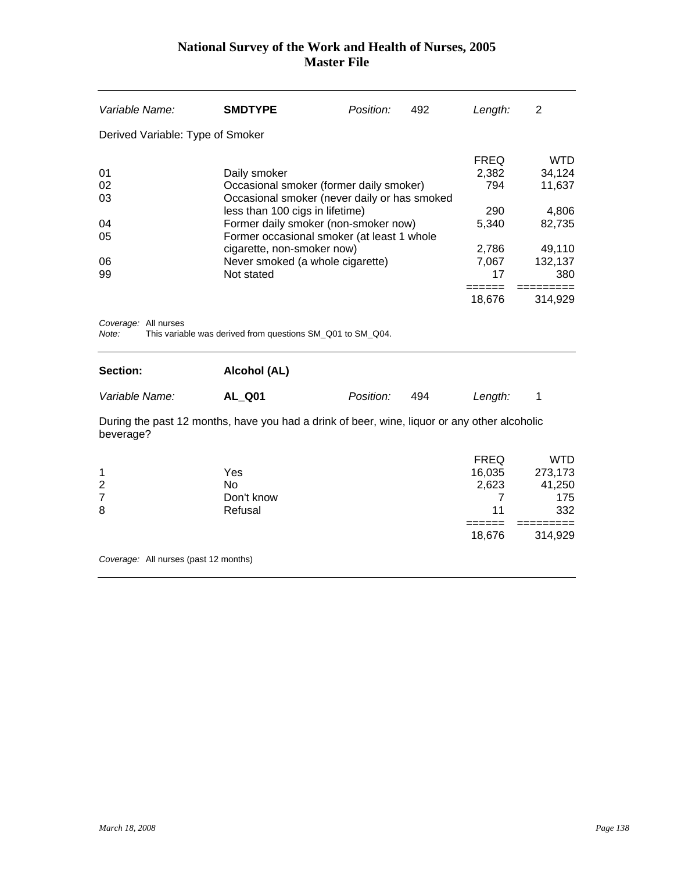| Variable Name:                            | <b>SMDTYPE</b>                                                                               | Position: | 492 | Length:     | 2          |
|-------------------------------------------|----------------------------------------------------------------------------------------------|-----------|-----|-------------|------------|
| Derived Variable: Type of Smoker          |                                                                                              |           |     |             |            |
|                                           |                                                                                              |           |     | <b>FREQ</b> | WTD        |
| 01                                        | Daily smoker                                                                                 |           |     | 2,382       | 34,124     |
| 02                                        | Occasional smoker (former daily smoker)                                                      |           |     | 794         | 11,637     |
| 03                                        | Occasional smoker (never daily or has smoked                                                 |           |     | 290         | 4,806      |
| 04                                        | less than 100 cigs in lifetime)<br>Former daily smoker (non-smoker now)                      |           |     | 5,340       | 82,735     |
| 05                                        | Former occasional smoker (at least 1 whole                                                   |           |     |             |            |
|                                           | cigarette, non-smoker now)                                                                   |           |     | 2,786       | 49,110     |
| 06                                        | Never smoked (a whole cigarette)                                                             |           |     | 7,067       | 132,137    |
| 99                                        | Not stated                                                                                   |           |     | 17          | 380        |
|                                           |                                                                                              |           |     | 18,676      | 314,929    |
| Coverage: All nurses<br>Note:<br>Section: | This variable was derived from questions SM_Q01 to SM_Q04.<br>Alcohol (AL)                   |           |     |             |            |
| Variable Name:                            | <b>AL_Q01</b>                                                                                | Position: | 494 | Length:     | 1          |
| beverage?                                 | During the past 12 months, have you had a drink of beer, wine, liquor or any other alcoholic |           |     |             |            |
|                                           |                                                                                              |           |     | <b>FREQ</b> | <b>WTD</b> |
| 1                                         | Yes                                                                                          |           |     | 16,035      | 273,173    |
| $\overline{2}$                            | <b>No</b>                                                                                    |           |     | 2,623       | 41,250     |
| $\overline{7}$                            | Don't know                                                                                   |           |     | 7           | 175        |
| 8                                         | Refusal                                                                                      |           |     | 11          | 332        |
|                                           |                                                                                              |           |     | 18,676      | 314,929    |
| Coverage: All nurses (past 12 months)     |                                                                                              |           |     |             |            |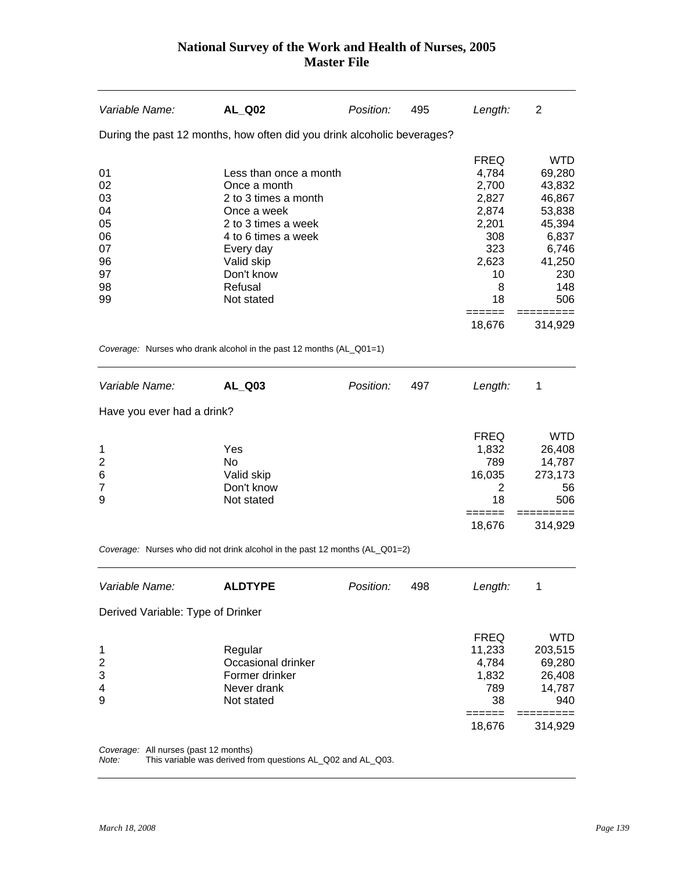| Variable Name:                                                 | <b>AL_Q02</b>                                                                                                                                                                                 | Position: | 495 | Length:                                                                                                                  | 2                                                                                                             |
|----------------------------------------------------------------|-----------------------------------------------------------------------------------------------------------------------------------------------------------------------------------------------|-----------|-----|--------------------------------------------------------------------------------------------------------------------------|---------------------------------------------------------------------------------------------------------------|
|                                                                | During the past 12 months, how often did you drink alcoholic beverages?                                                                                                                       |           |     |                                                                                                                          |                                                                                                               |
| 01<br>02<br>03<br>04<br>05<br>06<br>07<br>96<br>97<br>98<br>99 | Less than once a month<br>Once a month<br>2 to 3 times a month<br>Once a week<br>2 to 3 times a week<br>4 to 6 times a week<br>Every day<br>Valid skip<br>Don't know<br>Refusal<br>Not stated |           |     | <b>FREQ</b><br>4,784<br>2,700<br>2,827<br>2,874<br>2,201<br>308<br>323<br>2,623<br>10<br>8<br>18                         | <b>WTD</b><br>69,280<br>43,832<br>46,867<br>53,838<br>45,394<br>6,837<br>6,746<br>41,250<br>230<br>148<br>506 |
|                                                                | Coverage: Nurses who drank alcohol in the past 12 months (AL_Q01=1)                                                                                                                           |           |     | 18,676                                                                                                                   | 314,929                                                                                                       |
|                                                                |                                                                                                                                                                                               |           |     |                                                                                                                          |                                                                                                               |
| Variable Name:                                                 | AL_Q03                                                                                                                                                                                        | Position: | 497 | Length:                                                                                                                  | 1                                                                                                             |
| Have you ever had a drink?                                     |                                                                                                                                                                                               |           |     |                                                                                                                          |                                                                                                               |
| 1<br>2<br>6<br>$\overline{7}$<br>9                             | Yes<br><b>No</b><br>Valid skip<br>Don't know<br>Not stated                                                                                                                                    |           |     | <b>FREQ</b><br>1,832<br>789<br>16,035<br>2<br>18<br>======                                                               | <b>WTD</b><br>26,408<br>14,787<br>273,173<br>56<br>506                                                        |
|                                                                |                                                                                                                                                                                               |           |     | 18,676                                                                                                                   | =====<br>314,929                                                                                              |
|                                                                | Coverage: Nurses who did not drink alcohol in the past 12 months (AL_Q01=2)                                                                                                                   |           |     |                                                                                                                          |                                                                                                               |
| Variable Name:                                                 | <b>ALDTYPE</b>                                                                                                                                                                                | Position: | 498 | Length:                                                                                                                  | 1                                                                                                             |
| Derived Variable: Type of Drinker                              |                                                                                                                                                                                               |           |     |                                                                                                                          |                                                                                                               |
| 1<br>$\overline{\mathbf{c}}$<br>3<br>4<br>9                    | Regular<br>Occasional drinker<br>Former drinker<br>Never drank<br>Not stated                                                                                                                  |           |     | <b>FREQ</b><br>11,233<br>4,784<br>1,832<br>789<br>38<br>$\qquad \qquad \equiv \equiv \equiv \equiv \equiv \equiv \equiv$ | <b>WTD</b><br>203,515<br>69,280<br>26,408<br>14,787<br>940<br>=========                                       |
|                                                                |                                                                                                                                                                                               |           |     | 18,676                                                                                                                   | 314,929                                                                                                       |

*Coverage:* All nurses (past 12 months)

*Note:* This variable was derived from questions AL\_Q02 and AL\_Q03.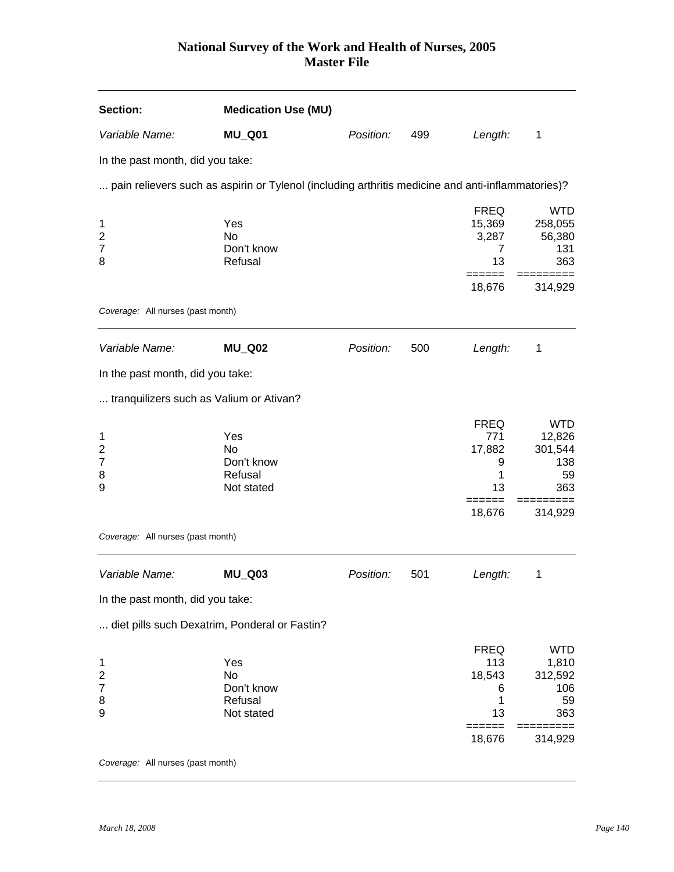| <b>Section:</b>                             | <b>Medication Use (MU)</b>                                                                        |           |     |                                                     |                                                         |
|---------------------------------------------|---------------------------------------------------------------------------------------------------|-----------|-----|-----------------------------------------------------|---------------------------------------------------------|
| Variable Name:                              | <b>MU_Q01</b>                                                                                     | Position: | 499 | Length:                                             | 1                                                       |
| In the past month, did you take:            |                                                                                                   |           |     |                                                     |                                                         |
|                                             | pain relievers such as aspirin or Tylenol (including arthritis medicine and anti-inflammatories)? |           |     |                                                     |                                                         |
| 1<br>2<br>7<br>8                            | Yes<br>No<br>Don't know<br>Refusal                                                                |           |     | <b>FREQ</b><br>15,369<br>3,287<br>7<br>13<br>====== | <b>WTD</b><br>258,055<br>56,380<br>131<br>363<br>====== |
| Coverage: All nurses (past month)           |                                                                                                   |           |     | 18,676                                              | 314,929                                                 |
|                                             |                                                                                                   |           |     |                                                     |                                                         |
| Variable Name:                              | <b>MU_Q02</b>                                                                                     | Position: | 500 | Length:                                             | 1                                                       |
| In the past month, did you take:            |                                                                                                   |           |     |                                                     |                                                         |
| tranquilizers such as Valium or Ativan?     |                                                                                                   |           |     |                                                     |                                                         |
| 1<br>2<br>7<br>8<br>9                       | Yes<br>No<br>Don't know<br>Refusal<br>Not stated                                                  |           |     | <b>FREQ</b><br>771<br>17,882<br>9<br>1<br>13        | <b>WTD</b><br>12,826<br>301,544<br>138<br>59<br>363     |
|                                             |                                                                                                   |           |     | ======<br>18,676                                    | 314,929                                                 |
| Coverage: All nurses (past month)           |                                                                                                   |           |     |                                                     |                                                         |
| Variable Name:                              | <b>MU_Q03</b>                                                                                     | Position: | 501 | Length:                                             | 1                                                       |
| In the past month, did you take:            |                                                                                                   |           |     |                                                     |                                                         |
|                                             | diet pills such Dexatrim, Ponderal or Fastin?                                                     |           |     |                                                     |                                                         |
| 1<br>$\overline{\mathbf{c}}$<br>7<br>8<br>9 | Yes<br>No<br>Don't know<br>Refusal<br>Not stated                                                  |           |     | <b>FREQ</b><br>113<br>18,543<br>6<br>1<br>13        | <b>WTD</b><br>1,810<br>312,592<br>106<br>59<br>363      |
|                                             |                                                                                                   |           |     | 18,676                                              | 314,929                                                 |
| Coverage: All nurses (past month)           |                                                                                                   |           |     |                                                     |                                                         |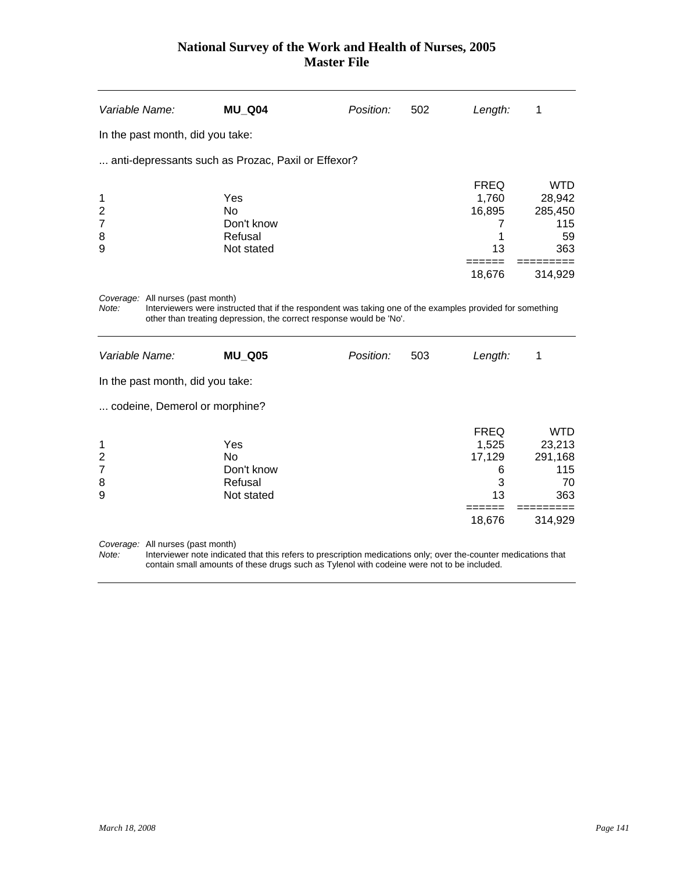| Variable Name:                                           | <b>MU_Q04</b>                                                                                                                                                                    | Position: | 502 | Length:                                                  | 1                                                                      |
|----------------------------------------------------------|----------------------------------------------------------------------------------------------------------------------------------------------------------------------------------|-----------|-----|----------------------------------------------------------|------------------------------------------------------------------------|
| In the past month, did you take:                         |                                                                                                                                                                                  |           |     |                                                          |                                                                        |
|                                                          | anti-depressants such as Prozac, Paxil or Effexor?                                                                                                                               |           |     |                                                          |                                                                        |
| 1<br>$\overline{\mathbf{c}}$<br>$\overline{7}$<br>8<br>9 | Yes<br><b>No</b><br>Don't know<br>Refusal<br>Not stated                                                                                                                          |           |     | <b>FREQ</b><br>1,760<br>16,895<br>7<br>1<br>13           | <b>WTD</b><br>28,942<br>285,450<br>115<br>59<br>363                    |
| Coverage: All nurses (past month)<br>Note:               | Interviewers were instructed that if the respondent was taking one of the examples provided for something<br>other than treating depression, the correct response would be 'No'. |           |     | 18,676                                                   | 314,929                                                                |
| Variable Name:                                           | <b>MU Q05</b>                                                                                                                                                                    | Position: | 503 | Length:                                                  | 1                                                                      |
| In the past month, did you take:                         |                                                                                                                                                                                  |           |     |                                                          |                                                                        |
| codeine, Demerol or morphine?                            |                                                                                                                                                                                  |           |     |                                                          |                                                                        |
| 1<br>$\overline{\mathbf{c}}$<br>$\overline{7}$<br>8<br>9 | Yes<br><b>No</b><br>Don't know<br>Refusal<br>Not stated                                                                                                                          |           |     | <b>FREQ</b><br>1,525<br>17,129<br>6<br>3<br>13<br>18,676 | <b>WTD</b><br>23,213<br>291,168<br>115<br>70<br>363<br>====<br>314,929 |
| Coverage: All nurses (past month)                        |                                                                                                                                                                                  |           |     |                                                          |                                                                        |

*Note:* Interviewer note indicated that this refers to prescription medications only; over the-counter medications that contain small amounts of these drugs such as Tylenol with codeine were not to be included.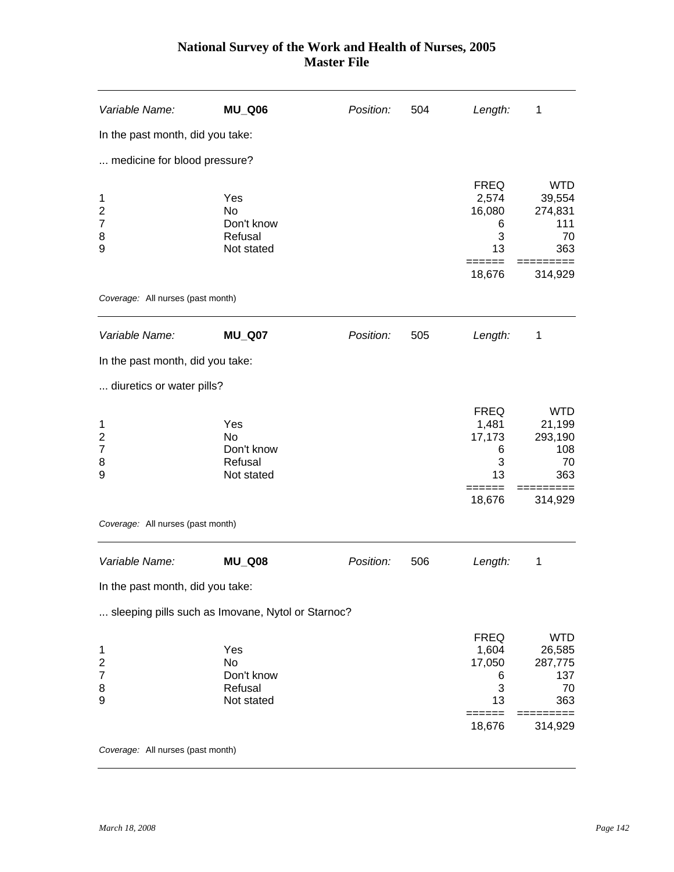| Variable Name:                                                      | <b>MU_Q06</b>                                           | Position: | 504 | Length:                                                  | 1                                                              |
|---------------------------------------------------------------------|---------------------------------------------------------|-----------|-----|----------------------------------------------------------|----------------------------------------------------------------|
| In the past month, did you take:                                    |                                                         |           |     |                                                          |                                                                |
| medicine for blood pressure?                                        |                                                         |           |     |                                                          |                                                                |
| 1<br>$\overline{\mathbf{c}}$<br>7<br>8<br>9                         | Yes<br>No<br>Don't know<br>Refusal<br>Not stated        |           |     | <b>FREQ</b><br>2,574<br>16,080<br>6<br>3<br>13<br>18,676 | <b>WTD</b><br>39,554<br>274,831<br>111<br>70<br>363<br>314,929 |
| Coverage: All nurses (past month)                                   |                                                         |           |     |                                                          |                                                                |
| Variable Name:                                                      | <b>MU_Q07</b>                                           | Position: | 505 | Length:                                                  | 1                                                              |
| In the past month, did you take:                                    |                                                         |           |     |                                                          |                                                                |
| diuretics or water pills?                                           |                                                         |           |     |                                                          |                                                                |
| 1<br>$\overline{\mathbf{c}}$<br>7<br>8<br>9                         | Yes<br><b>No</b><br>Don't know<br>Refusal<br>Not stated |           |     | <b>FREQ</b><br>1,481<br>17,173<br>6<br>3<br>13           | <b>WTD</b><br>21,199<br>293,190<br>108<br>70<br>363            |
|                                                                     |                                                         |           |     | 18,676                                                   | 314,929                                                        |
| Coverage: All nurses (past month)                                   |                                                         |           |     |                                                          |                                                                |
| Variable Name:                                                      | <b>MU_Q08</b>                                           | Position: | 506 | Length:                                                  | 1                                                              |
| In the past month, did you take:                                    |                                                         |           |     |                                                          |                                                                |
|                                                                     | sleeping pills such as Imovane, Nytol or Starnoc?       |           |     |                                                          |                                                                |
| $\mathbf{1}$<br>$\overline{\mathbf{c}}$<br>$\overline{7}$<br>8<br>9 | Yes<br><b>No</b><br>Don't know<br>Refusal<br>Not stated |           |     | <b>FREQ</b><br>1,604<br>17,050<br>6<br>3<br>13           | <b>WTD</b><br>26,585<br>287,775<br>137<br>70<br>363            |
|                                                                     |                                                         |           |     | ======<br>18,676                                         | $==$<br>======<br>314,929                                      |
| Coverage: All nurses (past month)                                   |                                                         |           |     |                                                          |                                                                |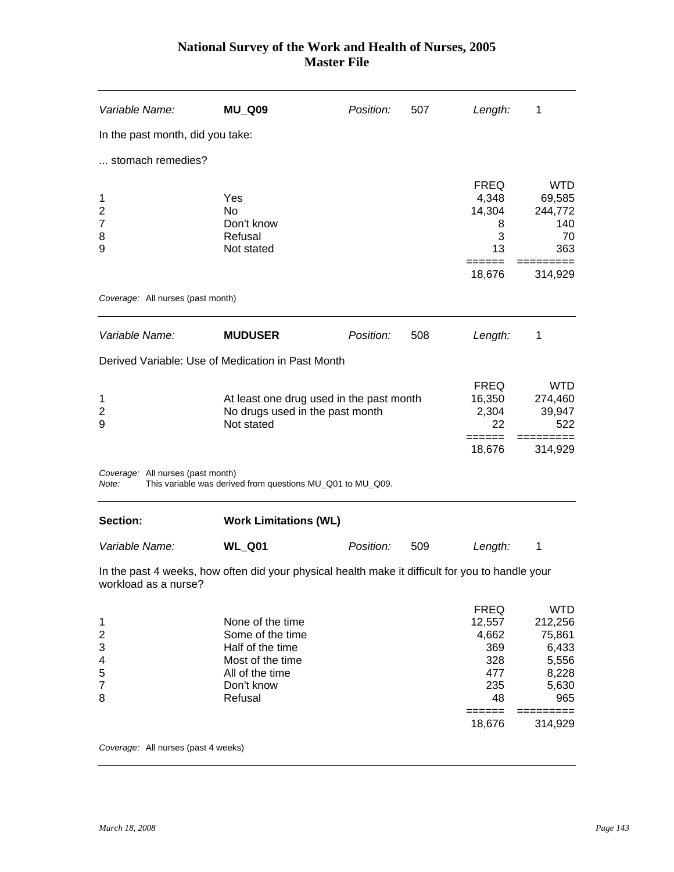| Variable Name:                                                     | <b>MU_Q09</b>                                                                                                            | Position: | 507 | Length:                                                          | 1                                                                          |
|--------------------------------------------------------------------|--------------------------------------------------------------------------------------------------------------------------|-----------|-----|------------------------------------------------------------------|----------------------------------------------------------------------------|
| In the past month, did you take:                                   |                                                                                                                          |           |     |                                                                  |                                                                            |
| stomach remedies?                                                  |                                                                                                                          |           |     |                                                                  |                                                                            |
| 1<br>$\overline{\mathbf{c}}$<br>$\overline{7}$<br>8<br>9           | Yes<br>No<br>Don't know<br>Refusal<br>Not stated                                                                         |           |     | <b>FREQ</b><br>4,348<br>14,304<br>8<br>3<br>13                   | <b>WTD</b><br>69,585<br>244,772<br>140<br>70<br>363                        |
|                                                                    |                                                                                                                          |           |     | 18,676                                                           | 314,929                                                                    |
| Coverage: All nurses (past month)                                  |                                                                                                                          |           |     |                                                                  |                                                                            |
| Variable Name:                                                     | <b>MUDUSER</b>                                                                                                           | Position: | 508 | Length:                                                          | 1                                                                          |
|                                                                    | Derived Variable: Use of Medication in Past Month                                                                        |           |     |                                                                  |                                                                            |
| 1<br>$\overline{2}$<br>9                                           | At least one drug used in the past month<br>No drugs used in the past month<br>Not stated                                |           |     | <b>FREQ</b><br>16,350<br>2,304<br>22                             | <b>WTD</b><br>274,460<br>39,947<br>522                                     |
|                                                                    |                                                                                                                          |           |     | 18,676                                                           | 314,929                                                                    |
| Coverage: All nurses (past month)<br>Note:                         | This variable was derived from questions MU_Q01 to MU_Q09.                                                               |           |     |                                                                  |                                                                            |
| Section:                                                           | <b>Work Limitations (WL)</b>                                                                                             |           |     |                                                                  |                                                                            |
| Variable Name:                                                     | <b>WL_Q01</b>                                                                                                            | Position: | 509 | Length:                                                          | 1                                                                          |
| workload as a nurse?                                               | In the past 4 weeks, how often did your physical health make it difficult for you to handle your                         |           |     |                                                                  |                                                                            |
| 1<br>$\overline{\mathbf{c}}$<br>3<br>4<br>5<br>$\overline{7}$<br>8 | None of the time<br>Some of the time<br>Half of the time<br>Most of the time<br>All of the time<br>Don't know<br>Refusal |           |     | <b>FREQ</b><br>12,557<br>4,662<br>369<br>328<br>477<br>235<br>48 | <b>WTD</b><br>212,256<br>75,861<br>6,433<br>5,556<br>8,228<br>5,630<br>965 |
|                                                                    |                                                                                                                          |           |     | 18,676                                                           | 314,929                                                                    |
| Coverage: All nurses (past 4 weeks)                                |                                                                                                                          |           |     |                                                                  |                                                                            |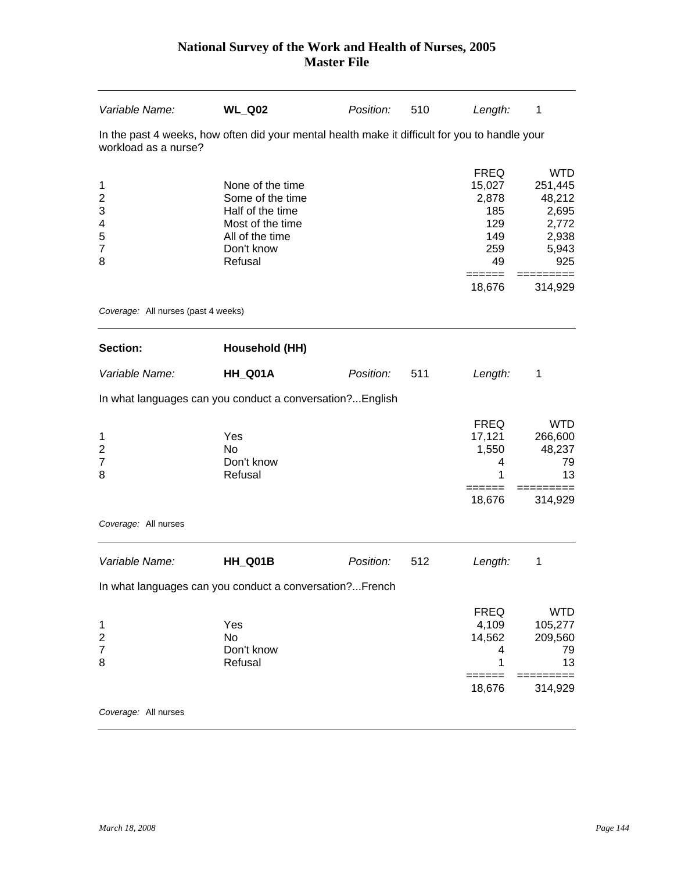| Variable Name:                                                     | <b>WL_Q02</b>                                                                                                            | Position: | 510 | Length:                                                                    | 1                                                                          |
|--------------------------------------------------------------------|--------------------------------------------------------------------------------------------------------------------------|-----------|-----|----------------------------------------------------------------------------|----------------------------------------------------------------------------|
| workload as a nurse?                                               | In the past 4 weeks, how often did your mental health make it difficult for you to handle your                           |           |     |                                                                            |                                                                            |
| 1<br>$\overline{\mathbf{c}}$<br>3<br>4<br>5<br>$\overline{7}$<br>8 | None of the time<br>Some of the time<br>Half of the time<br>Most of the time<br>All of the time<br>Don't know<br>Refusal |           |     | <b>FREQ</b><br>15,027<br>2,878<br>185<br>129<br>149<br>259<br>49<br>====== | <b>WTD</b><br>251,445<br>48,212<br>2,695<br>2,772<br>2,938<br>5,943<br>925 |
| Coverage: All nurses (past 4 weeks)                                |                                                                                                                          |           |     | 18,676                                                                     | 314,929                                                                    |
| <b>Section:</b>                                                    | <b>Household (HH)</b>                                                                                                    |           |     |                                                                            |                                                                            |
| Variable Name:                                                     | HH_Q01A                                                                                                                  | Position: | 511 | Length:                                                                    | 1                                                                          |
|                                                                    | In what languages can you conduct a conversation?English                                                                 |           |     |                                                                            |                                                                            |
| 1<br>$\overline{\mathbf{c}}$<br>$\overline{7}$<br>8                | Yes<br>No<br>Don't know<br>Refusal                                                                                       |           |     | <b>FREQ</b><br>17,121<br>1,550<br>4<br>1                                   | <b>WTD</b><br>266,600<br>48,237<br>79<br>13                                |
|                                                                    |                                                                                                                          |           |     | =====<br>18,676                                                            | $=$<br>314,929                                                             |
| Coverage: All nurses                                               |                                                                                                                          |           |     |                                                                            |                                                                            |
| Variable Name:                                                     | HH Q01B                                                                                                                  | Position: | 512 | Length:                                                                    | 1                                                                          |
|                                                                    | In what languages can you conduct a conversation?French                                                                  |           |     |                                                                            |                                                                            |
| 1<br>$\overline{\mathbf{c}}$<br>$\overline{7}$<br>8                | Yes<br><b>No</b><br>Don't know<br>Refusal                                                                                |           |     | <b>FREQ</b><br>4,109<br>14,562<br>4<br>1                                   | <b>WTD</b><br>105,277<br>209,560<br>79<br>13                               |
|                                                                    |                                                                                                                          |           |     | $=$ $=$ $=$ $=$ $=$<br>18,676                                              | $==$<br>314,929                                                            |
| Coverage: All nurses                                               |                                                                                                                          |           |     |                                                                            |                                                                            |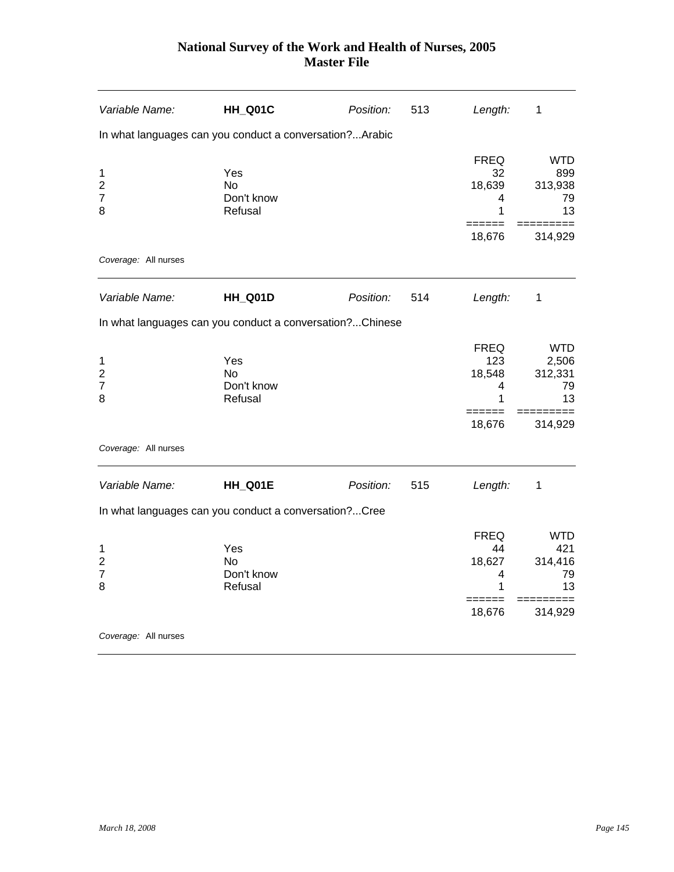| Variable Name:                                      | HH_Q01C                                                  | Position: | 513 | Length:                                          | 1                                                     |
|-----------------------------------------------------|----------------------------------------------------------|-----------|-----|--------------------------------------------------|-------------------------------------------------------|
|                                                     | In what languages can you conduct a conversation?Arabic  |           |     |                                                  |                                                       |
| 1<br>$\overline{c}$<br>$\overline{7}$<br>8          | Yes<br><b>No</b><br>Don't know<br>Refusal                |           |     | <b>FREQ</b><br>32<br>18,639<br>4<br>1            | <b>WTD</b><br>899<br>313,938<br>79<br>13              |
|                                                     |                                                          |           |     | 18,676                                           | 314,929                                               |
| Coverage: All nurses                                |                                                          |           |     |                                                  |                                                       |
| Variable Name:                                      | HH_Q01D                                                  | Position: | 514 | Length:                                          | 1                                                     |
|                                                     | In what languages can you conduct a conversation?Chinese |           |     |                                                  |                                                       |
| 1<br>$\overline{\mathbf{c}}$<br>$\overline{7}$<br>8 | Yes<br>No.<br>Don't know<br>Refusal                      |           |     | <b>FREQ</b><br>123<br>18,548<br>4<br>1<br>18,676 | <b>WTD</b><br>2,506<br>312,331<br>79<br>13<br>314,929 |
| Coverage: All nurses                                |                                                          |           |     |                                                  |                                                       |
| Variable Name:                                      | HH_Q01E                                                  | Position: | 515 | Length:                                          | $\mathbf 1$                                           |
|                                                     | In what languages can you conduct a conversation?Cree    |           |     |                                                  |                                                       |
| 1<br>$\overline{c}$<br>$\overline{7}$<br>8          | Yes<br>No.<br>Don't know<br>Refusal                      |           |     | <b>FREQ</b><br>44<br>18,627<br>4<br>1<br>18,676  | <b>WTD</b><br>421<br>314,416<br>79<br>13<br>314,929   |
| Coverage: All nurses                                |                                                          |           |     |                                                  |                                                       |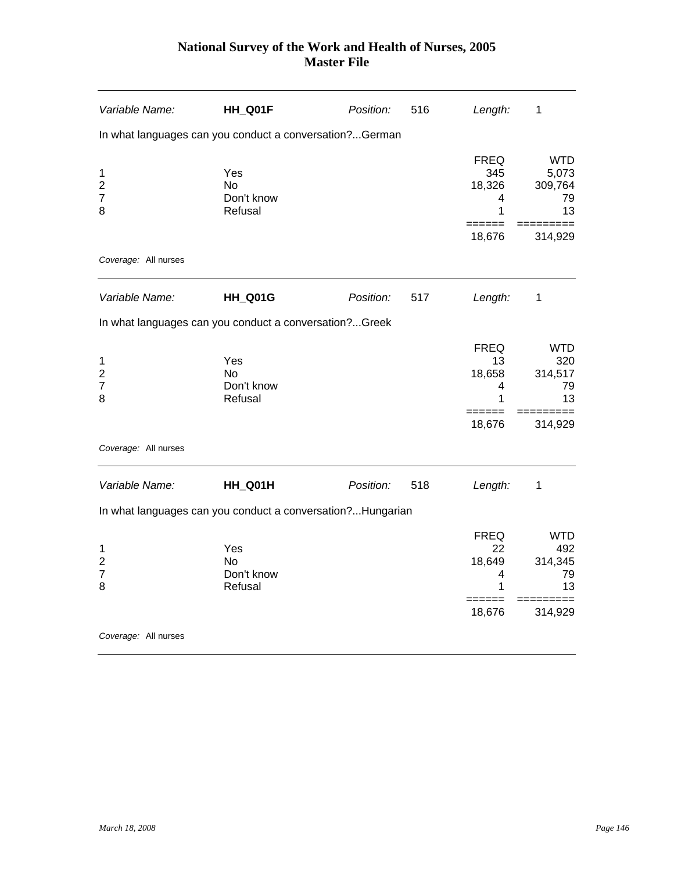| Variable Name:                                      | HH_Q01F                                                    | Position: | 516 | Length:                                          | 1                                          |
|-----------------------------------------------------|------------------------------------------------------------|-----------|-----|--------------------------------------------------|--------------------------------------------|
|                                                     | In what languages can you conduct a conversation?German    |           |     |                                                  |                                            |
| 1<br>$\overline{c}$<br>$\overline{7}$<br>8          | Yes<br>N <sub>o</sub><br>Don't know<br>Refusal             |           |     | <b>FREQ</b><br>345<br>18,326<br>4<br>1<br>====== | <b>WTD</b><br>5,073<br>309,764<br>79<br>13 |
| Coverage: All nurses                                |                                                            |           |     | 18,676                                           | 314,929                                    |
|                                                     |                                                            |           |     |                                                  |                                            |
| Variable Name:                                      | HH_Q01G                                                    | Position: | 517 | Length:                                          | 1                                          |
|                                                     | In what languages can you conduct a conversation?Greek     |           |     |                                                  |                                            |
| 1<br>$\overline{\mathbf{c}}$<br>$\overline{7}$<br>8 | Yes<br><b>No</b><br>Don't know<br>Refusal                  |           |     | <b>FREQ</b><br>13<br>18,658<br>4<br>1            | <b>WTD</b><br>320<br>314,517<br>79<br>13   |
|                                                     |                                                            |           |     | ======<br>18,676                                 | 314,929                                    |
| Coverage: All nurses                                |                                                            |           |     |                                                  |                                            |
| Variable Name:                                      | HH_Q01H                                                    | Position: | 518 | Length:                                          | 1                                          |
|                                                     | In what languages can you conduct a conversation?Hungarian |           |     |                                                  |                                            |
| 1<br>$\overline{\mathbf{c}}$<br>$\overline{7}$<br>8 | Yes<br>N <sub>o</sub><br>Don't know<br>Refusal             |           |     | <b>FREQ</b><br>22<br>18,649<br>4<br>1<br>======  | <b>WTD</b><br>492<br>314,345<br>79<br>13   |
|                                                     |                                                            |           |     | 18,676                                           | 314,929                                    |
| Coverage: All nurses                                |                                                            |           |     |                                                  |                                            |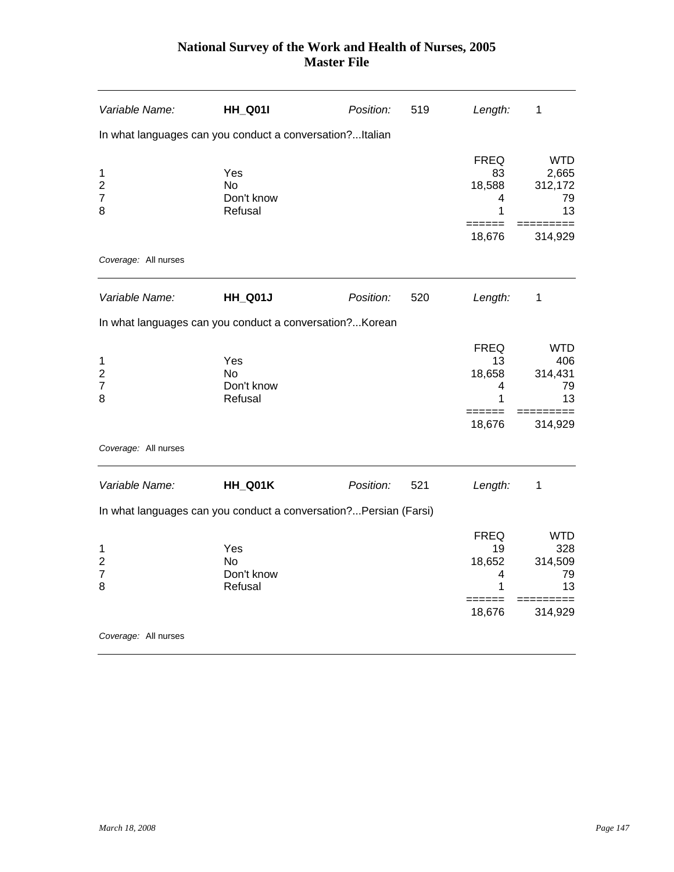| Variable Name:                                      | <b>HH_Q01I</b>                                                    | Position: | 519 | Length:                                                   | 1                                                   |
|-----------------------------------------------------|-------------------------------------------------------------------|-----------|-----|-----------------------------------------------------------|-----------------------------------------------------|
|                                                     | In what languages can you conduct a conversation?Italian          |           |     |                                                           |                                                     |
| 1<br>$\overline{c}$<br>$\overline{7}$<br>8          | Yes<br>N <sub>o</sub><br>Don't know<br>Refusal                    |           |     | <b>FREQ</b><br>83<br>18,588<br>4<br>1<br>======           | <b>WTD</b><br>2,665<br>312,172<br>79<br>13          |
| Coverage: All nurses                                |                                                                   |           |     | 18,676                                                    | 314,929                                             |
| Variable Name:                                      | <b>HH_Q01J</b>                                                    | Position: | 520 | Length:                                                   | 1                                                   |
|                                                     | In what languages can you conduct a conversation? Korean          |           |     |                                                           |                                                     |
| 1<br>$\overline{\mathbf{c}}$<br>$\overline{7}$<br>8 | Yes<br><b>No</b><br>Don't know<br>Refusal                         |           |     | <b>FREQ</b><br>13<br>18,658<br>4<br>1<br>======           | <b>WTD</b><br>406<br>314,431<br>79<br>13            |
|                                                     |                                                                   |           |     | 18,676                                                    | 314,929                                             |
| Coverage: All nurses                                |                                                                   |           |     |                                                           |                                                     |
| Variable Name:                                      | HH_Q01K                                                           | Position: | 521 | Length:                                                   | 1                                                   |
|                                                     | In what languages can you conduct a conversation? Persian (Farsi) |           |     |                                                           |                                                     |
| 1<br>$\overline{\mathbf{c}}$<br>$\overline{7}$<br>8 | Yes<br>N <sub>o</sub><br>Don't know<br>Refusal                    |           |     | <b>FREQ</b><br>19<br>18,652<br>4<br>1<br>======<br>18,676 | <b>WTD</b><br>328<br>314,509<br>79<br>13<br>314,929 |
| Coverage: All nurses                                |                                                                   |           |     |                                                           |                                                     |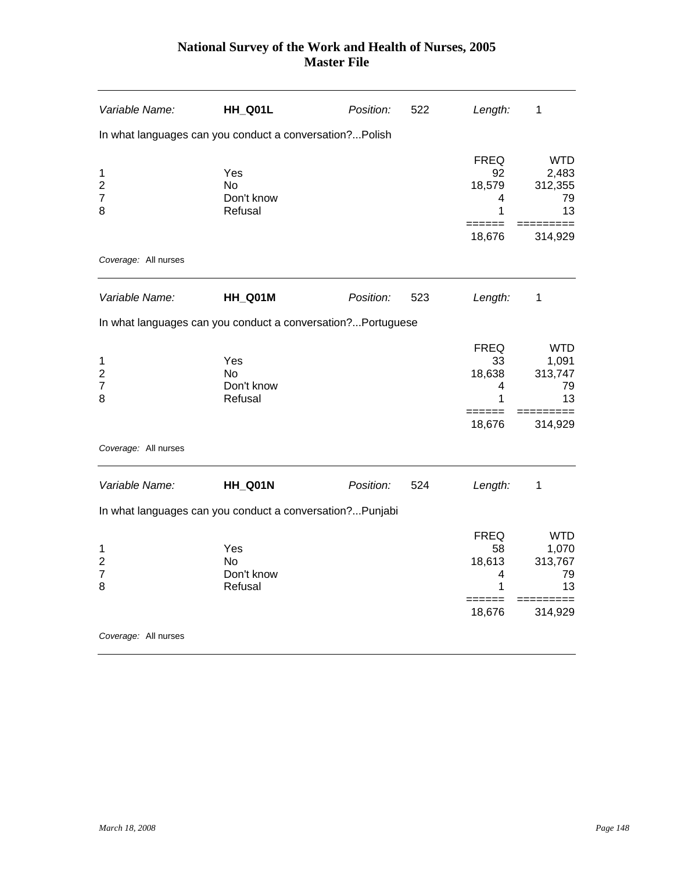| Variable Name:                                      | HH_Q01L                                                      | Position: | 522 | Length:                               | 1                                          |
|-----------------------------------------------------|--------------------------------------------------------------|-----------|-----|---------------------------------------|--------------------------------------------|
|                                                     | In what languages can you conduct a conversation?Polish      |           |     |                                       |                                            |
| 1<br>$\overline{2}$<br>$\overline{7}$<br>8          | Yes<br>No.<br>Don't know<br>Refusal                          |           |     | <b>FREQ</b><br>92<br>18,579<br>4<br>1 | <b>WTD</b><br>2,483<br>312,355<br>79<br>13 |
| Coverage: All nurses                                |                                                              |           |     | 18,676                                | 314,929                                    |
|                                                     |                                                              |           |     |                                       |                                            |
| Variable Name:                                      | HH_Q01M                                                      | Position: | 523 | Length:                               | 1                                          |
|                                                     | In what languages can you conduct a conversation? Portuguese |           |     |                                       |                                            |
| 1<br>$\overline{2}$<br>$\overline{7}$<br>8          | Yes<br>N <sub>o</sub><br>Don't know<br>Refusal               |           |     | <b>FREQ</b><br>33<br>18,638<br>4<br>1 | <b>WTD</b><br>1,091<br>313,747<br>79<br>13 |
|                                                     |                                                              |           |     | ======<br>18,676                      | 314,929                                    |
| Coverage: All nurses                                |                                                              |           |     |                                       |                                            |
| Variable Name:                                      | HH_Q01N                                                      | Position: | 524 | Length:                               | 1                                          |
|                                                     | In what languages can you conduct a conversation?Punjabi     |           |     |                                       |                                            |
| 1<br>$\overline{\mathbf{c}}$<br>$\overline{7}$<br>8 | Yes<br>N <sub>o</sub><br>Don't know<br>Refusal               |           |     | <b>FREQ</b><br>58<br>18,613<br>4<br>1 | <b>WTD</b><br>1,070<br>313,767<br>79<br>13 |
|                                                     |                                                              |           |     | ======<br>18,676                      | 314,929                                    |
| Coverage: All nurses                                |                                                              |           |     |                                       |                                            |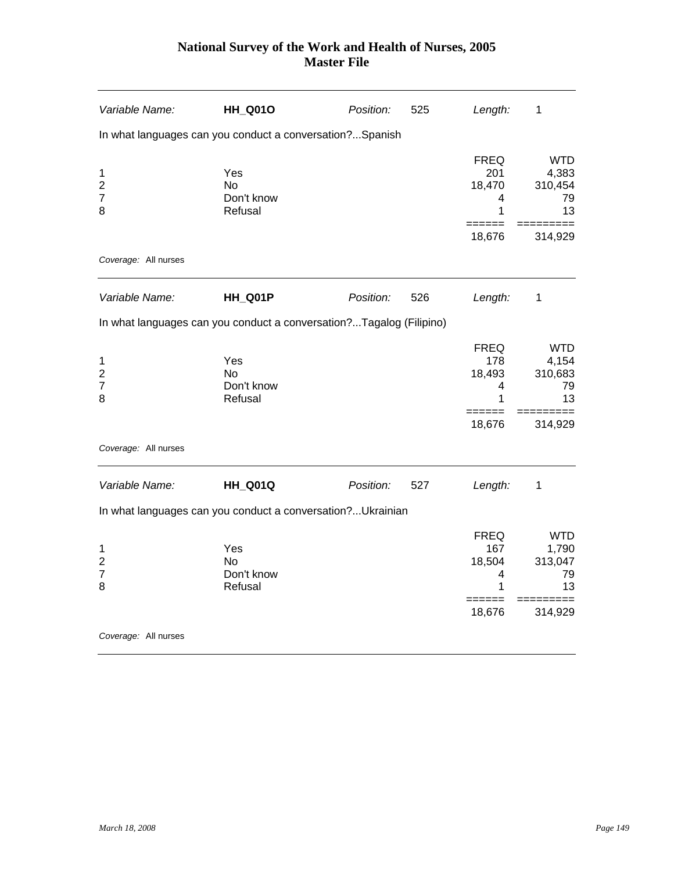| Variable Name:                                                      | <b>HH_Q01O</b>                                 | Position: | 525 | Length:                                | 1                                          |
|---------------------------------------------------------------------|------------------------------------------------|-----------|-----|----------------------------------------|--------------------------------------------|
| In what languages can you conduct a conversation?Spanish            |                                                |           |     |                                        |                                            |
| 1<br>$\overline{2}$<br>$\overline{7}$<br>8                          | Yes<br>No.<br>Don't know<br>Refusal            |           |     | <b>FREQ</b><br>201<br>18,470<br>4<br>1 | <b>WTD</b><br>4,383<br>310,454<br>79<br>13 |
| Coverage: All nurses                                                |                                                |           |     | 18,676                                 | 314,929                                    |
|                                                                     |                                                |           |     |                                        |                                            |
| Variable Name:                                                      | HH_Q01P                                        | Position: | 526 | Length:                                | $\mathbf 1$                                |
| In what languages can you conduct a conversation?Tagalog (Filipino) |                                                |           |     |                                        |                                            |
| 1<br>$\overline{\mathbf{c}}$<br>$\overline{7}$<br>8                 | Yes<br>N <sub>o</sub><br>Don't know<br>Refusal |           |     | <b>FREQ</b><br>178<br>18,493<br>4<br>1 | <b>WTD</b><br>4,154<br>310,683<br>79<br>13 |
|                                                                     |                                                |           |     | 18,676                                 | 314,929                                    |
| Coverage: All nurses                                                |                                                |           |     |                                        |                                            |
| Variable Name:                                                      | <b>HH_Q01Q</b>                                 | Position: | 527 | Length:                                | 1                                          |
| In what languages can you conduct a conversation? Ukrainian         |                                                |           |     |                                        |                                            |
| 1<br>$\overline{2}$<br>$\overline{7}$<br>8                          | Yes<br>No.<br>Don't know<br>Refusal            |           |     | <b>FREQ</b><br>167<br>18,504<br>4<br>1 | <b>WTD</b><br>1,790<br>313,047<br>79<br>13 |
|                                                                     |                                                |           |     | 18,676                                 | 314,929                                    |
| Coverage: All nurses                                                |                                                |           |     |                                        |                                            |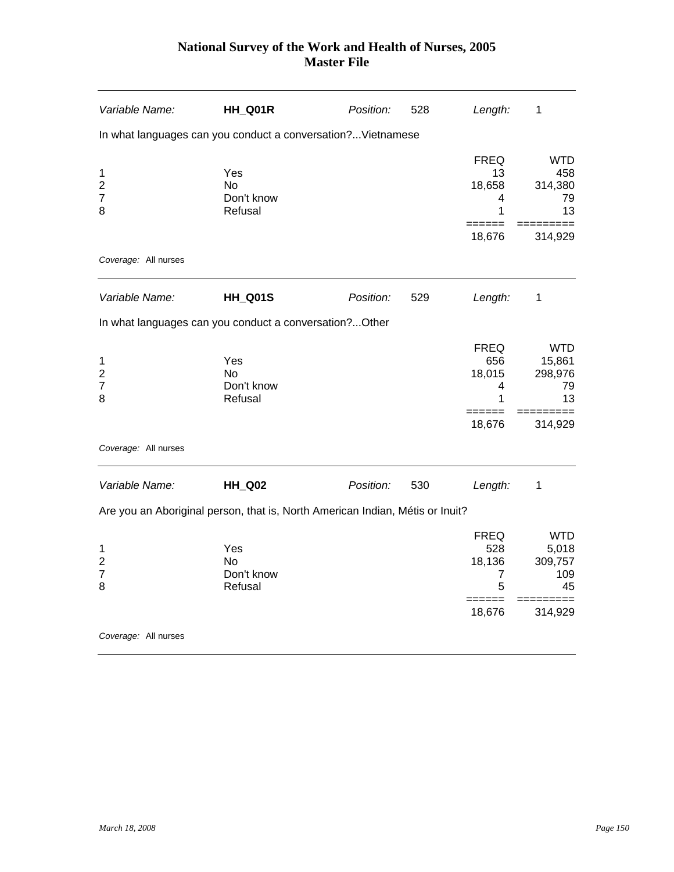| Variable Name:                                      | HH_Q01R                                                                       | Position: | 528 | Length:                                                       | 1                                                   |
|-----------------------------------------------------|-------------------------------------------------------------------------------|-----------|-----|---------------------------------------------------------------|-----------------------------------------------------|
|                                                     | In what languages can you conduct a conversation?Vietnamese                   |           |     |                                                               |                                                     |
| 1<br>$\overline{2}$<br>$\overline{7}$<br>8          | Yes<br>No.<br>Don't know<br>Refusal                                           |           |     | <b>FREQ</b><br>13<br>18,658<br>4<br>1                         | <b>WTD</b><br>458<br>314,380<br>79<br>13            |
|                                                     |                                                                               |           |     | 18,676                                                        | 314,929                                             |
| Coverage: All nurses                                |                                                                               |           |     |                                                               |                                                     |
| Variable Name:                                      | <b>HH_Q01S</b>                                                                | Position: | 529 | Length:                                                       | 1                                                   |
|                                                     | In what languages can you conduct a conversation? Other                       |           |     |                                                               |                                                     |
| 1<br>$\overline{\mathbf{c}}$<br>$\overline{7}$<br>8 | Yes<br><b>No</b><br>Don't know<br>Refusal                                     |           |     | <b>FREQ</b><br>656<br>18,015<br>4<br>1<br>======              | <b>WTD</b><br>15,861<br>298,976<br>79<br>13<br>==== |
|                                                     |                                                                               |           |     | 18,676                                                        | 314,929                                             |
| Coverage: All nurses                                |                                                                               |           |     |                                                               |                                                     |
| Variable Name:                                      | <b>HH_Q02</b>                                                                 | Position: | 530 | Length:                                                       | 1                                                   |
|                                                     | Are you an Aboriginal person, that is, North American Indian, Métis or Inuit? |           |     |                                                               |                                                     |
| 1<br>$\overline{2}$<br>7<br>8                       | Yes<br>N <sub>o</sub><br>Don't know<br>Refusal                                |           |     | <b>FREQ</b><br>528<br>18,136<br>7<br>5<br>$=$ $=$ $=$ $=$ $=$ | <b>WTD</b><br>5,018<br>309,757<br>109<br>45         |
|                                                     |                                                                               |           |     | 18,676                                                        | 314,929                                             |
| Coverage: All nurses                                |                                                                               |           |     |                                                               |                                                     |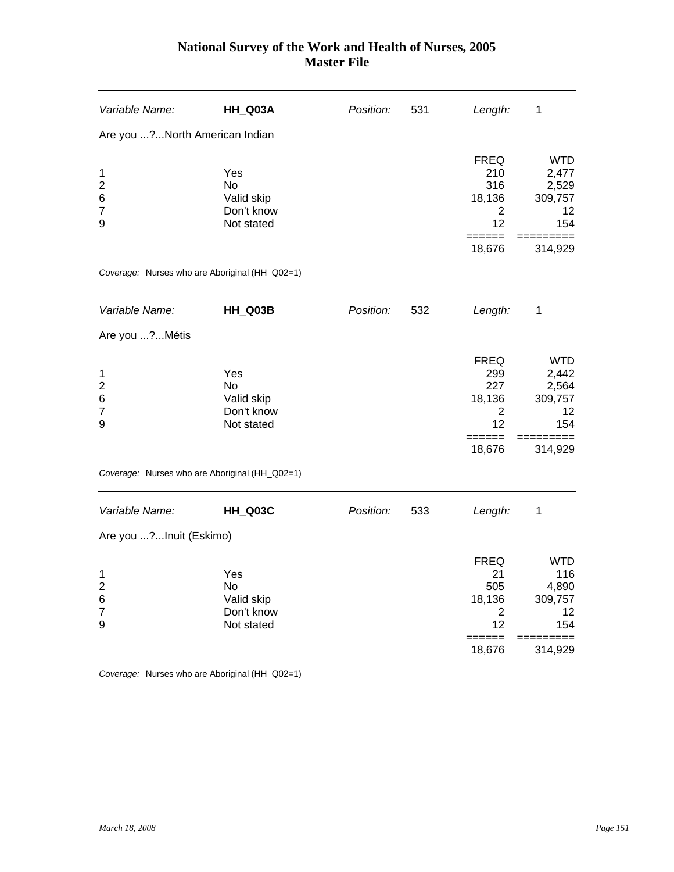| Variable Name:                                           | HH_Q03A                                                    | Position: | 531 | Length:                                                                        | 1                                                               |
|----------------------------------------------------------|------------------------------------------------------------|-----------|-----|--------------------------------------------------------------------------------|-----------------------------------------------------------------|
| Are you ? North American Indian                          |                                                            |           |     |                                                                                |                                                                 |
| 1<br>$\overline{\mathbf{c}}$<br>6<br>$\overline{7}$<br>9 | Yes<br>No<br>Valid skip<br>Don't know<br>Not stated        |           |     | <b>FREQ</b><br>210<br>316<br>18,136<br>2<br>12<br>======                       | <b>WTD</b><br>2,477<br>2,529<br>309,757<br>12<br>154            |
|                                                          |                                                            |           |     | 18,676                                                                         | 314,929                                                         |
|                                                          | Coverage: Nurses who are Aboriginal (HH_Q02=1)             |           |     |                                                                                |                                                                 |
| Variable Name:                                           | HH_Q03B                                                    | Position: | 532 | Length:                                                                        | 1                                                               |
| Are you ? Métis                                          |                                                            |           |     |                                                                                |                                                                 |
| 1<br>$\overline{2}$<br>6<br>$\overline{7}$<br>9          | Yes<br><b>No</b><br>Valid skip<br>Don't know<br>Not stated |           |     | <b>FREQ</b><br>299<br>227<br>18,136<br>$\overline{2}$<br>12<br>=====<br>18,676 | <b>WTD</b><br>2,442<br>2,564<br>309,757<br>12<br>154<br>314,929 |
|                                                          | Coverage: Nurses who are Aboriginal (HH_Q02=1)             |           |     |                                                                                |                                                                 |
| Variable Name:                                           | HH_Q03C                                                    | Position: | 533 | Length:                                                                        | 1                                                               |
| Are you ?Inuit (Eskimo)                                  |                                                            |           |     |                                                                                |                                                                 |
| 1<br>$\overline{\mathbf{c}}$<br>6<br>$\overline{7}$<br>9 | Yes<br>No<br>Valid skip<br>Don't know<br>Not stated        |           |     | <b>FREQ</b><br>21<br>505<br>18,136<br>2<br>12<br>18,676                        | <b>WTD</b><br>116<br>4,890<br>309,757<br>12<br>154<br>314,929   |
|                                                          | Coverage: Nurses who are Aboriginal (HH_Q02=1)             |           |     |                                                                                |                                                                 |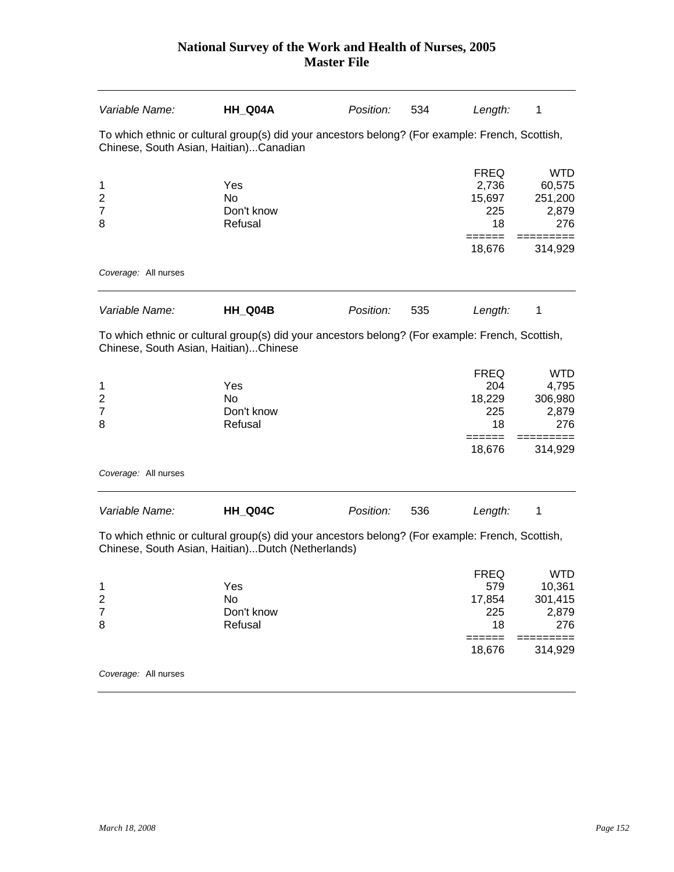| Variable Name:                                      | HH_Q04A                                                                                                                                              | Position: | 534 | Length:                                               | 1                                                          |
|-----------------------------------------------------|------------------------------------------------------------------------------------------------------------------------------------------------------|-----------|-----|-------------------------------------------------------|------------------------------------------------------------|
|                                                     | To which ethnic or cultural group(s) did your ancestors belong? (For example: French, Scottish,<br>Chinese, South Asian, Haitian)Canadian            |           |     |                                                       |                                                            |
| 1<br>2<br>7<br>8                                    | Yes<br><b>No</b><br>Don't know<br>Refusal                                                                                                            |           |     | <b>FREQ</b><br>2,736<br>15,697<br>225<br>18<br>====== | <b>WTD</b><br>60,575<br>251,200<br>2,879<br>276            |
|                                                     |                                                                                                                                                      |           |     | 18,676                                                | 314,929                                                    |
| Coverage: All nurses                                |                                                                                                                                                      |           |     |                                                       |                                                            |
| Variable Name:                                      | HH_Q04B                                                                                                                                              | Position: | 535 | Length:                                               | 1                                                          |
| Chinese, South Asian, Haitian)Chinese               | To which ethnic or cultural group(s) did your ancestors belong? (For example: French, Scottish,                                                      |           |     |                                                       |                                                            |
| 1<br>$\overline{\mathbf{c}}$<br>7<br>8              | Yes<br><b>No</b><br>Don't know<br>Refusal                                                                                                            |           |     | <b>FREQ</b><br>204<br>18,229<br>225<br>18<br>18,676   | <b>WTD</b><br>4,795<br>306,980<br>2,879<br>276<br>314,929  |
| Coverage: All nurses                                |                                                                                                                                                      |           |     |                                                       |                                                            |
| Variable Name:                                      | HH_Q04C                                                                                                                                              | Position: | 536 | Length:                                               | 1                                                          |
|                                                     | To which ethnic or cultural group(s) did your ancestors belong? (For example: French, Scottish,<br>Chinese, South Asian, Haitian)Dutch (Netherlands) |           |     |                                                       |                                                            |
| 1<br>$\overline{\mathbf{c}}$<br>$\overline{7}$<br>8 | Yes<br>No<br>Don't know<br>Refusal                                                                                                                   |           |     | <b>FREQ</b><br>579<br>17,854<br>225<br>18<br>18,676   | <b>WTD</b><br>10,361<br>301,415<br>2,879<br>276<br>314,929 |
| Coverage: All nurses                                |                                                                                                                                                      |           |     |                                                       |                                                            |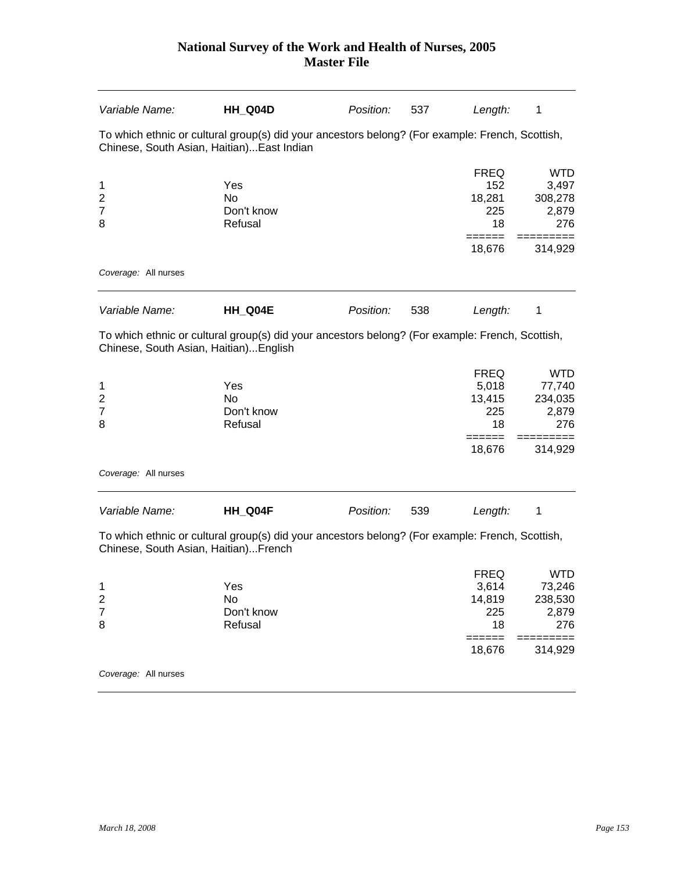| Variable Name:                                      | HH_Q04D                                                                                                                                       | Position: | 537 | Length:                                                         | 1                                                                     |
|-----------------------------------------------------|-----------------------------------------------------------------------------------------------------------------------------------------------|-----------|-----|-----------------------------------------------------------------|-----------------------------------------------------------------------|
|                                                     | To which ethnic or cultural group(s) did your ancestors belong? (For example: French, Scottish,<br>Chinese, South Asian, Haitian) East Indian |           |     |                                                                 |                                                                       |
| 1<br>$\overline{\mathbf{c}}$<br>$\overline{7}$<br>8 | Yes<br><b>No</b><br>Don't know<br>Refusal                                                                                                     |           |     | <b>FREQ</b><br>152<br>18,281<br>225<br>18                       | <b>WTD</b><br>3,497<br>308,278<br>2,879<br>276                        |
| Coverage: All nurses                                |                                                                                                                                               |           |     | 18,676                                                          | 314,929                                                               |
| Variable Name:                                      | HH_Q04E                                                                                                                                       | Position: | 538 | Length:                                                         | 1                                                                     |
| Chinese, South Asian, Haitian)English               | To which ethnic or cultural group(s) did your ancestors belong? (For example: French, Scottish,                                               |           |     |                                                                 |                                                                       |
| 1<br>$\overline{2}$<br>7<br>8                       | Yes<br><b>No</b><br>Don't know<br>Refusal                                                                                                     |           |     | <b>FREQ</b><br>5,018<br>13,415<br>225<br>18<br>======<br>18,676 | <b>WTD</b><br>77,740<br>234,035<br>2,879<br>276<br>======<br>314,929  |
| Coverage: All nurses                                |                                                                                                                                               |           |     |                                                                 |                                                                       |
| Variable Name:                                      | HH_Q04F                                                                                                                                       | Position: | 539 | Length:                                                         | 1                                                                     |
| Chinese, South Asian, Haitian)French                | To which ethnic or cultural group(s) did your ancestors belong? (For example: French, Scottish,                                               |           |     |                                                                 |                                                                       |
| 1<br>$\overline{c}$<br>$\overline{7}$<br>8          | Yes<br>No<br>Don't know<br>Refusal                                                                                                            |           |     | <b>FREQ</b><br>3,614<br>14,819<br>225<br>18<br>======<br>18,676 | <b>WTD</b><br>73,246<br>238,530<br>2,879<br>276<br>=======<br>314,929 |
| Coverage: All nurses                                |                                                                                                                                               |           |     |                                                                 |                                                                       |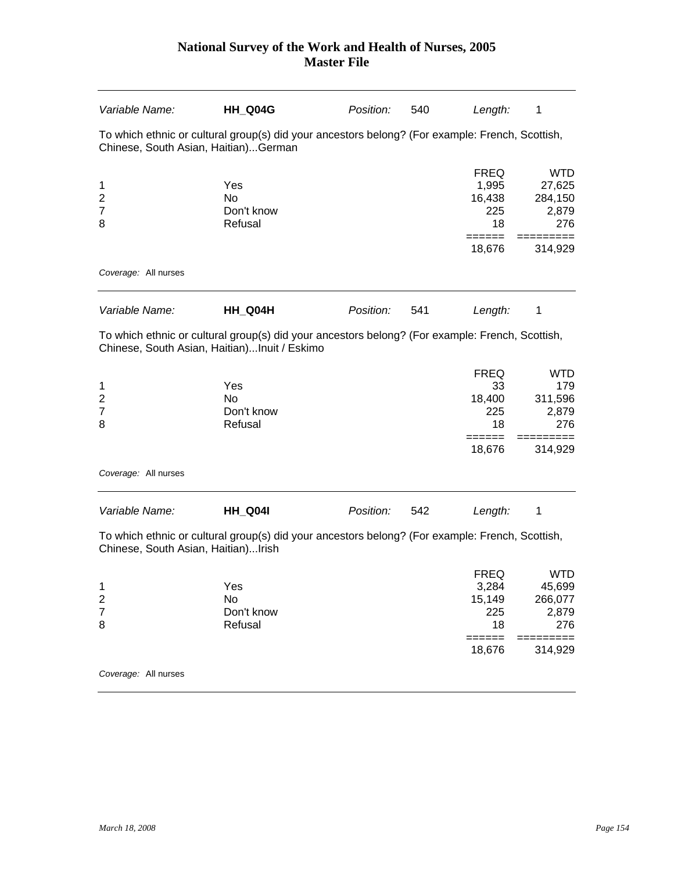| Variable Name:                                      | HH_Q04G                                                                                         | Position: | 540 | Length:                                                         | 1                                                                     |
|-----------------------------------------------------|-------------------------------------------------------------------------------------------------|-----------|-----|-----------------------------------------------------------------|-----------------------------------------------------------------------|
| Chinese, South Asian, Haitian)German                | To which ethnic or cultural group(s) did your ancestors belong? (For example: French, Scottish, |           |     |                                                                 |                                                                       |
| 1<br>$\overline{\mathbf{c}}$<br>$\overline{7}$<br>8 | Yes<br><b>No</b><br>Don't know<br>Refusal                                                       |           |     | <b>FREQ</b><br>1,995<br>16,438<br>225<br>18                     | <b>WTD</b><br>27,625<br>284,150<br>2,879<br>276                       |
| Coverage: All nurses                                |                                                                                                 |           |     | 18,676                                                          | 314,929                                                               |
|                                                     |                                                                                                 |           |     |                                                                 |                                                                       |
| Variable Name:                                      | HH_Q04H                                                                                         | Position: | 541 | Length:                                                         | 1                                                                     |
| Chinese, South Asian, Haitian)Inuit / Eskimo        | To which ethnic or cultural group(s) did your ancestors belong? (For example: French, Scottish, |           |     |                                                                 |                                                                       |
| 1<br>$\overline{c}$<br>7<br>8                       | Yes<br><b>No</b><br>Don't know<br>Refusal                                                       |           |     | <b>FREQ</b><br>33<br>18,400<br>225<br>18<br>======              | <b>WTD</b><br>179<br>311,596<br>2,879<br>276                          |
| Coverage: All nurses                                |                                                                                                 |           |     | 18,676                                                          | 314,929                                                               |
|                                                     |                                                                                                 |           |     |                                                                 |                                                                       |
| Variable Name:                                      | <b>HH_Q04I</b>                                                                                  | Position: | 542 | Length:                                                         | 1                                                                     |
| Chinese, South Asian, Haitian)Irish                 | To which ethnic or cultural group(s) did your ancestors belong? (For example: French, Scottish, |           |     |                                                                 |                                                                       |
| 1<br>$\overline{c}$<br>$\overline{7}$<br>8          | Yes<br>No<br>Don't know<br>Refusal                                                              |           |     | <b>FREQ</b><br>3,284<br>15,149<br>225<br>18<br>======<br>18,676 | <b>WTD</b><br>45,699<br>266,077<br>2,879<br>276<br>=======<br>314,929 |
| Coverage: All nurses                                |                                                                                                 |           |     |                                                                 |                                                                       |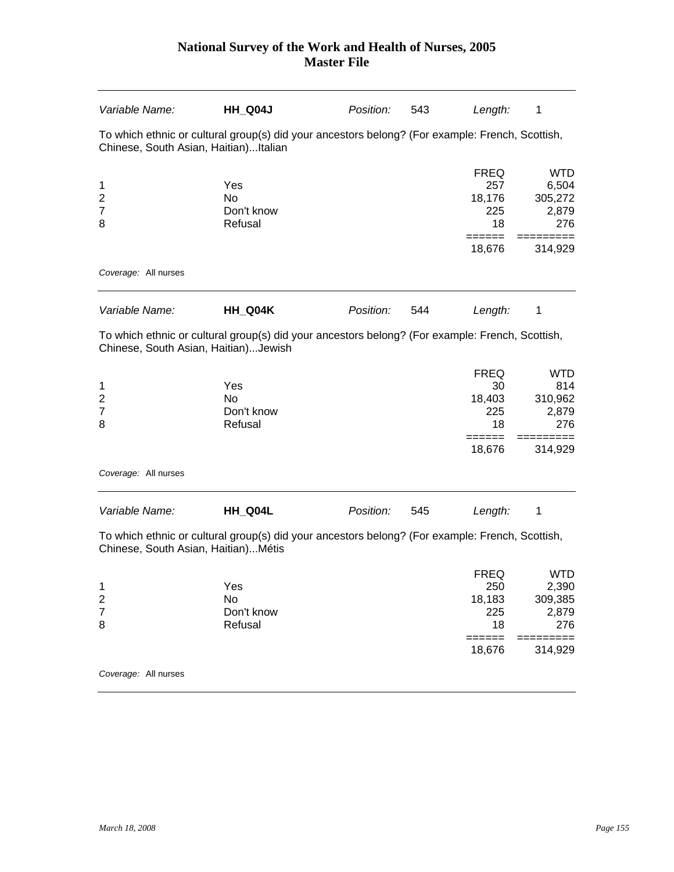| Variable Name:                                      | HH_Q04J                                                                                         | Position: | 543 | Length:                                                         | 1                                                                   |
|-----------------------------------------------------|-------------------------------------------------------------------------------------------------|-----------|-----|-----------------------------------------------------------------|---------------------------------------------------------------------|
| Chinese, South Asian, Haitian)Italian               | To which ethnic or cultural group(s) did your ancestors belong? (For example: French, Scottish, |           |     |                                                                 |                                                                     |
| 1<br>$\overline{\mathbf{c}}$<br>$\overline{7}$<br>8 | Yes<br><b>No</b><br>Don't know<br>Refusal                                                       |           |     | <b>FREQ</b><br>257<br>18,176<br>225<br>18<br>18,676             | <b>WTD</b><br>6,504<br>305,272<br>2,879<br>276<br>314,929           |
| Coverage: All nurses                                |                                                                                                 |           |     |                                                                 |                                                                     |
| Variable Name:                                      | HH Q04K                                                                                         | Position: | 544 | Length:                                                         | 1                                                                   |
| Chinese, South Asian, Haitian)Jewish                | To which ethnic or cultural group(s) did your ancestors belong? (For example: French, Scottish, |           |     |                                                                 |                                                                     |
| 1<br>$\overline{c}$<br>7<br>8                       | Yes<br><b>No</b><br>Don't know<br>Refusal                                                       |           |     | <b>FREQ</b><br>30<br>18,403<br>225<br>18<br>======<br>18,676    | <b>WTD</b><br>814<br>310,962<br>2,879<br>276<br>314,929             |
| Coverage: All nurses                                |                                                                                                 |           |     |                                                                 |                                                                     |
| Variable Name:                                      | HH_Q04L                                                                                         | Position: | 545 | Length:                                                         | 1                                                                   |
| Chinese, South Asian, Haitian) Métis                | To which ethnic or cultural group(s) did your ancestors belong? (For example: French, Scottish, |           |     |                                                                 |                                                                     |
| 1<br>$\overline{\mathbf{c}}$<br>$\overline{7}$<br>8 | Yes<br>No<br>Don't know<br>Refusal                                                              |           |     | <b>FREQ</b><br>250<br>18,183<br>225<br>18<br>$======$<br>18,676 | <b>WTD</b><br>2,390<br>309,385<br>2,879<br>276<br>======<br>314,929 |
| Coverage: All nurses                                |                                                                                                 |           |     |                                                                 |                                                                     |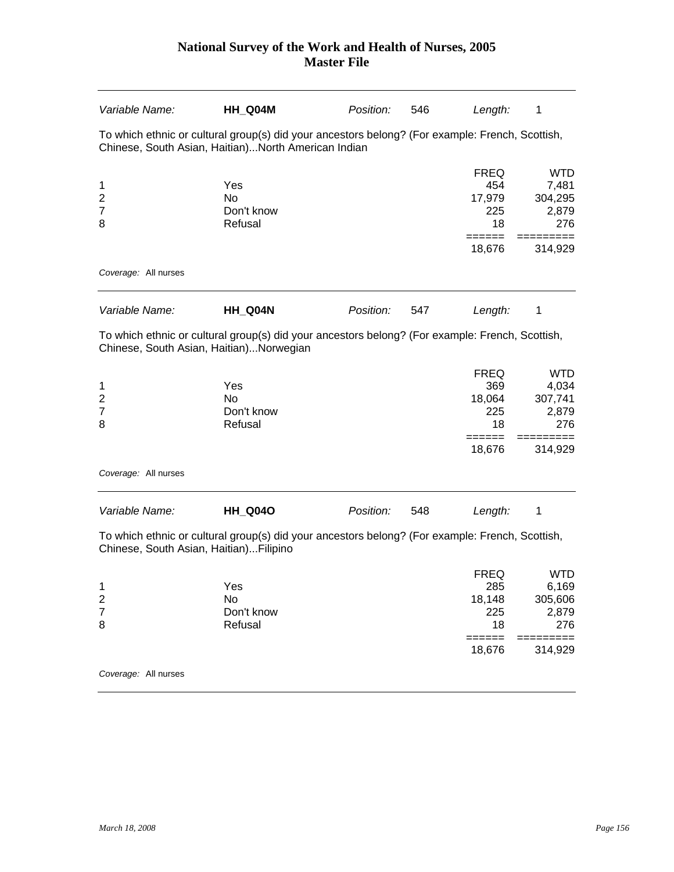| Variable Name:                                      | HH_Q04M                                                                                                                                                | Position: | 546 | Length:                                                       | 1                                                         |
|-----------------------------------------------------|--------------------------------------------------------------------------------------------------------------------------------------------------------|-----------|-----|---------------------------------------------------------------|-----------------------------------------------------------|
|                                                     | To which ethnic or cultural group(s) did your ancestors belong? (For example: French, Scottish,<br>Chinese, South Asian, Haitian)North American Indian |           |     |                                                               |                                                           |
| 1<br>2<br>$\overline{7}$<br>8                       | Yes<br><b>No</b><br>Don't know<br>Refusal                                                                                                              |           |     | <b>FREQ</b><br>454<br>17,979<br>225<br>18                     | <b>WTD</b><br>7,481<br>304,295<br>2,879<br>276            |
|                                                     |                                                                                                                                                        |           |     | ======<br>18,676                                              | 314,929                                                   |
| Coverage: All nurses                                |                                                                                                                                                        |           |     |                                                               |                                                           |
| Variable Name:                                      | HH_Q04N                                                                                                                                                | Position: | 547 | Length:                                                       | 1                                                         |
|                                                     | To which ethnic or cultural group(s) did your ancestors belong? (For example: French, Scottish,<br>Chinese, South Asian, Haitian)Norwegian             |           |     |                                                               |                                                           |
| 1<br>$\overline{2}$<br>$\overline{7}$<br>8          | Yes<br><b>No</b><br>Don't know<br>Refusal                                                                                                              |           |     | <b>FREQ</b><br>369<br>18,064<br>225<br>18<br>______<br>18,676 | <b>WTD</b><br>4,034<br>307,741<br>2,879<br>276<br>314,929 |
| Coverage: All nurses                                |                                                                                                                                                        |           |     |                                                               |                                                           |
| Variable Name:                                      | <b>HH_Q04O</b>                                                                                                                                         | Position: | 548 | Length:                                                       | 1                                                         |
| Chinese, South Asian, Haitian)Filipino              | To which ethnic or cultural group(s) did your ancestors belong? (For example: French, Scottish,                                                        |           |     |                                                               |                                                           |
| 1<br>$\overline{\mathbf{c}}$<br>$\overline{7}$<br>8 | Yes<br>No<br>Don't know<br>Refusal                                                                                                                     |           |     | <b>FREQ</b><br>285<br>18,148<br>225<br>18                     | <b>WTD</b><br>6,169<br>305,606<br>2,879<br>276            |
|                                                     |                                                                                                                                                        |           |     | ======<br>18,676                                              | 314,929                                                   |
| Coverage: All nurses                                |                                                                                                                                                        |           |     |                                                               |                                                           |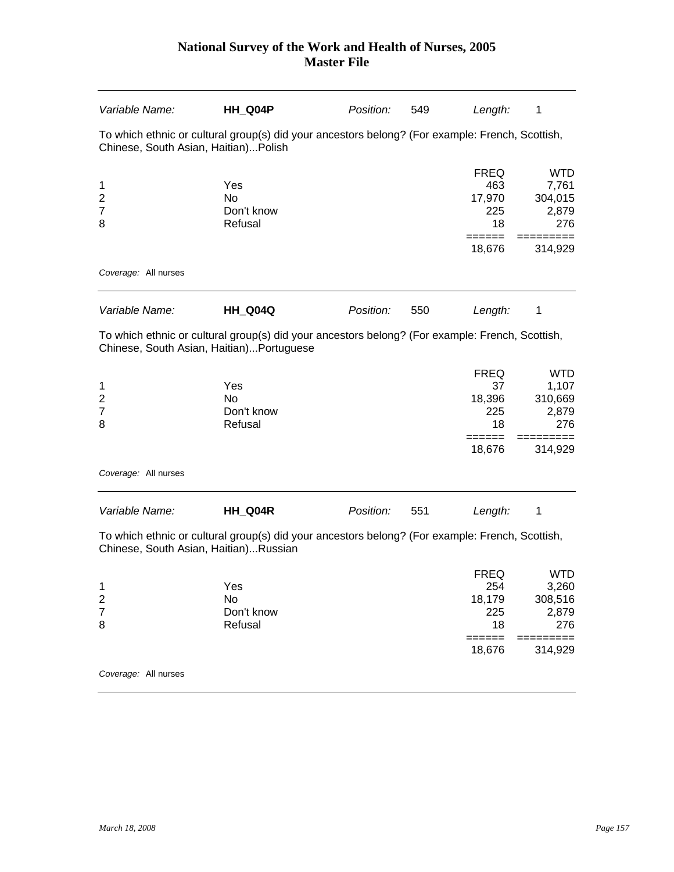| Variable Name:                         | HH_Q04P                                                                                                                                     | Position: | 549 | Length:                                                       | 1                                                         |
|----------------------------------------|---------------------------------------------------------------------------------------------------------------------------------------------|-----------|-----|---------------------------------------------------------------|-----------------------------------------------------------|
| Chinese, South Asian, Haitian)Polish   | To which ethnic or cultural group(s) did your ancestors belong? (For example: French, Scottish,                                             |           |     |                                                               |                                                           |
| 1<br>2<br>$\overline{7}$<br>8          | Yes<br>N <sub>o</sub><br>Don't know<br>Refusal                                                                                              |           |     | <b>FREQ</b><br>463<br>17,970<br>225<br>18                     | <b>WTD</b><br>7,761<br>304,015<br>2,879<br>276            |
| Coverage: All nurses                   |                                                                                                                                             |           |     | 18,676                                                        | 314,929                                                   |
|                                        |                                                                                                                                             |           |     |                                                               |                                                           |
| Variable Name:                         | <b>HH_Q04Q</b>                                                                                                                              | Position: | 550 | Length:                                                       | 1                                                         |
|                                        | To which ethnic or cultural group(s) did your ancestors belong? (For example: French, Scottish,<br>Chinese, South Asian, Haitian)Portuguese |           |     |                                                               |                                                           |
| 1<br>2<br>7<br>8                       | Yes<br><b>No</b><br>Don't know<br>Refusal                                                                                                   |           |     | <b>FREQ</b><br>37<br>18,396<br>225<br>18<br>18,676            | <b>WTD</b><br>1,107<br>310,669<br>2,879<br>276<br>314,929 |
| Coverage: All nurses                   |                                                                                                                                             |           |     |                                                               |                                                           |
| Variable Name:                         | HH_Q04R                                                                                                                                     | Position: | 551 | Length:                                                       | 1                                                         |
| Chinese, South Asian, Haitian)Russian  | To which ethnic or cultural group(s) did your ancestors belong? (For example: French, Scottish,                                             |           |     |                                                               |                                                           |
| 1<br>$\overline{\mathbf{c}}$<br>7<br>8 | Yes<br>No<br>Don't know<br>Refusal                                                                                                          |           |     | <b>FREQ</b><br>254<br>18,179<br>225<br>18<br>======<br>18,676 | <b>WTD</b><br>3,260<br>308,516<br>2,879<br>276<br>314,929 |
| Coverage: All nurses                   |                                                                                                                                             |           |     |                                                               |                                                           |
|                                        |                                                                                                                                             |           |     |                                                               |                                                           |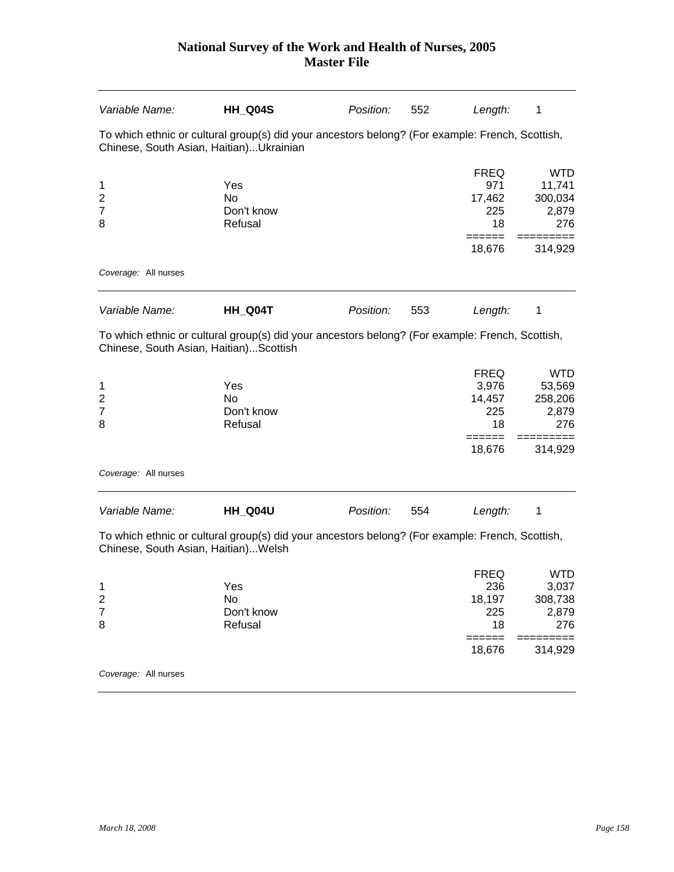| Variable Name:                                      | HH Q04S                                                                                         | Position: | 552 | Length:                                               | 1                                                        |
|-----------------------------------------------------|-------------------------------------------------------------------------------------------------|-----------|-----|-------------------------------------------------------|----------------------------------------------------------|
| Chinese, South Asian, Haitian)Ukrainian             | To which ethnic or cultural group(s) did your ancestors belong? (For example: French, Scottish, |           |     |                                                       |                                                          |
| 1<br>$\overline{\mathbf{c}}$<br>$\overline{7}$<br>8 | Yes<br>No<br>Don't know<br>Refusal                                                              |           |     | <b>FREQ</b><br>971<br>17,462<br>225<br>18             | <b>WTD</b><br>11,741<br>300,034<br>2,879<br>276          |
| Coverage: All nurses                                |                                                                                                 |           |     | 18,676                                                | 314,929                                                  |
| Variable Name:                                      | HH_Q04T                                                                                         | Position: | 553 | Length:                                               | 1                                                        |
| Chinese, South Asian, Haitian)Scottish              | To which ethnic or cultural group(s) did your ancestors belong? (For example: French, Scottish, |           |     |                                                       |                                                          |
| 1<br>$\overline{c}$<br>7<br>8                       | Yes<br><b>No</b><br>Don't know<br>Refusal                                                       |           |     | <b>FREQ</b><br>3,976<br>14,457<br>225<br>18<br>====== | WTD<br>53,569<br>258,206<br>2,879<br>276<br>======       |
| Coverage: All nurses                                |                                                                                                 |           |     | 18,676                                                | 314,929                                                  |
| Variable Name:                                      | HH_Q04U                                                                                         | Position: | 554 | Length:                                               | 1                                                        |
| Chinese, South Asian, Haitian) Welsh                | To which ethnic or cultural group(s) did your ancestors belong? (For example: French, Scottish, |           |     |                                                       |                                                          |
| 1<br>$\overline{\mathbf{c}}$<br>$\overline{7}$<br>8 | Yes<br>No<br>Don't know<br>Refusal                                                              |           |     | <b>FREQ</b><br>236<br>18,197<br>225<br>18<br>======   | <b>WTD</b><br>3,037<br>308,738<br>2,879<br>276<br>====== |
|                                                     |                                                                                                 |           |     | 18,676                                                | 314,929                                                  |
| Coverage: All nurses                                |                                                                                                 |           |     |                                                       |                                                          |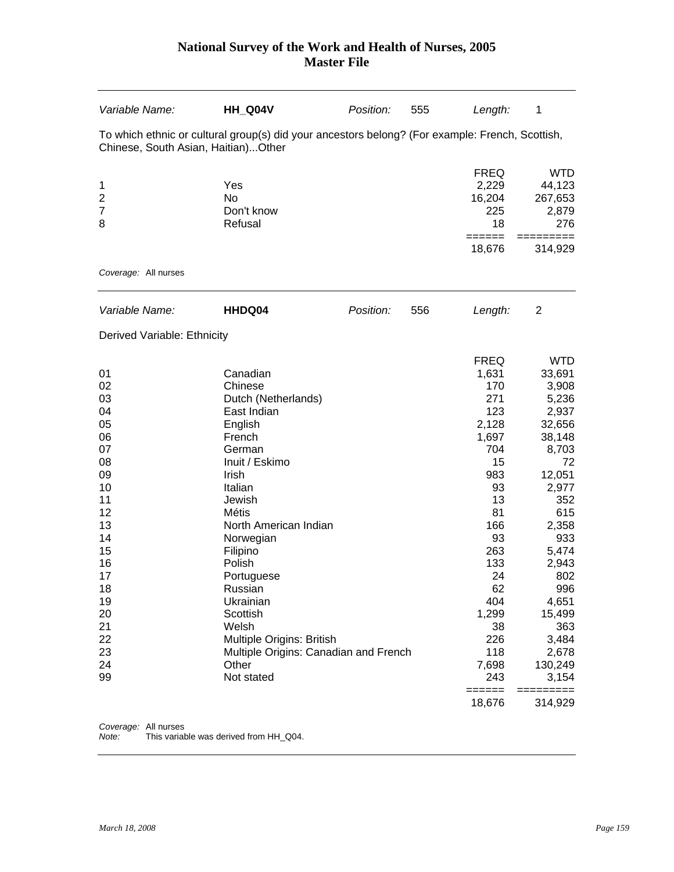| Variable Name:                                                                                                                                     | HH_Q04V                                                                                                                                                                                                                                                                                                                                                               | Position: | 555 | Length:                                                                                                                                                                                                          | 1                                                                                                                                                                                                                                                           |
|----------------------------------------------------------------------------------------------------------------------------------------------------|-----------------------------------------------------------------------------------------------------------------------------------------------------------------------------------------------------------------------------------------------------------------------------------------------------------------------------------------------------------------------|-----------|-----|------------------------------------------------------------------------------------------------------------------------------------------------------------------------------------------------------------------|-------------------------------------------------------------------------------------------------------------------------------------------------------------------------------------------------------------------------------------------------------------|
| Chinese, South Asian, Haitian)Other                                                                                                                | To which ethnic or cultural group(s) did your ancestors belong? (For example: French, Scottish,                                                                                                                                                                                                                                                                       |           |     |                                                                                                                                                                                                                  |                                                                                                                                                                                                                                                             |
| 1<br>$\overline{2}$<br>$\overline{7}$<br>8                                                                                                         | Yes<br><b>No</b><br>Don't know<br>Refusal                                                                                                                                                                                                                                                                                                                             |           |     | <b>FREQ</b><br>2,229<br>16,204<br>225<br>18<br>======<br>18,676                                                                                                                                                  | <b>WTD</b><br>44,123<br>267,653<br>2,879<br>276<br>======<br>314,929                                                                                                                                                                                        |
| Coverage: All nurses                                                                                                                               |                                                                                                                                                                                                                                                                                                                                                                       |           |     |                                                                                                                                                                                                                  |                                                                                                                                                                                                                                                             |
| Variable Name:                                                                                                                                     | HHDQ04                                                                                                                                                                                                                                                                                                                                                                | Position: | 556 | Length:                                                                                                                                                                                                          | $\overline{2}$                                                                                                                                                                                                                                              |
| Derived Variable: Ethnicity                                                                                                                        |                                                                                                                                                                                                                                                                                                                                                                       |           |     |                                                                                                                                                                                                                  |                                                                                                                                                                                                                                                             |
| 01<br>02<br>03<br>04<br>05<br>06<br>07<br>08<br>09<br>10<br>11<br>12<br>13<br>14<br>15<br>16<br>17<br>18<br>19<br>20<br>21<br>22<br>23<br>24<br>99 | Canadian<br>Chinese<br>Dutch (Netherlands)<br>East Indian<br>English<br>French<br>German<br>Inuit / Eskimo<br>Irish<br>Italian<br>Jewish<br>Métis<br>North American Indian<br>Norwegian<br>Filipino<br>Polish<br>Portuguese<br>Russian<br>Ukrainian<br>Scottish<br>Welsh<br>Multiple Origins: British<br>Multiple Origins: Canadian and French<br>Other<br>Not stated |           |     | <b>FREQ</b><br>1,631<br>170<br>271<br>123<br>2,128<br>1,697<br>704<br>15<br>983<br>93<br>13<br>81<br>166<br>93<br>263<br>133<br>24<br>62<br>404<br>1,299<br>38<br>226<br>118<br>7,698<br>243<br>======<br>18,676 | <b>WTD</b><br>33,691<br>3,908<br>5,236<br>2,937<br>32,656<br>38,148<br>8,703<br>72<br>12,051<br>2,977<br>352<br>615<br>2,358<br>933<br>5,474<br>2,943<br>802<br>996<br>4,651<br>15,499<br>363<br>3,484<br>2,678<br>130,249<br>3,154<br>=========<br>314,929 |

*Coverage:* All nurses

*Note:* This variable was derived from HH\_Q04.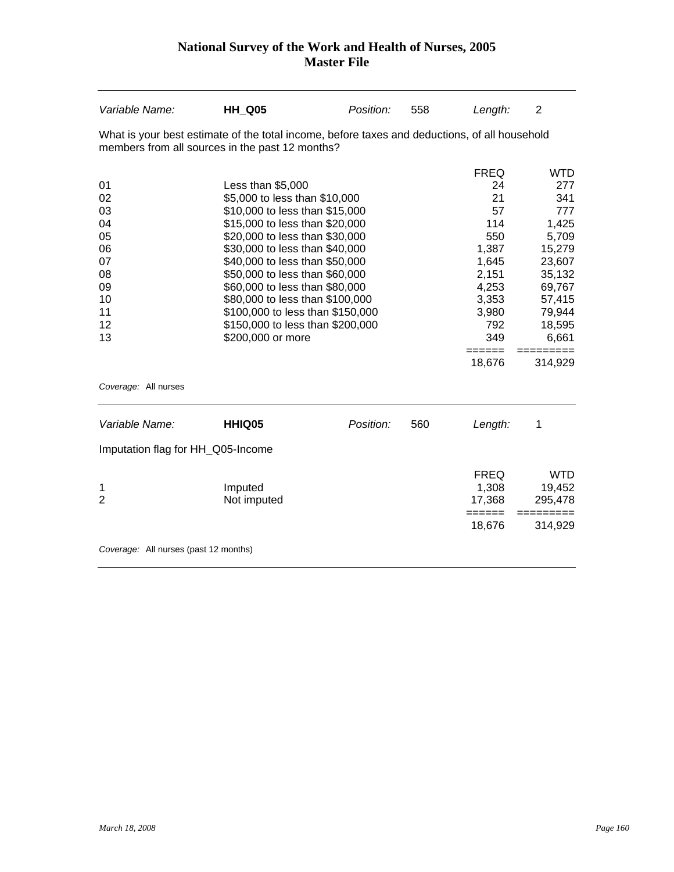| Variable Name:                        | <b>HH Q05</b>                                                                                                                                    | Position: | 558 | Length:             | 2                |
|---------------------------------------|--------------------------------------------------------------------------------------------------------------------------------------------------|-----------|-----|---------------------|------------------|
|                                       | What is your best estimate of the total income, before taxes and deductions, of all household<br>members from all sources in the past 12 months? |           |     |                     |                  |
|                                       |                                                                                                                                                  |           |     | <b>FREQ</b>         | <b>WTD</b>       |
| 01                                    | Less than \$5,000                                                                                                                                |           |     | 24                  | 277              |
| 02                                    | \$5,000 to less than \$10,000                                                                                                                    |           |     | 21                  | 341              |
| 03                                    | \$10,000 to less than \$15,000                                                                                                                   |           |     | 57                  | 777              |
| 04                                    | \$15,000 to less than \$20,000                                                                                                                   |           |     | 114                 | 1,425            |
| 05                                    | \$20,000 to less than \$30,000                                                                                                                   |           |     | 550                 | 5,709            |
| 06                                    | \$30,000 to less than \$40,000                                                                                                                   |           |     | 1,387               | 15,279           |
| 07<br>08                              | \$40,000 to less than \$50,000<br>\$50,000 to less than \$60,000                                                                                 |           |     | 1,645<br>2,151      | 23,607<br>35,132 |
| 09                                    | \$60,000 to less than \$80,000                                                                                                                   |           |     | 4,253               | 69,767           |
| 10                                    | \$80,000 to less than \$100,000                                                                                                                  |           |     | 3,353               | 57,415           |
| 11                                    | \$100,000 to less than \$150,000                                                                                                                 |           |     | 3,980               | 79,944           |
| 12                                    | \$150,000 to less than \$200,000                                                                                                                 |           |     | 792                 | 18,595           |
| 13                                    | \$200,000 or more                                                                                                                                |           |     | 349                 | 6,661            |
|                                       |                                                                                                                                                  |           |     | $=$ $=$ $=$ $=$ $=$ | =========        |
|                                       |                                                                                                                                                  |           |     | 18,676              | 314,929          |
| Coverage: All nurses                  |                                                                                                                                                  |           |     |                     |                  |
| Variable Name:                        | HHIQ05                                                                                                                                           | Position: | 560 | Length:             | 1                |
| Imputation flag for HH_Q05-Income     |                                                                                                                                                  |           |     |                     |                  |
|                                       |                                                                                                                                                  |           |     | <b>FREQ</b>         | <b>WTD</b>       |
| 1                                     | Imputed                                                                                                                                          |           |     | 1,308               | 19,452           |
| $\overline{2}$                        | Not imputed                                                                                                                                      |           |     | 17,368              | 295,478          |
|                                       |                                                                                                                                                  |           |     | ======              | ======           |
|                                       |                                                                                                                                                  |           |     | 18,676              | 314,929          |
| Coverage: All nurses (past 12 months) |                                                                                                                                                  |           |     |                     |                  |
|                                       |                                                                                                                                                  |           |     |                     |                  |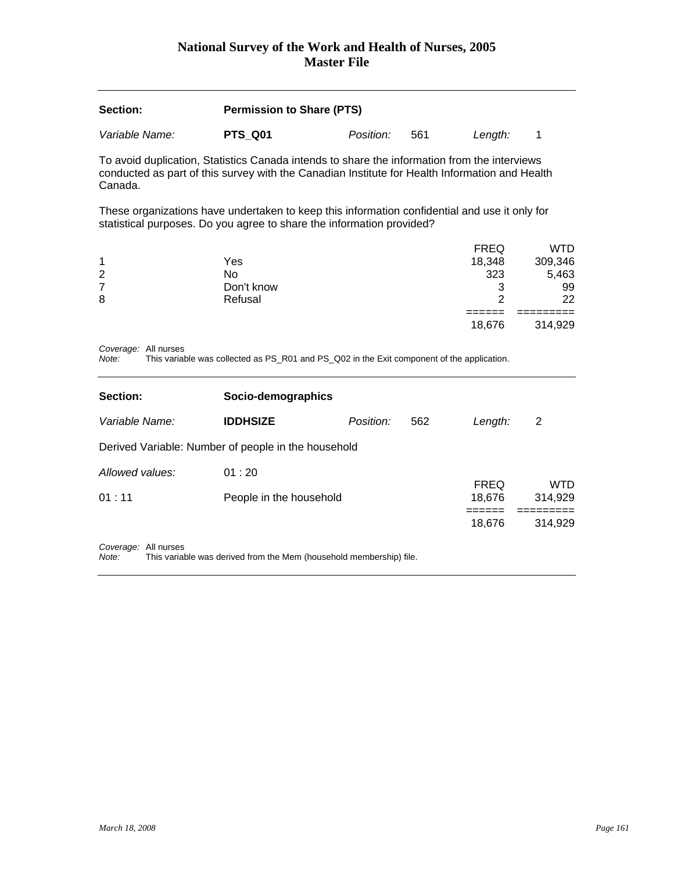| Section:       | <b>Permission to Share (PTS)</b> |                  |     |         |  |  |
|----------------|----------------------------------|------------------|-----|---------|--|--|
| Variable Name: | PTS Q01                          | <i>Position:</i> | 561 | Lenath: |  |  |

To avoid duplication, Statistics Canada intends to share the information from the interviews conducted as part of this survey with the Canadian Institute for Health Information and Health Canada.

These organizations have undertaken to keep this information confidential and use it only for statistical purposes. Do you agree to share the information provided?

|   |            | <b>FREQ</b> | WTD     |
|---|------------|-------------|---------|
| 1 | Yes        | 18,348      | 309,346 |
| 2 | No         | 323         | 5,463   |
| 7 | Don't know | າ<br>v      | 99      |
| 8 | Refusal    | ົ           | 22      |
|   |            |             |         |
|   |            | 18,676      | 314,929 |

*Coverage:* All nurses

*Note:* This variable was collected as PS\_R01 and PS\_Q02 in the Exit component of the application.

| Section:             | Socio-demographics                                  |           |     |                       |                |  |  |  |
|----------------------|-----------------------------------------------------|-----------|-----|-----------------------|----------------|--|--|--|
| Variable Name:       | <b>IDDHSIZE</b>                                     | Position: | 562 | Length:               | 2              |  |  |  |
|                      | Derived Variable: Number of people in the household |           |     |                       |                |  |  |  |
| Allowed values:      | 01:20                                               |           |     |                       |                |  |  |  |
| 01:11                | People in the household                             |           |     | <b>FREQ</b><br>18,676 | WTD<br>314,929 |  |  |  |
|                      |                                                     |           |     | 18,676                | 314,929        |  |  |  |
| Coverage: All nurses |                                                     |           |     |                       |                |  |  |  |

*Note:* This variable was derived from the Mem (household membership) file.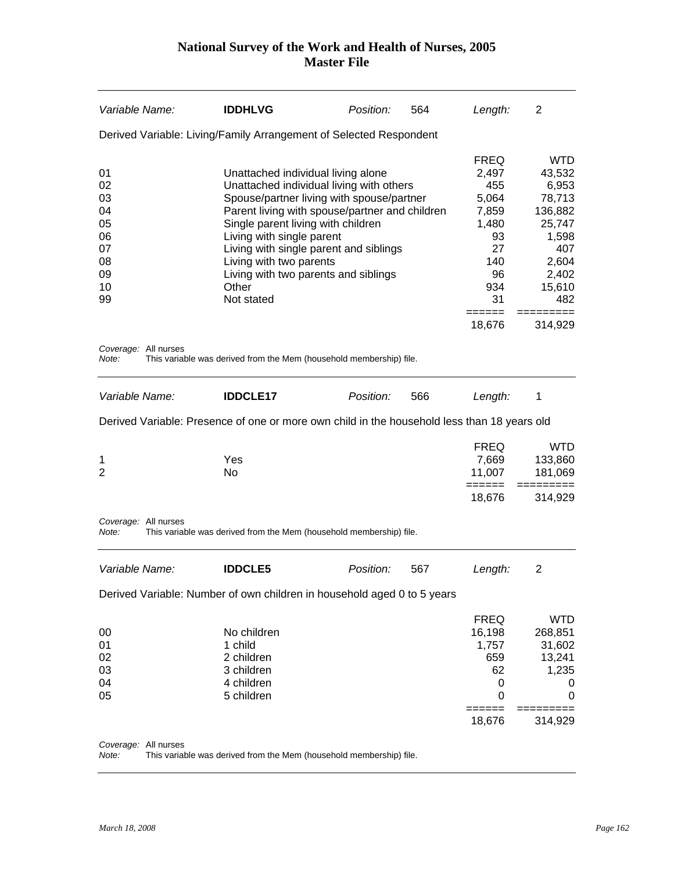| Variable Name:                                                 | <b>IDDHLVG</b>                                                                                                                                                                                                                                                                                                                                                                       | Position: | 564 | Length:                                                                                               | 2                                                                                                        |
|----------------------------------------------------------------|--------------------------------------------------------------------------------------------------------------------------------------------------------------------------------------------------------------------------------------------------------------------------------------------------------------------------------------------------------------------------------------|-----------|-----|-------------------------------------------------------------------------------------------------------|----------------------------------------------------------------------------------------------------------|
|                                                                | Derived Variable: Living/Family Arrangement of Selected Respondent                                                                                                                                                                                                                                                                                                                   |           |     |                                                                                                       |                                                                                                          |
| 01<br>02<br>03<br>04<br>05<br>06<br>07<br>08<br>09<br>10<br>99 | Unattached individual living alone<br>Unattached individual living with others<br>Spouse/partner living with spouse/partner<br>Parent living with spouse/partner and children<br>Single parent living with children<br>Living with single parent<br>Living with single parent and siblings<br>Living with two parents<br>Living with two parents and siblings<br>Other<br>Not stated |           |     | <b>FREQ</b><br>2,497<br>455<br>5,064<br>7,859<br>1,480<br>93<br>27<br>140<br>96<br>934<br>31<br>===== | WTD<br>43,532<br>6,953<br>78,713<br>136,882<br>25,747<br>1,598<br>407<br>2,604<br>2,402<br>15,610<br>482 |
|                                                                |                                                                                                                                                                                                                                                                                                                                                                                      |           |     | 18,676                                                                                                | 314,929                                                                                                  |
| Coverage: All nurses<br>Note:                                  | This variable was derived from the Mem (household membership) file.                                                                                                                                                                                                                                                                                                                  |           |     |                                                                                                       |                                                                                                          |
| Variable Name:                                                 | <b>IDDCLE17</b>                                                                                                                                                                                                                                                                                                                                                                      | Position: | 566 | Length:                                                                                               | 1                                                                                                        |
|                                                                | Derived Variable: Presence of one or more own child in the household less than 18 years old                                                                                                                                                                                                                                                                                          |           |     |                                                                                                       |                                                                                                          |
| 1<br>2                                                         | Yes<br>No                                                                                                                                                                                                                                                                                                                                                                            |           |     | <b>FREQ</b><br>7,669<br>11,007<br>======                                                              | <b>WTD</b><br>133,860<br>181,069<br>=========                                                            |
|                                                                |                                                                                                                                                                                                                                                                                                                                                                                      |           |     | 18,676                                                                                                | 314,929                                                                                                  |
| Coverage: All nurses<br>Note:                                  | This variable was derived from the Mem (household membership) file.                                                                                                                                                                                                                                                                                                                  |           |     |                                                                                                       |                                                                                                          |
| Variable Name:                                                 | <b>IDDCLE5</b>                                                                                                                                                                                                                                                                                                                                                                       | Position: | 567 | Length:                                                                                               | 2                                                                                                        |
|                                                                | Derived Variable: Number of own children in household aged 0 to 5 years                                                                                                                                                                                                                                                                                                              |           |     |                                                                                                       |                                                                                                          |
| 00<br>01<br>02<br>03<br>04<br>05                               | No children<br>1 child<br>2 children<br>3 children<br>4 children<br>5 children                                                                                                                                                                                                                                                                                                       |           |     | <b>FREQ</b><br>16,198<br>1,757<br>659<br>62<br>0<br>0<br>18,676                                       | <b>WTD</b><br>268,851<br>31,602<br>13,241<br>1,235<br>0<br>0<br>314,929                                  |
|                                                                |                                                                                                                                                                                                                                                                                                                                                                                      |           |     |                                                                                                       |                                                                                                          |

*Coverage:* All nurses

*Note:* This variable was derived from the Mem (household membership) file.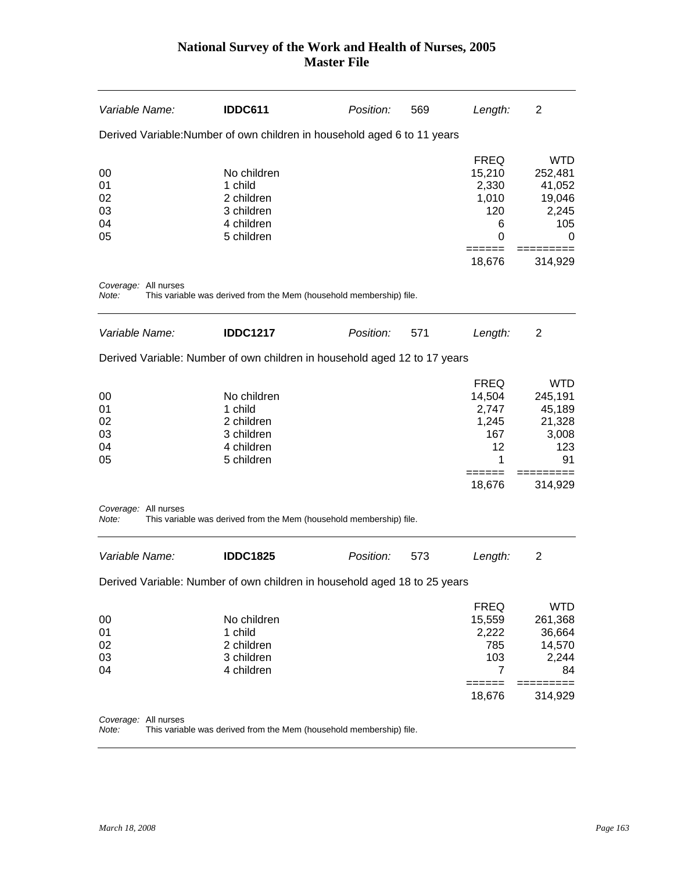| Variable Name:                   | <b>IDDC611</b>                                                                 | Position: | 569 | Length:                                                                       | $\overline{2}$                                                             |
|----------------------------------|--------------------------------------------------------------------------------|-----------|-----|-------------------------------------------------------------------------------|----------------------------------------------------------------------------|
|                                  | Derived Variable: Number of own children in household aged 6 to 11 years       |           |     |                                                                               |                                                                            |
| 00<br>01<br>02<br>03<br>04<br>05 | No children<br>1 child<br>2 children<br>3 children<br>4 children<br>5 children |           |     | <b>FREQ</b><br>15,210<br>2,330<br>1,010<br>120<br>6<br>$\Omega$<br>======     | <b>WTD</b><br>252,481<br>41,052<br>19,046<br>2,245<br>105<br>0             |
|                                  |                                                                                |           |     | 18,676                                                                        | 314,929                                                                    |
| Coverage: All nurses<br>Note:    | This variable was derived from the Mem (household membership) file.            |           |     |                                                                               |                                                                            |
| Variable Name:                   | <b>IDDC1217</b>                                                                | Position: | 571 | Length:                                                                       | 2                                                                          |
|                                  | Derived Variable: Number of own children in household aged 12 to 17 years      |           |     |                                                                               |                                                                            |
| 00<br>01<br>02<br>03<br>04<br>05 | No children<br>1 child<br>2 children<br>3 children<br>4 children<br>5 children |           |     | <b>FREQ</b><br>14,504<br>2,747<br>1,245<br>167<br>12<br>1<br>======<br>18,676 | <b>WTD</b><br>245,191<br>45,189<br>21,328<br>3,008<br>123<br>91<br>314,929 |
| Coverage: All nurses<br>Note:    | This variable was derived from the Mem (household membership) file.            |           |     |                                                                               |                                                                            |
| Variable Name:                   | <b>IDDC1825</b>                                                                | Position: | 573 | Length:                                                                       | $\overline{2}$                                                             |
|                                  | Derived Variable: Number of own children in household aged 18 to 25 years      |           |     |                                                                               |                                                                            |
| $00\,$<br>01<br>02<br>03<br>04   | No children<br>1 child<br>2 children<br>3 children<br>4 children               |           |     | <b>FREQ</b><br>15,559<br>2,222<br>785<br>103<br>$\overline{7}$<br>======      | <b>WTD</b><br>261,368<br>36,664<br>14,570<br>2,244<br>84<br>$==$<br>====   |
|                                  |                                                                                |           |     | 18,676                                                                        | 314,929                                                                    |
| Coverage: All nurses<br>Note:    | This variable was derived from the Mem (household membership) file.            |           |     |                                                                               |                                                                            |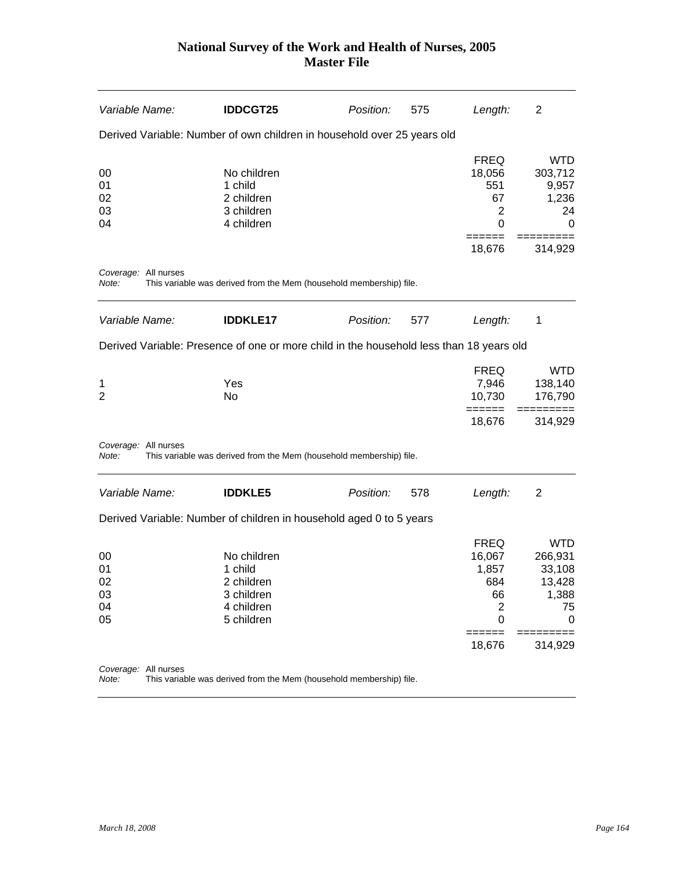| Variable Name:                   | <b>IDDCGT25</b>                                                                         | Position: | 575 | Length:                                                                                | 2                                                                        |
|----------------------------------|-----------------------------------------------------------------------------------------|-----------|-----|----------------------------------------------------------------------------------------|--------------------------------------------------------------------------|
|                                  | Derived Variable: Number of own children in household over 25 years old                 |           |     |                                                                                        |                                                                          |
| 00<br>01<br>02<br>03<br>04       | No children<br>1 child<br>2 children<br>3 children<br>4 children                        |           |     | <b>FREQ</b><br>18,056<br>551<br>67<br>$\overline{2}$<br>0                              | <b>WTD</b><br>303,712<br>9,957<br>1,236<br>24<br>0                       |
|                                  |                                                                                         |           |     | 18,676                                                                                 | 314,929                                                                  |
| Coverage: All nurses<br>Note:    | This variable was derived from the Mem (household membership) file.                     |           |     |                                                                                        |                                                                          |
| Variable Name:                   | <b>IDDKLE17</b>                                                                         | Position: | 577 | Length:                                                                                | 1                                                                        |
|                                  | Derived Variable: Presence of one or more child in the household less than 18 years old |           |     |                                                                                        |                                                                          |
| 1<br>2                           | Yes<br>No                                                                               |           |     | <b>FREQ</b><br>7,946<br>10,730                                                         | <b>WTD</b><br>138,140<br>176,790                                         |
|                                  |                                                                                         |           |     | $=====$<br>18,676                                                                      | 314,929                                                                  |
| Coverage: All nurses<br>Note:    | This variable was derived from the Mem (household membership) file.                     |           |     |                                                                                        |                                                                          |
| Variable Name:                   | <b>IDDKLE5</b>                                                                          | Position: | 578 | Length:                                                                                | $\overline{2}$                                                           |
|                                  | Derived Variable: Number of children in household aged 0 to 5 years                     |           |     |                                                                                        |                                                                          |
| 00<br>01<br>02<br>03<br>04<br>05 | No children<br>1 child<br>2 children<br>3 children<br>4 children<br>5 children          |           |     | <b>FREQ</b><br>16,067<br>1,857<br>684<br>66<br>$\overline{2}$<br>0<br>======<br>18,676 | <b>WTD</b><br>266,931<br>33,108<br>13,428<br>1,388<br>75<br>0<br>314,929 |
| Coverage: All nurses             |                                                                                         |           |     |                                                                                        |                                                                          |
|                                  |                                                                                         |           |     |                                                                                        |                                                                          |

*Note:* This variable was derived from the Mem (household membership) file.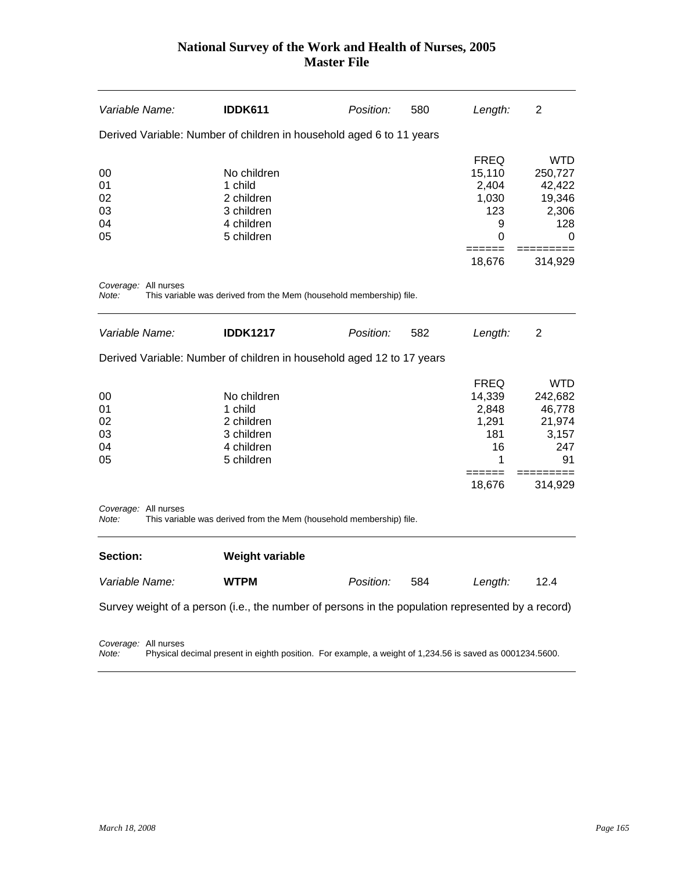| <i>Variable Name:</i>            | <b>IDDK611</b>                                                                                    | Position: | 580 | Length:                                                                             | $\overline{2}$                                                            |
|----------------------------------|---------------------------------------------------------------------------------------------------|-----------|-----|-------------------------------------------------------------------------------------|---------------------------------------------------------------------------|
|                                  | Derived Variable: Number of children in household aged 6 to 11 years                              |           |     |                                                                                     |                                                                           |
| 00<br>01<br>02<br>03<br>04<br>05 | No children<br>1 child<br>2 children<br>3 children<br>4 children<br>5 children                    |           |     | <b>FREQ</b><br>15,110<br>2,404<br>1,030<br>123<br>9<br>$\Omega$<br>======<br>18,676 | <b>WTD</b><br>250,727<br>42,422<br>19,346<br>2,306<br>128<br>0<br>314,929 |
| Coverage: All nurses<br>Note:    | This variable was derived from the Mem (household membership) file.                               |           |     |                                                                                     |                                                                           |
| Variable Name:                   | <b>IDDK1217</b>                                                                                   | Position: | 582 | Length:                                                                             | 2                                                                         |
|                                  | Derived Variable: Number of children in household aged 12 to 17 years                             |           |     |                                                                                     |                                                                           |
| 00<br>01<br>02<br>03<br>04<br>05 | No children<br>1 child<br>2 children<br>3 children<br>4 children<br>5 children                    |           |     | <b>FREQ</b><br>14,339<br>2,848<br>1,291<br>181<br>16<br>1                           | <b>WTD</b><br>242,682<br>46,778<br>21,974<br>3,157<br>247<br>91           |
| Coverage: All nurses<br>Note:    | This variable was derived from the Mem (household membership) file.                               |           |     | 18,676                                                                              | 314,929                                                                   |
| Section:                         | <b>Weight variable</b>                                                                            |           |     |                                                                                     |                                                                           |
| Variable Name:                   | <b>WTPM</b>                                                                                       | Position: | 584 | Length:                                                                             | 12.4                                                                      |
|                                  | Survey weight of a person (i.e., the number of persons in the population represented by a record) |           |     |                                                                                     |                                                                           |

*Coverage:* All nurses

*Note:* Physical decimal present in eighth position. For example, a weight of 1,234.56 is saved as 0001234.5600.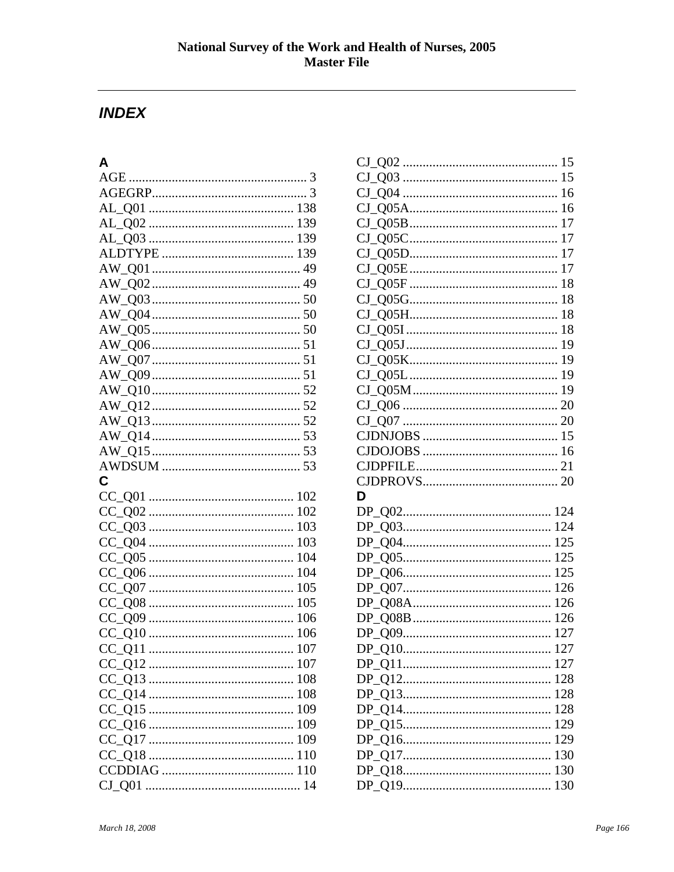### **INDEX**

### $\mathsf{A}$

| C |  |
|---|--|
|   |  |
|   |  |
|   |  |
|   |  |
|   |  |
|   |  |
|   |  |
|   |  |
|   |  |
|   |  |
|   |  |
|   |  |
|   |  |
|   |  |
|   |  |
|   |  |
|   |  |
|   |  |
|   |  |
|   |  |

| D   |  |
|-----|--|
|     |  |
|     |  |
| 125 |  |
|     |  |
|     |  |
|     |  |
| 126 |  |
|     |  |
|     |  |
|     |  |
|     |  |
|     |  |
|     |  |
|     |  |
|     |  |
|     |  |
|     |  |
|     |  |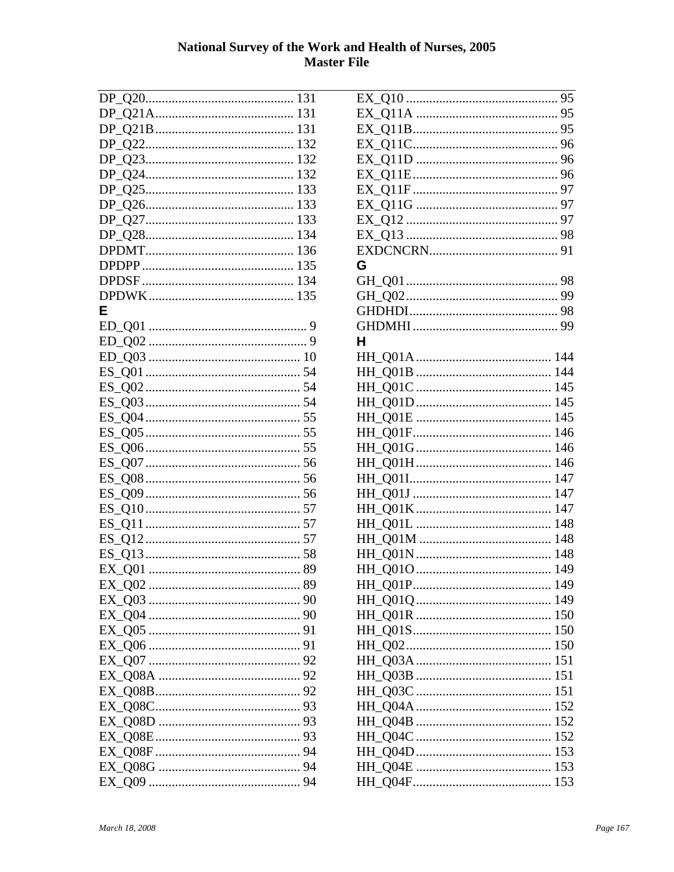| F |  |
|---|--|
|   |  |
|   |  |
|   |  |
|   |  |
|   |  |
|   |  |
|   |  |
|   |  |
|   |  |
|   |  |
|   |  |
|   |  |
|   |  |
|   |  |
|   |  |
|   |  |
|   |  |
|   |  |
|   |  |
|   |  |
|   |  |
|   |  |
|   |  |
|   |  |
|   |  |
|   |  |
|   |  |
|   |  |
|   |  |
|   |  |
|   |  |
|   |  |

| G |  |
|---|--|
|   |  |
|   |  |
|   |  |
|   |  |
| н |  |
|   |  |
|   |  |
|   |  |
|   |  |
|   |  |
|   |  |
|   |  |
|   |  |
|   |  |
|   |  |
|   |  |
|   |  |
|   |  |
|   |  |
|   |  |
|   |  |
|   |  |
|   |  |
|   |  |
|   |  |
|   |  |
|   |  |
|   |  |
|   |  |
|   |  |
|   |  |
|   |  |
|   |  |
|   |  |
|   |  |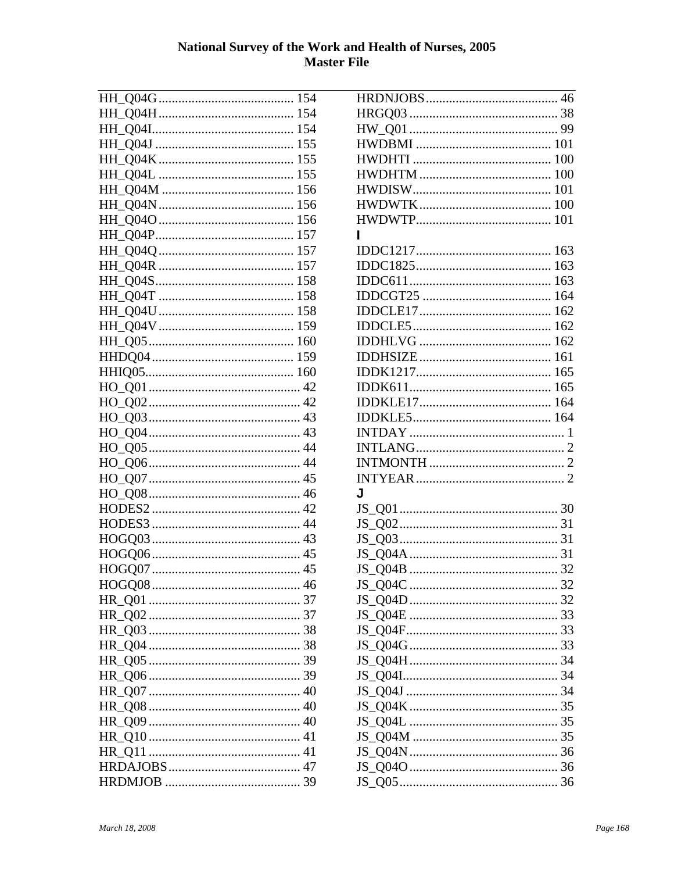| ı |  |
|---|--|
|   |  |
|   |  |
|   |  |
|   |  |
|   |  |
|   |  |
|   |  |
|   |  |
|   |  |
|   |  |
|   |  |
|   |  |
|   |  |
|   |  |
|   |  |
|   |  |
| J |  |
|   |  |
|   |  |
|   |  |
|   |  |
|   |  |
|   |  |
|   |  |
|   |  |
|   |  |
|   |  |
|   |  |
|   |  |
|   |  |
|   |  |
|   |  |
|   |  |
|   |  |
|   |  |
|   |  |
|   |  |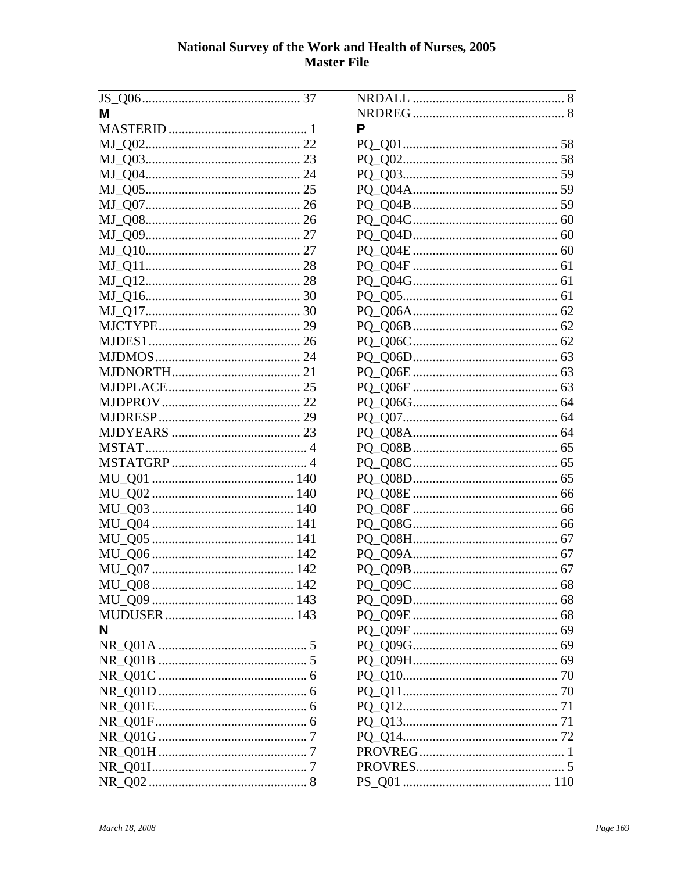| м |
|---|
|   |
|   |
|   |
|   |
|   |
|   |
|   |
|   |
|   |
|   |
|   |
|   |
|   |
|   |
|   |
|   |
|   |
|   |
|   |
|   |
|   |
|   |
|   |
|   |
|   |
|   |
|   |
|   |
|   |
|   |
|   |
|   |
|   |
| N |
|   |
|   |
|   |
|   |
|   |
|   |
|   |
|   |
|   |
|   |
|   |

| Р       |
|---------|
|         |
|         |
|         |
|         |
|         |
|         |
|         |
|         |
|         |
|         |
|         |
|         |
|         |
|         |
|         |
|         |
|         |
|         |
|         |
|         |
|         |
|         |
|         |
|         |
|         |
|         |
|         |
|         |
|         |
| PQ_Q09C |
|         |
|         |
|         |
|         |
|         |
|         |
|         |
|         |
|         |
|         |
|         |
|         |
|         |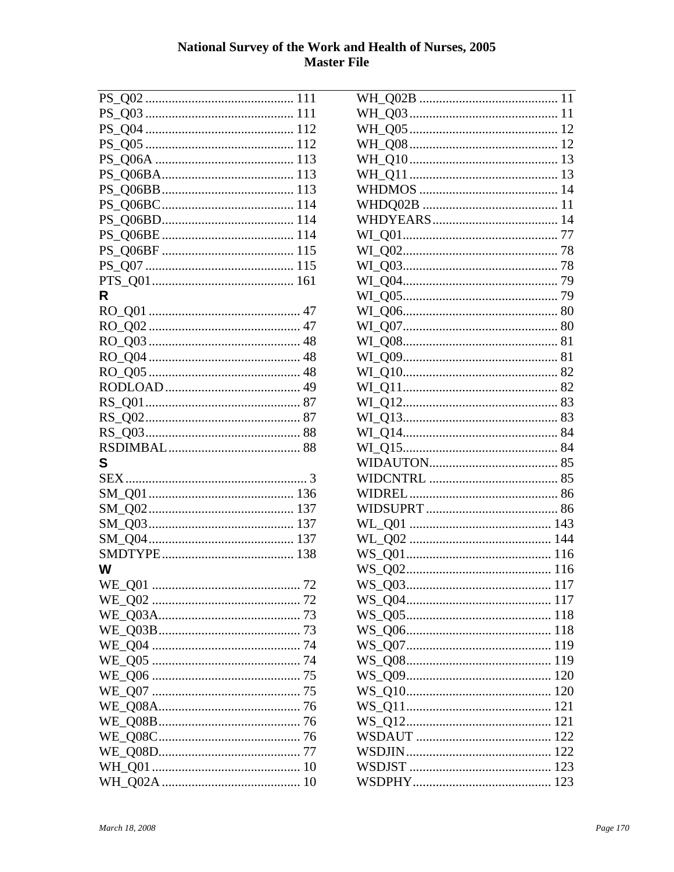| R  |
|----|
|    |
|    |
|    |
|    |
|    |
|    |
|    |
|    |
|    |
|    |
|    |
| S  |
|    |
|    |
|    |
|    |
|    |
|    |
| W  |
| 72 |
|    |
|    |
|    |
|    |
|    |
|    |
|    |
|    |
|    |
|    |
|    |
|    |